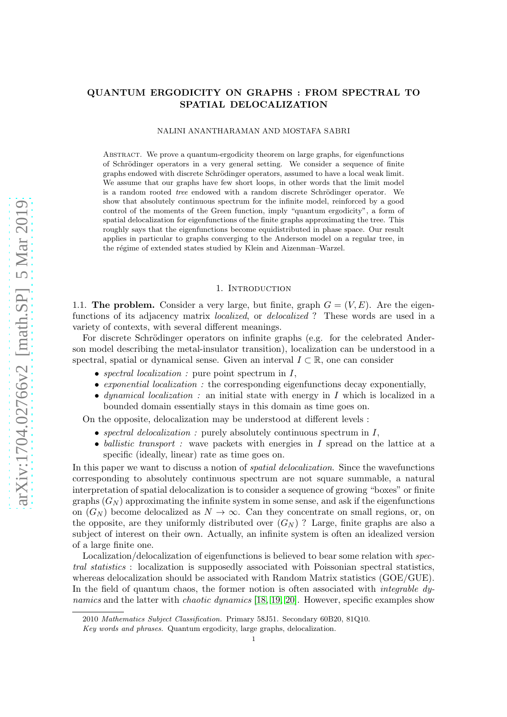# QUANTUM ERGODICITY ON GRAPHS : FROM SPECTRAL TO SPATIAL DELOCALIZATION

#### NALINI ANANTHARAMAN AND MOSTAFA SABRI

Abstract. We prove a quantum-ergodicity theorem on large graphs, for eigenfunctions of Schrödinger operators in a very general setting. We consider a sequence of finite graphs endowed with discrete Schrödinger operators, assumed to have a local weak limit. We assume that our graphs have few short loops, in other words that the limit model is a random rooted *tree* endowed with a random discrete Schrödinger operator. We show that absolutely continuous spectrum for the infinite model, reinforced by a good control of the moments of the Green function, imply "quantum ergodicity", a form of spatial delocalization for eigenfunctions of the finite graphs approximating the tree. This roughly says that the eigenfunctions become equidistributed in phase space. Our result applies in particular to graphs converging to the Anderson model on a regular tree, in the régime of extended states studied by Klein and Aizenman–Warzel.

## 1. INTRODUCTION

<span id="page-0-0"></span>1.1. The problem. Consider a very large, but finite, graph  $G = (V, E)$ . Are the eigenfunctions of its adjacency matrix *localized*, or *delocalized* ? These words are used in a variety of contexts, with several different meanings.

For discrete Schrödinger operators on infinite graphs (e.g. for the celebrated Anderson model describing the metal-insulator transition), localization can be understood in a spectral, spatial or dynamical sense. Given an interval  $I \subset \mathbb{R}$ , one can consider

- *spectral localization :* pure point spectrum in I,
- *exponential localization :* the corresponding eigenfunctions decay exponentially,
- *dynamical localization :* an initial state with energy in I which is localized in a bounded domain essentially stays in this domain as time goes on.

On the opposite, delocalization may be understood at different levels :

- *spectral delocalization* : purely absolutely continuous spectrum in  $I$ ,
- *ballistic transport :* wave packets with energies in I spread on the lattice at a specific (ideally, linear) rate as time goes on.

In this paper we want to discuss a notion of *spatial delocalization*. Since the wavefunctions corresponding to absolutely continuous spectrum are not square summable, a natural interpretation of spatial delocalization is to consider a sequence of growing "boxes" or finite graphs  $(G_N)$  approximating the infinite system in some sense, and ask if the eigenfunctions on  $(G_N)$  become delocalized as  $N \to \infty$ . Can they concentrate on small regions, or, on the opposite, are they uniformly distributed over  $(G_N)$ ? Large, finite graphs are also a subject of interest on their own. Actually, an infinite system is often an idealized version of a large finite one.

Localization/delocalization of eigenfunctions is believed to bear some relation with *spectral statistics* : localization is supposedly associated with Poissonian spectral statistics, whereas delocalization should be associated with Random Matrix statistics (GOE/GUE). In the field of quantum chaos, the former notion is often associated with *integrable dynamics* and the latter with *chaotic dynamics* [\[18,](#page-55-0) [19,](#page-55-1) [20\]](#page-55-2). However, specific examples show

<sup>2010</sup> *Mathematics Subject Classification.* Primary 58J51. Secondary 60B20, 81Q10.

*Key words and phrases.* Quantum ergodicity, large graphs, delocalization.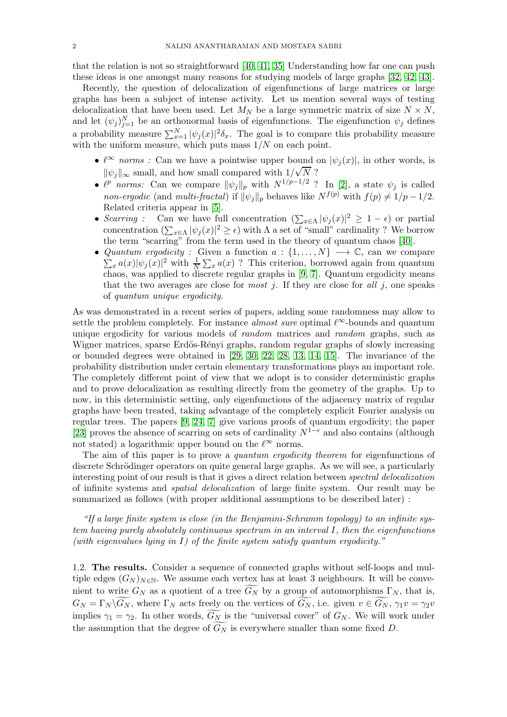that the relation is not so straightforward [\[40,](#page-55-3) [41,](#page-55-4) [35\]](#page-55-5) Understanding how far one can push these ideas is one amongst many reasons for studying models of large graphs [\[32,](#page-55-6) [42,](#page-55-7) [43\]](#page-55-8).

Recently, the question of delocalization of eigenfunctions of large matrices or large graphs has been a subject of intense activity. Let us mention several ways of testing delocalization that have been used. Let  $M_N$  be a large symmetric matrix of size  $N \times N$ , and let  $(\psi_j)_{j=1}^N$  be an orthonormal basis of eigenfunctions. The eigenfunction  $\psi_j$  defines a probability measure  $\sum_{x=1}^{N} |\psi_j(x)|^2 \delta_x$ . The goal is to compare this probability measure with the uniform measure, which puts mass  $1/N$  on each point.

- $\ell^{\infty}$  *norms*: Can we have a pointwise upper bound on  $|\psi_i(x)|$ , in other words, is  $\|\psi_j\|_{\infty}$  small, and how small compared with  $1/\sqrt{N}$ ?
- $\ell^p$  norms: Can we compare  $\|\psi_j\|_p$  with  $N^{1/p-1/2}$  ? In [\[2\]](#page-54-0), a state  $\psi_j$  is called *non-ergodic* (and *multi-fractal*) if  $\|\psi_j\|_p$  behaves like  $N^{f(p)}$  with  $f(p) \neq 1/p - 1/2$ . Related criteria appear in [\[5\]](#page-54-1).
- *Scarring* : Can we have full concentration  $\left(\sum_{x \in \Lambda} |\psi_j(x)|^2 \geq 1 \epsilon\right)$  or partial concentration  $(\sum_{x \in \Lambda} |\psi_j(x)|^2 \geq \epsilon)$  with  $\Lambda$  a set of "small" cardinality ? We borrow the term "scarring" from the term used in the theory of quantum chaos [\[40\]](#page-55-3).
- *Quantum ergodicity :* Given a function  $a: \{1, \ldots, N\} \longrightarrow \mathbb{C}$ , can we compare  $\sum_{x} a(x) |\psi_j(x)|^2$  with  $\frac{1}{N} \sum_{x} a(x)$ ? This criterion, borrowed again from quantum chaos, was applied to discrete regular graphs in [\[9,](#page-54-2) [7\]](#page-54-3). Quantum ergodicity means that the two averages are close for *most* j. If they are close for *all* j, one speaks of *quantum unique ergodicity*.

As was demonstrated in a recent series of papers, adding some randomness may allow to settle the problem completely. For instance *almost sure* optimal  $\ell^{\infty}$ -bounds and quantum unique ergodicity for various models of *random* matrices and *random* graphs, such as Wigner matrices, sparse Erdös-Rényi graphs, random regular graphs of slowly increasing or bounded degrees were obtained in [\[29,](#page-55-9) [30,](#page-55-10) [22,](#page-55-11) [28,](#page-55-12) [13,](#page-54-4) [14,](#page-54-5) [15\]](#page-55-13). The invariance of the probability distribution under certain elementary transformations plays an important role. The completely different point of view that we adopt is to consider deterministic graphs and to prove delocalization as resulting directly from the geometry of the graphs. Up to now, in this deterministic setting, only eigenfunctions of the adjacency matrix of regular graphs have been treated, taking advantage of the completely explicit Fourier analysis on regular trees. The papers [\[9,](#page-54-2) [24,](#page-55-14) [7\]](#page-54-3) give various proofs of quantum ergodicity; the paper [\[23\]](#page-55-15) proves the absence of scarring on sets of cardinality  $N^{1-\epsilon}$  and also contains (although not stated) a logarithmic upper bound on the  $\ell^{\infty}$  norms.

The aim of this paper is to prove a *quantum ergodicity theorem* for eigenfunctions of discrete Schrödinger operators on quite general large graphs. As we will see, a particularly interesting point of our result is that it gives a direct relation between *spectral delocalization* of infinite systems and *spatial delocalization* of large finite system. Our result may be summarized as follows (with proper additional assumptions to be described later) :

*"If a large finite system is close (in the Benjamini-Schramm topology) to an infinite system having purely absolutely continuous spectrum in an interval* I*, then the eigenfunctions (with eigenvalues lying in* I*) of the finite system satisfy quantum ergodicity."*

<span id="page-1-0"></span>1.2. The results. Consider a sequence of connected graphs without self-loops and multiple edges  $(G_N)_{N\in\mathbb{N}}$ . We assume each vertex has at least 3 neighbours. It will be convenient to write  $G_N$  as a quotient of a tree  $\widetilde{G_N}$  by a group of automorphisms  $\Gamma_N$ , that is,  $G_N = \Gamma_N \backslash G_N$ , where  $\Gamma_N$  acts freely on the vertices of  $G_N$ , i.e. given  $v \in G_N$ ,  $\gamma_1 v = \gamma_2 v$ implies  $\gamma_1 = \gamma_2$ . In other words,  $G_N$  is the "universal cover" of  $G_N$ . We will work under the assumption that the degree of  $G_N$  is everywhere smaller than some fixed D.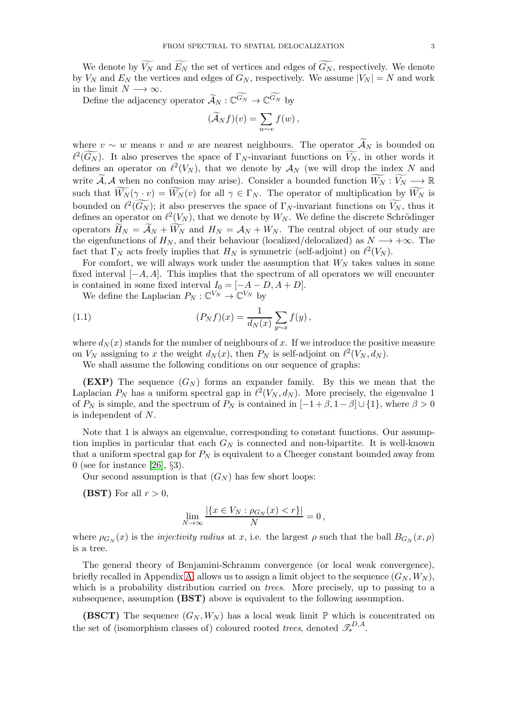We denote by  $\widetilde{V_N}$  and  $\widetilde{E_N}$  the set of vertices and edges of  $\widetilde{G_N}$ , respectively. We denote by  $V_N$  and  $E_N$  the vertices and edges of  $G_N$ , respectively. We assume  $|V_N| = N$  and work in the limit  $N \longrightarrow \infty$ .

Define the adjacency operator  $\widetilde{\mathcal{A}}_N : \mathbb{C}^{G_N} \to \mathbb{C}^{G_N}$  by

$$
(\widetilde{\mathcal{A}}_N f)(v) = \sum_{w \sim v} f(w),
$$

where  $v \sim w$  means v and w are nearest neighbours. The operator  $\mathcal{A}_N$  is bounded on  $\ell^2(\widetilde{G_N})$ . It also preserves the space of  $\Gamma_N$ -invariant functions on  $\widetilde{V_N}$ , in other words it defines an operator on  $\ell^2(V_N)$ , that we denote by  $\mathcal{A}_N$  (we will drop the index N and write  $\widetilde{A}, A$  when no confusion may arise). Consider a bounded function  $\widetilde{W_N} : \widetilde{V_N} \longrightarrow \mathbb{R}$ such that  $W_N(\gamma \cdot v) = W_N(v)$  for all  $\gamma \in \Gamma_N$ . The operator of multiplication by  $W_N$  is bounded on  $\ell^2(\widetilde{G_N})$ ; it also preserves the space of  $\Gamma_N$ -invariant functions on  $\widetilde{V_N}$ , thus it defines an operator on  $\ell^2(V_N)$ , that we denote by  $W_N$ . We define the discrete Schrödinger operators  $H_N = A_N + W_N$  and  $H_N = A_N + W_N$ . The central object of our study are the eigenfunctions of  $H_N$ , and their behaviour (localized/delocalized) as  $N \longrightarrow +\infty$ . The fact that  $\Gamma_N$  acts freely implies that  $H_N$  is symmetric (self-adjoint) on  $\ell^2(V_N)$ .

For comfort, we will always work under the assumption that  $W_N$  takes values in some fixed interval  $[-A, A]$ . This implies that the spectrum of all operators we will encounter is contained in some fixed interval  $I_0 = [-A - D, A + D].$ 

<span id="page-2-0"></span>We define the Laplacian  $P_N : \mathbb{C}^{V_N} \to \mathbb{C}^{V_N}$  by

(1.1) 
$$
(P_N f)(x) = \frac{1}{d_N(x)} \sum_{y \sim x} f(y),
$$

where  $d_N(x)$  stands for the number of neighbours of x. If we introduce the positive measure on  $V_N$  assigning to x the weight  $d_N(x)$ , then  $P_N$  is self-adjoint on  $\ell^2(V_N, d_N)$ .

We shall assume the following conditions on our sequence of graphs:

**(EXP)** The sequence  $(G_N)$  forms an expander family. By this we mean that the Laplacian  $P_N$  has a uniform spectral gap in  $\ell^2(V_N, d_N)$ . More precisely, the eigenvalue 1 of  $P_N$  is simple, and the spectrum of  $P_N$  is contained in  $[-1+\beta, 1-\beta] \cup \{1\}$ , where  $\beta > 0$ is independent of N.

Note that 1 is always an eigenvalue, corresponding to constant functions. Our assumption implies in particular that each  $G_N$  is connected and non-bipartite. It is well-known that a uniform spectral gap for  $P_N$  is equivalent to a Cheeger constant bounded away from 0 (see for instance [\[26\]](#page-55-16),  $\S 3$ ).

Our second assumption is that  $(G_N)$  has few short loops:

(BST) For all  $r > 0$ ,

$$
\lim_{N \to \infty} \frac{|\{x \in V_N : \rho_{G_N}(x) < r\}|}{N} = 0,
$$

where  $\rho_{G_N}(x)$  is the *injectivity radius* at x, i.e. the largest  $\rho$  such that the ball  $B_{G_N}(x,\rho)$ is a tree.

The general theory of Benjamini-Schramm convergence (or local weak convergence), briefly recalled in Appendix [A,](#page-49-0) allows us to assign a limit object to the sequence  $(G_N, W_N)$ , which is a probability distribution carried on *trees*. More precisely, up to passing to a subsequence, assumption (BST) above is equivalent to the following assumption.

(BSCT) The sequence  $(G_N, W_N)$  has a local weak limit P which is concentrated on the set of (isomorphism classes of) coloured rooted *trees*, denoted  $\mathcal{I}_{*}^{D,A}$ .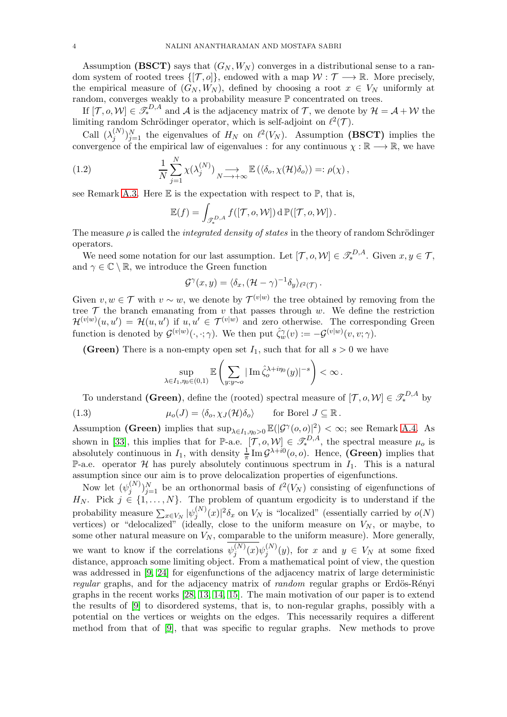Assumption (BSCT) says that  $(G_N, W_N)$  converges in a distributional sense to a random system of rooted trees  $\{[\mathcal{T}, o]\}$ , endowed with a map  $\mathcal{W} : \mathcal{T} \longrightarrow \mathbb{R}$ . More precisely, the empirical measure of  $(G_N, W_N)$ , defined by choosing a root  $x \in V_N$  uniformly at random, converges weakly to a probability measure P concentrated on trees.

If  $[\mathcal{T}, o, \mathcal{W}] \in \mathscr{T}_{*}^{D, A}$  and A is the adjacency matrix of  $\mathcal{T}$ , we denote by  $\mathcal{H} = \mathcal{A} + \mathcal{W}$  the limiting random Schrödinger operator, which is self-adjoint on  $\ell^2(\mathcal{T})$ .

Call  $(\lambda_i^{(N)})$  $j^{(N)}_{j=1}$  the eigenvalues of  $H_N$  on  $\ell^2(V_N)$ . Assumption (BSCT) implies the convergence of the empirical law of eigenvalues : for any continuous  $\chi : \mathbb{R} \longrightarrow \mathbb{R}$ , we have

(1.2) 
$$
\frac{1}{N} \sum_{j=1}^{N} \chi(\lambda_j^{(N)}) \underset{N \to +\infty}{\longrightarrow} \mathbb{E}(\langle \delta_o, \chi(\mathcal{H}) \delta_o \rangle) =: \rho(\chi),
$$

see Remark [A.3.](#page-52-0) Here  $E$  is the expectation with respect to  $\mathbb{P}$ , that is,

<span id="page-3-0"></span>
$$
\mathbb{E}(f) = \int_{\mathscr{T}_{*}^{D,A}} f([\mathcal{T}, o, \mathcal{W}]) \, d \, \mathbb{P}([\mathcal{T}, o, \mathcal{W}]).
$$

The measure  $\rho$  is called the *integrated density of states* in the theory of random Schrödinger operators.

We need some notation for our last assumption. Let  $[\mathcal{T}, o, \mathcal{W}] \in \mathcal{F}_{*}^{D,A}$ . Given  $x, y \in \mathcal{T}$ , and  $\gamma \in \mathbb{C} \setminus \mathbb{R}$ , we introduce the Green function

$$
\mathcal{G}^{\gamma}(x,y) = \langle \delta_x, (\mathcal{H} - \gamma)^{-1} \delta_y \rangle_{\ell^2(\mathcal{T})}.
$$

Given  $v, w \in \mathcal{T}$  with  $v \sim w$ , we denote by  $\mathcal{T}^{(v|w)}$  the tree obtained by removing from the tree  $\mathcal T$  the branch emanating from v that passes through w. We define the restriction  $\mathcal{H}^{(v|w)}(u, u') = \mathcal{H}(u, u')$  if  $u, u' \in \mathcal{T}^{(v|w)}$  and zero otherwise. The corresponding Green function is denoted by  $\mathcal{G}^{(v|w)}(\cdot,\cdot;\gamma)$ . We then put  $\hat{\zeta}_w^{\gamma}(v) := -\mathcal{G}^{(v|w)}(v,v;\gamma)$ .

(Green) There is a non-empty open set  $I_1$ , such that for all  $s > 0$  we have

$$
\sup_{\lambda \in I_1, \eta_0 \in (0,1)} \mathbb{E} \left( \sum_{y: y \sim o} |\operatorname{Im} \hat{\zeta}_o^{\lambda + i\eta_0}(y)|^{-s} \right) < \infty.
$$

To understand (Green), define the (rooted) spectral measure of  $[\mathcal{T}, o, \mathcal{W}] \in \mathcal{F}_{*}^{D,A}$  by

(1.3) 
$$
\mu_o(J) = \langle \delta_o, \chi_J(\mathcal{H}) \delta_o \rangle \quad \text{for Borel } J \subseteq \mathbb{R}.
$$

Assumption (Green) implies that  $\sup_{\lambda \in I_1, \eta_0 > 0} \mathbb{E}(|\mathcal{G}^{\gamma}(o, o)|^2) < \infty$ ; see Remark [A.4.](#page-52-1) As shown in [\[33\]](#page-55-17), this implies that for P-a.e.  $[T, o, W] \in \mathcal{F}_{*}^{D,A}$ , the spectral measure  $\mu_o$  is absolutely continuous in  $I_1$ , with density  $\frac{1}{\pi} \text{Im } \mathcal{G}^{\lambda + i0}(o, o)$ . Hence, (Green) implies that P-a.e. operator  $\mathcal H$  has purely absolutely continuous spectrum in  $I_1$ . This is a natural assumption since our aim is to prove delocalization properties of eigenfunctions.

Now let  $(\psi_i^{(N)})$  $j^{(N)}_{j=1}$  be an orthonormal basis of  $\ell^2(V_N)$  consisting of eigenfunctions of  $H_N$ . Pick  $j \in \{1, \ldots, N\}$ . The problem of quantum ergodicity is to understand if the probability measure  $\sum_{x \in V_N} |\psi_j^{(N)}\>$  $j^{(N)}(x)|^2 \delta_x$  on  $V_N$  is "localized" (essentially carried by  $o(N)$ ) vertices) or "delocalized" (ideally, close to the uniform measure on  $V_N$ , or maybe, to some other natural measure on  $V_N$ , comparable to the uniform measure). More generally, we want to know if the correlations  $\psi_j^{(N)}$  $j^{(N)}(x)\psi_j^{(N)}$  $(y^{(N)}_j(y))$ , for x and  $y \in V_N$  at some fixed distance, approach some limiting object. From a mathematical point of view, the question was addressed in [\[9,](#page-54-2) [24\]](#page-55-14) for eigenfunctions of the adjacency matrix of large deterministic *regular* graphs, and for the adjacency matrix of *random* regular graphs or Erdös-Rényi graphs in the recent works [\[28,](#page-55-12) [13,](#page-54-4) [14,](#page-54-5) [15\]](#page-55-13). The main motivation of our paper is to extend the results of [\[9\]](#page-54-2) to disordered systems, that is, to non-regular graphs, possibly with a potential on the vertices or weights on the edges. This necessarily requires a different method from that of [\[9\]](#page-54-2), that was specific to regular graphs. New methods to prove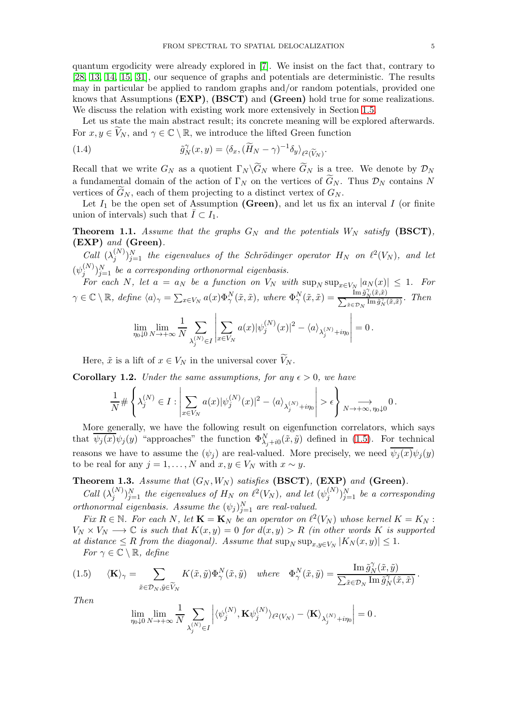quantum ergodicity were already explored in [\[7\]](#page-54-3). We insist on the fact that, contrary to [\[28,](#page-55-12) [13,](#page-54-4) [14,](#page-54-5) [15,](#page-55-13) [31\]](#page-55-18), our sequence of graphs and potentials are deterministic. The results may in particular be applied to random graphs and/or random potentials, provided one knows that Assumptions (EXP), (BSCT) and (Green) hold true for some realizations. We discuss the relation with existing work more extensively in Section [1.5.](#page-7-0)

Let us state the main abstract result; its concrete meaning will be explored afterwards. For  $x, y \in \widetilde{V}_N$ , and  $\gamma \in \mathbb{C} \setminus \mathbb{R}$ , we introduce the lifted Green function

(1.4) 
$$
\tilde{g}_N^{\gamma}(x,y) = \langle \delta_x, (\widetilde{H}_N - \gamma)^{-1} \delta_y \rangle_{\ell^2(\widetilde{V}_N)}.
$$

Recall that we write  $G_N$  as a quotient  $\Gamma_N \backslash G_N$  where  $G_N$  is a tree. We denote by  $\mathcal{D}_N$ a fundamental domain of the action of  $\Gamma_N$  on the vertices of  $G_N$ . Thus  $\mathcal{D}_N$  contains N vertices of  $G_N$ , each of them projecting to a distinct vertex of  $G_N$ .

Let  $I_1$  be the open set of Assumption (Green), and let us fix an interval I (or finite union of intervals) such that  $\overline{I} \subset I_1$ .

<span id="page-4-3"></span>**Theorem 1.1.** Assume that the graphs  $G_N$  and the potentials  $W_N$  satisfy (BSCT), (EXP) *and* (Green)*.*

*Call*  $(\lambda_i^{(N)})$  $j^{(N)}\}_{j=1}^N$  the eigenvalues of the Schrödinger operator  $H_N$  on  $\ell^2(V_N)$ , and let  $(\psi_i^{(N)}$  ${j<sub>j</sub> \choose j}$ <sub>j=1</sub> *be a corresponding orthonormal eigenbasis.* 

*For each* N, let  $a = a_N$  be a function on  $V_N$  with  $\sup_N \sup_{x \in V_N} |a_N(x)| \leq 1$ . For  $\gamma \in \mathbb{C} \setminus \mathbb{R}$ , define  $\langle a \rangle_{\gamma} = \sum_{x \in V_N} a(x) \Phi_{\gamma}^N(\tilde{x}, \tilde{x})$ , where  $\Phi_{\gamma}^N(\tilde{x}, \tilde{x}) = \frac{\lim_{x \to \tilde{g}_N^N(\tilde{x}, \tilde{x})}}{\sum_{\tilde{x} \in \mathcal{D}_N} \lim_{\tilde{g}_N^N(\tilde{x}, \tilde{x})}}$ . Then  $\lim_{\eta_0\downarrow 0} \lim_{N\to+\infty}$ 1 N  $\overline{\phantom{0}}$  $\lambda_j^{(N)} {\in} I$   $\overline{\phantom{0}}$  $x \in V_N$  $a(x)|\psi_j^{(N)}$  $\langle N^{\left(N\right)}_{j}(x)\vert^{2}-\langle a\rangle_{\lambda_{j}^{\left(N\right)}+i\eta_{0}}$   $= 0$ .

Here,  $\tilde{x}$  is a lift of  $x \in V_N$  in the universal cover  $V_N$ .

<span id="page-4-1"></span>**Corollary 1.2.** *Under the same assumptions, for any*  $\epsilon > 0$ *, we have* 

$$
\frac{1}{N} \# \left\{ \lambda_j^{(N)} \in I: \left| \sum_{x \in V_N} a(x) |\psi_j^{(N)}(x)|^2 - \left\langle a \right\rangle_{\lambda_j^{(N)} + i \eta_0} \right| > \epsilon \right\} \underset{N \rightarrow + \infty, \, \eta_0 \downarrow 0}{\longrightarrow} 0 \, .
$$

More generally, we have the following result on eigenfunction correlators, which says that  $\overline{\psi_j(x)}\psi_j(y)$  "approaches" the function  $\Phi^N_{\lambda_j+i0}(\tilde{x},\tilde{y})$  defined in [\(1.5\)](#page-4-0). For technical reasons we have to assume the  $(\psi_i)$  are real-valued. More precisely, we need  $\overline{\psi_i(x)}\psi_i(y)$ to be real for any  $j = 1, ..., N$  and  $x, y \in V_N$  with  $x \sim y$ .

<span id="page-4-2"></span>**Theorem 1.3.** Assume that  $(G_N, W_N)$  satisfies (BSCT), (EXP) and (Green).

*Call*  $(\lambda_i^{(N)})$  $\binom{N}{j}$ ) $_{j=1}^{N}$  the eigenvalues of  $H_N$  on  $\ell^2(V_N),$  and let  $(\psi_j^{(N)})$  $j^{(N)} \choose j=1$  *be a corresponding orthonormal eigenbasis. Assume the*  $(\psi_j)_{j=1}^N$  *are real-valued.* 

*Fix*  $R \in \mathbb{N}$ . For each N, let  $\mathbf{K} = \mathbf{K}_N$  be an operator on  $\ell^2(V_N)$  whose kernel  $K = K_N$ :  $V_N \times V_N \longrightarrow \mathbb{C}$  *is such that*  $K(x, y) = 0$  *for*  $d(x, y) > R$  *(in other words* K *is supported at distance*  $\leq R$  *from the diagonal). Assume that*  $\sup_N \sup_{x,y \in V_N} |K_N(x,y)| \leq 1$ .

<span id="page-4-0"></span>*For*  $\gamma \in \mathbb{C} \setminus \mathbb{R}$ *, define* 

(1.5) 
$$
\langle \mathbf{K} \rangle_{\gamma} = \sum_{\tilde{x} \in \mathcal{D}_N, \tilde{y} \in \widetilde{V}_N} K(\tilde{x}, \tilde{y}) \Phi_{\gamma}^N(\tilde{x}, \tilde{y}) \quad \text{where} \quad \Phi_{\gamma}^N(\tilde{x}, \tilde{y}) = \frac{\text{Im } \tilde{g}_N^{\gamma}(\tilde{x}, \tilde{y})}{\sum_{\tilde{x} \in \mathcal{D}_N} \text{Im } \tilde{g}_N^{\gamma}(\tilde{x}, \tilde{x})}.
$$

*Then*

$$
\lim_{\eta_0\downarrow 0}\lim_{N\to+\infty}\frac{1}{N}\sum_{\lambda_j^{(N)}\in I}\left|\langle \psi_j^{(N)}, {\bf K} \psi_j^{(N)}\rangle_{\ell^2(V_N)}-\langle {\bf K}\rangle_{\lambda_j^{(N)}+i\eta_0}\right|=0\,.
$$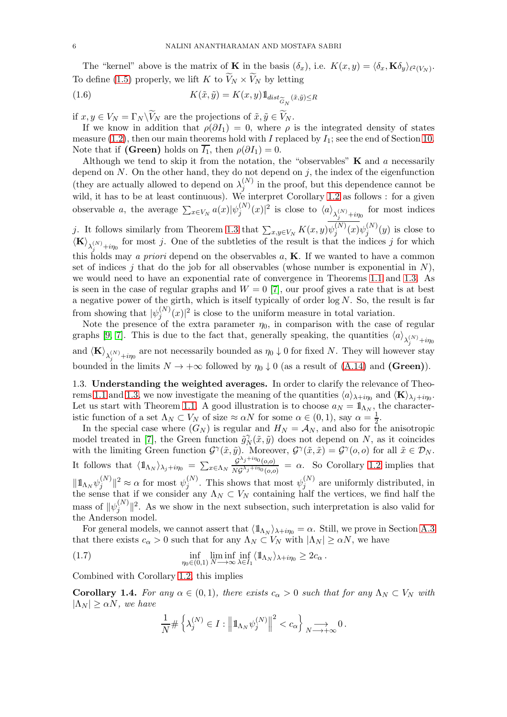The "kernel" above is the matrix of **K** in the basis  $(\delta_x)$ , i.e.  $K(x, y) = \langle \delta_x, \mathbf{K}\delta_y \rangle_{\ell^2(V_N)}$ . To define [\(1.5\)](#page-4-0) properly, we lift K to  $V_N \times V_N$  by letting

<span id="page-5-1"></span>(1.6) 
$$
K(\tilde{x}, \tilde{y}) = K(x, y) 1_{dist_{\widetilde{G}_N}(\tilde{x}, \tilde{y}) \le R}
$$

if  $x, y \in V_N = \Gamma_N \backslash V_N$  are the projections of  $\tilde{x}, \tilde{y} \in V_N$ .

If we know in addition that  $\rho(\partial I_1) = 0$ , where  $\rho$  is the integrated density of states measure [\(1.2\)](#page-3-0), then our main theorems hold with I replaced by  $I_1$ ; see the end of Section [10.](#page-42-0) Note that if (Green) holds on  $\overline{I_1}$ , then  $\rho(\partial I_1) = 0$ .

Although we tend to skip it from the notation, the "observables"  $K$  and  $a$  necessarily depend on  $N$ . On the other hand, they do not depend on  $j$ , the index of the eigenfunction (they are actually allowed to depend on  $\lambda_i^{(N)}$ )  $j^{(N)}$  in the proof, but this dependence cannot be wild, it has to be at least continuous). We interpret Corollary [1.2](#page-4-1) as follows : for a given observable *a*, the average  $\sum_{x \in V_N} a(x) |\psi_j^{(N)}\rangle$  $\langle S_j^{(N)}(x)|^2$  is close to  $\langle a \rangle_{\lambda_j^{(N)}+i\eta_0}$  for most indices j. It follows similarly from Theorem [1.3](#page-4-2) that  $\sum_{x,y\in V_N} K(x,y) \psi_j^{(N)}$  $j^{(N)}(x)\psi_j^{(N)}$  $j^{(N)}(y)$  is close to  $\langle \mathbf{K} \rangle_{\lambda_j^{(N)}+i\eta_0}$  for most j. One of the subtleties of the result is that the indices j for which this holds may *a priori* depend on the observables a, K. If we wanted to have a common set of indices j that do the job for all observables (whose number is exponential in  $N$ ), we would need to have an exponential rate of convergence in Theorems [1.1](#page-4-3) and [1.3.](#page-4-2) As is seen in the case of regular graphs and  $W = 0$  [\[7\]](#page-54-3), our proof gives a rate that is at best a negative power of the girth, which is itself typically of order  $log N$ . So, the result is far from showing that  $|\psi_j^{(N)}\rangle$  $j^{(N)}(x)|^2$  is close to the uniform measure in total variation.

Note the presence of the extra parameter  $\eta_0$ , in comparison with the case of regular graphs [\[9,](#page-54-2) [7\]](#page-54-3). This is due to the fact that, generally speaking, the quantities  $\langle a \rangle_{\lambda_j^{(N)}+i\eta_0}$ and  $\langle K \rangle_{\lambda_j^{(N)}+i\eta_0}$  are not necessarily bounded as  $\eta_0 \downarrow 0$  for fixed N. They will however stay bounded in the limits  $N \to +\infty$  followed by  $\eta_0 \downarrow 0$  (as a result of [\(A.14\)](#page-54-6) and (Green)).

<span id="page-5-0"></span>1.3. Understanding the weighted averages. In order to clarify the relevance of Theo-rems [1.1](#page-4-3) and [1.3,](#page-4-2) we now investigate the meaning of the quantities  $\langle a \rangle_{\lambda+i\eta_0}$  and  $\langle \mathbf{K} \rangle_{\lambda_j+i\eta_0}$ . Let us start with Theorem [1.1.](#page-4-3) A good illustration is to choose  $a_N = \mathbb{1}_{\Lambda_N}$ , the characteristic function of a set  $\Lambda_N \subset V_N$  of size  $\approx \alpha N$  for some  $\alpha \in (0,1)$ , say  $\alpha = \frac{1}{2}$ .

In the special case where  $(G_N)$  is regular and  $H_N = \mathcal{A}_N$ , and also for the anisotropic model treated in [\[7\]](#page-54-3), the Green function  $\tilde{g}_{\Lambda}^{\gamma}$  $N_N(\tilde{x}, \tilde{y})$  does not depend on N, as it coincides with the limiting Green function  $\mathcal{G}^{\gamma}(\tilde{x},\tilde{y})$ . Moreover,  $\mathcal{G}^{\gamma}(\tilde{x},\tilde{x}) = \mathcal{G}^{\gamma}(o,o)$  for all  $\tilde{x} \in \mathcal{D}_N$ . It follows that  $\langle \mathbb{1}_{\Lambda_N} \rangle_{\lambda_j + i\eta_0} = \sum_{x \in \Lambda_N} \frac{\mathcal{G}^{\lambda_j + i\eta_0}(o,o)}{N \mathcal{G}^{\lambda_j + i\eta_0}(o,o)}$  $\frac{g^{(1)}(a, b)}{Ng^{\lambda_j + i\eta_0}(a, b)} = \alpha$ . So Corollary [1.2](#page-4-1) implies that  $\|1\!{\rm l}_{\Lambda_N}\psi_j^{(N)}$  $\|\psi_j^{(N)}\|^2 \approx \alpha$  for most  $\psi_j^{(N)}$  $j^{(N)}$ . This shows that most  $\psi_j^{(N)}$  $j^{(N)}$  are uniformly distributed, in the sense that if we consider any  $\Lambda_N \subset V_N$  containing half the vertices, we find half the mass of  $\|\psi_j^{(N)}\|$  $\|f^{(N)}_{j}\|^{2}$ . As we show in the next subsection, such interpretation is also valid for the Anderson model.

For general models, we cannot assert that  $\langle \mathbb{1}_{\Lambda_N} \rangle_{\lambda + i\eta_0} = \alpha$ . Still, we prove in Section [A.3](#page-53-0) that there exists  $c_{\alpha} > 0$  such that for any  $\Lambda_N \subset V_N$  with  $|\Lambda_N| \ge \alpha N$ , we have

(1.7) 
$$
\inf_{\eta_0 \in (0,1)} \liminf_{N \to \infty} \inf_{\lambda \in I_1} \langle 1 \mathbb{1}_{\Lambda_N} \rangle_{\lambda + i\eta_0} \geq 2c_{\alpha}.
$$

Combined with Corollary [1.2,](#page-4-1) this implies

**Corollary 1.4.** For any  $\alpha \in (0,1)$ , there exists  $c_{\alpha} > 0$  such that for any  $\Lambda_N \subset V_N$  with  $|\Lambda_N| > \alpha N$ , we have

<span id="page-5-2"></span>
$$
\frac{1}{N} \# \left\{ \lambda_j^{(N)} \in I : \left\| 1\!\!1_{\Lambda_N} \psi_j^{(N)} \right\|^2 < c_\alpha \right\} \underset{N \longrightarrow +\infty}{\longrightarrow} 0 \, .
$$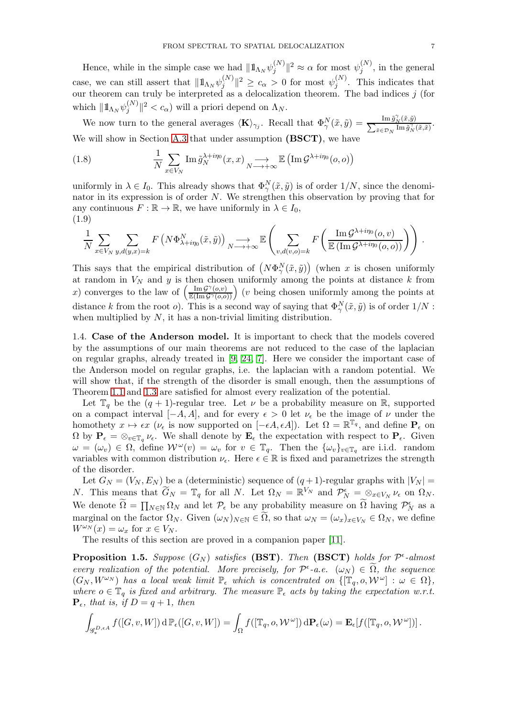Hence, while in the simple case we had  $|| \mathbb{1}_{\Lambda_N} \psi_j^{(N)}$  $\|\psi_j^{(N)}\|^2 \approx \alpha$  for most  $\psi_j^{(N)}$  $j^{(N)}$ , in the general case, we can still assert that  $|| \mathbb{1}_{\Lambda_N} \psi_j^{(N)}$  $\|y_j^{(N)}\|^2 \geq c_{\alpha} > 0$  for most  $\psi_j^{(N)}$  $j^{(N)}$ . This indicates that our theorem can truly be interpreted as a delocalization theorem. The bad indices  $j$  (for which  $\|\mathbb{1}_{\Lambda_N} \psi_j^{(N)}$  $\int_j^{(N)} \|z' < c_\alpha$  will a priori depend on  $\Lambda_N$ .

We now turn to the general averages  $\langle \mathbf{K} \rangle_{\gamma_j}$ . Recall that  $\Phi_{\gamma}^N(\tilde{x}, \tilde{y}) = \frac{\text{Im} \tilde{g}_N^{\gamma}(\tilde{x}, \tilde{y})}{\sum_{\tilde{x} \in \mathcal{D}_N} \text{Im} \tilde{g}_N^{\gamma}}$  $\frac{\lim g_N(x,y)}{\lim \tilde{g}_N^{\gamma}(\tilde{x},\tilde{x})}$ . We will show in Section [A.3](#page-53-0) that under assumption (BSCT), we have

<span id="page-6-1"></span>(1.8) 
$$
\frac{1}{N} \sum_{x \in V_N} \text{Im} \,\tilde{g}_N^{\lambda + i\eta_0}(x, x) \underset{N \longrightarrow +\infty}{\longrightarrow} \mathbb{E} \left( \text{Im} \,\mathcal{G}^{\lambda + i\eta_0}(o, o) \right)
$$

uniformly in  $\lambda \in I_0$ . This already shows that  $\Phi_{\gamma}^N(\tilde{x}, \tilde{y})$  is of order  $1/N$ , since the denominator in its expression is of order  $N$ . We strengthen this observation by proving that for any continuous  $F : \mathbb{R} \to \mathbb{R}$ , we have uniformly in  $\lambda \in I_0$ , (1.9)

<span id="page-6-2"></span>
$$
\frac{1}{N} \sum_{x \in V_N} \sum_{y,d(y,x)=k} F\left(N\Phi_{\lambda+i\eta_0}^N(\tilde{x},\tilde{y})\right) \underset{N \longrightarrow +\infty}{\longrightarrow} \mathbb{E}\left(\sum_{v,d(v,o)=k} F\left(\frac{\operatorname{Im} \mathcal{G}^{\lambda+i\eta_0}(o,v)}{\mathbb{E}\left(\operatorname{Im} \mathcal{G}^{\lambda+i\eta_0}(o,o)\right)}\right)\right).
$$

This says that the empirical distribution of  $(N\Phi_{\gamma}^{N}(\tilde{x},\tilde{y}))$  (when x is chosen uniformly at random in  $V_N$  and y is then chosen uniformly among the points at distance k from x) converges to the law of  $\left(\frac{\text{Im }G^{\gamma}(o,v)}{\mathbb{E}(\text{Im }G^{\gamma}(o,o))}\right)$  (*v* being chosen uniformly among the points at distance k from the root o). This is a second way of saying that  $\Phi_{\gamma}^{N}(\tilde{x}, \tilde{y})$  is of order  $1/N$ : when multiplied by  $N$ , it has a non-trivial limiting distribution.

1.4. Case of the Anderson model. It is important to check that the models covered by the assumptions of our main theorems are not reduced to the case of the laplacian on regular graphs, already treated in [\[9,](#page-54-2) [24,](#page-55-14) [7\]](#page-54-3). Here we consider the important case of the Anderson model on regular graphs, i.e. the laplacian with a random potential. We will show that, if the strength of the disorder is small enough, then the assumptions of Theorem [1.1](#page-4-3) and [1.3](#page-4-2) are satisfied for almost every realization of the potential.

Let  $\mathbb{T}_q$  be the  $(q + 1)$ -regular tree. Let  $\nu$  be a probability measure on R, supported on a compact interval  $[-A, A]$ , and for every  $\epsilon > 0$  let  $\nu_{\epsilon}$  be the image of  $\nu$  under the homothety  $x \mapsto \epsilon x$  ( $\nu_{\epsilon}$  is now supported on  $[-\epsilon A, \epsilon A]$ ). Let  $\Omega = \mathbb{R}^{\mathbb{T}_q}$ , and define  $\mathbf{P}_{\epsilon}$  on  $\Omega$  by  $P_{\epsilon} = \otimes_{v \in \mathbb{T}_q} \nu_{\epsilon}$ . We shall denote by  $\mathbf{E}_{\epsilon}$  the expectation with respect to  $P_{\epsilon}$ . Given  $\omega = (\omega_v) \in \Omega$ , define  $\mathcal{W}^{\omega}(v) = \omega_v$  for  $v \in \mathbb{T}_q$ . Then the  $\{\omega_v\}_{v \in \mathbb{T}_q}$  are i.i.d. random variables with common distribution  $\nu_{\epsilon}$ . Here  $\epsilon \in \mathbb{R}$  is fixed and parametrizes the strength of the disorder.

Let  $G_N = (V_N, E_N)$  be a (deterministic) sequence of  $(q+1)$ -regular graphs with  $|V_N|$ N. This means that  $\widetilde{G}_N = \mathbb{T}_q$  for all N. Let  $\Omega_N = \mathbb{R}^{V_N}$  and  $\mathcal{P}_N^{\epsilon} = \otimes_{x \in V_N} \nu_{\epsilon}$  on  $\Omega_N$ . We denote  $\widetilde{\Omega} = \prod_{N \in \mathbb{N}} \Omega_N$  and let  $\mathcal{P}_{\epsilon}$  be any probability measure on  $\widetilde{\Omega}$  having  $\mathcal{P}_N^{\epsilon}$  as a marginal on the factor  $\Omega_N$ . Given  $(\omega_N)_{N \in \mathbb{N}} \in \Omega$ , so that  $\omega_N = (\omega_x)_{x \in V_N} \in \Omega_N$ , we define  $W^{\omega_N}(x) = \omega_x$  for  $x \in V_N$ .

The results of this section are proved in a companion paper [\[11\]](#page-54-7).

<span id="page-6-0"></span>**Proposition 1.5.** Suppose  $(G_N)$  satisfies (BST). Then (BSCT) holds for  $\mathcal{P}^{\epsilon}$ -almost *every realization of the potential. More precisely, for*  $\mathcal{P}^{\epsilon}$ -*a.e.*  $(\omega_{N}) \in \Omega$ , the sequence  $(G_N, W^{\omega_N})$  has a local weak limit  $\mathbb{P}_{\epsilon}$  which is concentrated on  $\{[\mathbb{T}_q, o, \mathcal{W}^{\omega}] : \omega \in \Omega\},$ where  $o \in \mathbb{T}_q$  *is fixed and arbitrary. The measure*  $\mathbb{P}_{\epsilon}$  *acts by taking the expectation w.r.t.*  $\mathbf{P}_{\epsilon}$ *, that is, if*  $D = q + 1$ *, then* 

$$
\int_{\mathscr{G}_{*}^{D,\epsilon A}}f([G,v,W])\,\mathrm{d}\,\mathbb{P}_{\epsilon}([G,v,W])=\int_{\Omega}f([\mathbb{T}_q,o,\mathcal{W}^{\omega}])\,\mathrm{d}\mathbf{P}_{\epsilon}(\omega)=\mathbf{E}_{\epsilon}[f([\mathbb{T}_q,o,\mathcal{W}^{\omega}])]\,.
$$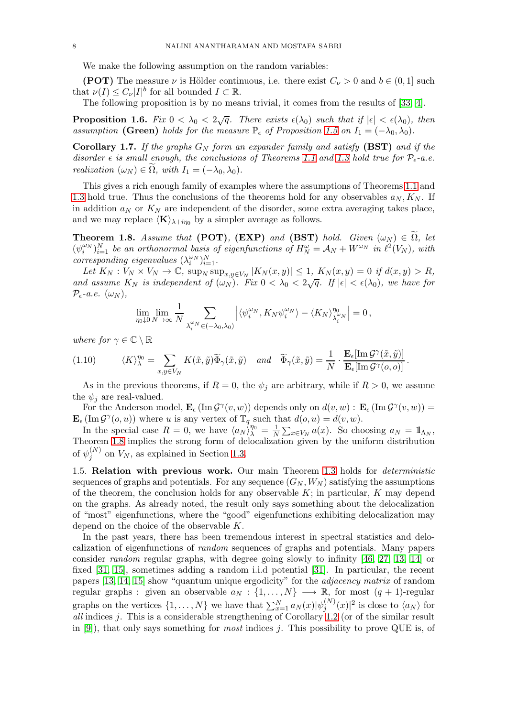We make the following assumption on the random variables:

(POT) The measure  $\nu$  is Hölder continuous, i.e. there exist  $C_{\nu} > 0$  and  $b \in (0,1]$  such that  $\nu(I) \leq C_{\nu} |I|^b$  for all bounded  $I \subset \mathbb{R}$ .

The following proposition is by no means trivial, it comes from the results of [\[33,](#page-55-17) [4\]](#page-54-8).

**Proposition 1.6.** Fix  $0 < \lambda_0 < 2\sqrt{q}$ . There exists  $\epsilon(\lambda_0)$  such that if  $|\epsilon| < \epsilon(\lambda_0)$ , then *assumption* (Green) *holds for the measure*  $\mathbb{P}_{\epsilon}$  *of Proposition* [1.5](#page-6-0) *on*  $I_1 = (-\lambda_0, \lambda_0)$ *.* 

**Corollary 1.7.** If the graphs  $G_N$  form an expander family and satisfy (BST) and if the *disorder*  $\epsilon$  *is small enough, the conclusions of Theorems* [1.1](#page-4-3) *and* [1.3](#page-4-2) *hold true for*  $\mathcal{P}_{\epsilon}$ -*a.e. realization*  $(\omega_N) \in \Omega$ *, with*  $I_1 = (-\lambda_0, \lambda_0)$ *.* 

This gives a rich enough family of examples where the assumptions of Theorems [1.1](#page-4-3) and [1.3](#page-4-2) hold true. Thus the conclusions of the theorems hold for any observables  $a_N, K_N$ . If in addition  $a_N$  or  $K_N$  are independent of the disorder, some extra averaging takes place, and we may replace  $\langle K \rangle_{\lambda+i\eta_0}$  by a simpler average as follows.

<span id="page-7-1"></span>**Theorem 1.8.** *Assume that* (POT), (EXP) *and* (BST) *hold. Given*  $(\omega_N) \in \Omega$ , *let*  $(\psi_i^{\omega_N})_{i=1}^N$  be an orthonormal basis of eigenfunctions of  $H_N^{\omega} = \mathcal{A}_N + W^{\omega_N}$  in  $\ell^2(V_N)$ , with  $corresponding eigenvalues \ (\lambda_i^{\omega_N})_{i=1}^N$ .

*Let*  $K_N : V_N \times V_N \to \mathbb{C}$ ,  $\sup_N \sup_{x,y \in V_N} |K_N(x,y)| \leq 1$ ,  $K_N(x,y) = 0$  *if*  $d(x,y) > R$ , and assume  $K_N$  is independent of  $(\omega_N)$ . Fix  $0 < \lambda_0 < 2\sqrt{q}$ . If  $|\epsilon| < \epsilon(\lambda_0)$ , we have for  $\mathcal{P}_{\epsilon}$ *-a.e.*  $(\omega_N)$ ,

$$
\lim_{\eta_0 \downarrow 0} \lim_{N \to \infty} \frac{1}{N} \sum_{\lambda_i^{\omega} N} \sum_{\in (-\lambda_0, \lambda_0)} \left| \langle \psi_i^{\omega_N}, K_N \psi_i^{\omega_N} \rangle - \langle K_N \rangle_{\lambda_i^{\omega} N}^{\eta_0} \right| = 0,
$$

*where for*  $\gamma \in \mathbb{C} \setminus \mathbb{R}$ 

(1.10) 
$$
\langle K \rangle_{\lambda}^{\eta_0} = \sum_{x,y \in V_N} K(\tilde{x}, \tilde{y}) \widetilde{\Phi}_{\gamma}(\tilde{x}, \tilde{y}) \quad and \quad \widetilde{\Phi}_{\gamma}(\tilde{x}, \tilde{y}) = \frac{1}{N} \cdot \frac{\mathbf{E}_{\epsilon}[\text{Im}\,\mathcal{G}^{\gamma}(\tilde{x}, \tilde{y})]}{\mathbf{E}_{\epsilon}[\text{Im}\,\mathcal{G}^{\gamma}(o, o)]}.
$$

As in the previous theorems, if  $R = 0$ , the  $\psi_i$  are arbitrary, while if  $R > 0$ , we assume the  $\psi_i$  are real-valued.

For the Anderson model,  $\mathbf{E}_{\epsilon}(\text{Im }\mathcal{G}^{\gamma}(v,w))$  depends only on  $d(v,w): \mathbf{E}_{\epsilon}(\text{Im }\mathcal{G}^{\gamma}(v,w)) =$  $\mathbf{E}_{\epsilon}(\text{Im }\mathcal{G}^{\gamma}(o,u))$  where u is any vertex of  $\mathbb{T}_q$  such that  $d(o, u) = d(v, w)$ .

In the special case  $R = 0$ , we have  $\langle a_N \rangle_{\lambda}^{\eta_0} = \frac{1}{N}$  $\frac{1}{N} \sum_{x \in V_N} a(x)$ . So choosing  $a_N = 1\!\Lambda_N}$ , Theorem [1.8](#page-7-1) implies the strong form of delocalization given by the uniform distribution of  $\psi_i^{(N)}$  $j_j^{(N)}$  on  $V_N$ , as explained in Section [1.3.](#page-5-0)

<span id="page-7-0"></span>1.5. Relation with previous work. Our main Theorem [1.3](#page-4-2) holds for *deterministic* sequences of graphs and potentials. For any sequence  $(G_N, W_N)$  satisfying the assumptions of the theorem, the conclusion holds for any observable  $K$ ; in particular,  $K$  may depend on the graphs. As already noted, the result only says something about the delocalization of "most" eigenfunctions, where the "good" eigenfunctions exhibiting delocalization may depend on the choice of the observable K.

In the past years, there has been tremendous interest in spectral statistics and delocalization of eigenfunctions of *random* sequences of graphs and potentials. Many papers consider *random* regular graphs, with degree going slowly to infinity [\[46,](#page-55-19) [27,](#page-55-20) [13,](#page-54-4) [14\]](#page-54-5) or fixed [\[31,](#page-55-18) [15\]](#page-55-13), sometimes adding a random i.i.d potential [\[31\]](#page-55-18). In particular, the recent papers [\[13,](#page-54-4) [14,](#page-54-5) [15\]](#page-55-13) show "quantum unique ergodicity" for the *adjacency matrix* of random regular graphs : given an observable  $a_N : \{1, \ldots, N\} \longrightarrow \mathbb{R}$ , for most  $(q + 1)$ -regular graphs on the vertices  $\{1, \ldots, N\}$  we have that  $\sum_{x=1}^{N} a_N(x) |\psi_j^{(N)}\>$  $j^{(N)}(x)|^2$  is close to  $\langle a_N \rangle$  for *all* indices j. This is a considerable strengthening of Corollary [1.2](#page-4-1) (or of the similar result in [\[9\]](#page-54-2)), that only says something for *most* indices j. This possibility to prove QUE is, of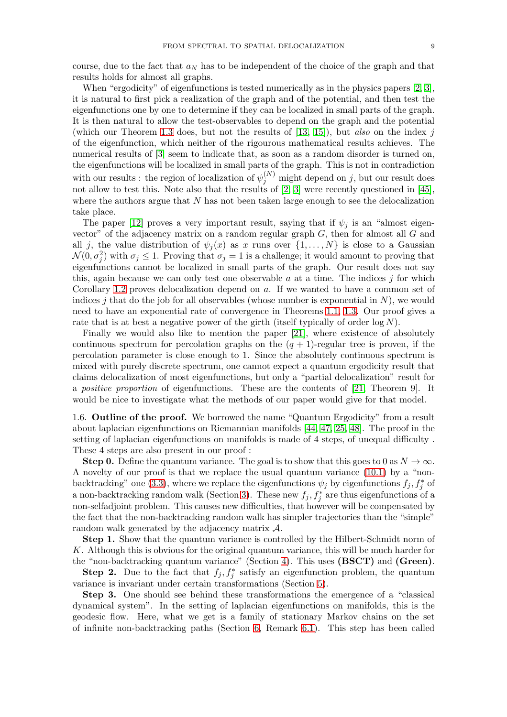course, due to the fact that  $a_N$  has to be independent of the choice of the graph and that results holds for almost all graphs.

When "ergodicity" of eigenfunctions is tested numerically as in the physics papers [\[2,](#page-54-0) [3\]](#page-54-9), it is natural to first pick a realization of the graph and of the potential, and then test the eigenfunctions one by one to determine if they can be localized in small parts of the graph. It is then natural to allow the test-observables to depend on the graph and the potential (which our Theorem [1.3](#page-4-2) does, but not the results of [\[13,](#page-54-4) [15\]](#page-55-13)), but *also* on the index j of the eigenfunction, which neither of the rigourous mathematical results achieves. The numerical results of [\[3\]](#page-54-9) seem to indicate that, as soon as a random disorder is turned on, the eigenfunctions will be localized in small parts of the graph. This is not in contradiction with our results : the region of localization of  $\psi_j^{(N)}$  might depend on j, but our result does not allow to test this. Note also that the results of [\[2,](#page-54-0) [3\]](#page-54-9) were recently questioned in [\[45\]](#page-55-21), where the authors argue that  $N$  has not been taken large enough to see the delocalization take place.

The paper [\[12\]](#page-54-10) proves a very important result, saying that if  $\psi_j$  is an "almost eigenvector" of the adjacency matrix on a random regular graph  $G$ , then for almost all  $G$  and all j, the value distribution of  $\psi_j(x)$  as x runs over  $\{1, \ldots, N\}$  is close to a Gaussian  $\mathcal{N}(0, \sigma_j^2)$  with  $\sigma_j \leq 1$ . Proving that  $\sigma_j = 1$  is a challenge; it would amount to proving that eigenfunctions cannot be localized in small parts of the graph. Our result does not say this, again because we can only test one observable  $a$  at a time. The indices  $j$  for which Corollary [1.2](#page-4-1) proves delocalization depend on a. If we wanted to have a common set of indices j that do the job for all observables (whose number is exponential in  $N$ ), we would need to have an exponential rate of convergence in Theorems [1.1,](#page-4-3) [1.3.](#page-4-2) Our proof gives a rate that is at best a negative power of the girth (itself typically of order  $\log N$ ).

Finally we would also like to mention the paper [\[21\]](#page-55-22), where existence of absolutely continuous spectrum for percolation graphs on the  $(q + 1)$ -regular tree is proven, if the percolation parameter is close enough to 1. Since the absolutely continuous spectrum is mixed with purely discrete spectrum, one cannot expect a quantum ergodicity result that claims delocalization of most eigenfunctions, but only a "partial delocalization" result for a *positive proportion* of eigenfunctions. These are the contents of [\[21,](#page-55-22) Theorem 9]. It would be nice to investigate what the methods of our paper would give for that model.

<span id="page-8-0"></span>1.6. Outline of the proof. We borrowed the name "Quantum Ergodicity" from a result about laplacian eigenfunctions on Riemannian manifolds [\[44,](#page-55-23) [47,](#page-55-24) [25,](#page-55-25) [48\]](#page-55-26). The proof in the setting of laplacian eigenfunctions on manifolds is made of 4 steps, of unequal difficulty . These 4 steps are also present in our proof :

**Step 0.** Define the quantum variance. The goal is to show that this goes to 0 as  $N \to \infty$ . A novelty of our proof is that we replace the usual quantum variance [\(10.1\)](#page-42-1) by a "non-backtracking" one [\(3.3\)](#page-13-0), where we replace the eigenfunctions  $\psi_j$  by eigenfunctions  $f_j, f_j^*$  of a non-backtracking random walk (Section [3\)](#page-12-0). These new  $f_j, f_j^*$  are thus eigenfunctions of a non-selfadjoint problem. This causes new difficulties, that however will be compensated by the fact that the non-backtracking random walk has simpler trajectories than the "simple" random walk generated by the adjacency matrix A.

Step 1. Show that the quantum variance is controlled by the Hilbert-Schmidt norm of K. Although this is obvious for the original quantum variance, this will be much harder for the "non-backtracking quantum variance" (Section [4\)](#page-14-0). This uses  $(BSCT)$  and  $(Green)$ .

**Step 2.** Due to the fact that  $f_j, f_j^*$  satisfy an eigenfunction problem, the quantum variance is invariant under certain transformations (Section [5\)](#page-20-0).

Step 3. One should see behind these transformations the emergence of a "classical dynamical system". In the setting of laplacian eigenfunctions on manifolds, this is the geodesic flow. Here, what we get is a family of stationary Markov chains on the set of infinite non-backtracking paths (Section [6,](#page-22-0) Remark [6.1\)](#page-24-0). This step has been called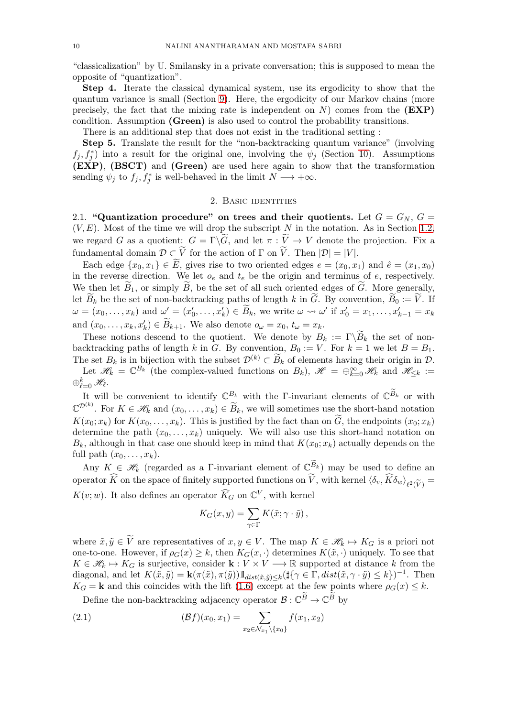"classicalization" by U. Smilansky in a private conversation; this is supposed to mean the opposite of "quantization".

Step 4. Iterate the classical dynamical system, use its ergodicity to show that the quantum variance is small (Section [9\)](#page-34-0). Here, the ergodicity of our Markov chains (more precisely, the fact that the mixing rate is independent on  $N$ ) comes from the  $(EXP)$ condition. Assumption (Green) is also used to control the probability transitions.

There is an additional step that does not exist in the traditional setting :

Step 5. Translate the result for the "non-backtracking quantum variance" (involving  $f_j, f_j^*$  into a result for the original one, involving the  $\psi_j$  (Section [10\)](#page-42-0). Assumptions (EXP), (BSCT) and (Green) are used here again to show that the transformation sending  $\psi_j$  to  $f_j, f_j^*$  is well-behaved in the limit  $N \longrightarrow +\infty$ .

### 2. Basic identities

<span id="page-9-1"></span>2.1. "Quantization procedure" on trees and their quotients. Let  $G = G_N$ ,  $G = G_N$  $(V, E)$ . Most of the time we will drop the subscript N in the notation. As in Section [1.2,](#page-1-0) we regard G as a quotient:  $G = \Gamma \backslash G$ , and let  $\pi : V \to V$  denote the projection. Fix a fundamental domain  $D \subset V$  for the action of  $\Gamma$  on V. Then  $|\mathcal{D}| = |V|$ .

Each edge  $\{x_0, x_1\} \in E$ , gives rise to two oriented edges  $e = (x_0, x_1)$  and  $\hat{e} = (x_1, x_0)$ in the reverse direction. We let  $o_e$  and  $t_e$  be the origin and terminus of e, respectively. We then let  $B_1$ , or simply B, be the set of all such oriented edges of G. More generally, let  $B_k$  be the set of non-backtracking paths of length k in G. By convention,  $B_0 := V$ . If  $\omega = (x_0, \ldots, x_k)$  and  $\omega' = (x'_0, \ldots, x'_k) \in \widetilde{B}_k$ , we write  $\omega \leadsto \omega'$  if  $x'_0 = x_1, \ldots, x'_{k-1} = x_k$ and  $(x_0, \ldots, x_k, x'_k) \in \widetilde{B}_{k+1}$ . We also denote  $o_\omega = x_0, t_\omega = x_k$ .

These notions descend to the quotient. We denote by  $B_k := \Gamma \backslash B_k$  the set of nonbacktracking paths of length k in G. By convention,  $B_0 := V$ . For  $k = 1$  we let  $B = B_1$ . The set  $B_k$  is in bijection with the subset  $\mathcal{D}^{(k)} \subset \overline{B}_k$  of elements having their origin in  $\mathcal{D}$ .

Let  $\mathscr{H}_k = \mathbb{C}^{B_k}$  (the complex-valued functions on  $B_k$ ),  $\mathscr{H} = \bigoplus_{k=0}^{\infty} \mathscr{H}_k$  and  $\mathscr{H}_{\leq k} :=$  $\oplus_{\ell=0}^k\mathscr{H}_{\ell}.$ 

It will be convenient to identify  $\mathbb{C}^{B_k}$  with the Γ-invariant elements of  $\mathbb{C}^{B_k}$  or with  $\mathbb{C}^{\mathcal{D}^{(k)}}$ . For  $K \in \mathscr{H}_k$  and  $(x_0, \ldots, x_k) \in \widetilde{B}_k$ , we will sometimes use the short-hand notation  $K(x_0; x_k)$  for  $K(x_0, \ldots, x_k)$ . This is justified by the fact than on G, the endpoints  $(x_0; x_k)$ determine the path  $(x_0, \ldots, x_k)$  uniquely. We will also use this short-hand notation on  $B_k$ , although in that case one should keep in mind that  $K(x_0; x_k)$  actually depends on the full path  $(x_0, \ldots, x_k)$ .

Any  $K \in \mathscr{H}_k$  (regarded as a Γ-invariant element of  $\mathbb{C}^{B_k}$ ) may be used to define an operator K on the space of finitely supported functions on V, with kernel  $\langle \delta_v, K \delta_w \rangle_{\ell^2(\widetilde{V})} =$  $K(v; w)$ . It also defines an operator  $\widehat{K}_G$  on  $\mathbb{C}^V$ , with kernel

$$
K_G(x, y) = \sum_{\gamma \in \Gamma} K(\tilde{x}; \gamma \cdot \tilde{y}),
$$

where  $\tilde{x}, \tilde{y} \in \widetilde{V}$  are representatives of  $x, y \in V$ . The map  $K \in \mathcal{H}_k \mapsto K_G$  is a priori not one-to-one. However, if  $\rho_G(x) \geq k$ , then  $K_G(x, \cdot)$  determines  $K(\tilde{x}, \cdot)$  uniquely. To see that  $K \in \mathcal{H}_k \mapsto K_G$  is surjective, consider  $\mathbf{k} : V \times V \longrightarrow \mathbb{R}$  supported at distance k from the diagonal, and let  $K(\tilde{x}, \tilde{y}) = \mathbf{k}(\pi(\tilde{x}), \pi(\tilde{y})) 1_{dist(\tilde{x}, \tilde{y}) \le k} (\sharp{\gamma \in \Gamma}, dist(\tilde{x}, \gamma \cdot \tilde{y}) \le k)^{-1}$ . Then  $K_G = \mathbf{k}$  and this coincides with the lift [\(1.6\)](#page-5-1) except at the few points where  $\rho_G(x) \leq k$ .

<span id="page-9-0"></span>Define the non-backtracking adjacency operator  $\mathcal{B}: \mathbb{C}^B \to \mathbb{C}^B$  by

(2.1) 
$$
(\mathcal{B}f)(x_0, x_1) = \sum_{x_2 \in \mathcal{N}_{x_1} \backslash \{x_0\}} f(x_1, x_2)
$$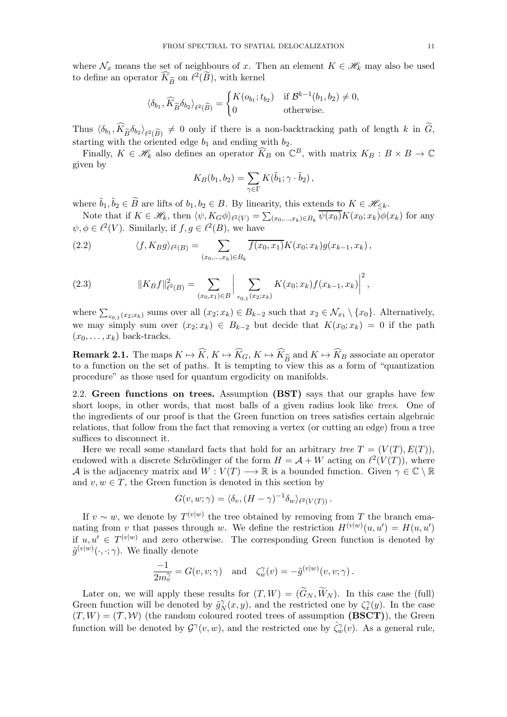where  $\mathcal{N}_x$  means the set of neighbours of x. Then an element  $K \in \mathcal{H}_k$  may also be used to define an operator  $\widehat{K}_{\widetilde{B}}$  on  $\ell^2(\widetilde{B})$ , with kernel

$$
\langle \delta_{b_1}, \widehat{K}_{\widetilde{B}} \delta_{b_2} \rangle_{\ell^2(\widetilde{B})} = \begin{cases} K(o_{b_1}; t_{b_2}) & \text{if } \mathcal{B}^{k-1}(b_1, b_2) \neq 0, \\ 0 & \text{otherwise.} \end{cases}
$$

Thus  $\langle \delta_{b_1}, K_{\tilde{B}} \delta_{b_2} \rangle_{\ell^2(\tilde{B})} \neq 0$  only if there is a non-backtracking path of length k in G, starting with the oriented edge  $b_1$  and ending with  $b_2$ .

Finally,  $K \in \mathcal{H}_k$  also defines an operator  $\widehat{K}_B$  on  $\mathbb{C}^B$ , with matrix  $K_B : B \times B \to \mathbb{C}$ given by

$$
K_B(b_1, b_2) = \sum_{\gamma \in \Gamma} K(\tilde{b}_1; \gamma \cdot \tilde{b}_2),
$$

where  $\tilde{b}_1, \tilde{b}_2 \in \widetilde{B}$  are lifts of  $b_1, b_2 \in B$ . By linearity, this extends to  $K \in \mathcal{H}_{\leq k}$ .

Note that if  $K \in \mathscr{H}_k$ , then  $\langle \psi, K_G \phi \rangle_{\ell^2(V)} = \sum_{(x_0, ..., x_k) \in B_k} \overline{\psi(x_0)} K(x_0; x_k) \phi(x_k)$  for any  $\psi, \phi \in \ell^2(V)$ . Similarly, if  $f, g \in \ell^2(B)$ , we have

<span id="page-10-1"></span>(2.2) 
$$
\langle f, K_B g \rangle_{\ell^2(B)} = \sum_{(x_0, ..., x_k) \in B_k} \overline{f(x_0, x_1)} K(x_0; x_k) g(x_{k-1}, x_k),
$$

<span id="page-10-2"></span>(2.3) 
$$
||K_Bf||_{\ell^2(B)}^2 = \sum_{(x_0,x_1)\in B} \left|\sum_{x_{0,1}(x_2;x_k)} K(x_0;x_k)f(x_{k-1},x_k)\right|^2,
$$

where  $\sum_{x_0,1}(x_2;x_k)$  sums over all  $(x_2;x_k) \in B_{k-2}$  such that  $x_2 \in \mathcal{N}_{x_1} \setminus \{x_0\}$ . Alternatively, we may simply sum over  $(x_2; x_k) \in B_{k-2}$  but decide that  $K(x_0; x_k) = 0$  if the path  $(x_0, \ldots, x_k)$  back-tracks.

**Remark 2.1.** The maps  $K \to K$ ,  $K \to K_G$ ,  $K \to K_{\widetilde{B}}$  and  $K \to K_B$  associate an operator to a function on the set of paths. It is tempting to view this as a form of "quantization" procedure" as those used for quantum ergodicity on manifolds.

<span id="page-10-0"></span>2.2. Green functions on trees. Assumption (BST) says that our graphs have few short loops, in other words, that most balls of a given radius look like *trees*. One of the ingredients of our proof is that the Green function on trees satisfies certain algebraic relations, that follow from the fact that removing a vertex (or cutting an edge) from a tree suffices to disconnect it.

Here we recall some standard facts that hold for an arbitrary *tree*  $T = (V(T), E(T))$ , endowed with a discrete Schrödinger of the form  $H = A + W$  acting on  $\ell^2(V(T))$ , where A is the adjacency matrix and  $W: V(T) \longrightarrow \mathbb{R}$  is a bounded function. Given  $\gamma \in \mathbb{C} \setminus \mathbb{R}$ and  $v, w \in T$ , the Green function is denoted in this section by

$$
G(v, w; \gamma) = \langle \delta_v, (H - \gamma)^{-1} \delta_w \rangle_{\ell^2(V(T))}.
$$

If  $v \sim w$ , we denote by  $T^{(v|w)}$  the tree obtained by removing from T the branch emanating from v that passes through w. We define the restriction  $H^{(v|w)}(u, u') = H(u, u')$ if  $u, u' \in T^{(v|w)}$  and zero otherwise. The corresponding Green function is denoted by  $\tilde{g}^{(v|w)}(\cdot,\cdot;\gamma)$ . We finally denote

$$
\frac{-1}{2m_v^{\gamma}} = G(v, v; \gamma) \text{ and } \zeta_w^{\gamma}(v) = -\tilde{g}^{(v|w)}(v, v; \gamma).
$$

Later on, we will apply these results for  $(T, W) = (G_N, W_N)$ . In this case the (full) Green function will be denoted by  $\tilde{g}_N^{\gamma}(x, y)$ , and the restricted one by  $\zeta_x^{\gamma}(y)$ . In the case  $(T, W) = (T, W)$  (the random coloured rooted trees of assumption (BSCT)), the Green function will be denoted by  $\mathcal{G}^{\gamma}(v, w)$ , and the restricted one by  $\hat{\zeta}_w^{\gamma}(v)$ . As a general rule,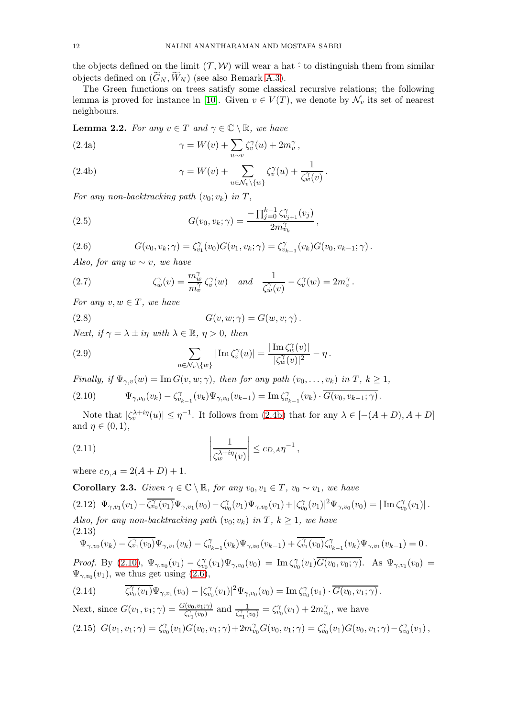the objects defined on the limit  $(\mathcal{T}, \mathcal{W})$  will wear a hat  $\hat{\cdot}$  to distinguish them from similar objects defined on  $(G_N, W_N)$  (see also Remark [A.3\)](#page-52-0).

The Green functions on trees satisfy some classical recursive relations; the following lemma is proved for instance in [\[10\]](#page-54-11). Given  $v \in V(T)$ , we denote by  $\mathcal{N}_v$  its set of nearest neighbours.

**Lemma 2.2.** *For any*  $v \in T$  *and*  $\gamma \in \mathbb{C} \setminus \mathbb{R}$ *, we have* 

<span id="page-11-10"></span>(2.4a) 
$$
\gamma = W(v) + \sum_{u \sim v} \zeta_v^{\gamma}(u) + 2m_v^{\gamma},
$$

<span id="page-11-0"></span>(2.4b) 
$$
\gamma = W(v) + \sum_{u \in \mathcal{N}_v \backslash \{w\}} \zeta_v^{\gamma}(u) + \frac{1}{\zeta_w^{\gamma}(v)}.
$$

*For any non-backtracking path*  $(v_0; v_k)$  *in*  $T$ *,* 

(2.5) 
$$
G(v_0, v_k; \gamma) = \frac{-\prod_{j=0}^{k-1} \zeta_{v_{j+1}}^{\gamma}(v_j)}{2m_{v_k}^{\gamma}},
$$

<span id="page-11-2"></span>(2.6) 
$$
G(v_0, v_k; \gamma) = \zeta_{v_1}^{\gamma}(v_0)G(v_1, v_k; \gamma) = \zeta_{v_{k-1}}^{\gamma}(v_k)G(v_0, v_{k-1}; \gamma).
$$

*Also, for any* w ∼ v*, we have*

<span id="page-11-9"></span>(2.7) 
$$
\zeta_w^{\gamma}(v) = \frac{m_w^{\gamma}}{m_v^{\gamma}} \zeta_v^{\gamma}(w) \quad and \quad \frac{1}{\zeta_w^{\gamma}(v)} - \zeta_v^{\gamma}(w) = 2m_v^{\gamma}.
$$

*For any*  $v, w \in T$ *, we have* 

<span id="page-11-11"></span>(2.8)  $G(v, w; \gamma) = G(w, v; \gamma)$ .

*Next, if*  $\gamma = \lambda \pm i\eta$  *with*  $\lambda \in \mathbb{R}, \eta > 0$ *, then* 

<span id="page-11-8"></span>(2.9) 
$$
\sum_{u \in \mathcal{N}_v \backslash \{w\}} |\operatorname{Im} \zeta_v^{\gamma}(u)| = \frac{|\operatorname{Im} \zeta_w^{\gamma}(v)|}{|\zeta_w^{\gamma}(v)|^2} - \eta.
$$

*Finally, if*  $\Psi_{\gamma,v}(w) = \text{Im } G(v, w; \gamma)$ *, then for any path*  $(v_0, \ldots, v_k)$  *in*  $T, k \ge 1$ *,* 

<span id="page-11-1"></span>
$$
(2.10) \t\t \Psi_{\gamma,v_0}(v_k) - \zeta_{v_{k-1}}^{\gamma}(v_k)\Psi_{\gamma,v_0}(v_{k-1}) = \text{Im}\,\zeta_{v_{k-1}}^{\gamma}(v_k) \cdot \overline{G(v_0,v_{k-1};\gamma)}.
$$

Note that  $|\zeta_v^{\lambda+i\eta}(u)| \leq \eta^{-1}$ . It follows from [\(2.4b\)](#page-11-0) that for any  $\lambda \in [-(A+D), A+D]$ and  $\eta \in (0,1)$ ,

<span id="page-11-5"></span>(2.11) 
$$
\left|\frac{1}{\zeta_w^{\lambda+i\eta}(v)}\right| \leq c_{D,A} \eta^{-1},
$$

where  $c_{D,A} = 2(A+D) + 1$ .

<span id="page-11-7"></span>**Corollary 2.3.** *Given*  $\gamma \in \mathbb{C} \setminus \mathbb{R}$ *, for any*  $v_0, v_1 \in T$ *,*  $v_0 \sim v_1$ *, we have* (2.12)  $\Psi_{\gamma,v_1}(v_1) - \overline{\zeta_{v_0}^{\gamma}(v_1)} \Psi_{\gamma,v_1}(v_0) - \zeta_{v_0}^{\gamma}(v_1) \Psi_{\gamma,v_0}(v_1) + |\zeta_{v_0}^{\gamma}(v_1)|^2 \Psi_{\gamma,v_0}(v_0) = |\operatorname{Im} \zeta_{v_0}^{\gamma}(v_1)|.$ *Also, for any non-backtracking path*  $(v_0; v_k)$  *in*  $T$ *, k*  $\geq$  1*, we have* (2.13)  $\Psi_{\gamma,v_0}(v_k)-\overline{\zeta_{v_1}^{\gamma}(v_0)}\Psi_{\gamma,v_1}(v_k)-\zeta_{v_{k-1}}^{\gamma}(v_k)\Psi_{\gamma,v_0}(v_{k-1})+\overline{\zeta_{v_1}^{\gamma}(v_0)}\zeta_{v_{k-1}}^{\gamma}(v_k)\Psi_{\gamma,v_1}(v_{k-1})=0.$ 

<span id="page-11-6"></span>*Proof.* By (2.10), 
$$
\Psi_{\gamma,v_0}(v_1) - \zeta_{v_0}^{\gamma}(v_1)\Psi_{\gamma,v_0}(v_0) = \text{Im}\,\zeta_{v_0}^{\gamma}(v_1)\overline{G(v_0,v_0;\gamma)}
$$
. As  $\Psi_{\gamma,v_1}(v_0) = \Psi_{\gamma,v_0}(v_1)$ , we thus get using (2.6),

<span id="page-11-3"></span>
$$
(2.14) \qquad \overline{\zeta_{v_0}^{\gamma}(v_1)} \Psi_{\gamma, v_1}(v_0) - |\zeta_{v_0}^{\gamma}(v_1)|^2 \Psi_{\gamma, v_0}(v_0) = \text{Im}\,\zeta_{v_0}^{\gamma}(v_1) \cdot \overline{G(v_0, v_1; \gamma)}.
$$

<span id="page-11-4"></span>Next, since 
$$
G(v_1, v_1; \gamma) = \frac{G(v_0, v_1; \gamma)}{\zeta_{v_1}^{\gamma}(v_0)}
$$
 and  $\frac{1}{\zeta_{v_1}^{\gamma}(v_0)} = \zeta_{v_0}^{\gamma}(v_1) + 2m_{v_0}^{\gamma}$ , we have  
(2.15)  $G(v_1, v_1; \gamma) = \zeta_{v_0}^{\gamma}(v_1)G(v_0, v_1; \gamma) + 2m_{v_0}^{\gamma}G(v_0, v_1; \gamma) = \zeta_{v_0}^{\gamma}(v_1)G(v_0, v_1; \gamma) - \zeta_{v_0}^{\gamma}(v_1)$ ,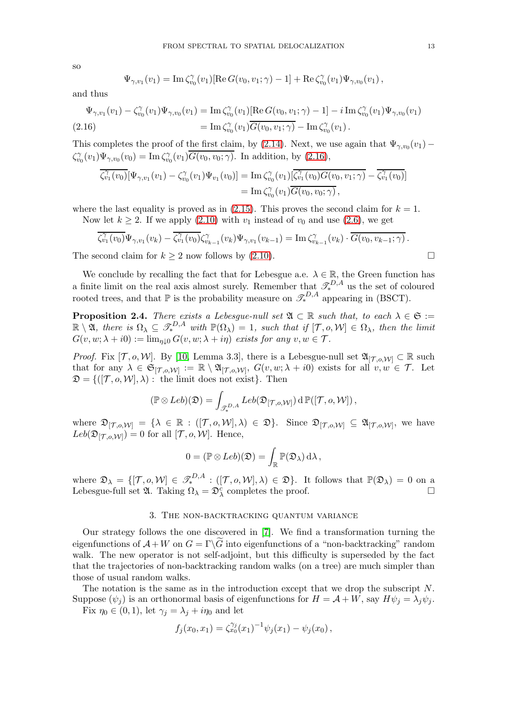so

$$
\Psi_{\gamma,v_1}(v_1) = \text{Im}\,\zeta_{v_0}^{\gamma}(v_1)[\text{Re}\,G(v_0,v_1;\gamma) - 1] + \text{Re}\,\zeta_{v_0}^{\gamma}(v_1)\Psi_{\gamma,v_0}(v_1),
$$

and thus

<span id="page-12-1"></span>
$$
\Psi_{\gamma,v_1}(v_1) - \zeta_{v_0}^{\gamma}(v_1)\Psi_{\gamma,v_0}(v_1) = \text{Im}\,\zeta_{v_0}^{\gamma}(v_1)[\text{Re}\,G(v_0,v_1;\gamma) - 1] - i\,\text{Im}\,\zeta_{v_0}^{\gamma}(v_1)\Psi_{\gamma,v_0}(v_1) \n= \text{Im}\,\zeta_{v_0}^{\gamma}(v_1)\overline{G(v_0,v_1;\gamma)} - \text{Im}\,\zeta_{v_0}^{\gamma}(v_1).
$$
\n(2.16)

This completes the proof of the first claim, by [\(2.14\)](#page-11-3). Next, we use again that  $\Psi_{\gamma,v_0}(v_1)$  –  $\zeta_{v_0}^{\gamma}(v_1)\Psi_{\gamma,v_0}(v_0) = \text{Im}\,\zeta_{v_0}^{\gamma}(v_1)\overline{G(v_0,v_0;\gamma)}$ . In addition, by [\(2.16\)](#page-12-1),

$$
\overline{\zeta_{v_1}^{\gamma}(v_0)}[\Psi_{\gamma,v_1}(v_1)-\zeta_{v_0}^{\gamma}(v_1)\Psi_{v_1}(v_0)]=\operatorname{Im}\zeta_{v_0}^{\gamma}(v_1)[\overline{\zeta_{v_1}^{\gamma}(v_0)G(v_0,v_1;\gamma)}-\overline{\zeta_{v_1}^{\gamma}(v_0)}]
$$
\n
$$
=\operatorname{Im}\zeta_{v_0}^{\gamma}(v_1)\overline{G(v_0,v_0;\gamma)},
$$

where the last equality is proved as in  $(2.15)$ . This proves the second claim for  $k = 1$ . Now let  $k \geq 2$ . If we apply [\(2.10\)](#page-11-1) with  $v_1$  instead of  $v_0$  and use [\(2.6\)](#page-11-2), we get

$$
\overline{\zeta_{v_1}^{\gamma}(v_0)}\Psi_{\gamma,v_1}(v_k)-\overline{\zeta_{v_1}^{\gamma}(v_0)}\zeta_{v_{k-1}}^{\gamma}(v_k)\Psi_{\gamma,v_1}(v_{k-1})=\mathrm{Im}\,\zeta_{v_{k-1}}^{\gamma}(v_k)\cdot\overline{G(v_0,v_{k-1};\gamma)}.
$$

The second claim for  $k \ge 2$  now follows by [\(2.10\)](#page-11-1).

We conclude by recalling the fact that for Lebesgue a.e.  $\lambda \in \mathbb{R}$ , the Green function has a finite limit on the real axis almost surely. Remember that  $\mathscr{T}_{*}^{D,A}$  us the set of coloured rooted trees, and that  $\mathbb P$  is the probability measure on  $\mathscr{T}_{*}^{D,A}$  appearing in (BSCT).

<span id="page-12-2"></span>**Proposition 2.4.** *There exists a Lebesgue-null set*  $\mathfrak{A} \subset \mathbb{R}$  *such that, to each*  $\lambda \in \mathfrak{S}$  :=  $\mathbb{R}\setminus\mathfrak{A}$ *, there is*  $\Omega_{\lambda} \subseteq \mathscr{T}_{*}^{D,A}$  with  $\mathbb{P}(\Omega_{\lambda}) = 1$ *, such that if*  $[\mathcal{T}, o, \mathcal{W}] \in \Omega_{\lambda}$ *, then the limit*  $G(v, w; \lambda + i0) := \lim_{\eta \downarrow 0} G(v, w; \lambda + i\eta)$  *exists for any*  $v, w \in \mathcal{T}$ *.* 

*Proof.* Fix [ $\mathcal{T}, o, \mathcal{W}$ ]. By [\[10,](#page-54-11) Lemma 3.3], there is a Lebesgue-null set  $\mathfrak{A}_{[\mathcal{T}, o, \mathcal{W}]} \subset \mathbb{R}$  such that for any  $\lambda \in \mathfrak{S}_{[\mathcal{T},o,\mathcal{W}]} := \mathbb{R} \setminus \mathfrak{A}_{[\mathcal{T},o,\mathcal{W}]}, G(v,w;\lambda + i0)$  exists for all  $v, w \in \mathcal{T}$ . Let  $\mathfrak{D} = \{([\mathcal{T}, o, \mathcal{W}], \lambda) : \text{ the limit does not exist}\}.$  Then

$$
(\mathbb{P}\otimes Leb)(\mathfrak{D})=\int_{\mathscr{T}_{*}^{D,A}} Leb(\mathfrak{D}_{[\mathcal{T},o,\mathcal{W}]})\,d\,\mathbb{P}([\mathcal{T},o,\mathcal{W}])\,,
$$

where  $\mathfrak{D}_{[\mathcal{T},o,\mathcal{W}]} = {\lambda \in \mathbb{R} : ([\mathcal{T},o,\mathcal{W}],\lambda) \in \mathfrak{D}}$ . Since  $\mathfrak{D}_{[\mathcal{T},o,\mathcal{W}]} \subseteq \mathfrak{A}_{[\mathcal{T},o,\mathcal{W}]}$ , we have  $Leb(\mathfrak{D}_{[\mathcal{T},o,\mathcal{W}]}) = 0$  for all  $[\mathcal{T},o,\mathcal{W}]$ . Hence,

$$
0 = (\mathbb{P} \otimes \mathit{Leb})(\mathfrak{D}) = \int_{\mathbb{R}} \mathbb{P}(\mathfrak{D}_{\lambda}) d\lambda,
$$

where  $\mathfrak{D}_{\lambda} = \{ [\mathcal{T}, o, \mathcal{W}] \in \mathscr{T}_{*}^{D, A} : ([\mathcal{T}, o, \mathcal{W}], \lambda) \in \mathfrak{D} \}.$  It follows that  $\mathbb{P}(\mathfrak{D}_{\lambda}) = 0$  on a Lebesgue-full set  $\mathfrak{A}$ . Taking  $\Omega_{\lambda} = \mathfrak{D}_{\lambda}^{c}$  completes the proof.

#### 3. The non-backtracking quantum variance

<span id="page-12-0"></span>Our strategy follows the one discovered in [\[7\]](#page-54-3). We find a transformation turning the eigenfunctions of  $\mathcal{A} + W$  on  $G = \Gamma \backslash G$  into eigenfunctions of a "non-backtracking" random walk. The new operator is not self-adjoint, but this difficulty is superseded by the fact that the trajectories of non-backtracking random walks (on a tree) are much simpler than those of usual random walks.

The notation is the same as in the introduction except that we drop the subscript  $N$ . Suppose  $(\psi_j)$  is an orthonormal basis of eigenfunctions for  $H = \mathcal{A} + W$ , say  $H\psi_j = \lambda_j \psi_j$ .

Fix  $\eta_0 \in (0,1)$ , let  $\gamma_j = \lambda_j + i\eta_0$  and let

$$
f_j(x_0, x_1) = \zeta_{x_0}^{\gamma_j}(x_1)^{-1} \psi_j(x_1) - \psi_j(x_0),
$$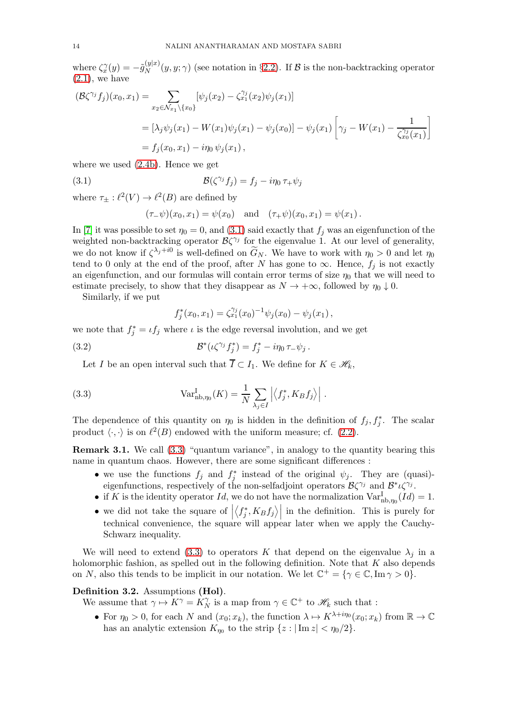where  $\zeta_{x}^{\gamma}(y) = -\tilde{g}_{N}^{(y|x)}$  $N(N(y|x)(y, y; \gamma))$  (see notation in §[2.2\)](#page-10-0). If B is the non-backtracking operator  $(2.1)$ , we have

$$
\begin{aligned} (\mathcal{B}\zeta^{\gamma_j}f_j)(x_0, x_1) &= \sum_{x_2 \in \mathcal{N}_{x_1} \setminus \{x_0\}} [\psi_j(x_2) - \zeta_{x_1}^{\gamma_j}(x_2)\psi_j(x_1)] \\ &= [\lambda_j \psi_j(x_1) - W(x_1)\psi_j(x_1) - \psi_j(x_0)] - \psi_j(x_1) \left[ \gamma_j - W(x_1) - \frac{1}{\zeta_{x_0}^{\gamma_j}(x_1)} \right] \\ &= f_j(x_0, x_1) - i\eta_0 \psi_j(x_1), \end{aligned}
$$

where we used [\(2.4b\)](#page-11-0). Hence we get

(3.1) 
$$
\mathcal{B}(\zeta^{\gamma_j}f_j) = f_j - i\eta_0 \tau_+ \psi_j
$$

where  $\tau_{\pm} : \ell^2(V) \to \ell^2(B)$  are defined by

<span id="page-13-1"></span>
$$
(\tau_{-}\psi)(x_0, x_1) = \psi(x_0)
$$
 and  $(\tau_{+}\psi)(x_0, x_1) = \psi(x_1)$ .

In [\[7\]](#page-54-3) it was possible to set  $\eta_0 = 0$ , and [\(3.1\)](#page-13-1) said exactly that  $f_i$  was an eigenfunction of the weighted non-backtracking operator  $\mathcal{B}\zeta^{\gamma_j}$  for the eigenvalue 1. At our level of generality, we do not know if  $\zeta^{\lambda_j+i0}$  is well-defined on  $\widetilde{G}_N$ . We have to work with  $\eta_0 > 0$  and let  $\eta_0$ tend to 0 only at the end of the proof, after N has gone to  $\infty$ . Hence,  $f_i$  is not exactly an eigenfunction, and our formulas will contain error terms of size  $\eta_0$  that we will need to estimate precisely, to show that they disappear as  $N \to +\infty$ , followed by  $\eta_0 \downarrow 0$ .

Similarly, if we put

<span id="page-13-2"></span><span id="page-13-0"></span>
$$
f_j^*(x_0, x_1) = \zeta_{x_1}^{\gamma_j}(x_0)^{-1} \psi_j(x_0) - \psi_j(x_1),
$$

we note that  $f_j^* = \iota f_j$  where  $\iota$  is the edge reversal involution, and we get

(3.2) 
$$
\mathcal{B}^*(\iota \zeta^{\gamma_j} f_j^*) = f_j^* - i \eta_0 \tau_- \psi_j.
$$

Let I be an open interval such that  $\overline{I} \subset I_1$ . We define for  $K \in \mathcal{H}_k$ ,

(3.3) 
$$
\text{Var}_{\text{nb},\eta_0}^{\text{I}}(K) = \frac{1}{N} \sum_{\lambda_j \in I} \left| \left\langle f_j^*, K_B f_j \right\rangle \right|.
$$

The dependence of this quantity on  $\eta_0$  is hidden in the definition of  $f_j, f_j^*$ . The scalar product  $\langle \cdot, \cdot \rangle$  is on  $\ell^2(B)$  endowed with the uniform measure; cf. [\(2.2\)](#page-10-1).

Remark 3.1. We call [\(3.3\)](#page-13-0) "quantum variance", in analogy to the quantity bearing this name in quantum chaos. However, there are some significant differences :

- we use the functions  $f_j$  and  $f_j^*$  instead of the original  $\psi_j$ . They are (quasi)eigenfunctions, respectively of the non-selfadjoint operators  $\mathcal{B}\zeta^{\gamma_j}$  and  $\mathcal{B}^*\iota\zeta^{\gamma_j}$ .
- if K is the identity operator Id, we do not have the normalization  $Var^I_{\text{nb},\eta_0}(Id) = 1$ .
- $\bullet$  we did not take the square of  $\big|$  $\langle f_j^*, K_B f_j \rangle$  in the definition. This is purely for technical convenience, the square will appear later when we apply the Cauchy-Schwarz inequality.

We will need to extend [\(3.3\)](#page-13-0) to operators K that depend on the eigenvalue  $\lambda_j$  in a holomorphic fashion, as spelled out in the following definition. Note that  $K$  also depends on N, also this tends to be implicit in our notation. We let  $\mathbb{C}^+ = \{ \gamma \in \mathbb{C}, \text{Im } \gamma > 0 \}.$ 

# <span id="page-13-3"></span>Definition 3.2. Assumptions (Hol).

We assume that  $\gamma \mapsto K^{\gamma} = K_N^{\gamma}$  is a map from  $\gamma \in \mathbb{C}^+$  to  $\mathcal{H}_k$  such that :

• For  $\eta_0 > 0$ , for each N and  $(x_0; x_k)$ , the function  $\lambda \mapsto K^{\lambda + i\eta_0}(x_0; x_k)$  from  $\mathbb{R} \to \mathbb{C}$ has an analytic extension  $K_{\eta_0}$  to the strip  $\{z: |\text{Im } z| < \eta_0/2\}.$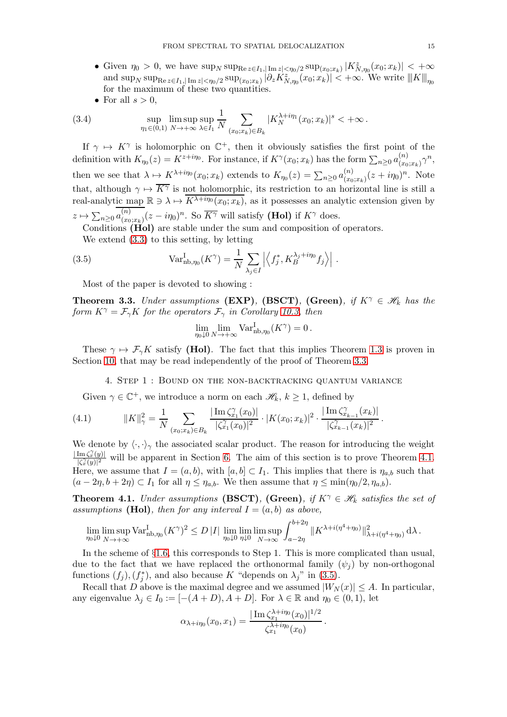- Given  $\eta_0 > 0$ , we have  $\sup_N \sup_{\text{Re } z \in I_1, |\text{Im } z| < \eta_0/2} \sup_{(x_0, x_k)} |K^z_{N, \eta_0}(x_0; x_k)| < +\infty$  $\text{and } \sup_N \sup_{\text{Re } z \in I_1, |\text{Im } z| < \eta_0/2} \sup_{(x_0, x_k)} |\partial_z K^z_{N, \eta_0}(x_0; x_k)| < +\infty.$  We write  $\|K\|_{\eta_0}$ for the maximum of these two quantities.
- For all  $s > 0$ ,

(3.4) 
$$
\sup_{\eta_1 \in (0,1)} \limsup_{N \to +\infty} \sup_{\lambda \in I_1} \frac{1}{N} \sum_{(x_0; x_k) \in B_k} |K_N^{\lambda + i\eta_1}(x_0; x_k)|^s < +\infty.
$$

If  $\gamma \mapsto K^{\gamma}$  is holomorphic on  $\mathbb{C}^{+}$ , then it obviously satisfies the first point of the definition with  $K_{\eta_0}(z) = K^{z+i\eta_0}$ . For instance, if  $K^{\gamma}(x_0; x_k)$  has the form  $\sum_{n\geq 0} a_{(x_0)}^{(n)}$  $\binom{n}{(x_0;x_k)} \gamma^n,$ then we see that  $\lambda \mapsto K^{\lambda + i\eta_0}(x_0; x_k)$  extends to  $K_{\eta_0}(z) = \sum_{n \geq 0} a_{(x_0)}^{(n)}$  $\binom{n}{(x_0;x_k)}(z+i\eta_0)^n$ . Note that, although  $\gamma \mapsto \overline{K^{\gamma}}$  is not holomorphic, its restriction to an horizontal line is still a real-analytic map  $\mathbb{R} \ni \lambda \mapsto \overline{K^{\lambda + i\eta_0}(x_0; x_k)}$ , as it possesses an analytic extension given by  $z \mapsto \sum_{n\geq 0} a_{(x_0)}^{(n)}$  $\sum_{(x_0,x_k)}^{(n)} (z - i\eta_0)^n$ . So  $\overline{K^{\gamma}}$  will satisfy (Hol) if  $K^{\gamma}$  does.

Conditions (Hol) are stable under the sum and composition of operators.

We extend [\(3.3\)](#page-13-0) to this setting, by letting

(3.5) 
$$
\text{Var}_{\text{nb},\eta_0}^{\text{I}}(K^{\gamma}) = \frac{1}{N} \sum_{\lambda_j \in I} \left| \left\langle f_j^*, K_B^{\lambda_j + i\eta_0} f_j \right\rangle \right|.
$$

Most of the paper is devoted to showing :

<span id="page-14-1"></span>**Theorem 3.3.** *Under assumptions* (EXP), (BSCT), (Green), if  $K^{\gamma} \in \mathcal{H}_k$  has the *form*  $K^{\gamma} = \mathcal{F}_{\gamma} K$  *for the operators*  $\mathcal{F}_{\gamma}$  *in Corollary [10.3,](#page-46-0) then* 

<span id="page-14-3"></span>
$$
\lim_{\eta_0 \downarrow 0} \lim_{N \to +\infty} \text{Var}_{\text{nb}, \eta_0}^{\text{I}}(K^{\gamma}) = 0.
$$

<span id="page-14-0"></span>These  $\gamma \mapsto \mathcal{F}_{\gamma}K$  satisfy (Hol). The fact that this implies Theorem [1.3](#page-4-2) is proven in Section [10,](#page-42-0) that may be read independently of the proof of Theorem [3.3.](#page-14-1)

<span id="page-14-4"></span>4. Step 1 : Bound on the non-backtracking quantum variance

Given  $\gamma \in \mathbb{C}^+$ , we introduce a norm on each  $\mathcal{H}_k$ ,  $k \geq 1$ , defined by

(4.1) 
$$
||K||_{\gamma}^{2} = \frac{1}{N} \sum_{(x_{0};x_{k}) \in B_{k}} \frac{|\operatorname{Im} \zeta_{x_{1}}^{\gamma}(x_{0})|}{|\zeta_{x_{1}}^{\gamma}(x_{0})|^{2}} \cdot |K(x_{0};x_{k})|^{2} \cdot \frac{|\operatorname{Im} \zeta_{x_{k-1}}^{\gamma}(x_{k})|}{|\zeta_{x_{k-1}}^{\gamma}(x_{k})|^{2}}.
$$

We denote by  $\langle \cdot, \cdot \rangle_{\gamma}$  the associated scalar product. The reason for introducing the weight  $|\operatorname{Im} \zeta_x^{\gamma}(y)|$  $\frac{\text{Im } \zeta_x(y)}{|\zeta_x^{\gamma}(y)|^2}$  will be apparent in Section [6.](#page-22-0) The aim of this section is to prove Theorem [4.1.](#page-14-2) Here, we assume that  $I = (a, b)$ , with  $[a, b] \subset I_1$ . This implies that there is  $\eta_{a,b}$  such that  $(a - 2\eta, b + 2\eta) \subset I_1$  for all  $\eta \leq \eta_{a,b}$ . We then assume that  $\eta \leq \min(\eta_0/2, \eta_{a,b})$ .

<span id="page-14-2"></span>**Theorem 4.1.** *Under assumptions* (**BSCT**), (Green), if  $K^{\gamma} \in \mathcal{H}_k$  *satisfies the set of assumptions* (Hol), then for any interval  $I = (a, b)$  as above,

$$
\lim_{\eta_0 \downarrow 0} \limsup_{N \to +\infty} \text{Var}_{\text{nb}, \eta_0}^{\text{I}} (K^{\gamma})^2 \le D |I| \lim_{\eta_0 \downarrow 0} \lim_{\eta \downarrow 0} \limsup_{N \to \infty} \int_{a-2\eta}^{b+2\eta} ||K^{\lambda + i(\eta^4 + \eta_0)}||_{\lambda + i(\eta^4 + \eta_0)}^2 d\lambda.
$$

In the scheme of §[1.6,](#page-8-0) this corresponds to Step 1. This is more complicated than usual, due to the fact that we have replaced the orthonormal family  $(\psi_i)$  by non-orthogonal functions  $(f_j)$ ,  $(f_j^*)$ , and also because K "depends on  $\lambda_j$ " in [\(3.5\)](#page-14-3).

Recall that D above is the maximal degree and we assumed  $|W_N(x)| \leq A$ . In particular, any eigenvalue  $\lambda_j \in I_0 := [-(A+D), A+D]$ . For  $\lambda \in \mathbb{R}$  and  $\eta_0 \in (0,1)$ , let

$$
\alpha_{\lambda+i\eta_0}(x_0, x_1) = \frac{|\operatorname{Im} \zeta_{x_1}^{\lambda+i\eta_0}(x_0)|^{1/2}}{\zeta_{x_1}^{\lambda+i\eta_0}(x_0)}.
$$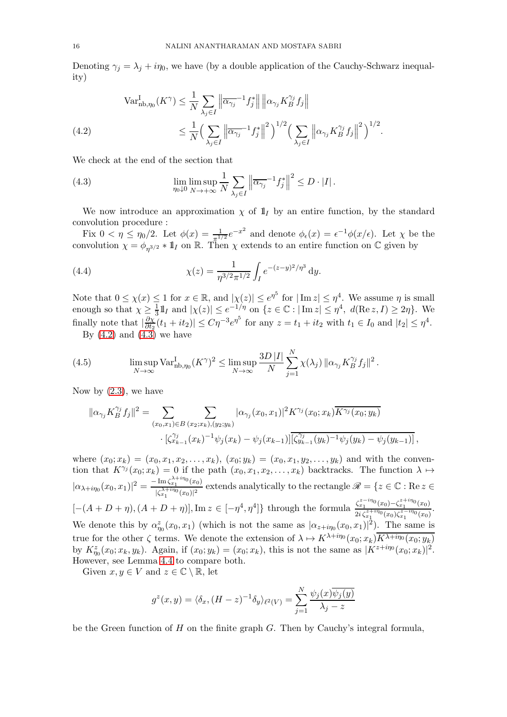Denoting  $\gamma_j = \lambda_j + i\eta_0$ , we have (by a double application of the Cauchy-Schwarz inequality)

<span id="page-15-0"></span>(4.2) 
$$
\operatorname{Var}_{\text{nb},\eta_0}^{\text{I}}(K^{\gamma}) \leq \frac{1}{N} \sum_{\lambda_j \in I} \left\| \overline{\alpha_{\gamma_j}}^{-1} f_j^* \right\| \left\| \alpha_{\gamma_j} K_B^{\gamma_j} f_j \right\|
$$

$$
\leq \frac{1}{N} \Big( \sum_{\lambda_j \in I} \left\| \overline{\alpha_{\gamma_j}}^{-1} f_j^* \right\|^2 \Big)^{1/2} \Big( \sum_{\lambda_j \in I} \left\| \alpha_{\gamma_j} K_B^{\gamma_j} f_j \right\|^2 \Big)^{1/2}.
$$

We check at the end of the section that

<span id="page-15-1"></span>(4.3) 
$$
\lim_{\eta \downarrow 0} \lim_{N \to +\infty} \frac{1}{N} \sum_{\lambda_j \in I} \left\| \overline{\alpha_{\gamma_j}}^{-1} f_j^* \right\|^2 \leq D \cdot |I|.
$$

We now introduce an approximation  $\chi$  of  $\mathbb{1}_I$  by an entire function, by the standard convolution procedure :

Fix  $0 < \eta \leq \eta_0/2$ . Let  $\phi(x) = \frac{1}{\pi^{1/2}} e^{-x^2}$  and denote  $\phi_{\epsilon}(x) = \epsilon^{-1} \phi(x/\epsilon)$ . Let  $\chi$  be the convolution  $\chi = \phi_{\eta^{3/2}} * 1\!\!1$  on R. Then  $\chi$  extends to an entire function on C given by

(4.4) 
$$
\chi(z) = \frac{1}{\eta^{3/2} \pi^{1/2}} \int_{I} e^{-(z-y)^2/\eta^3} dy.
$$

Note that  $0 \leq \chi(x) \leq 1$  for  $x \in \mathbb{R}$ , and  $|\chi(z)| \leq e^{\eta^5}$  for  $|\operatorname{Im} z| \leq \eta^4$ . We assume  $\eta$  is small enough so that  $\chi \geq \frac{1}{3}$  $\frac{1}{3}$ ll<sub>I</sub> and  $|\chi(z)| \le e^{-1/\eta}$  on  $\{z \in \mathbb{C} : |\operatorname{Im} z| \le \eta^4, d(\operatorname{Re} z, I) \ge 2\eta\}$ . We finally note that  $\frac{\partial \chi}{\partial t_2}$  $\frac{\partial \chi}{\partial t_2}(t_1 + it_2) \le C\eta^{-3} e^{\eta^5}$  for any  $z = t_1 + it_2$  with  $t_1 \in I_0$  and  $|t_2| \le \eta^4$ .

<span id="page-15-2"></span>By  $(4.2)$  and  $(4.3)$  we have

(4.5) 
$$
\limsup_{N \to \infty} \text{Var}_{\text{nb}, \eta_0}^{\text{I}} (K^{\gamma})^2 \leq \limsup_{N \to \infty} \frac{3D |I|}{N} \sum_{j=1}^N \chi(\lambda_j) \| \alpha_{\gamma_j} K_B^{\gamma_j} f_j \|^2.
$$

Now by  $(2.3)$ , we have

$$
\|\alpha_{\gamma_j} K_B^{\gamma_j} f_j\|^2 = \sum_{(x_0, x_1) \in B} \sum_{(x_2, x_k), (y_2, y_k)} |\alpha_{\gamma_j}(x_0, x_1)|^2 K^{\gamma_j}(x_0; x_k) \overline{K^{\gamma_j}(x_0; y_k)} \cdot [\zeta_{x_{k-1}}^{\gamma_j}(x_k)^{-1} \psi_j(x_k) - \psi_j(x_{k-1})] [\overline{\zeta_{y_{k-1}}^{\gamma_j}(y_k)^{-1} \psi_j(y_k) - \psi_j(y_{k-1})}],
$$

where  $(x_0; x_k) = (x_0, x_1, x_2, \ldots, x_k), (x_0; y_k) = (x_0, x_1, y_2, \ldots, y_k)$  and with the convention that  $K^{\gamma_j}(x_0; x_k) = 0$  if the path  $(x_0, x_1, x_2, \ldots, x_k)$  backtracks. The function  $\lambda \mapsto$  $|\alpha_{\lambda+i\eta_0}(x_0, x_1)|^2 = \frac{-\text{Im}\,\zeta_{x_1}^{\lambda+i\eta_0}(x_0)}{|\zeta_{x_1}^{\lambda+i\eta_0}(x_0)|^2}$  $\frac{\lim_{x_1} \cos(x_0)}{|\zeta_{x_1}^{\lambda+i\eta_0}(x_0)|^2}$  extends analytically to the rectangle  $\mathscr{R} = \{z \in \mathbb{C} : \text{Re } z \in \mathbb{R} \}$  $[-(A + D + \eta), (A + D + \eta)], \text{Im } z \in [-\eta^4, \eta^4]$  through the formula  $\frac{\zeta_{x_1}^{z - i\eta_0}(x_0) - \zeta_{x_1}^{z + i\eta_0}(x_0)}{2i\zeta_{x_1}^{z + i\eta_0}(x_0)\zeta_{x_1}^{z - i\eta_0}(x_0)}$  $\frac{z_{x_1} (x_0) - z_{x_1} (x_0)}{2i \zeta_{x_1}^{z+i\eta_0}(x_0) \zeta_{x_1}^{z-i\eta_0}(x_0)}$ . We denote this by  $\alpha_{\eta_0}^z(x_0, x_1)$  (which is not the same as  $|\alpha_{z+i\eta_0}(x_0, x_1)|^2$ ). The same is true for the other  $\zeta$  terms. We denote the extension of  $\lambda \mapsto K^{\lambda+i\eta_0}(x_0; x_k)\overline{K^{\lambda+i\eta_0}(x_0; y_k)}$ by  $K_{\eta_0}^z(x_0; x_k, y_k)$ . Again, if  $(x_0; y_k) = (x_0; x_k)$ , this is not the same as  $|K^{z+i\eta_0}(x_0; x_k)|^2$ . However, see Lemma [4.4](#page-17-0) to compare both.

Given  $x, y \in V$  and  $z \in \mathbb{C} \setminus \mathbb{R}$ , let

$$
g^{z}(x, y) = \langle \delta_x, (H - z)^{-1} \delta_y \rangle_{\ell^2(V)} = \sum_{j=1}^{N} \frac{\psi_j(x) \overline{\psi_j(y)}}{\lambda_j - z}
$$

be the Green function of  $H$  on the finite graph  $G$ . Then by Cauchy's integral formula,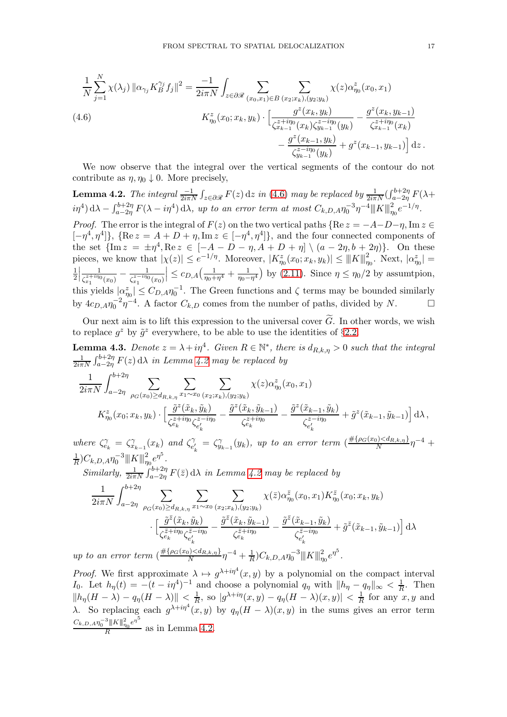<span id="page-16-0"></span>
$$
\frac{1}{N} \sum_{j=1}^{N} \chi(\lambda_j) \| \alpha_{\gamma_j} K_B^{\gamma_j} f_j \|^2 = \frac{-1}{2i\pi N} \int_{z \in \partial \mathcal{R}} \sum_{(x_0, x_1) \in B} \sum_{(x_2; x_k), (y_2; y_k)} \chi(z) \alpha_{\eta_0}^z(x_0, x_1)
$$
\n
$$
(4.6) \qquad K_{\eta_0}^z(x_0; x_k, y_k) \cdot \left[ \frac{g^z(x_k, y_k)}{\zeta_{x_{k-1}}^{z + i\eta_0}(x_k) \zeta_{y_{k-1}}^{z - i\eta_0}(y_k)} - \frac{g^z(x_k, y_{k-1})}{\zeta_{x_{k-1}}^{z + i\eta_0}(x_k)} - \frac{g^z(x_{k-1}, y_k)}{\zeta_{y_{k-1}}^{z - i\eta_0}(y_k)} + g^z(x_{k-1}, y_{k-1}) \right] dz.
$$

We now observe that the integral over the vertical segments of the contour do not contribute as  $\eta, \eta_0 \downarrow 0$ . More precisely,

<span id="page-16-1"></span>**Lemma 4.2.** *The integral*  $\frac{-1}{2i\pi N}\int_{z\in\partial\mathscr{R}} F(z) dz$  *in* [\(4.6\)](#page-16-0) *may be replaced by*  $\frac{1}{2i\pi N}(\int_{a-2\eta}^{b+2\eta} F(\lambda +$  $i\eta^4$ ) d $\lambda - \int_{a-2\eta}^{b+2\eta} F(\lambda - i\eta^4) d\lambda$ , up to an error term at most  $C_{k,D,A} \eta_0^{-3} \eta^{-4} ||K||_{\eta_0}^2 e^{-1/\eta}$ . *Proof.* The error is the integral of  $F(z)$  on the two vertical paths {Re  $z = -A-D-\eta$ , Im  $z \in$ 

 $[-\eta^4, \eta^4]$ ,  $\{ \text{Re } z = A + D + \eta, \text{Im } z \in [-\eta^4, \eta^4] \}$ , and the four connected components of the set  $\{\text{Im } z = \pm \eta^4, \text{Re } z \in [-A - D - \eta, A + D + \eta] \setminus (a - 2\eta, b + 2\eta)\}.$  On these pieces, we know that  $|\chi(z)| \leq e^{-1/\eta}$ . Moreover,  $|K^z_{\eta_0}(x_0; x_k, y_k)| \leq ||K||_{\eta_0}^2$ . Next,  $|\alpha_{\eta_0}^z| =$ 1 2 1  $\frac{1}{\zeta_{x_1}^{z+i\eta_0}(x_0)} - \frac{1}{\zeta_{x_1}^{z-i\eta_0}}$  $\zeta_{x_1}^{z-i\eta_0}(x_0)$  $\left| \leq c_{D,A}\left( \frac{1}{\eta _{0}+}\right.$  $\frac{1}{\eta_0 + \eta^4} + \frac{1}{\eta_0 - \eta}$  $\frac{1}{\eta_0 - \eta^4}$  by [\(2.11\)](#page-11-5). Since  $\eta \le \eta_0/2$  by assumtpion, this yields  $|\alpha_{\eta_0}^z| \leq C_{D,A} \eta_0^{-1}$ . The Green functions and  $\zeta$  terms may be bounded similarly by  $4c_{D,A}\eta_0^{-2}\eta^{-4}$ . A factor  $C_{k,D}$  comes from the number of paths, divided by N.

Our next aim is to lift this expression to the universal cover  $G$ . In other words, we wish to replace  $g^z$  by  $\tilde{g}^z$  everywhere, to be able to use the identities of §[2.2.](#page-10-0)

<span id="page-16-2"></span>**Lemma 4.3.** Denote  $z = \lambda + i\eta^4$ . Given  $R \in \mathbb{N}^*$ , there is  $d_{R,k,\eta} > 0$  such that the integral 1  $\frac{1}{2i\pi N}\int_{a-2\eta}^{b+2\eta} F(z) d\lambda$  *in Lemma [4.2](#page-16-1) may be replaced by* 

$$
\frac{1}{2i\pi N} \int_{a-2\eta}^{b+2\eta} \sum_{\rho_G(x_0)\geq d_{R,k,\eta}} \sum_{x_1 \sim x_0} \sum_{(x_2;x_k),(y_2;y_k)} \chi(z) \alpha_{\eta_0}^z(x_0,x_1)
$$
\n
$$
K_{\eta_0}^z(x_0;x_k,y_k) \cdot \left[ \frac{\tilde{g}^z(\tilde{x}_k,\tilde{y}_k)}{\zeta_{e_k}^{z+i\eta_0}\zeta_{e'_k}^{z-i\eta_0}} - \frac{\tilde{g}^z(\tilde{x}_k,\tilde{y}_{k-1})}{\zeta_{e_k}^{z+i\eta_0}} - \frac{\tilde{g}^z(\tilde{x}_{k-1},\tilde{y}_k)}{\zeta_{e'_k}^{z-i\eta_0}} + \tilde{g}^z(\tilde{x}_{k-1},\tilde{y}_{k-1}) \right] d\lambda,
$$

*where*  $\zeta_{e_k}^{\gamma} = \zeta_{x_{k-1}}^{\gamma}(x_k)$  *and*  $\zeta_{e_k}^{\gamma}$  $\hat{C}_{k}^{\gamma} = \hat{\zeta}_{y_{k-1}}^{\gamma}(y_k)$ , up to an error term  $(\frac{\#\{\rho_G(x_0)\leq d_{R,k,\eta}\}}{N})$  $\frac{N}{N} \eta^{-4} +$ 1  $\frac{1}{R}$ ) $C_{k,D,A} \eta_0^{-3}$  || $K$  || $\frac{2}{\eta_0} e^{\eta^5}$ .

 $Similarly, \frac{1}{2i\pi N}\int_{a-2\eta}^{b+2\eta} F(\bar{z}) d\lambda$  *in Lemma [4.2](#page-16-1) may be replaced by* 

$$
\frac{1}{2i\pi N} \int_{a-2\eta}^{b+2\eta} \sum_{\rho_G(x_0) \ge d_{R,k,\eta}} \sum_{x_1 \sim x_0} \sum_{(x_2; x_k), (y_2; y_k)} \chi(\bar{z}) \alpha_{\eta_0}^{\bar{z}}(x_0, x_1) K_{\eta_0}^{\bar{z}}(x_0; x_k, y_k)
$$

$$
\cdot \left[ \frac{\tilde{g}^{\bar{z}}(\tilde{x}_k, \tilde{y}_k)}{\zeta_{e_k}^{\bar{z}+i\eta_0} \zeta_{e'_k}^{\bar{z}-i\eta_0}} - \frac{\tilde{g}^{\bar{z}}(\tilde{x}_k, \tilde{y}_{k-1})}{\zeta_{e_k}^{\bar{z}+i\eta_0}} - \frac{\tilde{g}^{\bar{z}}(\tilde{x}_{k-1}, \tilde{y}_k)}{\zeta_{e'_k}^{\bar{z}-i\eta_0}} + \tilde{g}^{\bar{z}}(\tilde{x}_{k-1}, \tilde{y}_{k-1}) \right] d\lambda
$$

*up to an error term* (  $\frac{v}{N}$  $\eta^{-4} + \frac{1}{6}$  $\frac{1}{R}$ ) $C_{k,D,A} \eta_0^{-3}$  ||| $K$  ||| $_{\eta_0}^2 e^{\eta^5}$ .

*Proof.* We first approximate  $\lambda \mapsto g^{\lambda+i\eta^4}(x, y)$  by a polynomial on the compact interval I<sub>0</sub>. Let  $h_{\eta}(t) = -(t - i\eta^{4})^{-1}$  and choose a polynomial  $q_{\eta}$  with  $||h_{\eta} - q_{\eta}||_{\infty} < \frac{1}{R}$  $\frac{1}{R}$ . Then  $\|h_\eta(H-\lambda)-q_\eta(H-\lambda)\|<\frac{1}{R}$  $\frac{1}{R}$ , so  $|g^{\lambda+i\eta}(x,y) - q_{\eta}(H - \lambda)(x,y)| < \frac{1}{R}$  $\frac{1}{R}$  for any  $x, y$  and λ. So replacing each  $g^{\lambda+i\eta^4}(x, y)$  by  $q_\eta(H - \lambda)(x, y)$  in the sums gives an error term  $C_{k,D,A} \eta_0^{-3}$   $\|K\|_{\eta_0}^2 e^{\eta^5}$  $\frac{m+1}{R}$  as in Lemma [4.2.](#page-16-1)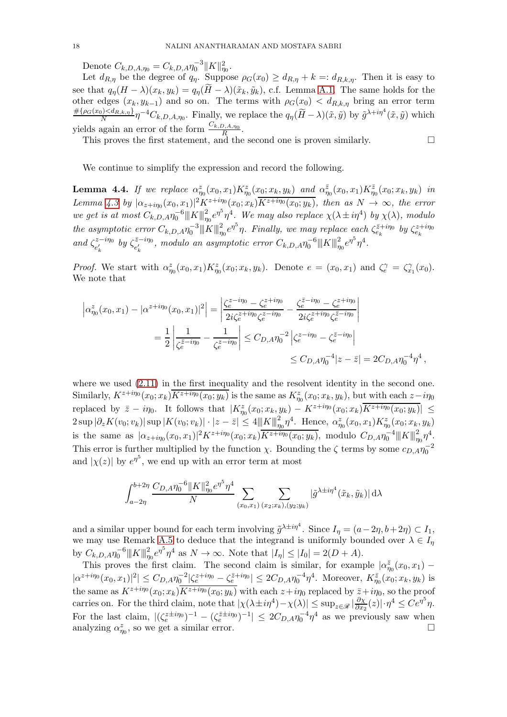Denote  $C_{k,D,A,\eta_0} = C_{k,D,A} \eta_0^{-3} ||K||_{\eta_0}^2$ .

Let  $d_{R,\eta}$  be the degree of  $q_{\eta}$ . Suppose  $\rho_G(x_0) \geq d_{R,\eta} + k =: d_{R,k,\eta}$ . Then it is easy to see that  $q_{\eta}(H - \lambda)(x_k, y_k) = q_{\eta}(H - \lambda)(\tilde{x}_k, \tilde{y}_k)$ , c.f. Lemma [A.1.](#page-50-0) The same holds for the other edges  $(x_k, y_{k-1})$  and so on. The terms with  $\rho_G(x_0) < d_{R,k,\eta}$  bring an error term  $\#\{\rho_G(x_0)\leq d_{R,k,\eta}\}\$  $\frac{N}{N} \eta^{-4} C_{k,D,A,\eta_0}$ . Finally, we replace the  $q_{\eta}(\widetilde{H}-\lambda)(\tilde{x},\tilde{y})$  by  $\tilde{g}^{\lambda+i\eta^4}(\tilde{x},\tilde{y})$  which yields again an error of the form  $\frac{C_{k,D,A,\eta_0}}{R}$ .

This proves the first statement, and the second one is proven similarly.  $\Box$ 

We continue to simplify the expression and record the following.

<span id="page-17-0"></span>**Lemma 4.4.** If we replace  $\alpha_{\eta_0}^z(x_0, x_1) K_{\eta_0}^z(x_0; x_k, y_k)$  and  $\alpha_{\eta_0}^{\bar{z}}(x_0, x_1) K_{\eta_0}^{\bar{z}}(x_0; x_k, y_k)$  in Lemma [4.3](#page-16-2) by  $|\alpha_{z+i\eta_0}(x_0, x_1)|^2 K^{z+i\eta_0}(x_0; x_k) \overline{K^{z+i\eta_0}(x_0; y_k)}$ , then as  $N \to \infty$ , the error *we get is at most*  $C_{k,D,A} \eta_0^{-6} ||K||_{\eta_0}^2 e^{\eta^5} \eta^4$ . We may also replace  $\chi(\lambda \pm i\eta^4)$  by  $\chi(\lambda)$ , modulo  $\hat{L}_{k}$  *the asymptotic error*  $C_{k,D,A} \eta_0^{-3}$   $\Vert K \Vert_{\eta_0}^2 e^{\eta^5} \eta$ . Finally, we may replace each  $\zeta_{e_k}^{\bar{z}+i\eta_0}$  by  $\zeta_{e_k}^{z+i\eta_0}$ and  $\zeta_{e'}^{z-i\eta_0}$  $e'_k$ <sup> $z-i\eta_0$ </sup> by  $\zeta_{e'_k}$ <sup> $\bar{z}-i\eta_0$ </sup>  $\frac{\bar{z}-i\eta_0}{e'_k}$ , modulo an asymptotic error  $C_{k,D,A} \eta_0^{-6}$   $\|K\|_{\eta_0}^2 e^{\eta^5} \eta^4$ .

*Proof.* We start with  $\alpha_{\eta_0}^z(x_0, x_1) K_{\eta_0}^z(x_0; x_k, y_k)$ . Denote  $e = (x_0, x_1)$  and  $\zeta_e^{\gamma} = \zeta_{x_1}^{\gamma}(x_0)$ . We note that

$$
\left| \alpha_{\eta_0}^z(x_0, x_1) - |\alpha^{z+i\eta_0}(x_0, x_1)|^2 \right| = \left| \frac{\zeta_e^{z-i\eta_0} - \zeta_e^{z+i\eta_0}}{2i\zeta_e^{z+i\eta_0}\zeta_e^{z-i\eta_0}} - \frac{\zeta_e^{\overline{z}-i\eta_0} - \zeta_e^{z+i\eta_0}}{2i\zeta_e^{z-i\eta_0}\zeta_e^{\overline{z}-i\eta_0}} \right|
$$
  

$$
= \frac{1}{2} \left| \frac{1}{\zeta_e^{\overline{z}-i\eta_0}} - \frac{1}{\zeta_e^{z-i\eta_0}} \right| \le C_{D,A} \eta_0^{-2} \left| \zeta_e^{z-i\eta_0} - \zeta_e^{\overline{z}-i\eta_0} \right|
$$
  

$$
\le C_{D,A} \eta_0^{-4} |z - \overline{z}| = 2C_{D,A} \eta_0^{-4} \eta^4 ,
$$

where we used  $(2.11)$  in the first inequality and the resolvent identity in the second one. Similarly,  $K^{z+i\eta_0}(x_0; x_k)$  $\overline{K^{z+i\eta_0}(x_0; y_k)}$  is the same as  $K^z_{\eta_0}(x_0; x_k, y_k)$ , but with each  $z-i\eta_0$ replaced by  $\bar{z} - i\eta_0$ . It follows that  $|K^z_{\eta_0}(x_0; x_k, y_k) - K^{z+i\eta_0}(x_0; x_k)K^{z+i\eta_0}(x_0; y_k)| \leq$  $2 \sup |\partial_z K(v_0; v_k)| \sup |K(v_0; v_k)| \cdot |z - \bar{z}| \le 4 ||K||_{\eta_0}^2 \eta^4$ . Hence,  $\alpha_{\eta_0}^z(x_0, x_1) K_{\eta_0}^z(x_0; x_k, y_k)$ is the same as  $|\alpha_{z+i\eta_0}(x_0, x_1)|^2 K^{z+i\eta_0}(x_0; x_k) \overline{K^{z+i\eta_0}(x_0; y_k)}$ , modulo  $C_{D,A} \eta_0^{-4} ||K||_{\eta_0}^2 \eta^4$ . This error is further multiplied by the function  $\chi$ . Bounding the  $\zeta$  terms by some  $c_{D,A}\eta_0^{-2}$ and  $|\chi(z)|$  by  $e^{\eta^5}$ , we end up with an error term at most

$$
\int_{a-2\eta}^{b+2\eta} \frac{C_{D,A} \eta_0^{-6} ||K||_{\eta_0}^2 e^{\eta^5} \eta^4}{N} \sum_{(x_0,x_1)} \sum_{(x_2;x_k),(y_2;y_k)} |\tilde{g}^{\lambda \pm i\eta^4}(\tilde{x}_k,\tilde{y}_k)| d\lambda
$$

and a similar upper bound for each term involving  $\tilde{g}^{\lambda \pm i\eta^4}$ . Since  $I_{\eta} = (a - 2\eta, b + 2\eta) \subset I_1$ , we may use Remark [A.5](#page-53-1) to deduce that the integrand is uniformly bounded over  $\lambda \in I_{\eta}$ by  $C_{k,D,A} \eta_0^{-6} ||K||_{\eta_0}^2 e^{\eta^5} \eta^4$  as  $N \to \infty$ . Note that  $|I_{\eta}| \leq |I_0| = 2(D+A)$ .

This proves the first claim. The second claim is similar, for example  $|\alpha_{\eta_0}^{\bar{z}}(x_0, x_1) |\alpha^{z+i\eta_0}(x_0, x_1)|^2| \leq C_{D,A} \eta_0^{-2} |\zeta_e^{z+i\eta_0} - \zeta_e^{\bar{z}+i\eta_0}| \leq 2C_{D,A} \eta_0^{-4} \eta^4$ . Moreover,  $K^{\bar{z}}_{\eta_0}(x_0; x_k, y_k)$  is the same as  $K^{z+i\eta_0}(x_0; x_k)$  $\overline{K^{z+i\eta_0}(x_0; y_k)}$  with each  $z+i\eta_0$  replaced by  $\overline{z}+i\eta_0$ , so the proof carries on. For the third claim, note that  $|\chi(\lambda \pm i\eta^4) - \chi(\lambda)| \le \sup_{z \in \mathscr{R}} |\frac{\partial \chi}{\partial x_z}$  $\frac{\partial \chi}{\partial x_2}(z)| \cdot \eta^4 \leq Ce^{\eta^5} \eta.$ For the last claim,  $|(\zeta_e^{z\pm i\eta_0})^{-1} - (\zeta_e^{\bar{z}\pm i\eta_0})^{-1}| \leq 2C_{D,A}\eta_0^{-4}\eta^4$  as we previously saw when analyzing  $\alpha_{\eta_0}^z$ , so we get a similar error.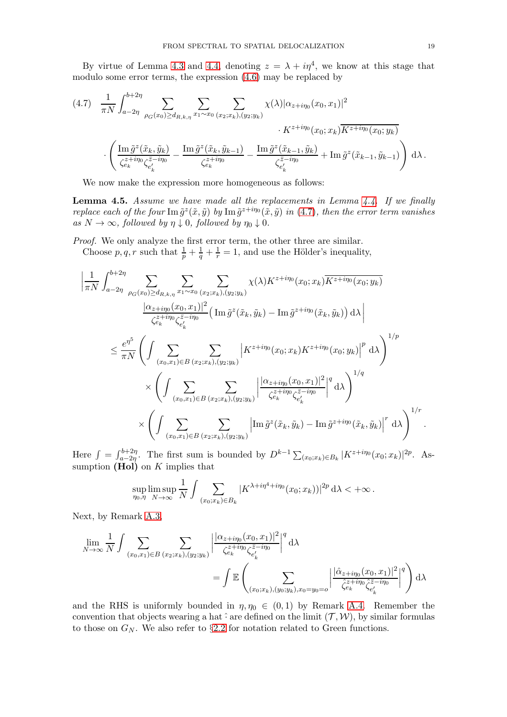By virtue of Lemma [4.3](#page-16-2) and [4.4,](#page-17-0) denoting  $z = \lambda + i\eta^4$ , we know at this stage that modulo some error terms, the expression [\(4.6\)](#page-16-0) may be replaced by

<span id="page-18-0"></span>
$$
(4.7) \frac{1}{\pi N} \int_{a-2\eta}^{b+2\eta} \sum_{\rho_G(x_0) \ge d_{R,k,\eta}} \sum_{x_1 \sim x_0} \sum_{(x_2; x_k), (y_2; y_k)} \chi(\lambda) |\alpha_{z+i\eta_0}(x_0, x_1)|^2
$$

$$
\cdot K^{z+i\eta_0}(x_0; x_k) \overline{K^{z+i\eta_0}(x_0; y_k)}
$$

$$
\cdot \left( \frac{\operatorname{Im} \tilde{g}^z(\tilde{x}_k, \tilde{y}_k)}{\zeta_{e_k}^{z+i\eta_0} \zeta_{e'_k}^{z-i\eta_0}} - \frac{\operatorname{Im} \tilde{g}^z(\tilde{x}_k, \tilde{y}_{k-1})}{\zeta_{e'_k}^{z+i\eta_0}} - \frac{\operatorname{Im} \tilde{g}^z(\tilde{x}_{k-1}, \tilde{y}_k)}{\zeta_{e'_k}^{z-i\eta_0}} + \operatorname{Im} \tilde{g}^z(\tilde{x}_{k-1}, \tilde{y}_{k-1}) \right) d\lambda.
$$

We now make the expression more homogeneous as follows:

<span id="page-18-1"></span>Lemma 4.5. *Assume we have made all the replacements in Lemma [4.4.](#page-17-0) If we finally replace each of the four*  $\text{Im } \tilde{g}^z(\tilde{x}, \tilde{y})$  *by*  $\text{Im } \tilde{g}^{z+i\eta_0}(\tilde{x}, \tilde{y})$  *in* [\(4.7\)](#page-18-0)*, then the error term vanishes as*  $N \to \infty$ *, followed by*  $\eta \downarrow 0$ *, followed by*  $\eta_0 \downarrow 0$ *.* 

*Proof.* We only analyze the first error term, the other three are similar.

Choose  $p, q, r$  such that  $\frac{1}{p} + \frac{1}{q} + \frac{1}{r} = 1$ , and use the Hölder's inequality,

$$
\left| \frac{1}{\pi N} \int_{a-2\eta}^{b+2\eta} \sum_{\rho_G(x_0) \ge d_{R,k,\eta}} \sum_{x_1 \sim x_0} \sum_{(x_2; x_k), (y_2; y_k)} \chi(\lambda) K^{z+i\eta_0}(x_0; x_k) \overline{K^{z+i\eta_0}(x_0; y_k)} \right|
$$
  

$$
\frac{|\alpha_{z+i\eta_0}(x_0, x_1)|^2}{\zeta_{\epsilon_k}^{z+i\eta_0} \zeta_{\epsilon'_k}^{z-i\eta_0}} \Big( \operatorname{Im} \tilde{g}^z(\tilde{x}_k, \tilde{y}_k) - \operatorname{Im} \tilde{g}^{z+i\eta_0}(\tilde{x}_k, \tilde{y}_k) \Big) d\lambda \right|
$$
  

$$
\le \frac{e^{\eta^5}}{\pi N} \left( \int \sum_{(x_0, x_1) \in B} \sum_{(x_2; x_k), (y_2; y_k)} \left| K^{z+i\eta_0}(x_0; x_k) K^{z+i\eta_0}(x_0; y_k) \right|^p d\lambda \right)^{1/p}
$$
  

$$
\times \left( \int \sum_{(x_0, x_1) \in B} \sum_{(x_2; x_k), (y_2; y_k)} \left| \frac{|\alpha_{z+i\eta_0}(x_0, x_1)|^2}{\zeta_{\epsilon_k}^{z+i\eta_0} \zeta_{\epsilon'_k}^{z-i\eta_0}} \right|^q d\lambda \right)^{1/q}
$$
  

$$
\times \left( \int \sum_{(x_0, x_1) \in B} \sum_{(x_2; x_k), (y_2; y_k)} \left| \operatorname{Im} \tilde{g}^z(\tilde{x}_k, \tilde{y}_k) - \operatorname{Im} \tilde{g}^{z+i\eta_0}(\tilde{x}_k, \tilde{y}_k) \right|^r d\lambda \right)^{1/r}.
$$

Here  $\int_{a}^{b+2\eta} f(x) dx$  and first sum is bounded by  $D^{k-1} \sum_{(x_0; x_k) \in B_k} |K^{z+i\eta_0}(x_0; x_k)|^{2p}$ . Assumption  $(Hol)$  on K implies that

$$
\sup_{\eta_0,\eta}\limsup_{N\to\infty}\frac{1}{N}\int\sum_{(x_0;x_k)\in B_k}|K^{\lambda+i\eta^4+i\eta_0}(x_0;x_k))|^{2p}\,\mathrm{d}\lambda<+\infty\,.
$$

Next, by Remark [A.3,](#page-52-0)

$$
\lim_{N \to \infty} \frac{1}{N} \int \sum_{(x_0, x_1) \in B} \sum_{(x_2; x_k), (y_2; y_k)} \left| \frac{|\alpha_{z+i\eta_0}(x_0, x_1)|^2}{\zeta_{e_k}^{z+i\eta_0} \zeta_{e'_k}^{z-i\eta_0}} \right|^q d\lambda
$$
\n
$$
= \int \mathbb{E} \left( \sum_{(x_0; x_k), (y_0; y_k), x_0 = y_0 = o} \left| \frac{|\hat{\alpha}_{z+i\eta_0}(x_0, x_1)|^2}{\zeta_{e_k}^{z+i\eta_0} \zeta_{e'_k}^{z-i\eta_0}} \right|^q \right) d\lambda
$$

and the RHS is uniformly bounded in  $\eta, \eta_0 \in (0, 1)$  by Remark [A.4.](#page-52-1) Remember the convention that objects wearing a hat  $\hat{\cdot}$  are defined on the limit  $(\mathcal{T}, \mathcal{W})$ , by similar formulas to those on  $G_N$ . We also refer to §[2.2](#page-10-0) for notation related to Green functions.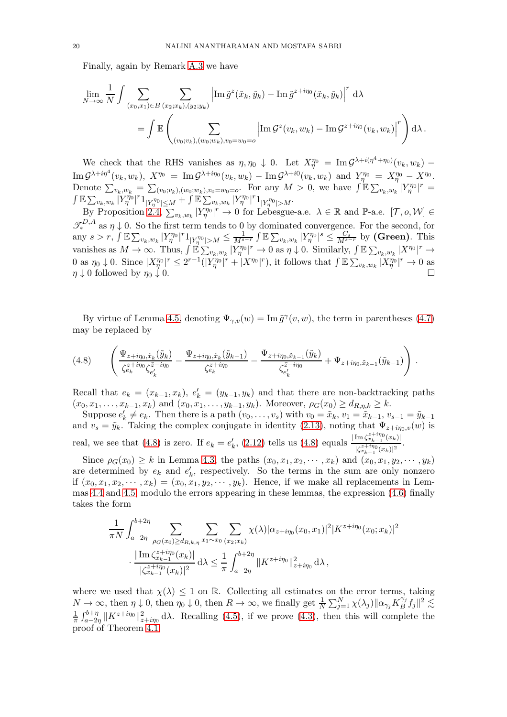Finally, again by Remark [A.3](#page-52-0) we have

$$
\lim_{N \to \infty} \frac{1}{N} \int \sum_{(x_0, x_1) \in B} \sum_{(x_2; x_k), (y_2; y_k)} \left| \operatorname{Im} \tilde{g}^z(\tilde{x}_k, \tilde{y}_k) - \operatorname{Im} \tilde{g}^{z+i\eta_0}(\tilde{x}_k, \tilde{y}_k) \right|^r d\lambda
$$
\n
$$
= \int \mathbb{E} \left( \sum_{(v_0; v_k), (w_0; w_k), v_0 = w_0 = o} \left| \operatorname{Im} \mathcal{G}^z(v_k, w_k) - \operatorname{Im} \mathcal{G}^{z+i\eta_0}(v_k, w_k) \right|^r \right) d\lambda.
$$

We check that the RHS vanishes as  $\eta, \eta_0 \downarrow 0$ . Let  $X_{\eta}^{\eta_0} = \text{Im} \mathcal{G}^{\lambda + i(\eta^4 + \eta_0)}(v_k, w_k)$  –  $\mathrm{Im}\,\mathcal{G}^{\lambda+i\eta^4}(v_k,w_k),\;X^{\eta_0}\;=\;\mathrm{Im}\,\mathcal{G}^{\lambda+i\eta_0}(v_k,w_k)\,-\,\mathrm{Im}\,\mathcal{G}^{\lambda+i0}(v_k,w_k)\;\text{ and }\;Y^{\eta_0}_\eta\;=\;X^{\eta_0}_\eta\,-\,X^{\eta_0}.$ Denote  $\sum_{v_k,w_k} = \sum_{(v_0; v_k),(w_0; w_k),v_0=w_0=o}$ . For any  $M > 0$ , we have  $\int \mathbb{E} \sum_{v_k,w_k} |Y_{\eta}^{n_0}|^r =$  $\int \mathbb{E} \sum_{v_k,w_k} \left| Y_{\eta}^{\eta_0} \right|^{r} 1_{|Y_{\eta}^{\eta_0}| \leq M} + \int \mathbb{E} \sum_{v_k,w_k} |Y_{\eta}^{\eta_0}|^{r} 1_{|Y_{\eta}^{\eta_0}| > M}.$ 

By Proposition [2.4,](#page-12-2)  $\sum_{v_k,w_k} |Y_{\eta}^{\eta_0}|^r \to 0$  for Lebesgue-a.e.  $\lambda \in \mathbb{R}$  and  $\mathbb{P}$ -a.e.  $[\mathcal{T}, o, \mathcal{W}] \in$  $\mathcal{I}_{*}^{D,A}$  as  $\eta \downarrow 0$ . So the first term tends to 0 by dominated convergence. For the second, for any  $s > r$ ,  $\int \mathbb{E} \sum_{v_k, w_k} |Y_{\eta}^{\eta_0}|^r 1_{|Y_{\eta}^{\eta_0}| > M} \le \frac{1}{M^{s-r}} \int \mathbb{E} \sum_{v_k, w_k} |Y_{\eta}^{\eta_0}|^s \le \frac{C_s}{M^{s-r}}$  by (Green). This vanishes as  $M \to \infty$ . Thus,  $\int \mathbb{E} \sum_{v_k,w_k} |Y_{\eta}^{\eta_0}|^r \to 0$  as  $\eta \downarrow 0$ . Similarly,  $\int \mathbb{E} \sum_{v_k,w_k} |X^{\eta_0}|^r \to$ 0 as  $\eta_0 \downarrow$  0. Since  $|X_{\eta}^{\eta_0}|^r \leq 2^{r-1}(|Y_{\eta}^{\eta_0}|^r + |X^{\eta_0}|^r)$ , it follows that  $\int \mathbb{E} \sum_{v_k,w_k} |X_{\eta}^{\eta_0}|^r \to 0$  as  $\eta \downarrow 0$  followed by  $\eta_0 \downarrow 0$ .

By virtue of Lemma [4.5,](#page-18-1) denoting  $\Psi_{\gamma,v}(w) = \text{Im } \tilde{g}^{\gamma}(v, w)$ , the term in parentheses [\(4.7\)](#page-18-0) may be replaced by

<span id="page-19-0"></span>
$$
(4.8) \qquad \left(\frac{\Psi_{z+i\eta_0,\tilde{x}_k}(\tilde{y}_k)}{\zeta_{e'_k}^{z+i\eta_0}\zeta_{e'_k}^{\bar{z}-i\eta_0}} - \frac{\Psi_{z+i\eta_0,\tilde{x}_k}(\tilde{y}_{k-1})}{\zeta_{e'_k}^{z+i\eta_0}} - \frac{\Psi_{z+i\eta_0,\tilde{x}_{k-1}}(\tilde{y}_k)}{\zeta_{e'_k}^{\bar{z}-i\eta_0}} + \Psi_{z+i\eta_0,\tilde{x}_{k-1}}(\tilde{y}_{k-1})\right).
$$

Recall that  $e_k = (x_{k-1}, x_k)$ ,  $e'_k = (y_{k-1}, y_k)$  and that there are non-backtracking paths  $(x_0, x_1, \ldots, x_{k-1}, x_k)$  and  $(x_0, x_1, \ldots, y_{k-1}, y_k)$ . Moreover,  $\rho_G(x_0) \geq d_{R,\eta,k} \geq k$ .

Suppose  $e'_k \neq e_k$ . Then there is a path  $(v_0, \ldots, v_s)$  with  $v_0 = \tilde{x}_k$ ,  $v_1 = \tilde{x}_{k-1}$ ,  $v_{s-1} = \tilde{y}_{k-1}$ and  $v_s = \tilde{y}_k$ . Taking the complex conjugate in identity [\(2.13\)](#page-11-6), noting that  $\Psi_{z+i\eta_0,v}(w)$  is real, we see that [\(4.8\)](#page-19-0) is zero. If  $e_k = e'_k$ , [\(2.12\)](#page-11-7) tells us (4.8) equals  $\frac{|\text{Im }\zeta_{x_{k-1}}^{z+i\eta_0}(x_k)|}{|z|^{z+i\eta_0}(x_k)|^2}$  $|\zeta_{x_{k-1}}^{z+i\eta_0}(x_k)|^2$ .

Since  $\rho_G(x_0) \geq k$  in Lemma [4.3,](#page-16-2) the paths  $(x_0, x_1, x_2, \dots, x_k)$  and  $(x_0, x_1, y_2, \dots, y_k)$ are determined by  $e_k$  and  $e'_k$ , respectively. So the terms in the sum are only nonzero if  $(x_0, x_1, x_2, \dots, x_k) = (x_0, x_1, y_2, \dots, y_k)$ . Hence, if we make all replacements in Lemmas [4.4](#page-17-0) and [4.5,](#page-18-1) modulo the errors appearing in these lemmas, the expression [\(4.6\)](#page-16-0) finally takes the form

$$
\frac{1}{\pi N} \int_{a-2\eta}^{b+2\eta} \sum_{\rho_G(x_0) \ge d_{R,k,\eta}} \sum_{x_1 \sim x_0} \sum_{(x_2; x_k)} \chi(\lambda) |\alpha_{z+i\eta_0}(x_0, x_1)|^2 |K^{z+i\eta_0}(x_0; x_k)|^2
$$

$$
\cdot \frac{|\operatorname{Im} \zeta_{x_{k-1}}^{z+i\eta_0}(x_k)|}{|\zeta_{x_{k-1}}^{z+i\eta_0}(x_k)|^2} d\lambda \le \frac{1}{\pi} \int_{a-2\eta}^{b+2\eta} \|K^{z+i\eta_0}\|_{z+i\eta_0}^2 d\lambda,
$$

where we used that  $\chi(\lambda) \leq 1$  on R. Collecting all estimates on the error terms, taking  $N \to \infty$ , then  $\eta \downarrow 0$ , then  $\eta_0 \downarrow 0$ , then  $R \to \infty$ , we finally get  $\frac{1}{N} \sum_{j=1}^N \chi(\lambda_j) ||\alpha_{\gamma_j} K_B^{\gamma_j}$  $\int_B^{\gamma_j} f_j \Vert^2 \lesssim$ 1  $\frac{1}{\pi}\int_{a-2\eta}^{b+\eta} \|K^{z+i\eta_0}\|_{z+i\eta_0}^2 d\lambda$ . Recalling [\(4.5\)](#page-15-2), if we prove [\(4.3\)](#page-15-1), then this will complete the proof of Theorem [4.1.](#page-14-2)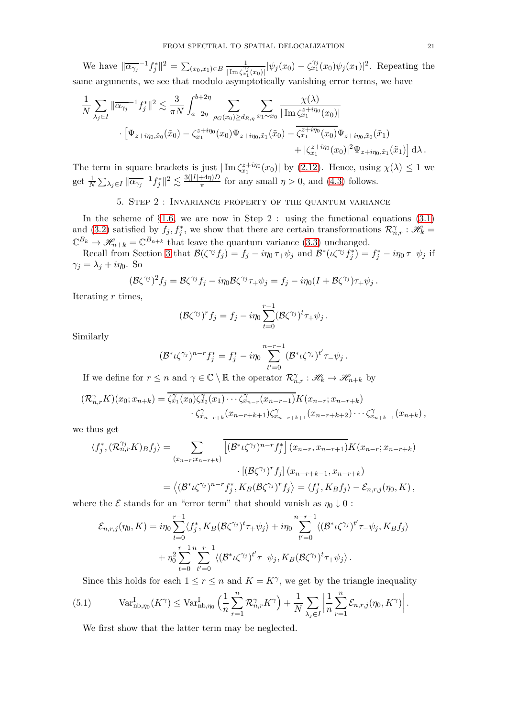We have  $\|\overline{\alpha_{\gamma_j}}^{-1}f_j^*\|^2 = \sum_{(x_0,x_1)\in B} \frac{1}{\|\text{Im}\,\overline{\zeta_j}\|^2}$  $\frac{1}{|\text{Im}\,\zeta_{x_1}^{\gamma_j}(x_0)|}|\psi_j(x_0)-\zeta_{x_1}^{\gamma_j}(x_0)\psi_j(x_1)|^2$ . Repeating the same arguments, we see that modulo asymptotically vanishing error terms, we have

$$
\frac{1}{N} \sum_{\lambda_j \in I} \|\overline{\alpha_{\gamma_j}}^{-1} f_j^*\|^2 \lesssim \frac{3}{\pi N} \int_{a-2\eta}^{b+2\eta} \sum_{\rho_G(x_0) \ge d_{R,\eta}} \sum_{x_1 \sim x_0} \frac{\chi(\lambda)}{|\operatorname{Im} \zeta_{x_1}^{z+i\eta_0}(x_0)|} \cdot [\Psi_{z+i\eta_0,\tilde{x}_0}(\tilde{x}_0) - \zeta_{x_1}^{z+i\eta_0}(x_0) \Psi_{z+i\eta_0,\tilde{x}_1}(\tilde{x}_0) - \zeta_{x_1}^{z+i\eta_0}(x_0) \Psi_{z+i\eta_0,\tilde{x}_0}(\tilde{x}_1) + |\zeta_{x_1}^{z+i\eta_0}(x_0)|^2 \Psi_{z+i\eta_0,\tilde{x}_1}(\tilde{x}_1) d\lambda.
$$

The term in square brackets is just  $|\text{Im }\zeta_{x_1}^{z+i\eta_0}(x_0)|$  by [\(2.12\)](#page-11-7). Hence, using  $\chi(\lambda) \leq 1$  we get  $\frac{1}{N}\sum_{\lambda_j\in I}\|\overline{\alpha_{\gamma_j}}^{-1}f_j^*\|^2\lesssim \frac{3(|I|+4\eta)D}{\pi}$  $\frac{f(4\eta)D}{\pi}$  for any small  $\eta > 0$ , and [\(4.3\)](#page-15-1) follows.

# 5. Step 2 : Invariance property of the quantum variance

<span id="page-20-0"></span>In the scheme of  $\S1.6$ , we are now in Step 2 : using the functional equations  $(3.1)$ and [\(3.2\)](#page-13-2) satisfied by  $f_j, f_j^*$ , we show that there are certain transformations  $\mathcal{R}_{n,r}^{\gamma}$  :  $\mathscr{H}_k$  =  $\mathbb{C}^{B_k} \to \mathscr{H}_{n+k} = \mathbb{C}^{B_{n+k}}$  that leave the quantum variance [\(3.3\)](#page-13-0) unchanged.

Recall from Section [3](#page-12-0) that  $\mathcal{B}(\zeta^{\gamma_j} f_j) = f_j - i\eta_0 \tau_+ \psi_j$  and  $\mathcal{B}^*(\iota \zeta^{\gamma_j} f_j^*) = f_j^* - i\eta_0 \tau_- \psi_j$  if  $\gamma_i = \lambda_i + i\eta_0$ . So

$$
(\mathcal{B}\zeta^{\gamma_j})^2f_j=\mathcal{B}\zeta^{\gamma_j}f_j-i\eta_0\mathcal{B}\zeta^{\gamma_j}\tau_+\psi_j=f_j-i\eta_0(I+\mathcal{B}\zeta^{\gamma_j})\tau_+\psi_j.
$$

Iterating  $r$  times,

$$
(\mathcal{B}\zeta^{\gamma_j})^r f_j = f_j - i\eta_0 \sum_{t=0}^{r-1} (\mathcal{B}\zeta^{\gamma_j})^t \tau_+ \psi_j.
$$

Similarly

$$
(\mathcal{B}^*\iota\zeta^{\gamma_j})^{n-r}f_j^* = f_j^* - i\eta_0 \sum_{t'=0}^{n-r-1} (\mathcal{B}^*\iota\zeta^{\gamma_j})^{t'}\tau_{-}\psi_j.
$$

If we define for  $r \leq n$  and  $\gamma \in \mathbb{C} \setminus \mathbb{R}$  the operator  $\mathcal{R}_{n,r}^{\gamma} : \mathscr{H}_k \to \mathscr{H}_{n+k}$  by

$$
(\mathcal{R}_{n,r}^{\gamma} K)(x_0; x_{n+k}) = \overline{\zeta_{x_1}^{\gamma}(x_0)\zeta_{x_2}^{\gamma}(x_1)\cdots\zeta_{x_{n-r}}^{\gamma}(x_{n-r-1})}K(x_{n-r}; x_{n-r+k})
$$
  

$$
\zeta_{x_{n-r+k}}^{\gamma}(x_{n-r+k+1})\zeta_{x_{n-r+k+1}}^{\gamma}(x_{n-r+k+2})\cdots\zeta_{x_{n+k-1}}^{\gamma}(x_{n+k}),
$$

we thus get

$$
\langle f_j^*, (\mathcal{R}_{n,r}^{\gamma_j} K) g f_j \rangle = \sum_{(x_{n-r}; x_{n-r+k})} \overline{\left[ (\mathcal{B}^* \iota \zeta^{\gamma_j})^{n-r} f_j^* \right] (x_{n-r}, x_{n-r+1})} K(x_{n-r}; x_{n-r+k})
$$

$$
\cdot \left[ (\mathcal{B} \zeta^{\gamma_j})^r f_j \right] (x_{n-r+k-1}, x_{n-r+k})
$$

$$
= \langle (\mathcal{B}^* \iota \zeta^{\gamma_j})^{n-r} f_j^*, K_B (\mathcal{B} \zeta^{\gamma_j})^r f_j \rangle = \langle f_j^*, K_B f_j \rangle - \mathcal{E}_{n,r,j}(\eta_0, K),
$$

where the  $\mathcal E$  stands for an "error term" that should vanish as  $\eta_0 \downarrow 0$ :

$$
\mathcal{E}_{n,r,j}(\eta_0, K) = i\eta_0 \sum_{t=0}^{r-1} \langle f_j^*, K_B(\mathcal{B}\zeta^{\gamma_j})^t \tau_+ \psi_j \rangle + i\eta_0 \sum_{t'=0}^{n-r-1} \langle (\mathcal{B}^* \iota \zeta^{\gamma_j})^{t'} \tau_- \psi_j, K_B f_j \rangle
$$
  
+ 
$$
\eta_0^2 \sum_{t=0}^{r-1} \sum_{t'=0}^{n-r-1} \langle (\mathcal{B}^* \iota \zeta^{\gamma_j})^{t'} \tau_- \psi_j, K_B(\mathcal{B}\zeta^{\gamma_j})^t \tau_+ \psi_j \rangle.
$$

<span id="page-20-1"></span>Since this holds for each  $1 \le r \le n$  and  $K = K^{\gamma}$ , we get by the triangle inequality

(5.1) 
$$
\text{Var}_{\text{nb},\eta_0}^{\text{I}}(K^{\gamma}) \leq \text{Var}_{\text{nb},\eta_0}^{\text{I}}\left(\frac{1}{n}\sum_{r=1}^{n} \mathcal{R}_{n,r}^{\gamma} K^{\gamma}\right) + \frac{1}{N} \sum_{\lambda_j \in I} \left|\frac{1}{n}\sum_{r=1}^{n} \mathcal{E}_{n,r,j}(\eta_0, K^{\gamma})\right|.
$$

We first show that the latter term may be neglected.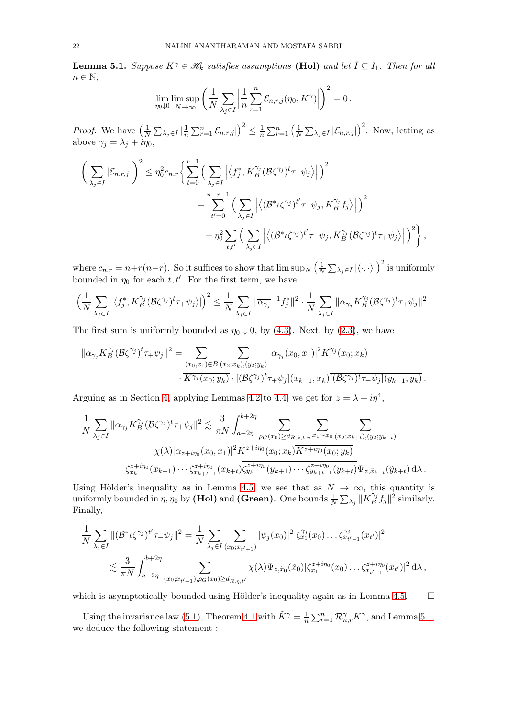<span id="page-21-0"></span>**Lemma 5.1.** *Suppose*  $K^{\gamma} \in \mathcal{H}_k$  *satisfies assumptions* (Hol) *and let*  $\overline{I} \subseteq I_1$ *. Then for all*  $n \in \mathbb{N}$ ,

$$
\lim_{\eta_0 \downarrow 0} \limsup_{N \to \infty} \left( \frac{1}{N} \sum_{\lambda_j \in I} \left| \frac{1}{n} \sum_{r=1}^n \mathcal{E}_{n,r,j}(\eta_0, K^{\gamma}) \right| \right)^2 = 0.
$$

*Proof.* We have  $\left(\frac{1}{N}\right)$  $\frac{1}{N}\sum_{\lambda_j\in I}\big|\frac{1}{n}$  $\frac{1}{n}\sum_{r=1}^n\mathcal{E}_{n,r,j} |$  $\setminus^2$  $\leq \frac{1}{n}$  $\frac{1}{n} \sum_{r=1}^{n} \left( \frac{1}{N} \right)$  $\frac{1}{N}\sum_{\lambda_j\in I}\left|\mathcal{E}_{n,r,j}\right|$  $\int^2$ . Now, letting as above  $\gamma_i = \lambda_i + i\eta_0$ ,

$$
\left(\sum_{\lambda_j\in I}|\mathcal{E}_{n,r,j}|\right)^2 \leq \eta_0^2 c_{n,r} \bigg\{\sum_{t=0}^{r-1} \Big(\sum_{\lambda_j\in I} \Big|\big\langle f_j^*, K_B^{\gamma_j}(\mathcal{B}\zeta^{\gamma_j})^t\tau_+\psi_j\big\rangle\Big|\Big)^2 + \sum_{t'=0}^{n-r-1} \Big(\sum_{\lambda_j\in I} \Big|\big\langle(\mathcal{B}^*\iota\zeta^{\gamma_j})^{t'}\tau_-\psi_j, K_B^{\gamma_j}f_j\big\rangle\Big|\Big)^2 + \eta_0^2 \sum_{t,t'} \Big(\sum_{\lambda_j\in I} \Big|\big\langle(\mathcal{B}^*\iota\zeta^{\gamma_j})^{t'}\tau_-\psi_j, K_B^{\gamma_j}(\mathcal{B}\zeta^{\gamma_j})^t\tau_+\psi_j\big\rangle\Big|\Big)^2\bigg\},
$$

where  $c_{n,r} = n+r(n-r)$ . So it suffices to show that  $\limsup_{N} \left(\frac{1}{N}\right)$  $\frac{1}{N}\sum_{\lambda_j\in I}\left|\left\langle \cdot,\cdot\right\rangle \right|\right)^2$  is uniformly bounded in  $\eta_0$  for each  $t, t'$ . For the first term, we have

$$
\left(\frac{1}{N}\sum_{\lambda_j\in I}|\langle f_j^*,K_B^{\gamma_j}(\mathcal{B}\zeta^{\gamma_j})^t\tau_+\psi_j\rangle|\right)^2\leq \frac{1}{N}\sum_{\lambda_j\in I}\|\overline{\alpha_{\gamma_j}}^{-1}f_j^*\|^2\cdot \frac{1}{N}\sum_{\lambda_j\in I}\|\alpha_{\gamma_j}K_B^{\gamma_j}(\mathcal{B}\zeta^{\gamma_j})^t\tau_+\psi_j\|^2\,.
$$

The first sum is uniformly bounded as  $\eta_0 \downarrow 0$ , by [\(4.3\)](#page-15-1). Next, by [\(2.3\)](#page-10-2), we have

$$
\|\alpha_{\gamma_j} K_B^{\gamma_j}(\mathcal{B}\zeta^{\gamma_j})^t \tau_+ \psi_j\|^2 = \sum_{(x_0, x_1) \in B} \sum_{(x_2, x_k), (y_2, y_k)} |\alpha_{\gamma_j}(x_0, x_1)|^2 K^{\gamma_j}(x_0; x_k) \cdot \overline{K^{\gamma_j}(x_0; y_k)} \cdot [(\mathcal{B}\zeta^{\gamma_j})^t \tau_+ \psi_j](x_{k-1}, x_k) \overline{[(\mathcal{B}\zeta^{\gamma_j})^t \tau_+ \psi_j](y_{k-1}, y_k)}.
$$

Arguing as in Section [4,](#page-14-0) applying Lemmas [4.2](#page-16-1) to [4.4,](#page-17-0) we get for  $z = \lambda + i\eta^4$ ,

$$
\frac{1}{N} \sum_{\lambda_j \in I} \|\alpha_{\gamma_j} K_B^{\gamma_j}(\mathcal{B}\zeta^{\gamma_j})^t \tau_+ \psi_j\|^2 \lesssim \frac{3}{\pi N} \int_{a-2\eta}^{b+2\eta} \sum_{\rho_G(x_0) \ge d_{R,k,t,\eta}} \sum_{x_1 \sim x_0} \sum_{(x_2; x_{k+t}), (y_2; y_{k+t})} \chi(\lambda) |\alpha_{z+ i\eta_0}(x_0, x_1)|^2 K^{z+i\eta_0}(x_0; x_k) K^{z+i\eta_0}(x_0; y_k)
$$

$$
\zeta_{x_k}^{z+i\eta_0}(x_{k+1}) \cdots \zeta_{x_{k+t-1}}^{z+i\eta_0}(x_{k+t}) \overline{\zeta_{y_k}^{z+i\eta_0}(y_{k+1}) \cdots \zeta_{y_{k+t-1}}^{z+i\eta_0}(y_{k+t})} \Psi_{z, \tilde{x}_{k+t}}(\tilde{y}_{k+t}) d\lambda.
$$

Using Hölder's inequality as in Lemma [4.5,](#page-18-1) we see that as  $N \to \infty$ , this quantity is uniformly bounded in  $\eta$ ,  $\eta_0$  by (Hol) and (Green). One bounds  $\frac{1}{N} \sum_{\lambda_j} ||K_B^{\gamma_j}||$  $\int_B^{\gamma_j} f_j \|^2$  similarly. Finally,

$$
\frac{1}{N} \sum_{\lambda_j \in I} \| (\mathcal{B}^* \iota \zeta^{\gamma_j})^{t'} \tau_{-} \psi_j \|^2 = \frac{1}{N} \sum_{\lambda_j \in I} \sum_{(x_0; x_{t'+1})} |\psi_j(x_0)|^2 |\zeta_{x_1}^{\gamma_j}(x_0) \dots \zeta_{x_{t'-1}}^{\gamma_j}(x_{t'})|^2 \n\lesssim \frac{3}{\pi N} \int_{a-2\eta}^{b+2\eta} \sum_{(x_0; x_{t'+1}), \rho \in (x_0) \ge d_{R,\eta,t'}} \chi(\lambda) \Psi_{z,\tilde{x}_0}(\tilde{x}_0) |\zeta_{x_1}^{z+i\eta_0}(x_0) \dots \zeta_{x_{t'-1}}^{z+i\eta_0}(x_{t'})|^2 d\lambda,
$$

which is asymptotically bounded using Hölder's inequality again as in Lemma [4.5.](#page-18-1)  $\Box$ 

Using the invariance law [\(5.1\)](#page-20-1), Theorem [4.1](#page-14-2) with  $\tilde{K}^{\gamma} = \frac{1}{n}$  $\frac{1}{n} \sum_{r=1}^{n} \mathcal{R}_{n,r}^{\gamma} K^{\gamma}$ , and Lemma [5.1,](#page-21-0) we deduce the following statement :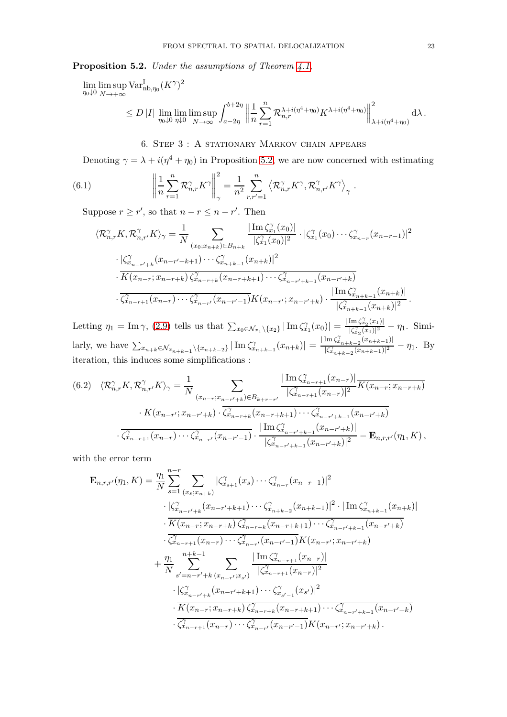<span id="page-22-1"></span>Proposition 5.2. *Under the assumptions of Theorem [4.1,](#page-14-2)*

$$
\lim_{\eta_0 \downarrow 0} \limsup_{N \to +\infty} \text{Var}_{\text{nb}, \eta_0}^{\text{I}} (K^{\gamma})^2
$$
\n
$$
\leq D |I| \lim_{\eta_0 \downarrow 0} \lim_{\eta_1 \downarrow 0} \limsup_{N \to \infty} \int_{a-2\eta}^{b+2\eta} \left\| \frac{1}{n} \sum_{r=1}^n \mathcal{R}_{n,r}^{\lambda + i(\eta^4 + \eta_0)} K^{\lambda + i(\eta^4 + \eta_0)} \right\|_{\lambda + i(\eta^4 + \eta_0)}^2 d\lambda.
$$

# <span id="page-22-2"></span>6. Step 3 : A stationary Markov chain appears

<span id="page-22-0"></span>Denoting  $\gamma = \lambda + i(\eta^4 + \eta_0)$  in Proposition [5.2,](#page-22-1) we are now concerned with estimating

(6.1) 
$$
\left\| \frac{1}{n} \sum_{r=1}^{n} \mathcal{R}_{n,r}^{\gamma} K^{\gamma} \right\|_{\gamma}^{2} = \frac{1}{n^{2}} \sum_{r,r'=1}^{n} \left\langle \mathcal{R}_{n,r}^{\gamma} K^{\gamma}, \mathcal{R}_{n,r'}^{\gamma} K^{\gamma} \right\rangle_{\gamma}.
$$

Suppose  $r \ge r'$ , so that  $n - r \le n - r'$ . Then

$$
\langle \mathcal{R}_{n,r}^{\gamma} K, \mathcal{R}_{n,r'}^{\gamma} K \rangle_{\gamma} = \frac{1}{N} \sum_{(x_0; x_{n+k}) \in B_{n+k}} \frac{|\operatorname{Im} \zeta_{x_1}^{\gamma}(x_0)|}{|\zeta_{x_1}^{\gamma}(x_0)|^2} \cdot |\zeta_{x_1}^{\gamma}(x_0) \cdots \zeta_{x_{n-r}}^{\gamma}(x_{n-r-1})|^2
$$

$$
\cdot |\zeta_{x_{n-r'+k}}^{\gamma}(x_{n-r'+k+1}) \cdots \zeta_{x_{n+k-1}}^{\gamma}(x_{n+k})|^2
$$

$$
\cdot \overline{K(x_{n-r}; x_{n-r+k})} \zeta_{x_{n-r+k}}^{\gamma}(x_{n-r+k+1}) \cdots \zeta_{x_{n-r'+k-1}}^{\gamma}(x_{n-r'+k})
$$

$$
\cdot \frac{|\operatorname{Im} \zeta_{x_{n+k-1}}^{\gamma}(x_{n+k})|}{|\zeta_{x_{n+k-1}}^{\gamma}(x_{n+k})|^2}.
$$

Letting  $\eta_1 = \text{Im }\gamma$ , [\(2.9\)](#page-11-8) tells us that  $\sum_{x_0 \in \mathcal{N}_{x_1} \setminus \{x_2\}} |\text{Im }\zeta_{x_1}^{\gamma}(x_0)| = \frac{|\text{Im }\zeta_{x_2}^{\gamma}(x_1)|}{|\zeta_{x_2}^{\gamma}(x_1)|^2}$  $\frac{\lim_{x_2}(x_1)}{|\zeta_{x_2}^{\gamma}(x_1)|^2} - \eta_1$ . Similarly, we have  $\sum_{x_{n+k} \in \mathcal{N}_{x_{n+k-1}} \backslash \{x_{n+k-2}\}} |\operatorname{Im} \zeta_{x_{n+k-1}}^{\gamma}(x_{n+k})| = \frac{|\operatorname{Im} \zeta_{x_{n+k-2}}^{\gamma}(x_{n+k-1})|}{|\zeta_{x_{n+k-2}}^{\gamma}(x_{n+k-1})|^2}$  $\frac{|\zeta_{n+k-2}^{\gamma}(x_{n+k-1})|^2}{|\zeta_{n+k-2}^{\gamma}(x_{n+k-1})|^2} - \eta_1$ . By iteration, this induces some simplifications :

$$
(6.2) \quad \langle \mathcal{R}_{n,r}^{\gamma} K, \mathcal{R}_{n,r'}^{\gamma} K \rangle_{\gamma} = \frac{1}{N} \sum_{(x_{n-r}; x_{n-r'+k}) \in B_{k+r-r'}} \frac{|\operatorname{Im} \zeta_{x_{n-r+1}}^{\gamma}(x_{n-r})|}{|\zeta_{x_{n-r+1}}^{\gamma}(x_{n-r})|^2} \overline{K(x_{n-r}; x_{n-r+k})} \n\cdot K(x_{n-r'}; x_{n-r'+k}) \cdot \overline{\zeta_{x_{n-r+k}}^{\gamma}(x_{n-r+k+1}) \cdots \zeta_{x_{n-r'+k-1}}^{\gamma}(x_{n-r'+k})} \n\cdot \overline{\zeta_{x_{n-r+1}}^{\gamma}(x_{n-r}) \cdots \zeta_{x_{n-r'}}} (x_{n-r'-1}) \cdot \frac{|\operatorname{Im} \zeta_{x_{n-r'+k-1}}^{\gamma}(x_{n-r'+k})|}{|\zeta_{x_{n-r'+k-1}}^{\gamma}(x_{n-r'+k})|^2} - \mathbf{E}_{n,r,r'}(\eta_1, K),
$$

with the error term

$$
\mathbf{E}_{n,r,r'}(\eta_1, K) = \frac{\eta_1}{N} \sum_{s=1}^{n-r} \sum_{(x_s; x_{n+k})} |\zeta_{x_{s+1}}^{\gamma}(x_s) \cdots \zeta_{x_{n-r}}^{\gamma}(x_{n-r-1})|^2
$$
\n
$$
\cdot \frac{|\zeta_{x_{n-r'+k}}^{\gamma}(x_{n-r'+k+1}) \cdots \zeta_{x_{n+k-2}}^{\gamma}(x_{n+k-1})|^2 \cdot |\operatorname{Im} \zeta_{x_{n+k-1}}^{\gamma}(x_{n+k})|}{\cdot K(x_{n-r}; x_{n-r+k}) \zeta_{x_{n-r+k}}^{\gamma}(x_{n-r+k+1}) \cdots \zeta_{x_{n-r'+k-1}}^{\gamma}(x_{n-r'+k})}
$$
\n
$$
\cdot \frac{\zeta_{x_{n-r+1}}^{\gamma}(x_{n-r}) \cdots \zeta_{x_{n-r'}}^{\gamma}(x_{n-r'-1}) K(x_{n-r'}; x_{n-r'+k})}{|\zeta_{x_{n-r+1}}^{\gamma}(x_{n-r})|^2}
$$
\n
$$
\cdot \frac{\eta_1}{\zeta_{x_{n-r'+k}}^{\gamma}(x_{n-r'+k+1}) \cdots \zeta_{x_{s'-1}}^{\gamma}(x_{s'})|^2}{|\zeta_{x_{n-r+1}}^{\gamma}(x_{n-r})|^2}
$$
\n
$$
\cdot \frac{|\zeta_{x_{n-r'+k}}^{\gamma}(x_{n-r'+k+1}) \cdots \zeta_{x_{s'-1}}^{\gamma}(x_{s'})|^2}{\cdot \zeta_{x_{n-r'+k}}^{\gamma}(x_{n-r+k}) \zeta_{x_{n-r+k}}^{\gamma}(x_{n-r+k+1}) \cdots \zeta_{x_{n-r'+k-1}}^{\gamma}(x_{n-r'+k})}
$$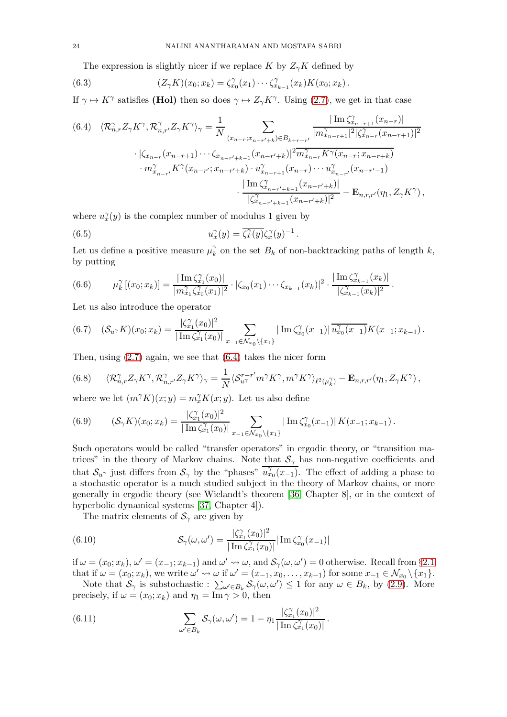<span id="page-23-8"></span>The expression is slightly nicer if we replace K by  $Z_{\gamma}K$  defined by

(6.3) 
$$
(Z_{\gamma}K)(x_0; x_k) = \zeta_{x_0}^{\gamma}(x_1) \cdots \zeta_{x_{k-1}}^{\gamma}(x_k) K(x_0; x_k).
$$

If  $\gamma \mapsto K^{\gamma}$  satisfies (Hol) then so does  $\gamma \mapsto Z_{\gamma} K^{\gamma}$ . Using [\(2.7\)](#page-11-9), we get in that case

<span id="page-23-0"></span>
$$
(6.4) \langle \mathcal{R}_{n,r}^{\gamma} Z_{\gamma} K^{\gamma}, \mathcal{R}_{n,r'}^{\gamma} Z_{\gamma} K^{\gamma} \rangle_{\gamma} = \frac{1}{N} \sum_{(x_{n-r}; x_{n-r'+k}) \in B_{k+r-r'}} \frac{|\operatorname{Im} \zeta_{x_{n-r+1}}^{\gamma}(x_{n-r})|}{|m_{x_{n-r+1}}^{\gamma}|^{2} |\zeta_{x_{n-r}}^{\gamma}(x_{n-r+1})|^{2}} \cdot |\zeta_{x_{n-r}}(x_{n-r+1}) \cdots \zeta_{x_{n-r'+k-1}}(x_{n-r'+k})|^{2} \frac{m_{x_{n-r}}^{\gamma} K^{\gamma}(x_{n-r}; x_{n-r+k})}{|m_{x_{n-r+1}}^{\gamma}(x_{n-r}) \cdots m_{x_{n-r'}}^{\gamma}(x_{n-r'-1})} \cdot \frac{|\operatorname{Im} \zeta_{x_{n-r'+k-1}}^{\gamma}(x_{n-r'}) \cdots w_{x_{n-r'}}^{\gamma}(x_{n-r'-1})|}{|\zeta_{x_{n-r'+k-1}}^{\gamma}(x_{n-r'+k})|^{2}} - \mathbf{E}_{n,r,r'}(\eta_{1}, Z_{\gamma} K^{\gamma}),
$$

where  $u_x^{\gamma}(y)$  is the complex number of modulus 1 given by

(6.5) 
$$
u_x^{\gamma}(y) = \overline{\zeta_x^{\gamma}(y)} \zeta_x^{\gamma}(y)^{-1}
$$

Let us define a positive measure  $\mu_k^{\gamma}$  $\chi_k^{\gamma}$  on the set  $B_k$  of non-backtracking paths of length  $k$ , by putting

<span id="page-23-6"></span>.

<span id="page-23-1"></span>
$$
(6.6) \qquad \mu_k^{\gamma}[(x_0;x_k)] = \frac{|\operatorname{Im} \zeta_{x_1}^{\gamma}(x_0)|}{|m_{x_1}^{\gamma}\zeta_{x_0}^{\gamma}(x_1)|^2} \cdot |\zeta_{x_0}(x_1)\cdots\zeta_{x_{k-1}}(x_k)|^2 \cdot \frac{|\operatorname{Im} \zeta_{x_{k-1}}^{\gamma}(x_k)|}{|\zeta_{x_{k-1}}^{\gamma}(x_k)|^2}.
$$

Let us also introduce the operator

<span id="page-23-4"></span>
$$
(6.7) \quad (\mathcal{S}_{u} \wedge K)(x_0; x_k) = \frac{|\zeta_{x_1}^{\gamma}(x_0)|^2}{|\operatorname{Im} \zeta_{x_1}^{\gamma}(x_0)|} \sum_{x_{-1} \in \mathcal{N}_{x_0} \setminus \{x_1\}} |\operatorname{Im} \zeta_{x_0}^{\gamma}(x_{-1})| \overline{u_{x_0}^{\gamma}(x_{-1})} K(x_{-1}; x_{k-1}).
$$

Then, using [\(2.7\)](#page-11-9) again, we see that [\(6.4\)](#page-23-0) takes the nicer form

<span id="page-23-2"></span>(6.8) 
$$
\langle \mathcal{R}_{n,r}^{\gamma} Z_{\gamma} K^{\gamma}, \mathcal{R}_{n,r'}^{\gamma} Z_{\gamma} K^{\gamma} \rangle_{\gamma} = \frac{1}{N} \langle \mathcal{S}_{u\gamma}^{r-r'} m^{\gamma} K^{\gamma}, m^{\gamma} K^{\gamma} \rangle_{\ell^{2}(\mu_{k}^{\gamma})} - \mathbf{E}_{n,r,r'}(\eta_{1}, Z_{\gamma} K^{\gamma}),
$$

where we let  $(m^{\gamma} K)(x; y) = m_x^{\gamma} K(x; y)$ . Let us also define

<span id="page-23-5"></span>(6.9) 
$$
(\mathcal{S}_{\gamma}K)(x_0;x_k) = \frac{|\zeta_{x_1}^{\gamma}(x_0)|^2}{|\operatorname{Im}\zeta_{x_1}^{\gamma}(x_0)|}\sum_{x_{-1}\in\mathcal{N}_{x_0}\backslash\{x_1\}}|\operatorname{Im}\zeta_{x_0}^{\gamma}(x_{-1})|K(x_{-1};x_{k-1}).
$$

Such operators would be called "transfer operators" in ergodic theory, or "transition matrices" in the theory of Markov chains. Note that  $S_{\gamma}$  has non-negative coefficients and that  $S_{u}$  just differs from  $S_{\gamma}$  by the "phases"  $\overline{u_{x_0}^{\gamma}(x_{-1})}$ . The effect of adding a phase to a stochastic operator is a much studied subject in the theory of Markov chains, or more generally in ergodic theory (see Wielandt's theorem [\[36,](#page-55-27) Chapter 8], or in the context of hyperbolic dynamical systems [\[37,](#page-55-28) Chapter 4]).

<span id="page-23-3"></span>The matrix elements of  $S_{\gamma}$  are given by

(6.10) 
$$
\mathcal{S}_{\gamma}(\omega, \omega') = \frac{|\zeta_{x_1}^{\gamma}(x_0)|^2}{|\operatorname{Im}\zeta_{x_1}^{\gamma}(x_0)|} |\operatorname{Im}\zeta_{x_0}^{\gamma}(x_{-1})|
$$

if  $\omega = (x_0; x_k)$ ,  $\omega' = (x_{-1}; x_{k-1})$  and  $\omega' \leadsto \omega$ , and  $\mathcal{S}_{\gamma}(\omega, \omega') = 0$  otherwise. Recall from §[2.1](#page-9-1) that if  $\omega = (x_0; x_k)$ , we write  $\omega' \leadsto \omega$  if  $\omega' = (x_{-1}, x_0, \ldots, x_{k-1})$  for some  $x_{-1} \in \mathcal{N}_{x_0} \setminus \{x_1\}$ .

Note that  $S_\gamma$  is substochastic :  $\sum_{\omega' \in B_k} S_\gamma(\omega, \omega') \le 1$  for any  $\omega \in B_k$ , by [\(2.9\)](#page-11-8). More precisely, if  $\omega = (x_0; x_k)$  and  $\eta_1 = \text{Im } \gamma > 0$ , then

<span id="page-23-7"></span>(6.11) 
$$
\sum_{\omega' \in B_k} S_{\gamma}(\omega, \omega') = 1 - \eta_1 \frac{|\zeta_{x_1}^{\gamma}(x_0)|^2}{|\operatorname{Im} \zeta_{x_1}^{\gamma}(x_0)|}.
$$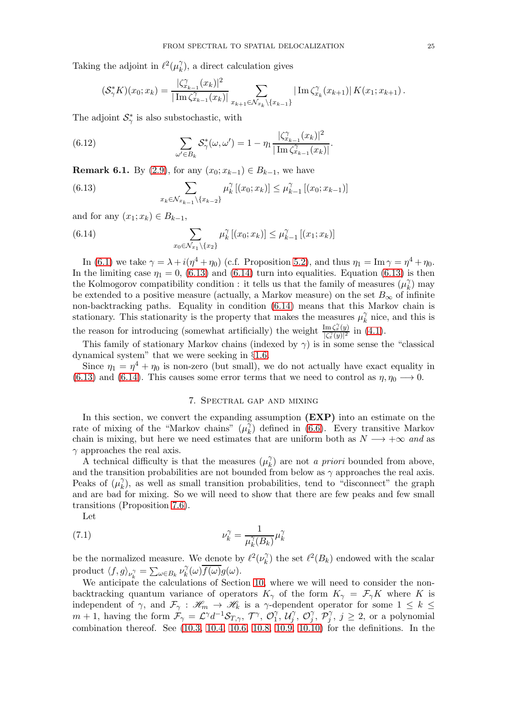Taking the adjoint in  $\ell^2(\mu_k^{\gamma})$  $\binom{\gamma}{k}$ , a direct calculation gives

<span id="page-24-3"></span>
$$
(\mathcal{S}_{\gamma}^* K)(x_0; x_k) = \frac{|\zeta_{x_{k-1}}^{\gamma}(x_k)|^2}{|\operatorname{Im} \zeta_{x_{k-1}}^{\gamma}(x_k)|} \sum_{x_{k+1} \in \mathcal{N}_{x_k} \setminus \{x_{k-1}\}} |\operatorname{Im} \zeta_{x_k}^{\gamma}(x_{k+1})| K(x_1; x_{k+1}).
$$

The adjoint  $\mathcal{S}_{\gamma}^*$  is also substochastic, with

(6.12) 
$$
\sum_{\omega' \in B_k} S_{\gamma}^*(\omega, \omega') = 1 - \eta_1 \frac{|\zeta_{x_{k-1}}^{\gamma}(x_k)|^2}{|\operatorname{Im} \zeta_{x_{k-1}}^{\gamma}(x_k)|}.
$$

<span id="page-24-0"></span>**Remark 6.1.** By [\(2.9\)](#page-11-8), for any  $(x_0; x_{k-1}) \in B_{k-1}$ , we have

<span id="page-24-1"></span>(6.13) 
$$
\sum_{x_k \in \mathcal{N}_{x_{k-1}} \setminus \{x_{k-2}\}} \mu_k^{\gamma} [(x_0; x_k)] \leq \mu_{k-1}^{\gamma} [(x_0; x_{k-1})]
$$

and for any  $(x_1; x_k) \in B_{k-1}$ ,

<span id="page-24-2"></span>(6.14) 
$$
\sum_{x_0 \in \mathcal{N}_{x_1} \backslash \{x_2\}} \mu_k^{\gamma} [(x_0; x_k)] \le \mu_{k-1}^{\gamma} [(x_1; x_k)]
$$

In [\(6.1\)](#page-22-2) we take  $\gamma = \lambda + i(\eta^4 + \eta_0)$  (c.f. Proposition [5.2\)](#page-22-1), and thus  $\eta_1 = \text{Im } \gamma = \eta^4 + \eta_0$ . In the limiting case  $\eta_1 = 0$ , [\(6.13\)](#page-24-1) and [\(6.14\)](#page-24-2) turn into equalities. Equation (6.13) is then the Kolmogorov compatibility condition : it tells us that the family of measures  $(\mu_k^{\gamma})$  $\binom{\gamma}{k}$  may be extended to a positive measure (actually, a Markov measure) on the set  $B_{\infty}$  of infinite non-backtracking paths. Equality in condition [\(6.14\)](#page-24-2) means that this Markov chain is stationary. This stationarity is the property that makes the measures  $\mu_k^{\gamma}$  $\chi$ <sup>7</sup> nice, and this is the reason for introducing (somewhat artificially) the weight  $\frac{\text{Im}\zeta_x^{\gamma}(y)}{|z^{\gamma}(y)|^2}$  $\frac{\lim (x, (y))}{(x, (y))^{2}}$  in  $(4.1)$ .

This family of stationary Markov chains (indexed by  $\gamma$ ) is in some sense the "classical dynamical system" that we were seeking in §[1.6.](#page-8-0)

<span id="page-24-4"></span>Since  $\eta_1 = \eta^4 + \eta_0$  is non-zero (but small), we do not actually have exact equality in [\(6.13\)](#page-24-1) and [\(6.14\)](#page-24-2). This causes some error terms that we need to control as  $\eta, \eta_0 \longrightarrow 0$ .

### <span id="page-24-5"></span>7. Spectral gap and mixing

In this section, we convert the expanding assumption  $(EXP)$  into an estimate on the rate of mixing of the "Markov chains"  $(\mu_k^{\gamma})$  $\chi_{k}^{\gamma}$  defined in [\(6.6\)](#page-23-1). Every transitive Markov chain is mixing, but here we need estimates that are uniform both as  $N \longrightarrow +\infty$  and as  $\gamma$  approaches the real axis.

A technical difficulty is that the measures  $(\mu_k^{\gamma})$  $\binom{\gamma}{k}$  are not *a priori* bounded from above, and the transition probabilities are not bounded from below as  $\gamma$  approaches the real axis. Peaks of  $(\mu_k^{\gamma})$  $\chi$ ), as well as small transition probabilities, tend to "disconnect" the graph and are bad for mixing. So we will need to show that there are few peaks and few small transitions (Proposition [7.6\)](#page-28-0).

Let

(7.1) 
$$
\nu_k^{\gamma} = \frac{1}{\mu_k^{\gamma}(B_k)} \mu_k^{\gamma}
$$

be the normalized measure. We denote by  $\ell^2(\nu_k^{\gamma})$  $\binom{\gamma}{k}$  the set  $\ell^2(B_k)$  endowed with the scalar product  $\langle f, g \rangle_{\nu_k^{\gamma}} = \sum_{\omega \in B_k} \nu_k^{\gamma}$  $g_k^\gamma(\omega) f(\omega) g(\omega).$ 

We anticipate the calculations of Section [10,](#page-42-0) where we will need to consider the nonbacktracking quantum variance of operators  $K_{\gamma}$  of the form  $K_{\gamma} = \mathcal{F}_{\gamma}K$  where K is independent of  $\gamma$ , and  $\mathcal{F}_{\gamma}$  :  $\mathcal{H}_m \to \mathcal{H}_k$  is a  $\gamma$ -dependent operator for some  $1 \leq k \leq$  $m + 1$ , having the form  $\mathcal{F}_{\gamma} = \mathcal{L}^{\gamma} d^{-1} \mathcal{S}_{T,\gamma}, \ \mathcal{T}^{\gamma}, \ \mathcal{O}_{1}^{\gamma}$  $\stackrel{\gamma}{_{1}},\stackrel{\tau}{\mathcal{U}_{j}}$  $\hat{j}$ ,  $\mathcal{O}_j^{\gamma}$  $\stackrel{\gamma}{j},\stackrel{\tau}{\mathcal{P}_j^\gamma}$  $j^{\gamma}, j \geq 2$ , or a polynomial combination thereof. See [\(10.3,](#page-42-2) [10.4,](#page-43-0) [10.6,](#page-44-0) [10.8,](#page-44-1) [10.9,](#page-44-2) [10.10\)](#page-44-3) for the definitions. In the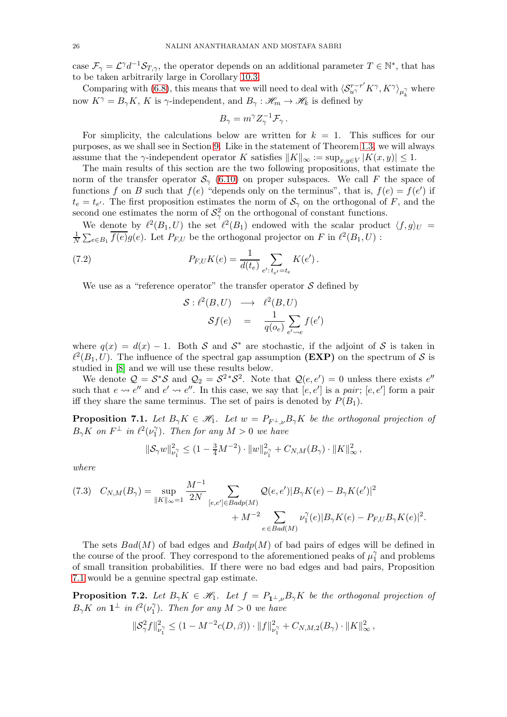case  $\mathcal{F}_{\gamma} = \mathcal{L}^{\gamma} d^{-1} \mathcal{S}_{T,\gamma}$ , the operator depends on an additional parameter  $T \in \mathbb{N}^*$ , that has to be taken arbitrarily large in Corollary [10.3.](#page-46-0)

Comparing with [\(6.8\)](#page-23-2), this means that we will need to deal with  $\langle S^{r-r'}_{u\gamma} K^{\gamma}, K^{\gamma} \rangle_{\mu_k^{\gamma}}$  where now  $K^{\gamma} = B_{\gamma} K$ , K is  $\gamma$ -independent, and  $B_{\gamma} : \mathscr{H}_{m} \to \mathscr{H}_{k}$  is defined by

$$
B_{\gamma} = m^{\gamma} Z_{\gamma}^{-1} \mathcal{F}_{\gamma}.
$$

For simplicity, the calculations below are written for  $k = 1$ . This suffices for our purposes, as we shall see in Section [9.](#page-34-0) Like in the statement of Theorem [1.3,](#page-4-2) we will always assume that the  $\gamma$ -independent operator K satisfies  $||K||_{\infty} := \sup_{x,y \in V} |K(x,y)| \leq 1$ .

The main results of this section are the two following propositions, that estimate the norm of the transfer operator  $S_\gamma$  [\(6.10\)](#page-23-3) on proper subspaces. We call F the space of functions f on B such that  $f(e)$  "depends only on the terminus", that is,  $f(e) = f(e')$  if  $t_e = t_{e'}$ . The first proposition estimates the norm of  $S_\gamma$  on the orthogonal of F, and the second one estimates the norm of  $S^2_\gamma$  on the orthogonal of constant functions.

We denote by  $\ell^2(B_1, U)$  the set  $\ell^2(B_1)$  endowed with the scalar product  $\langle f, g \rangle_U =$ 1  $\frac{1}{N}\sum_{e\in B_1} \overline{f(e)}g(e)$ . Let  $P_{F,U}$  be the orthogonal projector on F in  $\ell^2(B_1, U)$ :

(7.2) 
$$
P_{F,U}K(e) = \frac{1}{d(t_e)} \sum_{e': t_{e'} = t_e} K(e').
$$

We use as a "reference operator" the transfer operator  $S$  defined by

$$
\begin{array}{rcl}\n\mathcal{S}: \ell^2(B, U) & \longrightarrow & \ell^2(B, U) \\
\mathcal{S}f(e) & = & \frac{1}{q(o_e)} \sum_{e' \sim e} f(e')\n\end{array}
$$

where  $q(x) = d(x) - 1$ . Both S and S<sup>\*</sup> are stochastic, if the adjoint of S is taken in  $\ell^2(B_1, U)$ . The influence of the spectral gap assumption (EXP) on the spectrum of S is studied in [\[8\]](#page-54-12) and we will use these results below.

We denote  $\mathcal{Q} = \mathcal{S}^* \mathcal{S}$  and  $\mathcal{Q}_2 = \mathcal{S}^{2*} \mathcal{S}^2$ . Note that  $\mathcal{Q}(e, e') = 0$  unless there exists  $e''$ such that  $e \leadsto e''$  and  $e' \leadsto e''$ . In this case, we say that  $[e, e']$  is a *pair*;  $[e, e']$  form a pair iff they share the same terminus. The set of pairs is denoted by  $P(B_1)$ .

<span id="page-25-0"></span>**Proposition 7.1.** Let  $B_{\gamma}K \in \mathcal{H}_1$ . Let  $w = P_{F^{\perp}\nu}B_{\gamma}K$  be the orthogonal projection of  $B_{\gamma}K$  on  $F^{\perp}$  in  $\ell^2(\nu_1^{\gamma})$  $\binom{1}{1}$ . Then for any  $M > 0$  we have

$$
\|\mathcal{S}_{\gamma}w\|_{\nu_1^{\gamma}}^2 \le (1 - \frac{3}{4}M^{-2}) \cdot \|w\|_{\nu_1^{\gamma}}^2 + C_{N,M}(B_{\gamma}) \cdot \|K\|_{\infty}^2,
$$

*where*

<span id="page-25-2"></span>
$$
(7.3) \quad C_{N,M}(B_{\gamma}) = \sup_{\|K\|_{\infty}=1} \frac{M^{-1}}{2N} \sum_{[e,e'] \in Badp(M)} \mathcal{Q}(e,e') |B_{\gamma}K(e) - B_{\gamma}K(e')|^2 + M^{-2} \sum_{e \in Bad(M)} \nu_1^{\gamma}(e) |B_{\gamma}K(e) - P_{F,U}B_{\gamma}K(e)|^2.
$$

The sets  $Bad(M)$  of bad edges and  $Badp(M)$  of bad pairs of edges will be defined in the course of the proof. They correspond to the aforementioned peaks of  $\mu_1^{\gamma}$  $\gamma_1^{\gamma}$  and problems of small transition probabilities. If there were no bad edges and bad pairs, Proposition [7.1](#page-25-0) would be a genuine spectral gap estimate.

<span id="page-25-1"></span>**Proposition 7.2.** Let  $B_{\gamma}K \in \mathcal{H}_1$ . Let  $f = P_{1^{\perp},\nu}B_{\gamma}K$  be the orthogonal projection of  $B_{\gamma} K$  on  $\mathbf{1}^{\perp}$  in  $\ell^2(\nu_1^{\gamma})$  $\binom{\gamma}{1}$ . Then for any  $M > 0$  we have

$$
\|\mathcal{S}_{\gamma}^2 f\|_{\nu_1^{\gamma}}^2 \le (1 - M^{-2}c(D, \beta)) \cdot \|f\|_{\nu_1^{\gamma}}^2 + C_{N,M,2}(B_{\gamma}) \cdot \|K\|_{\infty}^2,
$$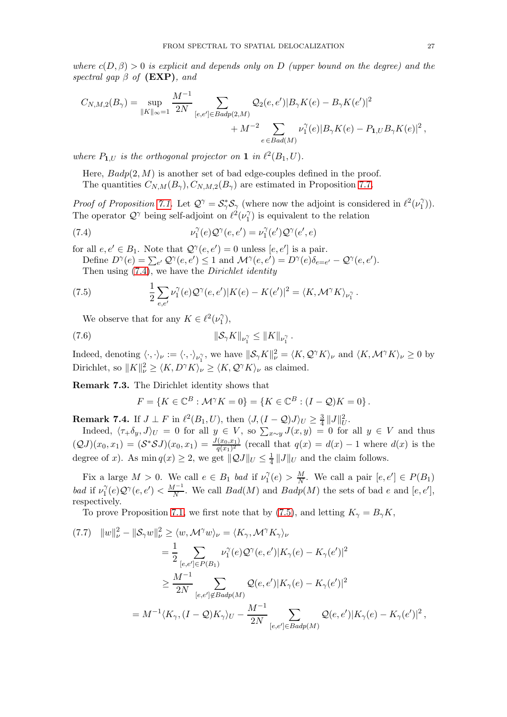*where*  $c(D, \beta) > 0$  *is explicit and depends only on* D *(upper bound on the degree) and the spectral gap*  $\beta$  *of* (**EXP**)*, and* 

$$
C_{N,M,2}(B_{\gamma}) = \sup_{\|K\|_{\infty}=1} \frac{M^{-1}}{2N} \sum_{[e,e'] \in Badp(2,M)} \mathcal{Q}_{2}(e,e') |B_{\gamma}K(e) - B_{\gamma}K(e')|^{2} + M^{-2} \sum_{e \in Bad(M)} \nu_{1}^{\gamma}(e) |B_{\gamma}K(e) - P_{1,U}B_{\gamma}K(e)|^{2},
$$

*where*  $P_{1,U}$  *is the orthogonal projector on* 1 *in*  $\ell^2(B_1, U)$ *.* 

Here,  $Badp(2, M)$  is another set of bad edge-couples defined in the proof. The quantities  $C_{N,M}(B_{\gamma}), C_{N,M,2}(B_{\gamma})$  are estimated in Proposition [7.7.](#page-28-1)

*Proof of Proposition [7.1.](#page-25-0)* Let  $\mathcal{Q}^{\gamma} = \mathcal{S}_{\gamma}^* \mathcal{S}_{\gamma}$  (where now the adjoint is considered in  $\ell^2(\nu_1^{\gamma})$  $_1^{\gamma}$ )). The operator  $\mathcal{Q}^{\gamma}$  being self-adjoint on  $\ell^2(\nu_1^{\gamma})$  $\binom{1}{1}$  is equivalent to the relation

(7.4) 
$$
\nu_1^{\gamma}(e) \mathcal{Q}^{\gamma}(e, e') = \nu_1^{\gamma}(e') \mathcal{Q}^{\gamma}(e', e)
$$

for all  $e, e' \in B_1$ . Note that  $\mathcal{Q}^{\gamma}(e, e') = 0$  unless  $[e, e']$  is a pair.

<span id="page-26-0"></span>Define  $D^{\gamma}(e) = \sum_{e'} Q^{\gamma}(e, e') \leq 1$  and  $\mathcal{M}^{\gamma}(e, e') = D^{\gamma}(e) \delta_{e=e'} - \mathcal{Q}^{\gamma}(e, e').$ Then using [\(7.4\)](#page-26-0), we have the *Dirichlet identity*

(7.5) 
$$
\frac{1}{2} \sum_{e,e'} \nu_1^{\gamma}(e) \mathcal{Q}^{\gamma}(e,e') |K(e) - K(e')|^2 = \langle K, \mathcal{M}^{\gamma} K \rangle_{\nu_1^{\gamma}}.
$$

<span id="page-26-1"></span>We observe that for any  $K \in \ell^2(\nu_1^{\gamma})$  $\binom{\gamma}{1},$ 

(7.6) 
$$
\|\mathcal{S}_{\gamma} K\|_{\nu_1^{\gamma}} \le \|K\|_{\nu_1^{\gamma}}.
$$

Indeed, denoting  $\langle \cdot, \cdot \rangle_{\nu} := \langle \cdot, \cdot \rangle_{\nu_1^{\gamma}}$ , we have  $\|\mathcal{S}_{\gamma}K\|_{\nu}^2 = \langle K, \mathcal{Q}^{\gamma}K \rangle_{\nu}$  and  $\langle K, \mathcal{M}^{\gamma}K \rangle_{\nu} \ge 0$  by Dirichlet, so  $||K||_{\nu}^2 \ge \langle K, D^{\gamma} K \rangle_{\nu} \ge \langle K, \mathcal{Q}^{\gamma} K \rangle_{\nu}$  as claimed.

<span id="page-26-5"></span>Remark 7.3. The Dirichlet identity shows that

<span id="page-26-4"></span>
$$
F = \{ K \in \mathbb{C}^{B} : \mathcal{M}^{\gamma} K = 0 \} = \{ K \in \mathbb{C}^{B} : (I - \mathcal{Q}) K = 0 \}.
$$

<span id="page-26-2"></span>**Remark 7.4.** If  $J \perp F$  in  $\ell^2(B_1, U)$ , then  $\langle J, (I - Q)J \rangle_U \geq \frac{3}{4} ||J||_U^2$ .

Indeed,  $\langle \tau_+\delta_y, J \rangle_U = 0$  for all  $y \in V$ , so  $\sum_{x \sim y} J(x, y) = 0$  for all  $y \in V$  and thus  $(QJ)(x_0, x_1) = (S^*SJ)(x_0, x_1) = \frac{J(x_0, x_1)}{q(x_1)^2}$  (recall that  $q(x) = d(x) - 1$  where  $d(x)$  is the degree of x). As  $\min q(x) \geq 2$ , we get  $||\mathcal{Q}J||_U \leq \frac{1}{4}$  $\frac{1}{4}||J||_U$  and the claim follows.

Fix a large  $M > 0$ . We call  $e \in B_1$  *bad* if  $\nu_1^{\gamma}$  $\frac{\gamma}{1}(e) > \frac{M}{N}$  $\frac{M}{N}$ . We call a pair  $[e, e'] \in P(B_1)$ *bad* if  $\nu_1^{\gamma}$  $C_1^{\gamma}(e) \mathcal{Q}^{\gamma}(e, e') < \frac{M^{-1}}{N}$  $\frac{M^{-1}}{N}$ . We call  $Bad(M)$  and  $Badp(M)$  the sets of bad e and  $[e, e'],$ respectively.

To prove Proposition [7.1,](#page-25-0) we first note that by [\(7.5\)](#page-26-1), and letting  $K_{\gamma} = B_{\gamma}K$ ,

<span id="page-26-3"></span>
$$
(7.7) \quad ||w||_{\nu}^{2} - ||\mathcal{S}_{\gamma}w||_{\nu}^{2} \geq \langle w, \mathcal{M}^{\gamma}w \rangle_{\nu} = \langle K_{\gamma}, \mathcal{M}^{\gamma}K_{\gamma} \rangle_{\nu}
$$
  
\n
$$
= \frac{1}{2} \sum_{[e,e'] \in P(B_{1})} \nu_{1}^{\gamma}(e) \mathcal{Q}^{\gamma}(e,e') |K_{\gamma}(e) - K_{\gamma}(e')|^{2}
$$
  
\n
$$
\geq \frac{M^{-1}}{2N} \sum_{[e,e'] \notin Badp(M)} \mathcal{Q}(e,e') |K_{\gamma}(e) - K_{\gamma}(e')|^{2}
$$
  
\n
$$
= M^{-1} \langle K_{\gamma}, (I - \mathcal{Q})K_{\gamma} \rangle_{U} - \frac{M^{-1}}{2N} \sum_{[e,e'] \in Badp(M)} \mathcal{Q}(e,e') |K_{\gamma}(e) - K_{\gamma}(e')|^{2},
$$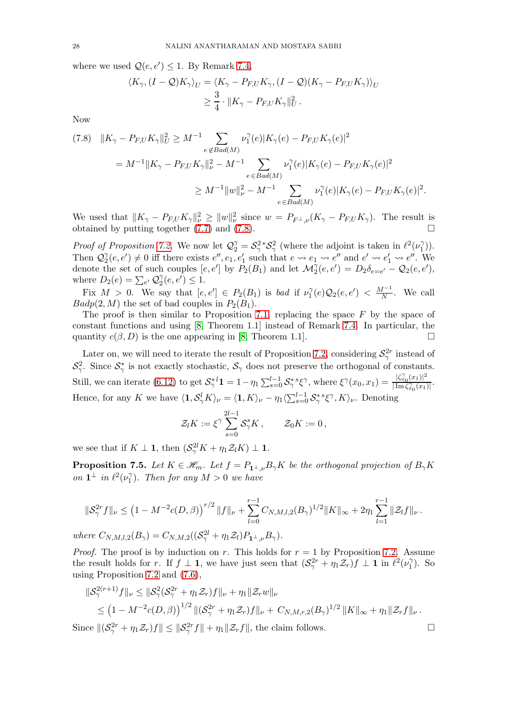where we used  $Q(e, e') \leq 1$ . By Remark [7.4,](#page-26-2)

$$
\langle K_{\gamma}, (I - \mathcal{Q}) K_{\gamma} \rangle_{U} = \langle K_{\gamma} - P_{F,U} K_{\gamma}, (I - \mathcal{Q})(K_{\gamma} - P_{F,U} K_{\gamma}) \rangle_{U}
$$
  

$$
\geq \frac{3}{4} \cdot ||K_{\gamma} - P_{F,U} K_{\gamma}||_{U}^{2}.
$$

Now

<span id="page-27-0"></span>
$$
(7.8) \quad ||K_{\gamma} - P_{F,U}K_{\gamma}||_{U}^{2} \geq M^{-1} \sum_{e \notin Bad(M)} \nu_{1}^{\gamma}(e)|K_{\gamma}(e) - P_{F,U}K_{\gamma}(e)|^{2}
$$
  

$$
= M^{-1}||K_{\gamma} - P_{F,U}K_{\gamma}||_{\nu}^{2} - M^{-1} \sum_{e \in Bad(M)} \nu_{1}^{\gamma}(e)|K_{\gamma}(e) - P_{F,U}K_{\gamma}(e)|^{2}
$$
  

$$
\geq M^{-1}||w||_{\nu}^{2} - M^{-1} \sum_{e \in Bad(M)} \nu_{1}^{\gamma}(e)|K_{\gamma}(e) - P_{F,U}K_{\gamma}(e)|^{2}.
$$

We used that  $||K_{\gamma} - P_{F,U}K_{\gamma}||_{\nu}^2 \ge ||w||_{\nu}^2$  since  $w = P_{F^{\perp},\nu}(K_{\gamma} - P_{F,U}K_{\gamma})$ . The result is obtained by putting together [\(7.7\)](#page-26-3) and [\(7.8\)](#page-27-0).

*Proof of Proposition [7.2.](#page-25-1)* We now let  $\mathcal{Q}_2^{\gamma} = \mathcal{S}_{\gamma}^2 \cdot \mathcal{S}_{\gamma}^2$  (where the adjoint is taken in  $\ell^2(\nu_1^2)$  $_1^{\gamma}$ )). Then  $\mathcal{Q}_2^{\gamma}$  $\frac{\gamma}{2}(e,e') \neq 0$  iff there exists  $e'', e_1, e'_1$  such that  $e \leadsto e_1 \leadsto e''$  and  $e' \leadsto e'_1 \leadsto e''$ . We denote the set of such couples  $[e, e']$  by  $P_2(B_1)$  and let  $\mathcal{M}_2^{\gamma}(e, e') = D_2 \delta_{e=e'} - \mathcal{Q}_2(e, e'),$ where  $D_2(e) = \sum_{e'} Q_2^{\gamma}$  $_{2}^{\gamma}(e,e')\leq1.$ 

Fix  $M > 0$ . We say that  $[e, e'] \in P_2(B_1)$  is *bad* if  $\nu_1^{\gamma}$  $\lambda_1^{\gamma}(e) \mathcal{Q}_2(e,e') \ < \frac{M^{-1}}{N}$  $\frac{1}{N}$ . We call  $Badp(2, M)$  the set of bad couples in  $P_2(B_1)$ .

The proof is then similar to Proposition [7.1,](#page-25-0) replacing the space  $F$  by the space of constant functions and using [\[8,](#page-54-12) Theorem 1.1] instead of Remark [7.4.](#page-26-2) In particular, the quantity  $c(\beta, D)$  is the one appearing in [\[8,](#page-54-12) Theorem 1.1].

Later on, we will need to iterate the result of Proposition [7.2,](#page-25-1) considering  $\mathcal{S}^{2r}_{\gamma}$  instead of  $S^2_\gamma$ . Since  $S^*_\gamma$  is not exactly stochastic,  $S_\gamma$  does not preserve the orthogonal of constants. Still, we can iterate [\(6.12\)](#page-24-3) to get  $S_\gamma^{*l} \mathbf{1} = 1 - \eta_1 \sum_{s=0}^{l-1} S_\gamma^{*s} \xi^\gamma$ , where  $\xi^\gamma(x_0, x_1) = \frac{|\zeta_{x_0}^\gamma(x_1)|^2}{|\operatorname{Im} \zeta_{x_0}^\gamma(x_1)|}$  $\frac{|\Im x_0(x_1)|}{|\operatorname{Im} \zeta_{x_0}^{\gamma}(x_1)|}.$ Hence, for any K we have  $\langle 1, \mathcal{S}_{\gamma}^{l} K \rangle_{\nu} = \langle 1, K \rangle_{\nu} - \eta_1 \langle \sum_{s=0}^{l-1} \mathcal{S}_{\gamma}^{*s} \xi^{\gamma}, K \rangle_{\nu}$ . Denoting

$$
\mathcal{Z}_l K := \xi^\gamma \sum_{s=0}^{2l-1} \mathcal{S}^s_\gamma K \,, \qquad \mathcal{Z}_0 K := 0 \,,
$$

we see that if  $K \perp \mathbf{1}$ , then  $(\mathcal{S}^{2l}_\gamma K + \eta_1 \mathcal{Z}_l K) \perp \mathbf{1}$ .

<span id="page-27-1"></span>**Proposition 7.5.** Let  $K \in \mathcal{H}_m$ . Let  $f = P_{1\perp,\nu} B_\gamma K$  be the orthogonal projection of  $B_\gamma K$ *on*  $\mathbf{1}^{\perp}$  *in*  $\ell^2(\nu_1^{\gamma})$  $\binom{\gamma}{1}$ . Then for any  $M > 0$  we have

$$
\|\mathcal{S}_{\gamma}^{2r}f\|_{\nu} \leq \left(1-M^{-2}c(D,\beta)\right)^{r/2} \|f\|_{\nu} + \sum_{l=0}^{r-1} C_{N,M,l,2}(B_{\gamma})^{1/2} \|K\|_{\infty} + 2\eta_1 \sum_{l=1}^{r-1} \|\mathcal{Z}_{l}f\|_{\nu}.
$$

*where*  $C_{N,M,l,2}(B_{\gamma}) = C_{N,M,2}((\mathcal{S}_{\gamma}^{2l} + \eta_1 \mathcal{Z}_l) P_{\mathbf{1}^{\perp},\nu} B_{\gamma}).$ 

*Proof.* The proof is by induction on r. This holds for  $r = 1$  by Proposition [7.2.](#page-25-1) Assume the result holds for r. If  $f \perp \mathbf{1}$ , we have just seen that  $(\mathcal{S}_{\gamma}^{2r} + \eta_1 \mathcal{Z}_r)f \perp \mathbf{1}$  in  $\ell^2(\nu_1^{\gamma})$  $\binom{1}{1}$ . So using Proposition [7.2](#page-25-1) and [\(7.6\)](#page-26-4),

$$
\begin{aligned} \|\mathcal{S}^{2(r+1)}_{\gamma}f\|_{\nu} &\leq \|\mathcal{S}^{2}_{\gamma}(\mathcal{S}^{2r}_{\gamma}+\eta_{1}\mathcal{Z}_{r})f\|_{\nu}+\eta_{1}\|\mathcal{Z}_{r}w\|_{\nu} \\ &\leq \left(1-M^{-2}c(D,\beta)\right)^{1/2}\|(\mathcal{S}^{2r}_{\gamma}+\eta_{1}\mathcal{Z}_{r})f\|_{\nu}+C_{N,M,r,2}(B_{\gamma})^{1/2}\|K\|_{\infty}+\eta_{1}\|\mathcal{Z}_{r}f\|_{\nu} \,. \end{aligned}
$$

Since  $\|(\mathcal{S}_{\gamma}^{2r} + \eta_1 \mathcal{Z}_r)f\| \leq \|\mathcal{S}_{\gamma}^{2r}f\| + \eta_1 \|\mathcal{Z}_r f\|$ , the claim follows.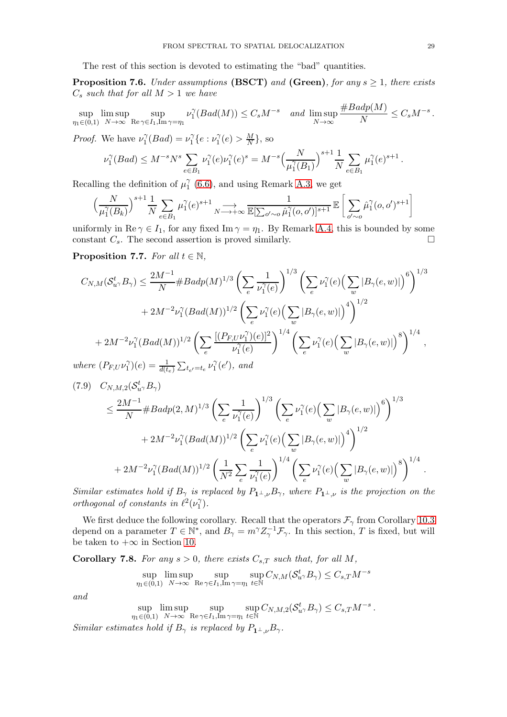The rest of this section is devoted to estimating the "bad" quantities.

<span id="page-28-0"></span>Proposition 7.6. *Under assumptions* (BSCT) *and* (Green)*, for any* s ≥ 1*, there exists*  $C_s$  *such that for all*  $M > 1$  *we have* 

$$
\sup_{\eta_1 \in (0,1)} \limsup_{N \to \infty} \sup_{\mathrm{Re}\gamma \in I_1, \mathrm{Im}\gamma = \eta_1} \nu_1^{\gamma} (Bad(M)) \leq C_s M^{-s} \quad \text{and} \quad \limsup_{N \to \infty} \frac{\#Badp(M)}{N} \leq C_s M^{-s} \, .
$$

*Proof.* We have  $\nu_1^{\gamma}$  $\chi_1^{\gamma}(Bad) = \nu_1^{\gamma}$  $\gamma_1^{\gamma} \{e : \nu_1^{\gamma}$  $C_1^{\gamma}(e) > \frac{M}{N}$  $\frac{M}{N}\},$  so

$$
\nu_1^{\gamma}(Bad) \le M^{-s} N^s \sum_{e \in B_1} \nu_1^{\gamma}(e) \nu_1^{\gamma}(e)^s = M^{-s} \Big(\frac{N}{\mu_1^{\gamma}(B_1)}\Big)^{s+1} \frac{1}{N} \sum_{e \in B_1} \mu_1^{\gamma}(e)^{s+1}
$$

Recalling the definition of  $\mu_1^{\gamma}$  $\int_{1}^{\gamma}$  [\(6.6\)](#page-23-1), and using Remark [A.3,](#page-52-0) we get

$$
\Big(\frac{N}{\mu_1^\gamma(B_k)}\Big)^{s+1}\frac{1}{N}\sum_{e\in B_1}\mu_1^\gamma(e)^{s+1}\underset{N\longrightarrow +\infty}{\longrightarrow}\frac{1}{\mathbb{E}[\sum_{o'\sim o}\hat{\mu}_1^\gamma(o,o')]^{s+1}}\,\mathbb{E}\left[\sum_{o'\sim o}\hat{\mu}_1^\gamma(o,o')^{s+1}\right]
$$

uniformly in Re  $\gamma \in I_1$ , for any fixed Im  $\gamma = \eta_1$ . By Remark [A.4,](#page-52-1) this is bounded by some constant  $C_s$ . The second assertion is proved similarly. constant  $C_s$ . The second assertion is proved similarly.

<span id="page-28-1"></span>**Proposition 7.7.** *For all*  $t \in \mathbb{N}$ *,* 

$$
C_{N,M}(S_{u}^{t},B_{\gamma}) \leq \frac{2M^{-1}}{N} \# Badp(M)^{1/3} \left(\sum_{e} \frac{1}{\nu_{1}^{\gamma}(e)}\right)^{1/3} \left(\sum_{e} \nu_{1}^{\gamma}(e) \left(\sum_{w} |B_{\gamma}(e,w)|\right)^{6}\right)^{1/3}
$$
  
+ 
$$
2M^{-2}\nu_{1}^{\gamma}(Bad(M))^{1/2} \left(\sum_{e} \nu_{1}^{\gamma}(e) \left(\sum_{w} |B_{\gamma}(e,w)|\right)^{4}\right)^{1/2}
$$
  
+ 
$$
2M^{-2}\nu_{1}^{\gamma}(Bad(M))^{1/2} \left(\sum_{e} \frac{\left[(P_{F,U}\nu_{1}^{\gamma})(e)\right]^{2}}{\nu_{1}^{\gamma}(e)}\right)^{1/4} \left(\sum_{e} \nu_{1}^{\gamma}(e) \left(\sum_{w} |B_{\gamma}(e,w)|\right)^{8}\right)^{1/4},
$$
  
where  $(P_{FUV}^{\gamma})(e) = \frac{1}{N^{2}} \sum_{e} \frac{1}{N^{2}} \left(\nu_{1}^{\gamma}(e) \left(\frac{1}{2} \pi \nu_{1}^{\gamma}(e) \left(\frac{1}{2} \nu_{1}^{\gamma}(e) \left(\frac{1}{2} \nu_{1}^{\gamma}(e) \left(\frac{1}{2} \nu_{1}^{\gamma}(e) \left(\frac{1}{2} \nu_{1}^{\gamma}(e) \left(\frac{1}{2} \nu_{1}^{\gamma}(e) \left(\frac{1}{2} \nu_{1}^{\gamma}(e) \left(\frac{1}{2} \nu_{1}^{\gamma}(e) \left(\frac{1}{2} \nu_{1}^{\gamma}(e) \left(\frac{1}{2} \nu_{1}^{\gamma}(e) \left(\frac{1}{2} \nu_{1}^{\gamma}(e) \left(\frac{1}{2} \nu_{1}^{\gamma}(e) \left(\frac{1}{2} \nu_{1}^{\gamma}(e) \left(\frac{1}{2} \nu_{1}^{\gamma}(e) \left(\frac{1}{2} \nu_{1}^{\gamma}(e) \left(\frac{1}{2} \nu_{1}^{\gamma}(e) \left(\frac{1}{2} \nu_{1}^{\gamma}(e) \left(\frac{1}{2} \nu_{1}^{\gamma}(e) \left(\frac{1}{2} \nu_{1$ 

*where*  $(P_{F,U} \nu_1^{\gamma})$  $\binom{\gamma}{1}(e) = \frac{1}{d(t_e)} \sum_{t_{e'}} = t_e \nu_1^{\gamma}$  $i_1^{\gamma}(e'),$  and

$$
(7.9) \quad C_{N,M,2}(S_{u\gamma}^{t}B_{\gamma})
$$
\n
$$
\leq \frac{2M^{-1}}{N} \# Badp(2,M)^{1/3} \left( \sum_{e} \frac{1}{\nu_{1}^{\gamma}(e)} \right)^{1/3} \left( \sum_{e} \nu_{1}^{\gamma}(e) \left( \sum_{w} |B_{\gamma}(e,w)| \right)^{6} \right)^{1/3}
$$
\n
$$
+ 2M^{-2} \nu_{1}^{\gamma} (Bad(M))^{1/2} \left( \sum_{e} \nu_{1}^{\gamma}(e) \left( \sum_{w} |B_{\gamma}(e,w)| \right)^{4} \right)^{1/2}
$$
\n
$$
+ 2M^{-2} \nu_{1}^{\gamma} (Bad(M))^{1/2} \left( \frac{1}{N^{2}} \sum_{e} \frac{1}{\nu_{1}^{\gamma}(e)} \right)^{1/4} \left( \sum_{e} \nu_{1}^{\gamma}(e) \left( \sum_{w} |B_{\gamma}(e,w)| \right)^{8} \right)^{1/4}.
$$

*Similar estimates hold if*  $B_{\gamma}$  *is replaced by*  $P_{1^{\perp},\nu}B_{\gamma}$ *, where*  $P_{1^{\perp},\nu}$  *is the projection on the orthogonal of constants in*  $\ell^2(\nu_1^{\gamma})$  $\binom{\gamma}{1}$ .

We first deduce the following corollary. Recall that the operators  $\mathcal{F}_{\gamma}$  from Corollary [10.3](#page-46-0) depend on a parameter  $T \in \mathbb{N}^*$ , and  $B_\gamma = m^\gamma Z_\gamma^{-1} \mathcal{F}_\gamma$ . In this section, T is fixed, but will be taken to  $+\infty$  in Section [10.](#page-42-0)

<span id="page-28-2"></span>**Corollary 7.8.** For any  $s > 0$ , there exists  $C_{s,T}$  such that, for all M,

$$
\sup_{\eta_1 \in (0,1)} \limsup_{N \to \infty} \sup_{\text{Re}\gamma \in I_1, \text{Im}\gamma = \eta_1} \sup_{t \in \mathbb{N}} C_{N,M}(\mathcal{S}_{u}^t \circ B_{\gamma}) \leq C_{s,T} M^{-s}
$$

*and*

$$
\sup_{\eta_1 \in (0,1)} \limsup_{N \to \infty} \sup_{\text{Re}\gamma \in I_1, \text{Im}\gamma = \eta_1} \sup_{t \in \mathbb{N}} C_{N,M,2}(\mathcal{S}_{u\gamma}^t B_{\gamma}) \leq C_{s,T} M^{-s}.
$$

*Similar estimates hold if*  $B_{\gamma}$  *is replaced by*  $P_{1^{\perp} \nu} B_{\gamma}$ .

.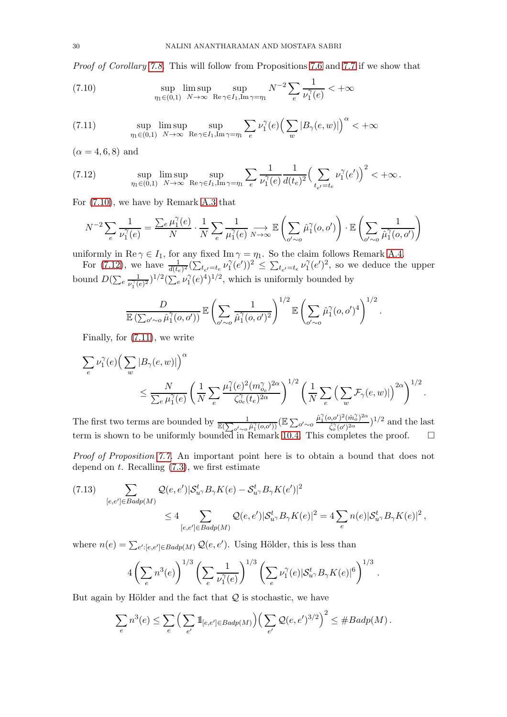*Proof of Corollary [7.8.](#page-28-2)* This will follow from Propositions [7.6](#page-28-0) and [7.7](#page-28-1) if we show that

<span id="page-29-0"></span>(7.10) 
$$
\sup_{\eta_1 \in (0,1)} \limsup_{N \to \infty} \sup_{\text{Re } \gamma \in I_1, \text{Im } \gamma = \eta_1} N^{-2} \sum_{e} \frac{1}{\nu_1^{\gamma}(e)} < +\infty
$$

<span id="page-29-2"></span>(7.11) 
$$
\sup_{\eta_1 \in (0,1)} \limsup_{N \to \infty} \sup_{\text{Re } \gamma \in I_1, \text{Im } \gamma = \eta_1} \sum_{e} \nu_1^{\gamma}(e) \Big( \sum_{w} |B_{\gamma}(e,w)| \Big)^{\alpha} < +\infty
$$

 $(\alpha = 4, 6, 8)$  and

<span id="page-29-1"></span>(7.12) 
$$
\sup_{\eta_1 \in (0,1)} \limsup_{N \to \infty} \sup_{\text{Re}\gamma \in I_1, \text{Im}\gamma = \eta_1} \sum_{e} \frac{1}{\nu_1^{\gamma}(e)} \frac{1}{d(t_e)^2} \Big(\sum_{t_{e'}=t_e} \nu_1^{\gamma}(e')\Big)^2 < +\infty.
$$

For [\(7.10\)](#page-29-0), we have by Remark [A.3](#page-52-0) that

$$
N^{-2} \sum_{e} \frac{1}{\nu_1^{\gamma}(e)} = \frac{\sum_{e} \mu_1^{\gamma}(e)}{N} \cdot \frac{1}{N} \sum_{e} \frac{1}{\mu_1^{\gamma}(e)} \sum_{N \to \infty} \mathbb{E}\left(\sum_{o' \sim o} \hat{\mu}_1^{\gamma}(o, o')\right) \cdot \mathbb{E}\left(\sum_{o' \sim o} \frac{1}{\hat{\mu}_1^{\gamma}(o, o')}\right)
$$

uniformly in Re  $\gamma \in I_1$ , for any fixed Im  $\gamma = \eta_1$ . So the claim follows Remark [A.4.](#page-52-1)

For [\(7.12\)](#page-29-1), we have  $\frac{1}{d(t_e)^2} (\sum_{t_{e'}}=t_e \nu_1^{\gamma})$  $\sum_{i=1}^{\gamma} (e^t)^2 \leq \sum_{t_{e'}=t_e} \nu_1^{\gamma}$  $\int_{1}^{\gamma}(e')^{2}$ , so we deduce the upper bound  $D(\sum_e \frac{1}{\nu^{\gamma}(e))}$  $\frac{1}{\nu_1^{\gamma}(e)^2})^{1/2} (\sum_e \nu_1^{\gamma}$  $\int_1^{\gamma} (e)^4$ , which is uniformly bounded by

$$
\frac{D}{\mathbb{E}\left(\sum_{o'\sim o}\hat{\mu}_1^{\gamma}(o,o')\right)}\,\mathbb{E}\left(\sum_{o'\sim o}\frac{1}{\hat{\mu}_1^{\gamma}(o,o')^2}\right)^{1/2}\,\mathbb{E}\left(\sum_{o'\sim o}\hat{\mu}_1^{\gamma}(o,o')^4\right)^{1/2}.
$$

Finally, for [\(7.11\)](#page-29-2), we write

$$
\begin{split} \sum_{e} \nu_1^{\gamma}(e) \Big(&\sum_w |B_{\gamma}(e,w)|\Big)^{\alpha}\\ &\leq \frac{N}{\sum_{e} \mu_1^{\gamma}(e)} \left(\frac{1}{N} \sum_{e} \frac{\mu_1^{\gamma}(e)^2 (m_{\partial_e}^{\gamma})^{2\alpha}}{\zeta_{\partial_e}^{\gamma}(t_e)^{2\alpha}}\right)^{1/2} \left(\frac{1}{N} \sum_{e} \left(\sum_w \mathcal{F}_{\gamma}(e,w)|\right)^{2\alpha}\right)^{1/2}. \end{split}
$$

The first two terms are bounded by  $\frac{1}{\mathbb{E}(\sum_{o'\sim o} \hat{\mu}_1^{\gamma}(o,o'))} (\mathbb{E} \sum_{o'\sim o} \frac{\hat{\mu}_1^{\gamma}(o,o')^2(\hat{m}_o^{\gamma})^{2\alpha}}{\hat{\zeta}_o^{\gamma}(o')^{2\alpha}})$  $(\frac{\hat{\zeta}_0^{\gamma}(\sigma')^{2\alpha}}{\hat{\zeta}_0^{\gamma}(\sigma')^{2\alpha}})^{1/2}$  and the last term is shown to be uniformly bounded in Remark [10.4.](#page-46-1) This completes the proof.  $\Box$ 

*Proof of Proposition [7.7.](#page-28-1)* An important point here is to obtain a bound that does not depend on  $t$ . Recalling  $(7.3)$ , we first estimate

<span id="page-29-3"></span>
$$
(7.13) \sum_{[e,e'] \in Badp(M)} \mathcal{Q}(e,e')|\mathcal{S}_{u\gamma}^t B_{\gamma}K(e) - \mathcal{S}_{u\gamma}^t B_{\gamma}K(e')|^2
$$
  

$$
\leq 4 \sum_{[e,e'] \in Badp(M)} \mathcal{Q}(e,e')|\mathcal{S}_{u\gamma}^t B_{\gamma}K(e)|^2 = 4 \sum_{e} n(e)|\mathcal{S}_{u\gamma}^t B_{\gamma}K(e)|^2,
$$

where  $n(e) = \sum_{e': [e,e'] \in Badp(M)} \mathcal{Q}(e,e')$ . Using Hölder, this is less than

$$
4\left(\sum_{e} n^3(e)\right)^{1/3}\left(\sum_{e} \frac{1}{\nu_1^{\gamma}(e)}\right)^{1/3}\left(\sum_{e} \nu_1^{\gamma}(e)|\mathcal{S}_{u^{\gamma}}^t B_{\gamma} K(e)|^6\right)^{1/3}.
$$

But again by Hölder and the fact that  $Q$  is stochastic, we have

$$
\sum_{e} n^3(e) \leq \sum_{e} \Big( \sum_{e'} \mathbb{1}_{[e,e'] \in Badp(M)} \Big) \Big( \sum_{e'} \mathcal{Q}(e,e')^{3/2} \Big)^2 \leq \# Badp(M) .
$$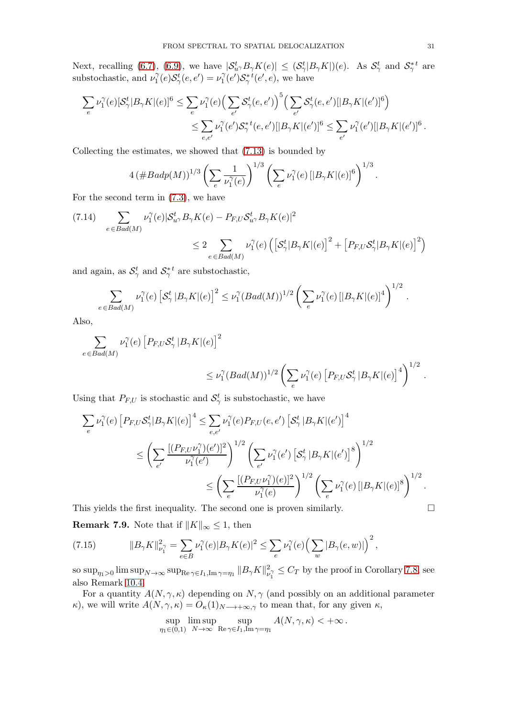Next, recalling [\(6.7\)](#page-23-4), [\(6.9\)](#page-23-5), we have  $|S_{u\gamma}^t B_{\gamma} K(e)| \leq (S_{\gamma}^t |B_{\gamma} K|)(e)$ . As  $S_{\gamma}^t$  and  $S_{\gamma}^{*t}$  are substochastic, and  $\nu_1^{\gamma}$  $\mathcal{S}_1^t(e)\mathcal{S}_2^t(e,e')=\nu_1^\gamma$  $\int_1^{\gamma}(e')\mathcal{S}_{\gamma}^{*t}(e',e)$ , we have

$$
\sum_{e} \nu_1^{\gamma}(e) [\mathcal{S}_{\gamma}^t | B_{\gamma} K](e)]^6 \leq \sum_{e} \nu_1^{\gamma}(e) \Big( \sum_{e'} \mathcal{S}_{\gamma}^t(e, e') \Big)^5 \Big( \sum_{e'} \mathcal{S}_{\gamma}^t(e, e') [|B_{\gamma} K|(e')]^6 \Big) \leq \sum_{e, e'} \nu_1^{\gamma}(e') \mathcal{S}_{\gamma}^*{}^t(e, e') [|B_{\gamma} K|(e')]^6 \leq \sum_{e'} \nu_1^{\gamma}(e') [|B_{\gamma} K|(e')]^6.
$$

Collecting the estimates, we showed that [\(7.13\)](#page-29-3) is bounded by

$$
4 (\# Badp(M))^{1/3} \left( \sum_{e} \frac{1}{\nu_1^{\gamma}(e)} \right)^{1/3} \left( \sum_{e} \nu_1^{\gamma}(e) \left[ |B_{\gamma} K|(e) \right]^6 \right)^{1/3}
$$

For the second term in [\(7.3\)](#page-25-2), we have

$$
(7.14) \quad \sum_{e \in Bad(M)} \nu_1^{\gamma}(e) | \mathcal{S}_{u^{\gamma}}^t B_{\gamma} K(e) - P_{F,U} \mathcal{S}_{u^{\gamma}}^t B_{\gamma} K(e) |^2
$$
  

$$
\leq 2 \sum_{e \in Bad(M)} \nu_1^{\gamma}(e) \left( \left[ \mathcal{S}_{\gamma}^t | B_{\gamma} K|(e) \right]^2 + \left[ P_{F,U} \mathcal{S}_{\gamma}^t | B_{\gamma} K|(e) \right]^2 \right)
$$

and again, as  $\mathcal{S}_{\gamma}^{t}$  and  $\mathcal{S}_{\gamma}^{*t}$  are substochastic,

$$
\sum_{e \in Bad(M)} \nu_1^{\gamma}(e) \left[\mathcal{S}_{\gamma}^t \, |B_{\gamma}K|(e)\right]^2 \leq \nu_1^{\gamma}(Bad(M))^{1/2} \left(\sum_{e} \nu_1^{\gamma}(e) \, [|B_{\gamma}K|(e)|^4 \right)^{1/2}
$$

Also,

$$
\sum_{e \in Bad(M)} \nu_1^{\gamma}(e) \left[ P_{F,U} \mathcal{S}_{\gamma}^t | B_{\gamma} K|(e) \right]^2
$$
  

$$
\leq \nu_1^{\gamma} (Bad(M))^{1/2} \left( \sum_{e} \nu_1^{\gamma}(e) \left[ P_{F,U} \mathcal{S}_{\gamma}^t | B_{\gamma} K|(e) \right]^4 \right)^{1/2}.
$$

Using that  $P_{F,U}$  is stochastic and  $\mathcal{S}_{\gamma}^{t}$  is substochastic, we have

$$
\sum_{e} \nu_1^{\gamma}(e) \left[ P_{F,U} \mathcal{S}_{\gamma}^t | B_{\gamma} K | (e) \right]^4 \leq \sum_{e,e'} \nu_1^{\gamma}(e) P_{F,U}(e,e') \left[ \mathcal{S}_{\gamma}^t | B_{\gamma} K | (e') \right]^4
$$
  

$$
\leq \left( \sum_{e'} \frac{[(P_{F,U} \nu_1^{\gamma})(e')]^2}{\nu_1^{\gamma}(e')} \right)^{1/2} \left( \sum_{e'} \nu_1^{\gamma}(e') \left[ \mathcal{S}_{\gamma}^t | B_{\gamma} K | (e') \right]^8 \right)^{1/2}
$$
  

$$
\leq \left( \sum_{e} \frac{[(P_{F,U} \nu_1^{\gamma})(e)]^2}{\nu_1^{\gamma}(e)} \right)^{1/2} \left( \sum_{e} \nu_1^{\gamma}(e) \left[ |B_{\gamma} K | (e) \right]^8 \right)^{1/2}.
$$

This yields the first inequality. The second one is proven similarly.

<span id="page-30-0"></span>**Remark 7.9.** Note that if  $||K||_{\infty} \leq 1$ , then

(7.15) 
$$
||B_{\gamma}K||_{\nu_1^{\gamma}}^2 = \sum_{e \in B} \nu_1^{\gamma}(e) |B_{\gamma}K(e)|^2 \leq \sum_e \nu_1^{\gamma}(e) \Big(\sum_w |B_{\gamma}(e,w)|\Big)^2,
$$

so sup $_{\eta_1>0}$  lim sup $_{N\to\infty}$  sup $_{\mathrm{Re}\,\gamma\in I_1,\mathrm{Im}\,\gamma=\eta_1}$   $\|B_{\gamma}K\|_{\nu}^2$  $v_1^2 \leq C_T$  by the proof in Corollary [7.8,](#page-28-2) see also Remark [10.4.](#page-46-1)

For a quantity  $A(N, \gamma, \kappa)$  depending on  $N, \gamma$  (and possibly on an additional parameter κ), we will write  $A(N, \gamma, \kappa) = O_{\kappa}(1)_{N \to +\infty,\gamma}$  to mean that, for any given  $\kappa$ ,

$$
\sup_{\eta_1 \in (0,1)} \limsup_{N \to \infty} \sup_{\mathrm{Re}\gamma \in I_1, \mathrm{Im}\gamma = \eta_1} A(N, \gamma, \kappa) < +\infty.
$$

.

.

$$
\Box
$$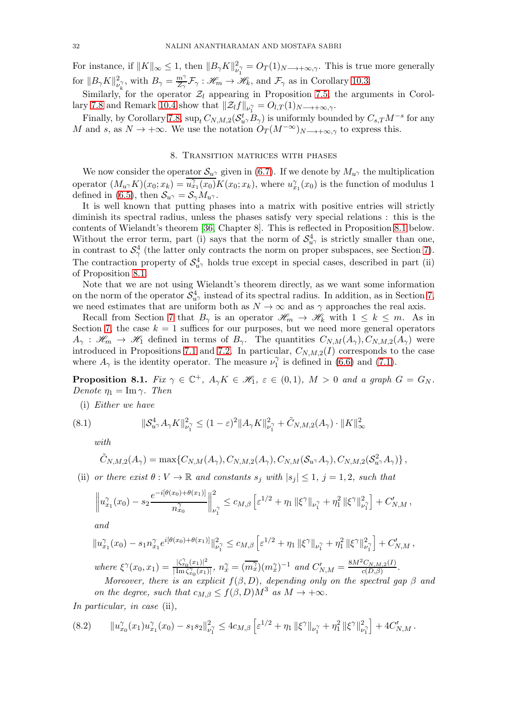For instance, if  $||K||_{\infty} \leq 1$ , then  $||B_{\gamma}K||_{\nu}^{2}$  $v_{\nu_1}^2 = O_T(1)_{N \longrightarrow +\infty,\gamma}$ . This is true more generally for  $||B_{\gamma}K||_{\nu}^2$  $\mathcal{L}^2_{\nu_k^{\gamma}}$ , with  $B_{\gamma} = \frac{m^{\gamma}}{Z_{\gamma}} \mathcal{F}_{\gamma} : \mathscr{H}_m \to \mathscr{H}_k$ , and  $\mathcal{F}_{\gamma}$  as in Corollary [10.3.](#page-46-0)

Similarly, for the operator  $\mathcal{Z}_l$  appearing in Proposition [7.5,](#page-27-1) the arguments in Corol-lary [7.8](#page-28-2) and Remark [10.4](#page-46-1) show that  $\|\mathcal{Z}_l f\|_{\nu_1} = O_{l,T}(1)_{N\to+\infty,\gamma}$ .

Finally, by Corollary [7.8,](#page-28-2)  $\sup_t C_{N,M,2}(\mathcal{S}_{u}^t, B_\gamma)$  is uniformly bounded by  $C_{s,T}M^{-s}$  for any M and s, as  $N \to +\infty$ . We use the notation  $O_T(M^{-\infty})_{N\to+\infty,\gamma}$  to express this.

## 8. Transition matrices with phases

<span id="page-31-2"></span>We now consider the operator  $S_{u^{\gamma}}$  given in [\(6.7\)](#page-23-4). If we denote by  $M_{u^{\gamma}}$  the multiplication operator  $(M_{u\gamma}K)(x_0;x_k) = \overline{u_{x_1}^{\gamma}(x_0)}K(x_0;x_k)$ , where  $u_{x_1}^{\gamma}(x_0)$  is the function of modulus 1 defined in [\(6.5\)](#page-23-6), then  $S_{u^{\gamma}} = S_{\gamma} M_{u^{\gamma}}$ .

It is well known that putting phases into a matrix with positive entries will strictly diminish its spectral radius, unless the phases satisfy very special relations : this is the contents of Wielandt's theorem [\[36,](#page-55-27) Chapter 8]. This is reflected in Proposition [8.1](#page-31-0) below. Without the error term, part (i) says that the norm of  $S_{u}^4$  is strictly smaller than one, in contrast to  $S^4_\gamma$  (the latter only contracts the norm on proper subspaces, see Section [7\)](#page-24-4). The contraction property of  $S_{u}^4$  holds true except in special cases, described in part (ii) of Proposition [8.1.](#page-31-0)

Note that we are not using Wielandt's theorem directly, as we want some information on the norm of the operator  $\mathcal{S}_{u}^4$  instead of its spectral radius. In addition, as in Section [7,](#page-24-4) we need estimates that are uniform both as  $N \to \infty$  and as  $\gamma$  approaches the real axis.

Recall from Section [7](#page-24-4) that  $B_{\gamma}$  is an operator  $\mathscr{H}_m \to \mathscr{H}_k$  with  $1 \leq k \leq m$ . As in Section [7,](#page-24-4) the case  $k = 1$  suffices for our purposes, but we need more general operators  $A_{\gamma} : \mathscr{H}_{m} \to \mathscr{H}_{1}$  defined in terms of  $B_{\gamma}$ . The quantities  $C_{N,M}(A_{\gamma}), C_{N,M,2}(A_{\gamma})$  were introduced in Propositions [7.1](#page-25-0) and [7.2.](#page-25-1) In particular,  $C_{N,M,2}(I)$  corresponds to the case where  $A_{\gamma}$  is the identity operator. The measure  $\nu_1^{\gamma}$  $\hat{C}_1^{\gamma}$  is defined in [\(6.6\)](#page-23-1) and [\(7.1\)](#page-24-5).

<span id="page-31-0"></span>**Proposition 8.1.** *Fix*  $\gamma \in \mathbb{C}^+$ *,*  $A_{\gamma}K \in \mathcal{H}_1$ *,*  $\varepsilon \in (0,1)$ *,*  $M > 0$  *and a graph*  $G = G_N$ *. Denote*  $\eta_1 = \text{Im } \gamma$ *. Then* 

(i) *Either we have*

(8.1) 
$$
\|\mathcal{S}_{u^{\gamma}}^4 A_{\gamma} K\|_{\nu_1^{\gamma}}^2 \le (1-\varepsilon)^2 \|A_{\gamma} K\|_{\nu_1^{\gamma}}^2 + \tilde{C}_{N,M,2}(A_{\gamma}) \cdot \|K\|_{\infty}^2
$$

<span id="page-31-3"></span>*with*

$$
\tilde{C}_{N,M,2}(A_{\gamma})=\max\{C_{N,M}(A_{\gamma}),C_{N,M,2}(A_{\gamma}),C_{N,M}(\mathcal{S}_{u^{\gamma}}A_{\gamma}),C_{N,M,2}(\mathcal{S}_{u^{\gamma}}^2A_{\gamma})\},\,
$$

(ii) *or there exist*  $\theta: V \to \mathbb{R}$  *and constants*  $s_j$  *with*  $|s_j| \leq 1$ ,  $j = 1, 2$ , such that

$$
\left\|u_{x_1}^{\gamma}(x_0)-s_2\frac{e^{-i[\theta(x_0)+\theta(x_1)]}}{n_{x_0}^{\gamma}}\right\|_{\nu_1^{\gamma}}^2\leq c_{M,\beta}\left[\varepsilon^{1/2}+\eta_1\left\|\xi^{\gamma}\right\|_{\nu_1^{\gamma}}+\eta_1^{2}\left\|\xi^{\gamma}\right\|_{\nu_1^{\gamma}}^2\right]+C'_{N,M},
$$

*and*

$$
||u_{x_1}^{\gamma}(x_0) - s_1 n_{x_1}^{\gamma} e^{i[\theta(x_0) + \theta(x_1)]}||_{\nu_1^{\gamma}}^2 \leq c_{M,\beta} \left[\varepsilon^{1/2} + \eta_1 ||\xi^{\gamma}||_{\nu_1^{\gamma}} + \eta_1^2 ||\xi^{\gamma}||_{\nu_1^{\gamma}}^2\right] + C'_{N,M},
$$
  
where  $\xi^{\gamma}(x_0, x_1) = \frac{|\zeta_{x_0}^{\gamma}(x_1)|^2}{|\operatorname{Im} \zeta_{x_0}^{\gamma}(x_1)|}, n_x^{\gamma} = (\overline{m_x^{\gamma}})(m_x^{\gamma})^{-1}$  and  $C'_{N,M} = \frac{8M^2 C_{N,M,2}(I)}{c(D,\beta)}$ .

*Moreover, there is an explicit*  $f(\beta, D)$ *, depending only on the spectral gap*  $\beta$  *and on the degree, such that*  $c_{M,\beta} \leq f(\beta, D)M^3$  *as*  $M \to +\infty$ *.* 

*In particular, in case* (ii)*,*

<span id="page-31-1"></span>
$$
(8.2) \qquad \|u_{x_0}^{\gamma}(x_1)u_{x_1}^{\gamma}(x_0) - s_1s_2\|_{\nu_1^{\gamma}}^2 \leq 4c_{M,\beta} \left[\varepsilon^{1/2} + \eta_1 \|\xi^{\gamma}\|_{\nu_1^{\gamma}} + \eta_1^2 \|\xi^{\gamma}\|_{\nu_1^{\gamma}}^2\right] + 4C'_{N,M}.
$$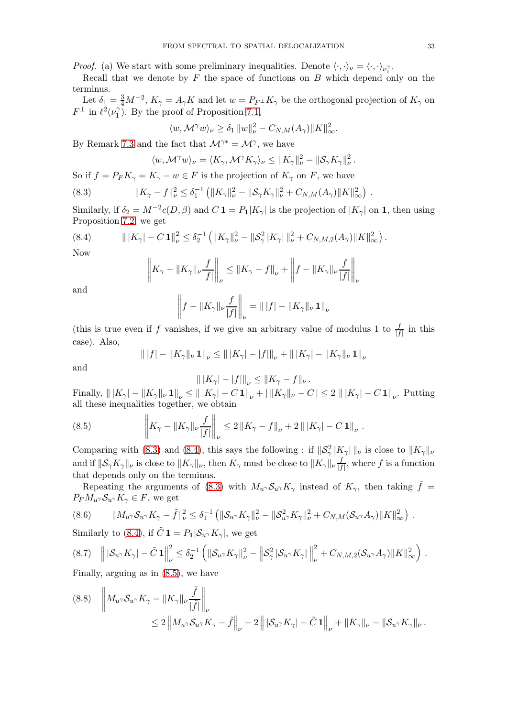*Proof.* (a) We start with some preliminary inequalities. Denote  $\langle \cdot, \cdot \rangle_{\nu} = \langle \cdot, \cdot \rangle_{\nu_1^{\gamma}}$ .

Recall that we denote by  $F$  the space of functions on  $B$  which depend only on the terminus.

Let  $\delta_1 = \frac{3}{4}M^{-2}$ ,  $K_{\gamma} = A_{\gamma}K$  and let  $w = P_{F^{\perp}}K_{\gamma}$  be the orthogonal projection of  $K_{\gamma}$  on  $F^{\perp}$  in  $\ell^2(\nu_1^{\gamma})$  $1)$ . By the proof of Proposition [7.1,](#page-25-0)

$$
\langle w, \mathcal{M}^{\gamma} w \rangle_{\nu} \ge \delta_1 \|w\|_{\nu}^2 - C_{N,M}(A_{\gamma}) \|K\|_{\infty}^2.
$$

By Remark [7.3](#page-26-5) and the fact that  $\mathcal{M}^{\gamma*} = \mathcal{M}^{\gamma}$ , we have

<span id="page-32-0"></span>
$$
\langle w, \mathcal{M}^{\gamma} w \rangle_{\nu} = \langle K_{\gamma}, \mathcal{M}^{\gamma} K_{\gamma} \rangle_{\nu} \leq ||K_{\gamma}||_{\nu}^{2} - ||\mathcal{S}_{\gamma} K_{\gamma}||_{\nu}^{2}.
$$

So if  $f = P_F K_\gamma = K_\gamma - w \in F$  is the projection of  $K_\gamma$  on F, we have

(8.3) 
$$
||K_{\gamma} - f||_{\nu}^{2} \leq \delta_{1}^{-1} (||K_{\gamma}||_{\nu}^{2} - ||\mathcal{S}_{\gamma}K_{\gamma}||_{\nu}^{2} + C_{N,M}(A_{\gamma})||K||_{\infty}^{2})
$$

Similarly, if  $\delta_2 = M^{-2}c(D, \beta)$  and  $C \mathbf{1} = P_1|K_\gamma|$  is the projection of  $|K_\gamma|$  on **1**, then using Proposition [7.2,](#page-25-1) we get

(8.4) 
$$
\| |K_{\gamma}| - C \mathbf{1} \|_{\nu}^{2} \leq \delta_{2}^{-1} \left( \| K_{\gamma} \|_{\nu}^{2} - \| \mathcal{S}_{\gamma}^{2} | K_{\gamma} | \|_{\nu}^{2} + C_{N,M,2}(A_{\gamma}) \| K \|_{\infty}^{2} \right).
$$

Now

<span id="page-32-1"></span>
$$
\left\| K_{\gamma} - \|K_{\gamma}\|_{\nu} \frac{f}{|f|} \right\|_{\nu} \le \|K_{\gamma} - f\|_{\nu} + \left\| f - \|K_{\gamma}\|_{\nu} \frac{f}{|f|} \right\|_{\nu}
$$

and

$$
\left\|f - \|K_{\gamma}\|_{\nu}\frac{f}{|f|}\right\|_{\nu} = \| |f| - \|K_{\gamma}\|_{\nu} \mathbf{1}\|_{\nu}
$$

(this is true even if f vanishes, if we give an arbitrary value of modulus 1 to  $\frac{f}{|f|}$  in this case). Also,

$$
\| |f| - \|K_{\gamma}\|_{\nu} \mathbf{1}\|_{\nu} \le \| |K_{\gamma}| - |f| \|_{\nu} + \| |K_{\gamma}| - \|K_{\gamma}\|_{\nu} \mathbf{1}\|_{\nu}
$$

and

<span id="page-32-2"></span>
$$
\| |K_{\gamma}| - |f| \|_{\nu} \le \| K_{\gamma} - f \|_{\nu}.
$$

Finally,  $\| |K_{\gamma}| - \|K_{\gamma}\|_{\nu} \mathbf{1} \|_{\nu} \le \| |K_{\gamma}| - C \mathbf{1} \|_{\nu} + | \|K_{\gamma}\|_{\nu} - C | \le 2 \| |K_{\gamma}| - C \mathbf{1} \|_{\nu}$ . Putting all these inequalities together, we obtain

(8.5) 
$$
\left\| K_{\gamma} - \|K_{\gamma}\|_{\nu} \frac{f}{|f|} \right\|_{\nu} \leq 2 \|K_{\gamma} - f\|_{\nu} + 2 \| |K_{\gamma}| - C \mathbf{1}\|_{\nu}.
$$

Comparing with [\(8.3\)](#page-32-0) and [\(8.4\)](#page-32-1), this says the following : if  $\|\mathcal{S}_{\gamma}^2 |K_{\gamma}|\|_{\nu}$  is close to  $\|K_{\gamma}\|_{\nu}$ and if  $\|\mathcal{S}_\gamma K_\gamma\|_\nu$  is close to  $\|K_\gamma\|_\nu$ , then  $K_\gamma$  must be close to  $\|K_\gamma\|_\nu\frac{f}{|f|}$  $\frac{J}{|f|}$ , where f is a function that depends only on the terminus.

Repeating the arguments of [\(8.3\)](#page-32-0) with  $M_u \gamma S_u \gamma K_\gamma$  instead of  $K_\gamma$ , then taking  $\tilde{f}$  =  $P_F M_{u\gamma} \mathcal{S}_{u\gamma} K_{\gamma} \in F$ , we get

<span id="page-32-3"></span>
$$
(8.6) \qquad \|M_{u\gamma}S_{u\gamma}K_{\gamma}-\tilde{f}\|_{\nu}^{2}\leq \delta_{1}^{-1}\left(\|\mathcal{S}_{u\gamma}K_{\gamma}\|_{\nu}^{2}-\|\mathcal{S}_{u\gamma}^{2}K_{\gamma}\|_{\nu}^{2}+C_{N,M}(\mathcal{S}_{u\gamma}A_{\gamma})\|K\|_{\infty}^{2}\right).
$$

Similarly to [\(8.4\)](#page-32-1), if  $C\mathbf{1} = P_1|\mathcal{S}_{u\gamma}K_{\gamma}|$ , we get

<span id="page-32-4"></span>
$$
(8.7) \quad \left\| \left| \mathcal{S}_{u\gamma} K_{\gamma} \right| - \tilde{C} \mathbf{1} \right\|_{\nu}^{2} \leq \delta_{2}^{-1} \left( \left\| \mathcal{S}_{u\gamma} K_{\gamma} \right\|_{\nu}^{2} - \left\| \mathcal{S}_{\gamma}^{2} \left| \mathcal{S}_{u\gamma} K_{\gamma} \right| \right\|_{\nu}^{2} + C_{N,M,2}(\mathcal{S}_{u\gamma} A_{\gamma}) \| K \|_{\infty}^{2} \right) .
$$

Finally, arguing as in [\(8.5\)](#page-32-2), we have

<span id="page-32-5"></span>
$$
(8.8) \quad \left\| M_{u\gamma} S_{u\gamma} K_{\gamma} - \|K_{\gamma}\|_{\nu} \frac{\tilde{f}}{|\tilde{f}|} \right\|_{\nu}
$$
  

$$
\leq 2 \left\| M_{u\gamma} S_{u\gamma} K_{\gamma} - \tilde{f} \right\|_{\nu} + 2 \left\| |S_{u\gamma} K_{\gamma}| - \tilde{C} \mathbf{1} \right\|_{\nu} + \|K_{\gamma}\|_{\nu} - \|S_{u\gamma} K_{\gamma}\|_{\nu}.
$$

.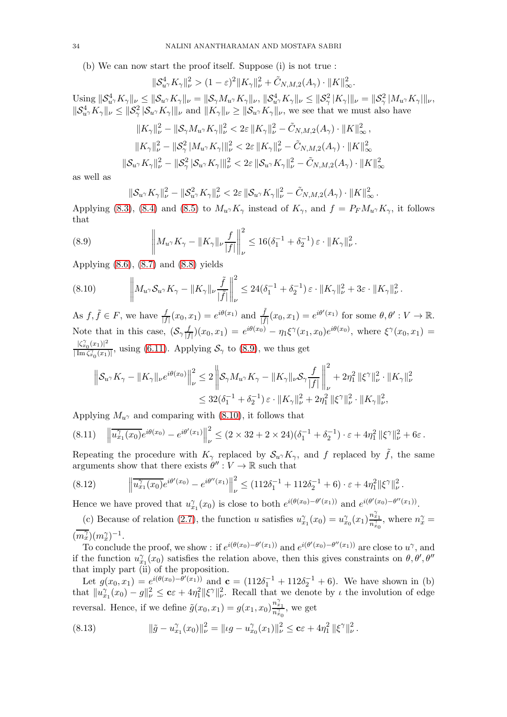(b) We can now start the proof itself. Suppose (i) is not true :

$$
\|\mathcal{S}_{u^{\gamma}}^4 K_{\gamma}\|_{\nu}^2 > (1-\varepsilon)^2 \|K_{\gamma}\|_{\nu}^2 + \tilde{C}_{N,M,2}(A_{\gamma}) \cdot \|K\|_{\infty}^2.
$$

Using  $\|\mathcal{S}_{u\gamma}^4 K_{\gamma}\|_{\nu} \leq \|\mathcal{S}_{u\gamma} K_{\gamma}\|_{\nu} = \|\mathcal{S}_{\gamma} M_{u\gamma} K_{\gamma}\|_{\nu}, \|\mathcal{S}_{u\gamma}^4 K_{\gamma}\|_{\nu} \leq \|\mathcal{S}_{\gamma}^2 |K_{\gamma}|\|_{\nu} = \|\mathcal{S}_{\gamma}^2 |M_{u\gamma} K_{\gamma}|\|_{\nu},$  $||S_{u\gamma}^4 K_{\gamma}||_{\nu} \le ||S_{\gamma}^2 |\mathcal{S}_{u\gamma} K_{\gamma}||_{\nu}$  and  $||K_{\gamma}||_{\nu} \ge ||\mathcal{S}_{u\gamma} K_{\gamma}||_{\nu}$ , we see that we must also have

$$
||K_{\gamma}||_{\nu}^{2} - ||S_{\gamma}M_{u^{\gamma}}K_{\gamma}||_{\nu}^{2} < 2\varepsilon ||K_{\gamma}||_{\nu}^{2} - \tilde{C}_{N,M,2}(A_{\gamma}) \cdot ||K||_{\infty}^{2},
$$
  

$$
||K_{\gamma}||_{\nu}^{2} - ||S_{\gamma}^{2} |M_{u^{\gamma}}K_{\gamma}||_{\nu}^{2} < 2\varepsilon ||K_{\gamma}||_{\nu}^{2} - \tilde{C}_{N,M,2}(A_{\gamma}) \cdot ||K||_{\infty}^{2}
$$
  

$$
||S_{u^{\gamma}}K_{\gamma}||_{\nu}^{2} - ||S_{\gamma}^{2} |S_{u^{\gamma}}K_{\gamma}||_{\nu}^{2} < 2\varepsilon ||S_{u^{\gamma}}K_{\gamma}||_{\nu}^{2} - \tilde{C}_{N,M,2}(A_{\gamma}) \cdot ||K||_{\infty}^{2}
$$

as well as

<span id="page-33-0"></span>
$$
\|\mathcal{S}_{u\gamma}K_{\gamma}\|_{\nu}^2-\|\mathcal{S}_{u\gamma}^2K_{\gamma}\|_{\nu}^2<2\varepsilon\|\mathcal{S}_{u\gamma}K_{\gamma}\|_{\nu}^2-\tilde{C}_{N,M,2}(A_{\gamma})\cdot\|K\|_{\infty}^2.
$$

Applying [\(8.3\)](#page-32-0), [\(8.4\)](#page-32-1) and [\(8.5\)](#page-32-2) to  $M_{u\gamma}K_{\gamma}$  instead of  $K_{\gamma}$ , and  $f = P_F M_{u\gamma}K_{\gamma}$ , it follows that

(8.9) 
$$
\left\| M_{u^{\gamma}} K_{\gamma} - \| K_{\gamma} \|_{\nu} \frac{f}{|f|} \right\|_{\nu}^{2} \leq 16 (\delta_{1}^{-1} + \delta_{2}^{-1}) \varepsilon \cdot \| K_{\gamma} \|_{\nu}^{2}.
$$

Applying [\(8.6\)](#page-32-3), [\(8.7\)](#page-32-4) and [\(8.8\)](#page-32-5) yields

<span id="page-33-1"></span>
$$
(8.10) \t\t \t\t \left\| M_{u\gamma} \mathcal{S}_{u\gamma} K_{\gamma} - \|K_{\gamma}\|_{\nu} \frac{\tilde{f}}{|\tilde{f}|} \right\|_{\nu}^{2} \leq 24(\delta_{1}^{-1} + \delta_{2}^{-1}) \varepsilon \cdot \|K_{\gamma}\|_{\nu}^{2} + 3\varepsilon \cdot \|K_{\gamma}\|_{\nu}^{2}.
$$

As  $f, \tilde{f} \in F$ , we have  $\frac{f}{|f|}(x_0, x_1) = e^{i\theta(x_1)}$  and  $\frac{\tilde{f}}{|\tilde{f}|}(x_0, x_1) = e^{i\theta'(x_1)}$  for some  $\theta, \theta' : V \to \mathbb{R}$ . Note that in this case,  $(\mathcal{S}_{\gamma})^f_{\mid f}$  $\frac{f}{|f|}(x_0, x_1) = e^{i\theta(x_0)} - \eta_1 \xi^{\gamma}(x_1, x_0) e^{i\theta(x_0)},$  where  $\xi^{\gamma}(x_0, x_1) =$  $|\zeta_{x_0}^{\gamma}(x_1)|^2$  $\frac{|S_{x_0}(x_1)|}{|\text{Im}\zeta_{x_0}^2(x_1)|}$ , using [\(6.11\)](#page-23-7). Applying  $S_\gamma$  to [\(8.9\)](#page-33-0), we thus get

$$
\begin{aligned} \left\| \mathcal{S}_{u^\gamma} K_\gamma - \| K_\gamma \|_\nu e^{i \theta(x_0)} \right\|_\nu^2 &\leq 2 \left\| \mathcal{S}_\gamma M_{u^\gamma} K_\gamma - \| K_\gamma \|_\nu \mathcal{S}_\gamma \frac{f}{|f|} \right\|_\nu^2 + 2 \eta_1^2 \left\| \xi^\gamma \right\|_\nu^2 \cdot \| K_\gamma \|_\nu^2 \\ &\leq 32 (\delta_1^{-1} + \delta_2^{-1}) \, \varepsilon \cdot \| K_\gamma \|_\nu^2 + 2 \eta_1^2 \left\| \xi^\gamma \right\|_\nu^2 \cdot \| K_\gamma \|_\nu^2, \end{aligned}
$$

Applying  $M_{u\gamma}$  and comparing with [\(8.10\)](#page-33-1), it follows that

<span id="page-33-4"></span>
$$
(8.11) \quad \left\|\overline{u_{x_1}^{\gamma}(x_0)}e^{i\theta(x_0)} - e^{i\theta'(x_1)}\right\|_{\nu}^2 \leq (2 \times 32 + 2 \times 24)(\delta_1^{-1} + \delta_2^{-1}) \cdot \varepsilon + 4\eta_1^2 \left\|\xi^{\gamma}\right\|_{\nu}^2 + 6\varepsilon.
$$

Repeating the procedure with  $K_{\gamma}$  replaced by  $\mathcal{S}_{u} \gamma K_{\gamma}$ , and f replaced by  $\tilde{f}$ , the same arguments show that there exists  $\theta'' : V \to \mathbb{R}$  such that

<span id="page-33-3"></span>
$$
(8.12) \qquad \left\|\overline{u_{x_1}^{\gamma}(x_0)}e^{i\theta'(x_0)} - e^{i\theta''(x_1)}\right\|_{\nu}^2 \leq (112\delta_1^{-1} + 112\delta_2^{-1} + 6) \cdot \varepsilon + 4\eta_1^2 \|\xi^{\gamma}\|_{\nu}^2.
$$

Hence we have proved that  $u_{x_1}^{\gamma}(x_0)$  is close to both  $e^{i(\theta(x_0)-\theta'(x_1))}$  and  $e^{i(\theta'(x_0)-\theta''(x_1))}$ .

(c) Because of relation [\(2.7\)](#page-11-9), the function u satisfies  $u_{x_1}^{\gamma}(x_0) = u_{x_0}^{\gamma}(x_1) \frac{n_{x_1}^{\gamma}}{n_{x_0}^{\gamma}}$ , where  $n_x^{\gamma} =$  $\left(\overline{m_x^{\gamma}}\right)(m_x^{\gamma})^{-1}.$  $\dot{x}$ 

To conclude the proof, we show : if  $e^{i(\theta(x_0)-\theta'(x_1))}$  and  $e^{i(\theta'(x_0)-\theta''(x_1))}$  are close to  $u^{\gamma}$ , and if the function  $u_{x_1}^{\gamma}(x_0)$  satisfies the relation above, then this gives constraints on  $\theta, \theta', \theta''$ that imply part  $(i)$  of the proposition.

Let  $g(x_0, x_1) = e^{i(\theta(x_0) - \hat{\theta}'(x_1))}$  and  $\mathbf{c} = (112\delta_1^{-1} + 112\delta_2^{-1} + 6)$ . We have shown in (b) that  $||u_{x_1}^{\gamma}(x_0) - g||_{\nu}^2 \leq c\varepsilon + 4\eta_1^2 ||\xi^{\gamma}||_{\nu}^2$ . Recall that we denote by  $\iota$  the involution of edge reversal. Hence, if we define  $\tilde{g}(x_0, x_1) = g(x_1, x_0) \frac{n_{x_1}^{\gamma}}{n_{x_0}^{\gamma}}$ , we get

<span id="page-33-2"></span>(8.13) 
$$
\|\tilde{g} - u_{x_1}^{\gamma}(x_0)\|_{\nu}^2 = \| \iota g - u_{x_0}^{\gamma}(x_1) \|_{\nu}^2 \leq c\varepsilon + 4\eta_1^2 \| \xi^{\gamma} \|_{\nu}^2.
$$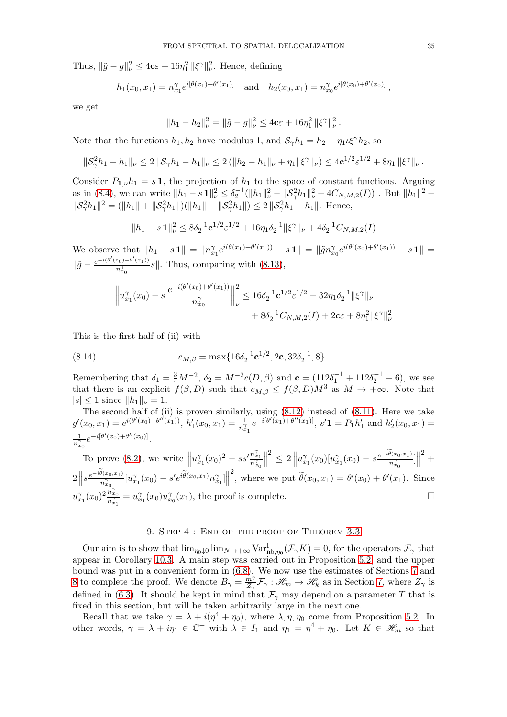Thus,  $\|\tilde{g} - g\|_{\nu}^2 \le 4c\varepsilon + 16\eta_1^2 \|\xi^{\gamma}\|_{\nu}^2$ . Hence, defining

$$
h_1(x_0, x_1) = n_{x_1}^{\gamma} e^{i[\theta(x_1) + \theta'(x_1)]}
$$
 and  $h_2(x_0, x_1) = n_{x_0}^{\gamma} e^{i[\theta(x_0) + \theta'(x_0)]}$ ,

we get

$$
||h_1 - h_2||_{\nu}^2 = ||\tilde{g} - g||_{\nu}^2 \le 4c\varepsilon + 16\eta_1^2 ||\xi^{\gamma}||_{\nu}^2.
$$

Note that the functions  $h_1, h_2$  have modulus 1, and  $S_\gamma h_1 = h_2 - \eta_1 \iota \xi^\gamma h_2$ , so

$$
\|\mathcal{S}_{\gamma}^2 h_1 - h_1\|_{\nu} \leq 2 \|\mathcal{S}_{\gamma} h_1 - h_1\|_{\nu} \leq 2 \left( \|h_2 - h_1\|_{\nu} + \eta_1 \|\xi^{\gamma}\|_{\nu} \right) \leq 4c^{1/2} \varepsilon^{1/2} + 8\eta_1 \|\xi^{\gamma}\|_{\nu}.
$$

Consider  $P_{1,\nu}h_1 = s\mathbf{1}$ , the projection of  $h_1$  to the space of constant functions. Arguing as in [\(8.4\)](#page-32-1), we can write  $||h_1 - s \mathbf{1}||_\nu^2 \leq \delta_2^{-1}(||h_1||_\nu^2 - ||\mathcal{S}^2_\gamma h_1||_\nu^2 + 4C_{N,M,2}(I))$ . But  $||h_1||^2 ||S_{\gamma}^2 h_1||^2 = (||h_1|| + ||S_{\gamma}^2 h_1||)(||h_1|| - ||S_{\gamma}^2 h_1||) \leq 2||S_{\gamma}^2 h_1 - h_1||.$  Hence,

$$
||h_1 - s \mathbf{1}||_{\nu}^2 \le 8\delta_2^{-1} \mathbf{c}^{1/2} \varepsilon^{1/2} + 16\eta_1 \delta_2^{-1} ||\xi^{\gamma}||_{\nu} + 4\delta_2^{-1} C_{N,M,2}(I)
$$

We observe that  $||h_1 - s \mathbf{1}|| = ||n_{x_1}^{\gamma} e^{i(\theta(x_1) + \theta'(x_1))} - s \mathbf{1}|| = ||\tilde{g}n_{x_0}^{\gamma} e^{i(\theta'(x_0) + \theta'(x_1))} - s \mathbf{1}|| =$  $\|\tilde{g} - \frac{e^{-i(\theta'(x_0)+\theta'(x_1))}}{n_{x_0}^{\gamma}}$  $\frac{n_{0}^{(1)} \cdot (x_{1})^{(1)}}{n_{x_{0}}^{(2)}} s$ . Thus, comparing with  $(8.13)$ ,

$$
\left\|u_{x_1}^{\gamma}(x_0) - s \frac{e^{-i(\theta'(x_0) + \theta'(x_1))}}{n_{x_0}^{\gamma}}\right\|_{\nu}^2 \le 16\delta_2^{-1} \mathbf{c}^{1/2} \varepsilon^{1/2} + 32\eta_1 \delta_2^{-1} \|\xi^{\gamma}\|_{\nu} + 8\delta_2^{-1} C_{N,M,2}(I) + 2\mathbf{c}\varepsilon + 8\eta_1^2 \|\xi^{\gamma}\|_{\nu}^2
$$

This is the first half of (ii) with

(8.14) 
$$
c_{M,\beta} = \max\{16\delta_2^{-1} \mathbf{c}^{1/2}, 2\mathbf{c}, 32\delta_2^{-1}, 8\}.
$$

Remembering that  $\delta_1 = \frac{3}{4}M^{-2}$ ,  $\delta_2 = M^{-2}c(D, \beta)$  and  $\mathbf{c} = (112\delta_1^{-1} + 112\delta_2^{-1} + 6)$ , we see that there is an explicit  $f(\beta, D)$  such that  $c_{M, \beta} \leq f(\beta, D)M^3$  as  $M \to +\infty$ . Note that  $|s| \leq 1$  since  $||h_1||_{\nu} = 1$ .

The second half of (ii) is proven similarly, using [\(8.12\)](#page-33-3) instead of [\(8.11\)](#page-33-4). Here we take  $g'(x_0, x_1) = e^{i(\theta'(x_0) - \theta''(x_1))}, h'_1(x_0, x_1) = \frac{1}{n_{x_1}^2} e^{-i[\theta'(x_1) + \theta''(x_1)]}, s' \mathbf{1} = P_1 h'_1 \text{ and } h'_2(x_0, x_1) =$ 1  $\frac{1}{n_{x_0}^{\gamma}}e^{-i[\theta'(x_0)+\theta''(x_0)]}.$ 

To prove [\(8.2\)](#page-31-1), we write  $||u_{x_1}^{\gamma}(x_0)^2 - ss'\frac{n_{x_1}^{\gamma}}{n_{x_0}^{\gamma}}$  $\biggl\} \biggl[$  $\leq 2 \left\| u_{x_1}^{\gamma}(x_0)[u_{x_1}^{\gamma}(x_0)-s \frac{e^{-i \widetilde{\theta}(x_0,x_1)}}{n_{x_0}^{\gamma}}] \right\|$  $2$ <sup>+</sup>  $2\left\Vert s\frac{e^{-i\theta(x_{0},x_{1})}}{n_{x_{0}}^{\gamma}}[u_{x_{1}}^{\gamma}(x_{0})-s^{\prime}e^{i\widetilde{\theta}(x_{0},x_{1})}n_{x_{1}}^{\gamma}]\right\Vert$ <sup>2</sup>, where we put  $\widetilde{\theta}(x_0, x_1) = \theta'(x_0) + \theta'(x_1)$ . Since  $u_{x_1}^{\gamma}(x_0)^2 \frac{n_{x_0}^{\gamma}}{n_{x_1}^{\gamma}} = u_{x_1}^{\gamma}(x_0) u_{x_0}^{\gamma}(x_1)$ , the proof is complete. γ

### 9. Step 4 : End of the proof of Theorem [3.3](#page-14-1)

<span id="page-34-0"></span>Our aim is to show that  $\lim_{\eta_0 \downarrow 0} \lim_{N \to +\infty} \text{Var}_{\text{nb},\eta_0}^{\text{I}}(\mathcal{F}_\gamma K) = 0$ , for the operators  $\mathcal{F}_\gamma$  that appear in Corollary [10.3.](#page-46-0) A main step was carried out in Proposition [5.2,](#page-22-1) and the upper bound was put in a convenient form in [\(6.8\)](#page-23-2). We now use the estimates of Sections [7](#page-24-4) and [8](#page-31-2) to complete the proof. We denote  $B_{\gamma} = \frac{m\gamma}{Z_{\gamma}}$  $\frac{m\gamma}{Z_{\gamma}}\mathcal{F}_{\gamma}:\mathscr{H}_{m}\to\mathscr{H}_{k}$  as in Section [7,](#page-24-4) where  $Z_{\gamma}$  is defined in [\(6.3\)](#page-23-8). It should be kept in mind that  $\mathcal{F}_{\gamma}$  may depend on a parameter T that is fixed in this section, but will be taken arbitrarily large in the next one.

Recall that we take  $\gamma = \lambda + i(\eta^4 + \eta_0)$ , where  $\lambda, \eta, \eta_0$  come from Proposition [5.2.](#page-22-1) In other words,  $\gamma = \lambda + i\eta_1 \in \mathbb{C}^+$  with  $\lambda \in I_1$  and  $\eta_1 = \eta^4 + \eta_0$ . Let  $K \in \mathcal{H}_m$  so that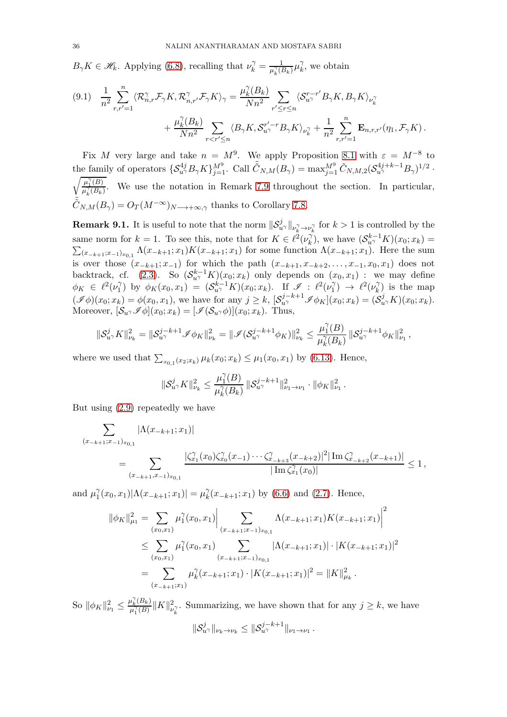$B_{\gamma}K \in \mathscr{H}_k$ . Applying [\(6.8\)](#page-23-2), recalling that  $\nu_k^{\gamma} = \frac{1}{\mu_k^{\gamma}(l)}$  $\frac{1}{\mu_k^{\gamma}(B_k)}\mu_k^{\gamma}$  $\chi^{\gamma}$ , we obtain

<span id="page-35-1"></span>
$$
(9.1) \frac{1}{n^2} \sum_{r,r'=1}^n \langle \mathcal{R}_{n,r}^{\gamma} \mathcal{F}_{\gamma} K, \mathcal{R}_{n,r'}^{\gamma} \mathcal{F}_{\gamma} K \rangle_{\gamma} = \frac{\mu_k^{\gamma} (B_k)}{N n^2} \sum_{r' \le r \le n} \langle \mathcal{S}_{u\gamma}^{r-r'} B_{\gamma} K, B_{\gamma} K \rangle_{\nu_k^{\gamma}} + \frac{\mu_k^{\gamma} (B_k)}{N n^2} \sum_{r < r' \le n} \langle B_{\gamma} K, \mathcal{S}_{u\gamma}^{r'-r} B_{\gamma} K \rangle_{\nu_k^{\gamma}} + \frac{1}{n^2} \sum_{r,r'=1}^n \mathbf{E}_{n,r,r'}(\eta_1, \mathcal{F}_{\gamma} K).
$$

Fix M very large and take  $n = M^9$ . We apply Proposition [8.1](#page-31-0) with  $\varepsilon = M^{-8}$  to the family of operators  $\{S_{u\gamma}^{4j}B_{\gamma}K\}_{j=1}^{M^9}$ . Call  $\tilde{C}_{N,M}(B_{\gamma}) = \max_{j=1}^{M^9} \tilde{C}_{N,M,2}(S_{u\gamma}^{4j+k-1}B_{\gamma})^{1/2}$ .  $\mu_1^{\gamma}(B)$  $\frac{\mu_1(D)}{\mu_k^2(B_k)}$ . We use the notation in Remark [7.9](#page-30-0) throughout the section. In particular,  $\tilde{\tilde{C}}_{N,M}(B_\gamma) = O_T(M^{-\infty})_{N\longrightarrow+\infty,\gamma}$  thanks to Corollary [7.8.](#page-28-2)

<span id="page-35-0"></span>**Remark 9.1.** It is useful to note that the norm  $\|\mathcal{S}_{u}^j\|_{\nu_k^{\gamma}\to\nu_k^{\gamma}}$  for  $k>1$  is controlled by the same norm for  $k = 1$ . To see this, note that for  $K \in \ell^2(\nu_k^{\gamma})$  $\chi_k^{\gamma}$ , we have  $(\mathcal{S}_{u^{\gamma}}^{k-1}K)(x_0; x_k) =$  $\sum_{(x_{-k+1};x_{-1})_{x_{0,1}}} \Lambda(x_{-k+1};x_1)K(x_{-k+1};x_1)$  for some function  $\Lambda(x_{-k+1};x_1)$ . Here the sum is over those  $(x_{-k+1}, x_{-1})$  for which the path  $(x_{-k+1}, x_{-k+2}, \ldots, x_{-1}, x_0, x_1)$  does not backtrack, cf. [\(2.3\)](#page-10-2). So  $(\mathcal{S}_{u}^{k-1}K)(x_0;x_k)$  only depends on  $(x_0,x_1)$  : we may define  $\phi_K \in \ell^2(\nu_1^{\gamma})$  $\hat{C}_1^{\gamma}$ ) by  $\phi_K(x_0, x_1) = (S_{u\gamma}^{k-1}K)(x_0; x_k)$ . If  $\mathscr{I} : \ell^2(\nu_1^{\gamma})$  $\ell_1^{\gamma}$   $\rightarrow$   $\ell^2(\nu_k^{\gamma})$  $\binom{\gamma}{k}$  is the map  $(\mathscr{I}\phi)(x_0; x_k) = \phi(x_0, x_1)$ , we have for any  $j \geq k$ ,  $[\mathcal{S}_{u\gamma}^{j-k+1} \mathscr{I} \phi_K](x_0; x_k) = (\mathcal{S}_{u\gamma}^j K)(x_0; x_k)$ . Moreover,  $[\mathcal{S}_{u}, \mathcal{I}_{\phi}](x_0; x_k) = [\mathcal{I}(\mathcal{S}_{u}, \phi)](x_0; x_k)$ . Thus,

$$
\|\mathcal{S}_{u^{\gamma}}^j K\|_{\nu_k}^2 = \|\mathcal{S}_{u^{\gamma}}^{j-k+1} \mathscr{I} \phi_K\|_{\nu_k}^2 = \|\mathscr{I}(\mathcal{S}_{u^{\gamma}}^{j-k+1} \phi_K)\|_{\nu_k}^2 \leq \frac{\mu_1^{\gamma}(B)}{\mu_k^{\gamma}(B_k)} \|\mathcal{S}_{u^{\gamma}}^{j-k+1} \phi_K\|_{\nu_1}^2,
$$

where we used that  $\sum_{x_{0,1}(x_2;x_k)} \mu_k(x_0;x_k) \leq \mu_1(x_0,x_1)$  by [\(6.13\)](#page-24-1). Hence,

$$
\|\mathcal{S}_{u^{\gamma}}^j K\|_{\nu_k}^2 \leq \frac{\mu_1^{\gamma}(B)}{\mu_k^{\gamma}(B_k)} \, \|\mathcal{S}_{u^{\gamma}}^{j-k+1}\|_{\nu_1 \to \nu_1}^2 \cdot \|\phi_K\|_{\nu_1}^2 \,.
$$

But using [\(2.9\)](#page-11-8) repeatedly we have

$$
\sum_{(x_{-k+1};x_{-1})_{x_{0,1}}} |\Lambda(x_{-k+1};x_1)|
$$
\n
$$
= \sum_{(x_{-k+1};x_{-1})_{x_{0,1}}} \frac{|\zeta_{x_1}^{\gamma}(x_0)\zeta_{x_0}^{\gamma}(x_{-1})\cdots\zeta_{x_{-k+3}}^{\gamma}(x_{-k+2})|^2|\operatorname{Im}\zeta_{x_{-k+2}}^{\gamma}(x_{-k+1})|}{|\operatorname{Im}\zeta_{x_1}^{\gamma}(x_0)|} \le 1,
$$

and  $\mu_1^{\gamma}$  $\int_{1}^{\gamma}(x_0, x_1)|\Lambda(x_{-k+1}; x_1)| = \mu_k^{\gamma}$  $\chi_k^{\gamma}(x_{-k+1};x_1)$  by [\(6.6\)](#page-23-1) and [\(2.7\)](#page-11-9). Hence,

$$
\|\phi_K\|_{\mu_1}^2 = \sum_{(x_0, x_1)} \mu_1^{\gamma}(x_0, x_1) \Big| \sum_{(x_{-k+1}; x_{-1})_{x_{0,1}}} \Lambda(x_{-k+1}; x_1) K(x_{-k+1}; x_1) \Big|^2
$$
  
\n
$$
\leq \sum_{(x_0, x_1)} \mu_1^{\gamma}(x_0, x_1) \sum_{(x_{-k+1}; x_{-1})_{x_{0,1}}} |\Lambda(x_{-k+1}; x_1)| \cdot |K(x_{-k+1}; x_1)|^2
$$
  
\n
$$
= \sum_{(x_{-k+1}; x_1)} \mu_k^{\gamma}(x_{-k+1}; x_1) \cdot |K(x_{-k+1}; x_1)|^2 = ||K||_{\mu_k}^2.
$$

So  $\|\phi_K\|_{\nu_1}^2 \leq \frac{\mu_k^{\gamma}(B_k)}{\mu_1^{\gamma}(B)}$  $\frac{\mu_k^{\prime}(B_k)}{\mu_1^{\gamma}(B)}$   $\|K\|_{\nu}^2$  $v_k^2$ . Summarizing, we have shown that for any  $j \geq k$ , we have  $\|\mathcal{S}_{u^{\gamma}}^{j}\|_{\nu_{k}\to\nu_{k}} \leq \|\mathcal{S}_{u^{\gamma}}^{j-k+1}\|_{\nu_{1}\to\nu_{1}}$ .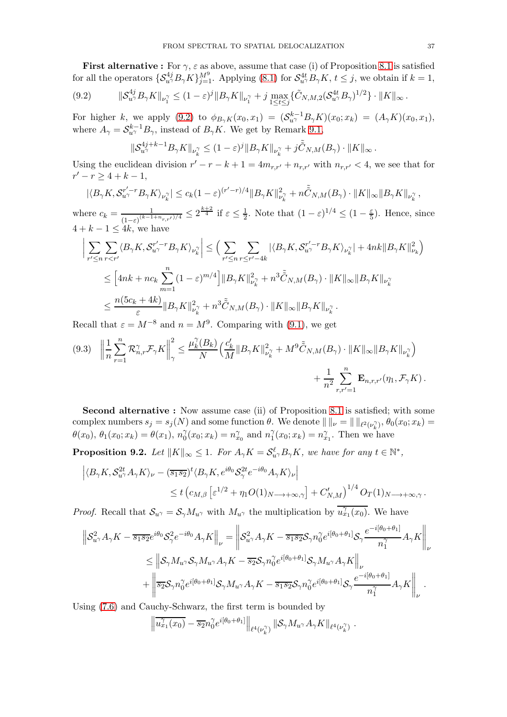**First alternative :** For  $\gamma$ ,  $\varepsilon$  as above, assume that case (i) of Proposition [8.1](#page-31-0) is satisfied for all the operators  $\{S_{u\gamma}^{4j}B_{\gamma}K\}_{j=1}^{M^9}$ . Applying [\(8.1\)](#page-31-3) for  $S_{u\gamma}^{4t}B_{\gamma}K$ ,  $t \leq j$ , we obtain if  $k = 1$ ,

<span id="page-36-0"></span>
$$
(9.2) \qquad \|\mathcal{S}_{u^{\gamma}}^{4j}B_{\gamma}K\|_{\nu_1^{\gamma}} \le (1-\varepsilon)^j \|B_{\gamma}K\|_{\nu_1^{\gamma}} + j \max_{1 \le t \le j} \{\tilde{C}_{N,M,2}(\mathcal{S}_{u^{\gamma}}^{4t}B_{\gamma})^{1/2}\} \cdot \|K\|_{\infty}.
$$

For higher k, we apply [\(9.2\)](#page-36-0) to  $\phi_{B_{\gamma}K}(x_0, x_1) = (S_{u^{\gamma}}^{k-1} B_{\gamma}K)(x_0, x_k) = (A_{\gamma}K)(x_0, x_1),$ where  $A_{\gamma} = \mathcal{S}_{u^{\gamma}}^{k-1} B_{\gamma}$ , instead of  $B_{\gamma} K$ . We get by Remark [9.1,](#page-35-0)

$$
\|\mathcal{S}_{u^{\gamma}}^{4j+k-1}B_{\gamma}K\|_{\nu_{k}^{\gamma}} \leq (1-\varepsilon)^{j} \|B_{\gamma}K\|_{\nu_{k}^{\gamma}} + j\tilde{\tilde{C}}_{N,M}(B_{\gamma}) \cdot \|K\|_{\infty}.
$$

Using the euclidean division  $r' - r - k + 1 = 4m_{r,r'} + n_{r,r'}$  with  $n_{r,r'} < 4$ , we see that for  $r'-r \geq 4+k-1,$ 

$$
|\langle B_{\gamma}K, \mathcal{S}_{u^{\gamma}}^{r'-r}B_{\gamma}K\rangle_{\nu_k^{\gamma}}|\leq c_k(1-\varepsilon)^{(r'-r)/4}\|B_{\gamma}K\|_{\nu_k^{\gamma}}^2+n\tilde{\tilde{C}}_{N,M}(B_{\gamma})\cdot \|K\|_{\infty}\|B_{\gamma}K\|_{\nu_k^{\gamma}},
$$

where  $c_k = \frac{1}{(1-\lambda)(k-1)}$  $\frac{1}{(1-\varepsilon)^{(k-1+n_{r,r'})/4}} \leq 2^{\frac{k+2}{4}}$  if  $\varepsilon \leq \frac{1}{2}$  $\frac{1}{2}$ . Note that  $(1 - \varepsilon)^{1/4} \leq (1 - \frac{\varepsilon}{5})$  $\frac{\varepsilon}{5}$ ). Hence, since  $4 + k - 1 \leq 4k$ , we have

$$
\begin{split} \Big|\sum_{r'\leq n}\sum_{r
$$

Recall that  $\varepsilon = M^{-8}$  and  $n = M^9$ . Comparing with [\(9.1\)](#page-35-1), we get

<span id="page-36-1"></span>
$$
(9.3) \quad \left\|\frac{1}{n}\sum_{r=1}^{n}\mathcal{R}_{n,r}^{\gamma}\mathcal{F}_{\gamma}K\right\|_{\gamma}^{2} \leq \frac{\mu_{k}^{\gamma}(B_{k})}{N}\Big(\frac{c'_{k}}{M}\|B_{\gamma}K\|_{\nu_{k}^{\gamma}}^{2} + M^{9}\tilde{\tilde{C}}_{N,M}(B_{\gamma})\cdot\|K\|_{\infty}\|B_{\gamma}K\|_{\nu_{k}^{\gamma}}\Big) +\frac{1}{n^{2}}\sum_{r,r'=1}^{n}\mathbf{E}_{n,r,r'}(\eta_{1},\mathcal{F}_{\gamma}K).
$$

Second alternative : Now assume case (ii) of Proposition [8.1](#page-31-0) is satisfied; with some complex numbers  $s_j = s_j(N)$  and some function  $\theta$ . We denote  $\| \ \|_{\nu} = \| \ \|_{\ell^2(\nu_k^{\gamma})}$ ,  $\theta_0(x_0; x_k) =$  $\theta(x_0), \, \theta_1(x_0; x_k) = \theta(x_1), \, n_0^{\gamma}(x_0; x_k) = n_{x_0}^{\gamma} \text{ and } n_1^{\gamma}(x_0; x_k) = n_{x_1}^{\gamma}$ . Then we  $\gamma_0^{\gamma}(x_0; x_k) = n_{x_0}^{\gamma}$  and  $n_1^{\gamma}$  $j_1^{\gamma}(x_0; x_k) = n_{x_1}^{\gamma}$ . Then we have

**Proposition 9.2.** Let  $||K||_{\infty} \leq 1$ . For  $A_{\gamma}K = \mathcal{S}_{u^{\gamma}}^{\ell}B_{\gamma}K$ , we have for any  $t \in \mathbb{N}^*$ ,

$$
\left| \langle B_{\gamma} K, \mathcal{S}_{u^{\gamma}}^{2t} A_{\gamma} K \rangle_{\nu} - (\overline{s_1 s_2})^t \langle B_{\gamma} K, e^{i\theta_0} \mathcal{S}_{\gamma}^{2t} e^{-i\theta_0} A_{\gamma} K \rangle_{\nu} \right|
$$
  

$$
\leq t \left( c_{M,\beta} \left[ \varepsilon^{1/2} + \eta_1 O(1) N \longrightarrow +\infty, \gamma \right] + C'_{N,M} \right)^{1/4} O_T(1) N \longrightarrow +\infty, \gamma.
$$

*Proof.* Recall that  $S_{u\gamma} = S_{\gamma} M_{u\gamma}$  with  $M_{u\gamma}$  the multiplication by  $\overline{u_{x_1}^{\gamma}(x_0)}$ . We have

$$
\begin{split} \left\| \mathcal{S}_{u^{\gamma}}^{2} A_{\gamma} K - \overline{s_{1} s_{2}} e^{i \theta_{0}} \mathcal{S}_{\gamma}^{2} e^{-i \theta_{0}} A_{\gamma} K \right\|_{\nu} & = \left\| \mathcal{S}_{u^{\gamma}}^{2} A_{\gamma} K - \overline{s_{1} s_{2}} \mathcal{S}_{\gamma} n_{0}^{\gamma} e^{i [\theta_{0} + \theta_{1}]} \mathcal{S}_{\gamma} \frac{e^{-i [\theta_{0} + \theta_{1}]} }{n_{1}^{\gamma}} A_{\gamma} K \right\|_{\nu} \\ & \leq \left\| \mathcal{S}_{\gamma} M_{u^{\gamma}} \mathcal{S}_{\gamma} M_{u^{\gamma}} A_{\gamma} K - \overline{s_{2}} \mathcal{S}_{\gamma} n_{0}^{\gamma} e^{i [\theta_{0} + \theta_{1}]} \mathcal{S}_{\gamma} M_{u^{\gamma}} A_{\gamma} K \right\|_{\nu} \\ & + \left\| \overline{s_{2}} \mathcal{S}_{\gamma} n_{0}^{\gamma} e^{i [\theta_{0} + \theta_{1}]} \mathcal{S}_{\gamma} M_{u^{\gamma}} A_{\gamma} K - \overline{s_{1} s_{2}} \mathcal{S}_{\gamma} n_{0}^{\gamma} e^{i [\theta_{0} + \theta_{1}]} \mathcal{S}_{\gamma} \frac{e^{-i [\theta_{0} + \theta_{1}]} }{n_{1}^{\gamma}} A_{\gamma} K \right\|_{\nu} . \end{split}
$$

Using [\(7.6\)](#page-26-4) and Cauchy-Schwarz, the first term is bounded by

$$
\left\|\overline{u_{x_1}^{\gamma}(x_0)}-\overline{s_2}n_0^{\gamma}e^{i[\theta_0+\theta_1]}\right\|_{\ell^4(\nu_k^{\gamma})}\left\|\mathcal{S}_{\gamma}M_{u^{\gamma}}A_{\gamma}K\right\|_{\ell^4(\nu_k^{\gamma})}.
$$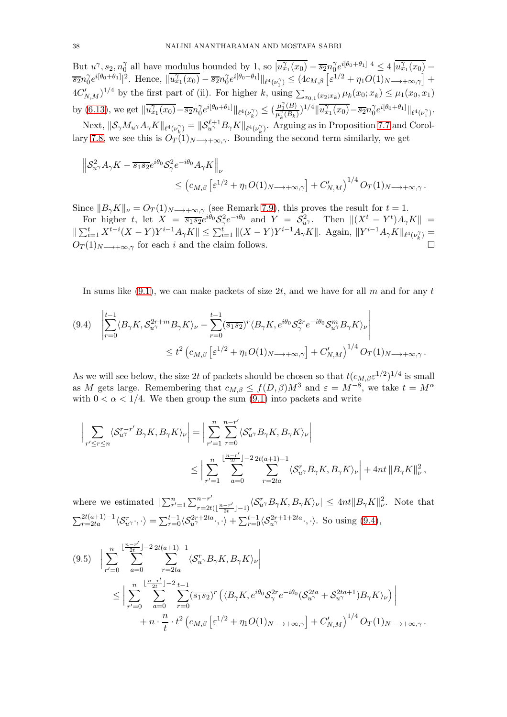But  $u^{\gamma}, s_2, n_0^{\gamma}$  $\frac{\gamma}{\alpha}$  all have modulus bounded by 1, so  $\overline{u_{x_1}^{\gamma}(x_0)} - \overline{s_2}n_0^{\gamma}$  $\int_{0}^{\gamma} e^{i[\theta_0 + \theta_1]} |^{4} \leq 4 \left| \overline{u_{x_1}^{\gamma}(x_0)} \right|$  $\overline{s_2}n_0^\gamma$  $\int_0^\gamma e^{i[\theta_0+\theta_1]}|^2$ . Hence,  $\|\overline{u_{x_1}^\gamma(x_0)}-\overline{s_2}n_0^\gamma$  $\int_0^{\gamma} e^{i[\theta_0 + \theta_1]} \|\ell^4(\nu_1^{\gamma})} \leq (4c_{M,\beta} \left[ \varepsilon^{1/2} + \eta_1 O(1)_{N \longrightarrow +\infty, \gamma} \right] +$  $4C'_{N,M}$ <sup>1/4</sup> by the first part of (ii). For higher k, using  $\sum_{x_{0,1}(x_2,x_k)} \mu_k(x_0;x_k) \leq \mu_1(x_0,x_1)$ by [\(6.13\)](#page-24-1), we get  $\|\overline{u_{x_1}^{\gamma}(x_0)} - \overline{s_2}n_0^{\gamma}$  $\gamma e^{i[\theta_0 + \theta_1]} \|_{\ell^4(\nu_k^{\gamma})} \leq (\frac{\mu_1^{\gamma}(B)}{\mu_k^{\gamma}(B_k)}$  $\frac{\mu_1(B)}{\mu_k^{\gamma}(B_k)}$ <sup>1/4</sup> $\|\overline{u_{x_1}^{\gamma}(x_0)} - \overline{s_2}n_0^{\gamma}$  $_0^\gamma e^{i[\theta_0+\theta_1]}\|_{\ell^4(\nu_1^\gamma)}.$ Next,  $\|\mathcal{S}_{\gamma}M_{u^{\gamma}}A_{\gamma}K\|_{\ell^{4}(\nu_{k}^{\gamma})}=\|\mathcal{S}_{u^{\gamma}}^{\ell+1}B_{\gamma}K\|_{\ell^{4}(\nu_{k}^{\gamma})}$ . Arguing as in Proposition [7.7](#page-28-1) and Corol-

lary [7.8,](#page-28-2) we see this is  $O_T(1)_{N\to+\infty,\gamma}$ . Bounding the second term similarly, we get  $\left\| \mathcal{S}_{u^{\gamma}}^2 A_{\gamma} K - \overline{s_1 s_2} e^{i \theta_0} \mathcal{S}_{\gamma}^2 e^{-i \theta_0} A_{\gamma} K \right\|$ 

$$
\leq (c_{M,\beta} \left[ \varepsilon^{1/2} + \eta_1 O(1)_{N \longrightarrow +\infty,\gamma} \right] + C'_{N,M})^{1/4} O_T(1)_{N \longrightarrow +\infty,\gamma}.
$$

Since  $||B_{\gamma}K||_{\nu} = O_T(1)_{N\rightarrow+\infty,\gamma}$  (see Remark [7.9\)](#page-30-0), this proves the result for  $t = 1$ . For higher t, let  $X = \overline{s_1 s_2} e^{i\theta_0} S_{\gamma}^2 e^{-i\theta_0}$  and  $Y = S_{u^{\gamma}}^2$ . Then  $\|(X^t - Y^t)A_{\gamma}K\|$  =

 $\|\sum_{i=1}^t X^{t-i}(X-Y)Y^{i-1}A_{\gamma}K\| \leq \sum_{i=1}^t \| (X-Y)Y^{i-1}A_{\gamma}K\|.$  Again,  $\|Y^{i-1}A_{\gamma}K\|_{\ell^4(\nu_k^{\gamma})} =$  $O_T(1)_{N\longrightarrow+\infty,\gamma}$  for each i and the claim follows.

In sums like  $(9.1)$ , we can make packets of size 2t, and we have for all m and for any t

<span id="page-37-0"></span>
$$
(9.4) \quad \left| \sum_{r=0}^{t-1} \langle B_{\gamma} K, \mathcal{S}_{u^{\gamma}}^{2r+m} B_{\gamma} K \rangle_{\nu} - \sum_{r=0}^{t-1} (\overline{s_1 s_2})^r \langle B_{\gamma} K, e^{i\theta_0} \mathcal{S}_{\gamma}^{2r} e^{-i\theta_0} \mathcal{S}_{u^{\gamma}}^m B_{\gamma} K \rangle_{\nu} \right|
$$
  

$$
\leq t^2 \left( c_{M,\beta} \left[ \varepsilon^{1/2} + \eta_1 O(1)_{N \longrightarrow +\infty,\gamma} \right] + C'_{N,M} \right)^{1/4} O_T(1)_N \longrightarrow +\infty, \gamma.
$$

As we will see below, the size 2t of packets should be chosen so that  $t(c_{M,\beta} \varepsilon^{1/2})^{1/4}$  is small as M gets large. Remembering that  $c_{M,\beta} \leq f(D,\beta)M^3$  and  $\varepsilon = M^{-8}$ , we take  $t = M^{\alpha}$ with  $0 < \alpha < 1/4$ . We then group the sum [\(9.1\)](#page-35-1) into packets and write

$$
\left| \sum_{r' \leq r \leq n} \langle \mathcal{S}_{u\gamma}^{r-r'} B_{\gamma} K, B_{\gamma} K \rangle_{\nu} \right| = \left| \sum_{r'=1}^{n} \sum_{r=0}^{n-r'} \langle \mathcal{S}_{u\gamma}^{r} B_{\gamma} K, B_{\gamma} K \rangle_{\nu} \right|
$$
  

$$
\leq \left| \sum_{r'=1}^{n} \sum_{a=0}^{\lfloor \frac{n-r'}{2t} \rfloor - 2} \sum_{r=2ta}^{2t(a+1)-1} \langle \mathcal{S}_{u\gamma}^{r} B_{\gamma} K, B_{\gamma} K \rangle_{\nu} \right| + 4nt \left\| B_{\gamma} K \right\|_{\nu}^{2},
$$

where we estimated  $\sum_{r'=1}^{n} \sum_{r=2t}^{n-r'}$  $\int_{r=2t(\lfloor\frac{n-r'}{2t}\rfloor-1)}^{n-r'}\langle \mathcal{S}^r_{u\gamma}B_{\gamma}K,B_{\gamma}K\rangle_{\nu}|\leq 4nt\|B_{\gamma}K\|_{\nu}^2.$  Note that  $\sum_{r=2ta}^{2t(a+1)-1} \langle S_{u\gamma}^r \cdot, \cdot \rangle = \sum_{r=0}^{t-1} \langle S_{u\gamma}^{2r+2ta} \cdot, \cdot \rangle + \sum_{r=0}^{t-1} \langle S_{u\gamma}^{2r+1+2ta} \cdot, \cdot \rangle$ . So using [\(9.4\)](#page-37-0),

<span id="page-37-1"></span>
$$
(9.5) \quad \Big| \sum_{r'=0}^{n} \sum_{a=0}^{\lfloor \frac{n-r'}{2t} \rfloor - 2} \sum_{r=2ta}^{2t(a+1)-1} \langle \mathcal{S}_{u}^{r} \mathcal{B}_{\gamma} K, \mathcal{B}_{\gamma} K \rangle_{\nu} \Big|
$$
\n
$$
\leq \Big| \sum_{r'=0}^{n} \sum_{a=0}^{\lfloor \frac{n-r'}{2t} \rfloor - 2} \sum_{r=0}^{t-1} \sum_{\alpha=0}^{\lfloor \frac{n-r'}{2t} \rfloor - 2} \langle \overline{s_1 s_2} \rangle^{r} \left( \langle B_{\gamma} K, e^{i\theta_0} \mathcal{S}_{\gamma}^{2r} e^{-i\theta_0} (\mathcal{S}_{u^{\gamma}}^{2ta} + \mathcal{S}_{u^{\gamma}}^{2ta+1}) B_{\gamma} K \rangle_{\nu} \right) \Big|
$$
\n
$$
+ n \cdot \frac{n}{t} \cdot t^2 \left( c_{M,\beta} \left[ \varepsilon^{1/2} + \eta_1 O(1)_{N \longrightarrow +\infty, \gamma} \right] + C'_{N,M} \right)^{1/4} O_T(1)_{N \longrightarrow +\infty, \gamma}.
$$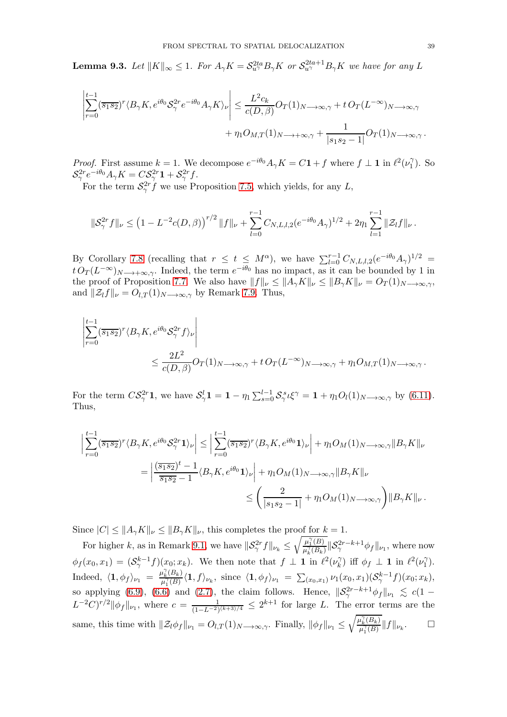**Lemma 9.3.** Let  $||K||_{\infty} \leq 1$ . For  $A_{\gamma}K = \mathcal{S}_{u^{\gamma}}^{2ta}B_{\gamma}K$  or  $\mathcal{S}_{u^{\gamma}}^{2ta+1}B_{\gamma}K$  we have for any L

$$
\left| \sum_{r=0}^{t-1} (\overline{s_1 s_2})^r \langle B_\gamma K, e^{i\theta_0} S_\gamma^{2r} e^{-i\theta_0} A_\gamma K \rangle_{\nu} \right| \leq \frac{L^2 c_k}{c(D,\beta)} O_T(1)_{N \longrightarrow \infty, \gamma} + t O_T(L^{-\infty})_{N \longrightarrow \infty, \gamma} + \eta_1 O_{M,T}(1)_{N \longrightarrow +\infty, \gamma} + \frac{1}{|s_1 s_2 - 1|} O_T(1)_{N \longrightarrow \infty, \gamma}.
$$

*Proof.* First assume  $k = 1$ . We decompose  $e^{-i\theta_0} A_\gamma K = C\mathbf{1} + f$  where  $f \perp \mathbf{1}$  in  $\ell^2(\nu_1^{\gamma})$  $\binom{1}{1}$ . So  $\mathcal{S}^{2r}_{\gamma}e^{-i\theta_0}A_{\gamma}K=C\mathcal{S}^{2r}_{\gamma}\mathbf{1}+\mathcal{S}^{2r}_{\gamma}f.$ 

For the term  $S_{\gamma}^{2r}f$  we use Proposition [7.5,](#page-27-1) which yields, for any L,

$$
\|\mathcal{S}_{\gamma}^{2r}f\|_{\nu} \leq \left(1-L^{-2}c(D,\beta)\right)^{r/2} \|f\|_{\nu} + \sum_{l=0}^{r-1} C_{N,L,l,2}(e^{-i\theta_0}A_{\gamma})^{1/2} + 2\eta_1 \sum_{l=1}^{r-1} \|\mathcal{Z}_l f\|_{\nu}.
$$

By Corollary [7.8](#page-28-2) (recalling that  $r \leq t \leq M^{\alpha}$ ), we have  $\sum_{l=0}^{r-1} C_{N,L,l,2}(e^{-i\theta_0}A_{\gamma})^{1/2}$  $t O_T(L^{-\infty})_{N\longrightarrow+\infty,\gamma}$ . Indeed, the term  $e^{-i\theta_0}$  has no impact, as it can be bounded by 1 in the proof of Proposition [7.7.](#page-28-1) We also have  $||f||_{\nu} \leq ||A_{\gamma}K||_{\nu} \leq ||B_{\gamma}K||_{\nu} = O_T(1)_{N\to\infty,\gamma}$ , and  $\|\mathcal{Z}_l f\|_{\nu} = O_{l,T}(1)_{N\longrightarrow\infty,\gamma}$  by Remark [7.9.](#page-30-0) Thus,

$$
\left| \sum_{r=0}^{t-1} (\overline{s_1 s_2})^r \langle B_{\gamma} K, e^{i\theta_0} S_{\gamma}^{2r} f \rangle_{\nu} \right|
$$
  

$$
\leq \frac{2L^2}{c(D,\beta)} O_T(1)_{N \longrightarrow \infty, \gamma} + t O_T(L^{-\infty})_{N \longrightarrow \infty, \gamma} + \eta_1 O_{M,T}(1)_{N \longrightarrow \infty, \gamma}.
$$

For the term  $CS^{2r}_{\gamma}1$ , we have  $S^l_{\gamma}1 = 1 - \eta_1 \sum_{s=0}^{l-1} S^{s}_{\gamma} \iota \xi^{\gamma} = 1 + \eta_1 O_l(1)_{N \to \infty, \gamma}$  by [\(6.11\)](#page-23-7). Thus,

$$
\left| \sum_{r=0}^{t-1} (\overline{s_1 s_2})^r \langle B_{\gamma} K, e^{i\theta_0} S_{\gamma}^{2r} \mathbf{1} \rangle_{\nu} \right| \leq \left| \sum_{r=0}^{t-1} (\overline{s_1 s_2})^r \langle B_{\gamma} K, e^{i\theta_0} \mathbf{1} \rangle_{\nu} \right| + \eta_1 O_M(1)_{N \longrightarrow \infty, \gamma} \|B_{\gamma} K\|_{\nu}
$$
  
= 
$$
\left| \frac{(\overline{s_1 s_2})^t - 1}{\overline{s_1 s_2} - 1} \langle B_{\gamma} K, e^{i\theta_0} \mathbf{1} \rangle_{\nu} \right| + \eta_1 O_M(1)_{N \longrightarrow \infty, \gamma} \|B_{\gamma} K\|_{\nu}
$$
  
\$\leq \left( \frac{2}{|s\_1 s\_2 - 1|} + \eta\_1 O\_M(1)\_{N \longrightarrow \infty, \gamma} \right) \|B\_{\gamma} K\|\_{\nu} .

Since  $|C| \leq ||A_{\gamma}K||_{\nu} \leq ||B_{\gamma}K||_{\nu}$ , this completes the proof for  $k = 1$ .

For higher k, as in Remark [9.1,](#page-35-0) we have  $\|\mathcal{S}_{\gamma}^{2r}f\|_{\nu_k} \leq$  $\sqrt{\mu_1^{\gamma}(B)}$  $\frac{\mu_1(B)}{\mu_k^{\gamma}(B_k)}$   $\|\mathcal{S}_{\gamma}^{2r-k+1}\phi_f\|_{\nu_1}$ , where now  $\phi_f(x_0, x_1) = (S_\gamma^{k-1} f)(x_0; x_k)$ . We then note that  $f \perp \mathbf{1}$  in  $\ell^2(\nu_k^{\gamma})$  $(\hat{k})$  iff  $\phi_f \perp \mathbf{1}$  in  $\ell^2(\nu_1^{\gamma})$  $\binom{1}{1}$ . Indeed,  $\langle 1, \phi_f \rangle_{\nu_1} = \frac{\mu_k^{\gamma}(B_k)}{\mu_1^{\gamma}(B)}$  $\frac{\mu_k(B_k)}{\mu_1^{\gamma}(B)} \langle \mathbf{1}, f \rangle_{\nu_k}, \,\, {\rm since} \,\, \, \langle \mathbf{1}, \phi_f \rangle_{\nu_1} \,\, = \,\, \sum_{(x_0,x_1)} \nu_1(x_0,x_1) (\mathcal{S}_{\gamma}^{k-1}f)(x_0;x_k),$ so applying [\(6.9\)](#page-23-5), [\(6.6\)](#page-23-1) and [\(2.7\)](#page-11-9), the claim follows. Hence,  $\|\mathcal{S}_{\gamma}^{2r-k+1}\phi_f\|_{\nu_1} \leq c(1-\gamma)$  $L^{-2}C)^{r/2}$   $\|\phi_f\|_{\nu_1}$ , where  $c = \frac{1}{(1-L^{-2})(k+3)/4} \leq 2^{k+1}$  for large L. The error terms are the same, this time with  $\|\mathcal{Z}_l \phi_f\|_{\nu_1} = O_{l,T} (1)_{N\to\infty,\gamma}$ . Finally,  $\|\phi_f\|_{\nu_1} \leq$  $\sqrt{\mu_k^{\gamma}(B_k)}$  $\frac{\mu_k(D_k)}{\mu_1^{\gamma}(B)}$   $||f||_{\nu_k}$  $\Box$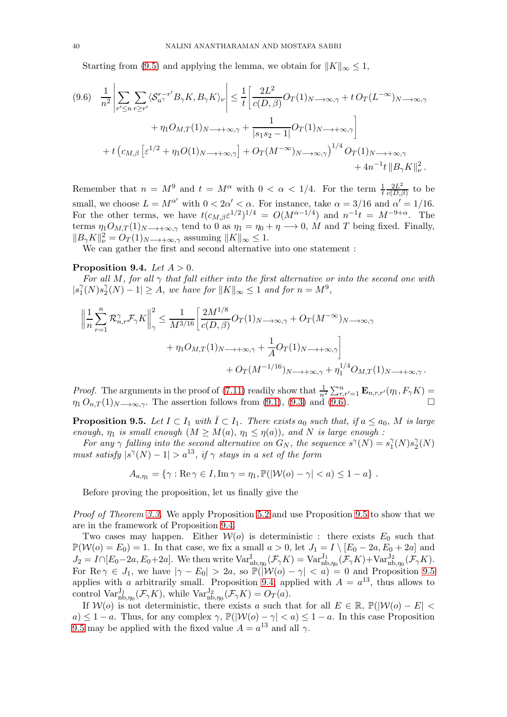Starting from [\(9.5\)](#page-37-1) and applying the lemma, we obtain for  $||K||_{\infty} \leq 1$ ,

<span id="page-39-0"></span>
$$
(9.6) \quad \frac{1}{n^2} \left| \sum_{r' \le n} \sum_{r \ge r'} \langle \mathcal{S}_{u\gamma}^{r-r'} B_{\gamma} K, B_{\gamma} K \rangle_{\nu} \right| \le \frac{1}{t} \left[ \frac{2L^2}{c(D,\beta)} O_T(1)_{N \longrightarrow \infty, \gamma} + t O_T(L^{-\infty})_{N \longrightarrow \infty, \gamma} + \eta_1 O_{M,T}(1)_{N \longrightarrow +\infty, \gamma} + \frac{1}{|s_1 s_2 - 1|} O_T(1)_{N \longrightarrow +\infty, \gamma} \right] + t \left( c_{M,\beta} \left[ \varepsilon^{1/2} + \eta_1 O(1)_{N \longrightarrow +\infty, \gamma} \right] + O_T(M^{-\infty})_{N \longrightarrow \infty, \gamma} \right)^{1/4} O_T(1)_{N \longrightarrow +\infty, \gamma} + 4n^{-1} t \| B_{\gamma} K \|_{\nu}^2.
$$

Remember that  $n = M^9$  and  $t = M^{\alpha}$  with  $0 < \alpha < 1/4$ . For the term  $\frac{1}{t}$  $2L^2$  $\frac{2L^2}{c(D,\beta)}$  to be small, we choose  $L = M^{\alpha'}$  with  $0 < 2\alpha' < \alpha$ . For instance, take  $\alpha = 3/16$  and  $\alpha' = 1/16$ . For the other terms, we have  $t(c_{M,\beta} \varepsilon^{1/2})^{1/4} = O(M^{\alpha-1/4})$  and  $n^{-1}t = M^{-9+\alpha}$ . The terms  $\eta_1 O_{M,T}(1)_{N\to+\infty,\gamma}$  tend to 0 as  $\eta_1 = \eta_0 + \eta \to 0$ , M and T being fixed. Finally,  $||B_{\gamma}K||_{\nu}^{2} = O_{T}(1)_{N\longrightarrow+\infty,\gamma}$  assuming  $||K||_{\infty} \leq 1$ .

We can gather the first and second alternative into one statement :

### <span id="page-39-2"></span>Proposition 9.4. Let  $A > 0$ .

*For all* M*, for all* γ *that fall either into the first alternative or into the second one with*  $|s_1^\gamma$  $^{\gamma}_{1}(N)s_{2}^{\gamma}$  $\int_{2}^{\gamma} (N) - 1 \leq A$ , we have for  $||K||_{\infty} \leq 1$  and for  $n = M^9$ ,

$$
\left\| \frac{1}{n} \sum_{r=1}^{n} \mathcal{R}_{n,r}^{\gamma} \mathcal{F}_{\gamma} K \right\|_{\gamma}^{2} \leq \frac{1}{M^{3/16}} \left[ \frac{2M^{1/8}}{c(D,\beta)} O_T(1)_{N \longrightarrow \infty, \gamma} + O_T(M^{-\infty})_{N \longrightarrow \infty, \gamma} + \eta_1 O_{M,T}(1)_{N \longrightarrow +\infty, \gamma} + \frac{1}{A} O_T(1)_{N \longrightarrow +\infty, \gamma} \right] + O_T(M^{-1/16})_{N \longrightarrow +\infty, \gamma} + \eta_1^{1/4} O_{M,T}(1)_{N \longrightarrow +\infty, \gamma}.
$$

*Proof.* The arguments in the proof of [\(7.11\)](#page-29-2) readily show that  $\frac{1}{n^2} \sum_{r,r'=1}^{n} \mathbf{E}_{n,r,r'}(\eta_1, F_\gamma K) =$  $\eta_1 O_{n,T}(1)_{N\longrightarrow\infty,\gamma}$ . The assertion follows from [\(9.1\)](#page-35-1), [\(9.3\)](#page-36-1) and [\(9.6\)](#page-39-0).

<span id="page-39-1"></span>**Proposition 9.5.** Let  $I \subset I_1$  with  $\overline{I} \subset I_1$ . There exists  $a_0$  such that, if  $a \le a_0$ , M is large *enough,*  $\eta_1$  *is small enough*  $(M \geq M(a), \eta_1 \leq \eta(a))$ *, and* N *is large enough*:

For any  $\gamma$  falling into the second alternative on  $G_N$ , the sequence  $s^{\gamma}(N) = s_1^{\gamma}$  $^{\gamma}_{1}(N)s_{2}^{\gamma}$  $\frac{\gamma}{2}(N)$ *must satisfy*  $|s^{\gamma}(N) - 1| > a^{13}$ , *if*  $\gamma$  *stays in a set of the form* 

$$
A_{a,\eta_1} = \{ \gamma : \text{Re}\,\gamma \in I, \text{Im}\,\gamma = \eta_1, \mathbb{P}(|\mathcal{W}(o) - \gamma| < a) \leq 1 - a \} .
$$

Before proving the proposition, let us finally give the

*Proof of Theorem [3.3.](#page-14-1)* We apply Proposition [5.2](#page-22-1) and use Proposition [9.5](#page-39-1) to show that we are in the framework of Proposition [9.4.](#page-39-2)

Two cases may happen. Either  $W(o)$  is deterministic : there exists  $E_0$  such that  $\mathbb{P}(\mathcal{W}(o) = E_0) = 1$ . In that case, we fix a small  $a > 0$ , let  $J_1 = I \setminus [E_0 - 2a, E_0 + 2a]$  and  $J_2 = I \cap [E_0 - 2a, E_0 + 2a]$ . We then write  $\text{Var}_{\text{nb}, \eta_0}^{\text{I}}(\mathcal{F}_{\gamma}K) = \text{Var}_{\text{nb}, \eta_0}^{\text{I}_1}(\mathcal{F}_{\gamma}K) + \text{Var}_{\text{nb}, \eta_0}^{\text{I}_2}(\mathcal{F}_{\gamma}K)$ . For Re  $\gamma \in J_1$ , we have  $|\gamma - E_0| > 2a$ , so  $\mathbb{P}(|\mathcal{W}(o) - \gamma| < a) = 0$  and Proposition [9.5](#page-39-1) applies with a arbitrarily small. Proposition [9.4,](#page-39-2) applied with  $A = a^{13}$ , thus allows to control  $\text{Var}_{\text{nb},\eta_0}^{J_1}(\mathcal{F}_\gamma K)$ , while  $\text{Var}_{\text{nb},\eta_0}^{J_2}(\mathcal{F}_\gamma K) = O_T(a)$ .

If  $\mathcal{W}(o)$  is not deterministic, there exists a such that for all  $E \in \mathbb{R}$ ,  $\mathbb{P}(|\mathcal{W}(o) - E|$  $a) \leq 1 - a$ . Thus, for any complex  $\gamma$ ,  $\mathbb{P}(|\mathcal{W}(o) - \gamma| < a) \leq 1 - a$ . In this case Proposition [9.5](#page-39-1) may be applied with the fixed value  $A = a^{13}$  and all  $\gamma$ .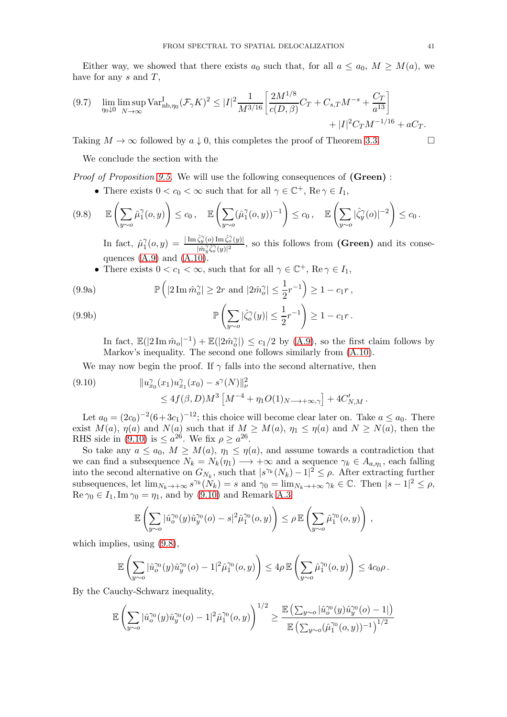Either way, we showed that there exists  $a_0$  such that, for all  $a \le a_0$ ,  $M \ge M(a)$ , we have for any  $s$  and  $T$ ,

<span id="page-40-4"></span>
$$
(9.7) \quad \lim_{\eta_0 \downarrow 0} \limsup_{N \to \infty} \text{Var}_{\text{nb}, \eta_0}^{\text{I}} (\mathcal{F}_\gamma K)^2 \le |I|^2 \frac{1}{M^{3/16}} \left[ \frac{2M^{1/8}}{c(D, \beta)} C_T + C_{s,T} M^{-s} + \frac{C_T}{a^{13}} \right] + |I|^2 C_T M^{-1/16} + aC_T.
$$

Taking  $M \to \infty$  followed by  $a \downarrow 0$ , this completes the proof of Theorem [3.3.](#page-14-1)

We conclude the section with the

*Proof of Proposition [9.5.](#page-39-1)* We will use the following consequences of (Green) :

<span id="page-40-1"></span>• There exists  $0 < c_0 < \infty$  such that for all  $\gamma \in \mathbb{C}^+$ ,  $\text{Re } \gamma \in I_1$ ,

$$
(9.8) \qquad \mathbb{E}\left(\sum_{y\sim o}\hat{\mu}_1^{\gamma}(o,y)\right) \leq c_0\,, \quad \mathbb{E}\left(\sum_{y\sim o}(\hat{\mu}_1^{\gamma}(o,y))^{-1}\right) \leq c_0\,, \quad \mathbb{E}\left(\sum_{y\sim o}|\hat{\zeta}_y^{\gamma}(o)|^{-2}\right) \leq c_0\,.
$$

In fact,  $\hat{\mu}_1^{\gamma}$  $\hat{\gamma}^{\gamma}_1(o,y) = \frac{|\operatorname{Im} \hat{\zeta}^{\gamma}_y(o) \operatorname{Im} \hat{\zeta}^{\gamma}_o(y)|}{|\hat{m}\hat{\zeta}^{\gamma}_y(y)|^2}$  $\frac{(y_1(t) \text{ Im }\zeta_o(y))}{(\hat{m}_y^{\gamma}\hat{\zeta}_o^{\gamma}(y))^2}$ , so this follows from (Green) and its consequences  $(A.9)$  and  $(A.10)$ .

• There exists  $0 < c_1 < \infty$ , such that for all  $\gamma \in \mathbb{C}^+$ , Re  $\gamma \in I_1$ ,

<span id="page-40-2"></span>(9.9a) 
$$
\mathbb{P}\left(|2\operatorname{Im} \hat{m}_o^{\gamma}| \geq 2r \text{ and } |2\hat{m}_o^{\gamma}| \leq \frac{1}{2}r^{-1}\right) \geq 1 - c_1r,
$$

<span id="page-40-3"></span>(9.9b) 
$$
\mathbb{P}\left(\sum_{y \sim o} |\hat{\zeta}_o^{\gamma}(y)| \leq \frac{1}{2}r^{-1}\right) \geq 1 - c_1r.
$$

In fact,  $\mathbb{E}(|2 \operatorname{Im} \hat{m}_o|^{-1}) + \mathbb{E}(|2 \hat{m}_o^{\gamma}|) \leq c_1/2$  by [\(A.9\)](#page-52-2), so the first claim follows by Markov's inequality. The second one follows similarly from [\(A.10\)](#page-52-3).

We may now begin the proof. If  $\gamma$  falls into the second alternative, then

<span id="page-40-0"></span>
$$
(9.10) \t\t ||u_{x_0}^{\gamma}(x_1)u_{x_1}^{\gamma}(x_0) - s^{\gamma}(N)||_{\nu}^2
$$
  
 
$$
\leq 4f(\beta,D)M^3\left[M^{-4} + \eta_1 O(1)_{N \longrightarrow +\infty,\gamma}\right] + 4C'_{N,M}.
$$

Let  $a_0 = (2c_0)^{-2}(6+3c_1)^{-12}$ ; this choice will become clear later on. Take  $a \le a_0$ . There exist  $M(a)$ ,  $\eta(a)$  and  $N(a)$  such that if  $M \geq M(a)$ ,  $\eta_1 \leq \eta(a)$  and  $N \geq N(a)$ , then the RHS side in [\(9.10\)](#page-40-0) is  $\leq a^{26}$ . We fix  $\rho \geq a^{26}$ .

So take any  $a \le a_0$ ,  $M \ge M(a)$ ,  $\eta_1 \le \eta(a)$ , and assume towards a contradiction that we can find a subsequence  $N_k = N_k(\eta_1) \longrightarrow +\infty$  and a sequence  $\gamma_k \in A_{a,\eta_1}$ , each falling into the second alternative on  $G_{N_k}$ , such that  $|s^{\gamma_k}(N_k) - 1|^2 \leq \rho$ . After extracting further subsequences, let  $\lim_{N_k \to +\infty} s^{\gamma_k}(N_k) = s$  and  $\gamma_0 = \lim_{N_k \to +\infty} \gamma_k \in \mathbb{C}$ . Then  $|s - 1|^2 \le \rho$ ,  $\text{Re }\gamma_0 \in I_1, \text{Im }\gamma_0 = \eta_1$ , and by [\(9.10\)](#page-40-0) and Remark [A.3](#page-52-0)

$$
\mathbb{E}\left(\sum_{y \sim o} |\hat{u}_o^{\gamma_0}(y)\hat{u}_y^{\gamma_0}(o) - s|^2 \hat{\mu}_1^{\gamma_0}(o,y)\right) \leq \rho \, \mathbb{E}\left(\sum_{y \sim o} \hat{\mu}_1^{\gamma_0}(o,y)\right)\,,
$$

which implies, using [\(9.8\)](#page-40-1),

$$
\mathbb{E}\left(\sum_{y \sim o} |\hat{u}_o^{\gamma_0}(y)\hat{u}_y^{\gamma_0}(o) - 1|^2 \hat{\mu}_1^{\gamma_0}(o,y)\right) \leq 4\rho \mathbb{E}\left(\sum_{y \sim o} \hat{\mu}_1^{\gamma_0}(o,y)\right) \leq 4c_0\rho.
$$

By the Cauchy-Schwarz inequality,

$$
\mathbb{E}\left(\sum_{y\sim o}|\hat{u}_o^{\gamma_0}(y)\hat{u}_y^{\gamma_0}(o)-1|^2\hat{\mu}_1^{\gamma_0}(o,y)\right)^{1/2}\geq \frac{\mathbb{E}\left(\sum_{y\sim o}|\hat{u}_o^{\gamma_0}(y)\hat{u}_y^{\gamma_0}(o)-1|\right)}{\mathbb{E}\left(\sum_{y\sim o}(\hat{\mu}_1^{\gamma_0}(o,y))^{-1}\right)^{1/2}}
$$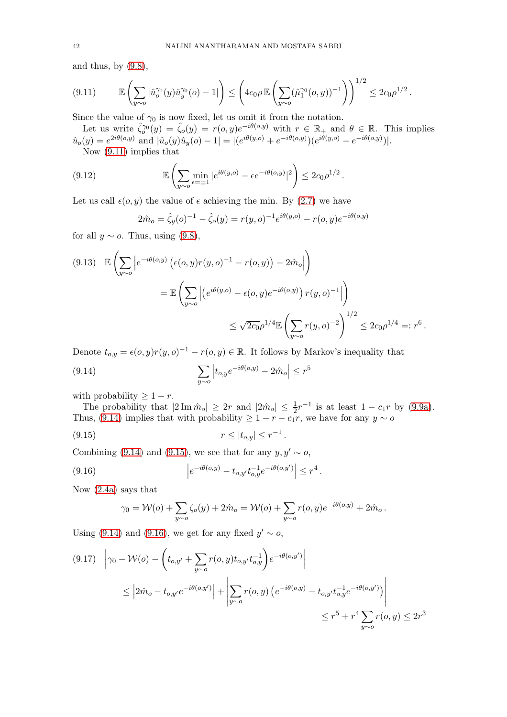and thus, by  $(9.8)$ ,

<span id="page-41-0"></span>
$$
(9.11) \qquad \mathbb{E}\left(\sum_{y\sim o} |\hat{u}_o^{\gamma_0}(y)\hat{u}_y^{\gamma_0}(o) - 1|\right) \le \left(4c_0\rho \mathbb{E}\left(\sum_{y\sim o} (\hat{\mu}_1^{\gamma_0}(o, y))^{-1}\right)\right)^{1/2} \le 2c_0\rho^{1/2}.
$$

Since the value of  $\gamma_0$  is now fixed, let us omit it from the notation.

Let us write  $\hat{\zeta}_0^{\gamma_0}(y) = \hat{\zeta}_0(y) = r(o, y)e^{-i\theta(o, y)}$  with  $r \in \mathbb{R}_+$  and  $\theta \in \mathbb{R}$ . This implies  $\hat{u}_o(y) = e^{2i\theta(o,y)}$  and  $|\hat{u}_o(y)\hat{u}_y(o) - 1| = |(e^{i\theta(y,o)} + e^{-i\theta(o,y)})(e^{i\theta(y,o)} - e^{-i\theta(o,y)})|.$ 

Now [\(9.11\)](#page-41-0) implies that

(9.12) 
$$
\mathbb{E}\left(\sum_{y \sim o} \min_{\epsilon = \pm 1} |e^{i\theta(y,o)} - \epsilon e^{-i\theta(o,y)}|^2\right) \leq 2c_0 \rho^{1/2}.
$$

Let us call  $\epsilon(o, y)$  the value of  $\epsilon$  achieving the min. By [\(2.7\)](#page-11-9) we have

$$
2\hat{m}_o = \hat{\zeta}_y(o)^{-1} - \hat{\zeta}_o(y) = r(y, o)^{-1} e^{i\theta(y, o)} - r(o, y) e^{-i\theta(o, y)}
$$

for all  $y \sim o$ . Thus, using [\(9.8\)](#page-40-1),

$$
(9.13) \mathbb{E}\left(\sum_{y\sim o} \left| e^{-i\theta(o,y)} \left( \epsilon(o,y)r(y,o)^{-1} - r(o,y) \right) - 2\hat{m}_o \right| \right)
$$
  

$$
= \mathbb{E}\left(\sum_{y\sim o} \left| \left( e^{i\theta(y,o)} - \epsilon(o,y)e^{-i\theta(o,y)} \right) r(y,o)^{-1} \right| \right)
$$
  

$$
\leq \sqrt{2c_0} \rho^{1/4} \mathbb{E}\left(\sum_{y\sim o} r(y,o)^{-2} \right)^{1/2} \leq 2c_0 \rho^{1/4} =: r^6.
$$

Denote  $t_{o,y} = \epsilon(o, y)r(y, o)^{-1} - r(o, y) \in \mathbb{R}$ . It follows by Markov's inequality that

<span id="page-41-1"></span>(9.14) 
$$
\sum_{y \sim o} \left| t_{o,y} e^{-i\theta(o,y)} - 2\hat{m}_o \right| \leq r^5
$$

with probability  $\geq 1-r$ .

The probability that  $|2 \text{ Im } \hat{m}_o| \geq 2r$  and  $|2 \hat{m}_o| \leq \frac{1}{2}r^{-1}$  is at least  $1 - c_1r$  by [\(9.9a\)](#page-40-2). Thus, [\(9.14\)](#page-41-1) implies that with probability  $\geq 1 - r - c_1r$ , we have for any  $y \sim o$ 

(9.15) 
$$
r \le |t_{o,y}| \le r^{-1}.
$$

Combining [\(9.14\)](#page-41-1) and [\(9.15\)](#page-41-2), we see that for any  $y, y' \sim o$ ,

(9.16) 
$$
\left| e^{-i\theta(o,y)} - t_{o,y'} t_{o,y}^{-1} e^{-i\theta(o,y')} \right| \leq r^4.
$$

Now [\(2.4a\)](#page-11-10) says that

<span id="page-41-3"></span><span id="page-41-2"></span>
$$
\gamma_0 = \mathcal{W}(o) + \sum_{y \sim o} \zeta_o(y) + 2\hat{m}_o = \mathcal{W}(o) + \sum_{y \sim o} r(o, y)e^{-i\theta(o, y)} + 2\hat{m}_o.
$$

Using [\(9.14\)](#page-41-1) and [\(9.16\)](#page-41-3), we get for any fixed  $y' \sim o$ ,

<span id="page-41-4"></span>
$$
(9.17) \quad \left| \gamma_0 - \mathcal{W}(o) - \left( t_{o,y'} + \sum_{y \sim o} r(o,y) t_{o,y'} t_{o,y}^{-1} \right) e^{-i\theta(o,y')} \right|
$$
  

$$
\leq \left| 2\hat{m}_o - t_{o,y'} e^{-i\theta(o,y')} \right| + \left| \sum_{y \sim o} r(o,y) \left( e^{-i\theta(o,y)} - t_{o,y'} t_{o,y}^{-1} e^{-i\theta(o,y')} \right) \right|
$$
  

$$
\leq r^5 + r^4 \sum_{y \sim o} r(o,y) \leq 2r^3
$$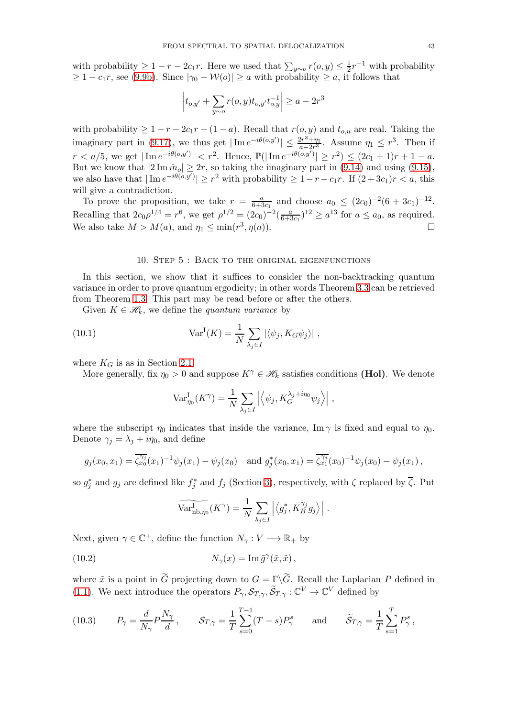with probability  $\geq 1 - r - 2c_1r$ . Here we used that  $\sum_{y \sim o} r(o, y) \leq \frac{1}{2}$  $\frac{1}{2}r^{-1}$  with probability  $\geq 1 - c_1r$ , see [\(9.9b\)](#page-40-3). Since  $|\gamma_0 - \mathcal{W}(o)| \geq a$  with probability  $\geq a$ , it follows that

$$
\left| t_{o,y'} + \sum_{y \sim o} r(o,y) t_{o,y'} t_{o,y}^{-1} \right| \ge a - 2r^3
$$

with probability  $\geq 1 - r - 2c_1r - (1 - a)$ . Recall that  $r(o, y)$  and  $t_{o,u}$  are real. Taking the imaginary part in [\(9.17\)](#page-41-4), we thus get  $|\operatorname{Im} e^{-i\theta(o,y')}| \leq \frac{2r^3 + \eta_1}{a - 2r^3}$  $\frac{2r^3 + \eta_1}{a - 2r^3}$ . Assume  $\eta_1 \leq r^3$ . Then if  $r < a/5$ , we get  $|\text{Im } e^{-i\theta(o,y')}| < r^2$ . Hence,  $\mathbb{P}(|\text{Im } e^{-i\theta(o,y')}| \geq r^2) \leq (2c_1+1)r+1-a$ . But we know that  $|2 \text{Im } \hat{m}_o| \geq 2r$ , so taking the imaginary part in  $(9.14)$  and using  $(9.15)$ , we also have that  $|\text{Im } e^{-i\theta(o,y')}| \geq r^2$  with probability  $\geq 1-r-c_1r$ . If  $(2+3c_1)r < a$ , this will give a contradiction.

To prove the proposition, we take  $r = \frac{a}{6+\frac{b}{2}}$  $\frac{a}{6+3c_1}$  and choose  $a_0 \leq (2c_0)^{-2}(6+3c_1)^{-12}$ . Recalling that  $2c_0 \rho^{1/4} = r^6$ , we get  $\rho^{1/2} = (2c_0)^{-2} (\frac{a}{6+r^5})$  $\frac{a}{6+3c_1}$ <sup>12</sup>  $\geq a^{13}$  for  $a \leq a_0$ , as required. We also take  $M > M(a)$ , and  $\eta_1 \le \min(r^3, \eta(a))$ .

#### 10. Step 5 : Back to the original eigenfunctions

<span id="page-42-0"></span>In this section, we show that it suffices to consider the non-backtracking quantum variance in order to prove quantum ergodicity; in other words Theorem [3.3](#page-14-1) can be retrieved from Theorem [1.3.](#page-4-2) This part may be read before or after the others.

Given  $K \in \mathcal{H}_k$ , we define the *quantum variance* by

(10.1) 
$$
Var^{I}(K) = \frac{1}{N} \sum_{\lambda_j \in I} |\langle \psi_j, K_G \psi_j \rangle|,
$$

where  $K_G$  is as in Section [2.1.](#page-9-1)

More generally, fix  $\eta_0 > 0$  and suppose  $K^\gamma \in \mathcal{H}_k$  satisfies conditions (Hol). We denote

<span id="page-42-1"></span>
$$
\text{Var}_{\eta_0}^{\text{I}}(K^{\gamma}) = \frac{1}{N} \sum_{\lambda_j \in I} \left| \left\langle \psi_j, K_G^{\lambda_j + i\eta_0} \psi_j \right\rangle \right|,
$$

where the subscript  $\eta_0$  indicates that inside the variance, Im  $\gamma$  is fixed and equal to  $\eta_0$ . Denote  $\gamma_j = \lambda_j + i\eta_0$ , and define

$$
g_j(x_0, x_1) = \overline{\zeta_{x_0}^{y_j}}(x_1)^{-1} \psi_j(x_1) - \psi_j(x_0) \text{ and } g_j^*(x_0, x_1) = \overline{\zeta_{x_1}^{y_j}}(x_0)^{-1} \psi_j(x_0) - \psi_j(x_1),
$$

so  $g_j^*$  and  $g_j$  are defined like  $f_j^*$  and  $f_j$  (Section [3\)](#page-12-0), respectively, with  $\zeta$  replaced by  $\overline{\zeta}$ . Put

$$
\widetilde{\text{Var}_{\text{nb},\eta_0}^{\text{I}}}(K^{\gamma}) = \frac{1}{N} \sum_{\lambda_j \in I} \left| \left\langle g_j^*, K_B^{\gamma_j} g_j \right\rangle \right|.
$$

Next, given  $\gamma \in \mathbb{C}^+$ , define the function  $N_{\gamma}: V \longrightarrow \mathbb{R}_+$  by

(10.2) 
$$
N_{\gamma}(x) = \operatorname{Im} \tilde{g}^{\gamma}(\tilde{x}, \tilde{x}),
$$

where  $\tilde{x}$  is a point in G projecting down to  $G = \Gamma \backslash G$ . Recall the Laplacian P defined in [\(1.1\)](#page-2-0). We next introduce the operators  $P_{\gamma}, \mathcal{S}_{T,\gamma}, \widetilde{\mathcal{S}}_{T,\gamma} : \mathbb{C}^V \to \mathbb{C}^V$  defined by

<span id="page-42-2"></span>(10.3) 
$$
P_{\gamma} = \frac{d}{N_{\gamma}} P \frac{N_{\gamma}}{d}, \qquad \mathcal{S}_{T,\gamma} = \frac{1}{T} \sum_{s=0}^{T-1} (T-s) P_{\gamma}^{s} \qquad \text{and} \qquad \widetilde{\mathcal{S}}_{T,\gamma} = \frac{1}{T} \sum_{s=1}^{T} P_{\gamma}^{s},
$$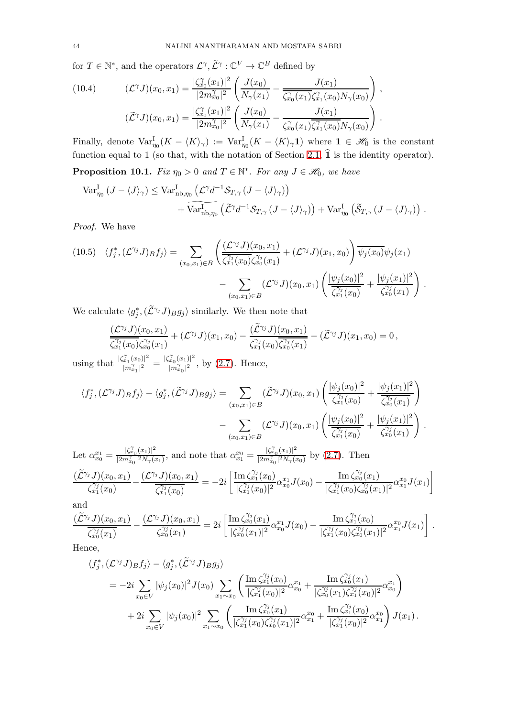for  $T \in \mathbb{N}^*$ , and the operators  $\mathcal{L}^{\gamma}, \widetilde{\mathcal{L}}^{\gamma} : \mathbb{C}^V \to \mathbb{C}^B$  defined by

<span id="page-43-0"></span>(10.4) 
$$
(\mathcal{L}^{\gamma} J)(x_0, x_1) = \frac{|\zeta_{x_0}^{\gamma}(x_1)|^2}{|2m_{x_0}^{\gamma}|^2} \left( \frac{J(x_0)}{N_{\gamma}(x_1)} - \frac{J(x_1)}{\overline{\zeta_{x_0}^{\gamma}(x_1)} \zeta_{x_1}^{\gamma}(x_0) N_{\gamma}(x_0)} \right),
$$

$$
(\widetilde{\mathcal{L}}^{\gamma} J)(x_0, x_1) = \frac{|\zeta_{x_0}^{\gamma}(x_1)|^2}{|2m_{x_0}^{\gamma}|^2} \left( \frac{J(x_0)}{N_{\gamma}(x_1)} - \frac{J(x_1)}{\overline{\zeta_{x_0}^{\gamma}(x_1)} \overline{\zeta_{x_1}^{\gamma}(x_0)} N_{\gamma}(x_0)} \right).
$$

Finally, denote  $\text{Var}_{\eta_0}^{\text{I}}(K - \langle K \rangle_\gamma) := \text{Var}_{\eta_0}^{\text{I}}(K - \langle K \rangle_\gamma 1)$  where  $1 \in \mathcal{H}_0$  is the constant function equal to 1 (so that, with the notation of Section [2.1,](#page-9-1)  $\hat{1}$  is the identity operator).

<span id="page-43-1"></span>**Proposition 10.1.** *Fix*  $\eta_0 > 0$  *and*  $T \in \mathbb{N}^*$ *. For any*  $J \in \mathcal{H}_0$ *, we have* 

$$
\begin{split} \operatorname{Var}^{\mathrm{I}}_{\eta_0} \left( J - \langle J \rangle_{\gamma} \right) &\leq \operatorname{Var}^{\mathrm{I}}_{\text{nb}, \eta_0} \left( \mathcal{L}^{\gamma} d^{-1} \mathcal{S}_{T, \gamma} \left( J - \langle J \rangle_{\gamma} \right) \right) \\ &+ \widehat{\operatorname{Var}}^{\mathrm{I}}_{\text{nb}, \eta_0} \left( \widetilde{\mathcal{L}}^{\gamma} d^{-1} \mathcal{S}_{T, \gamma} \left( J - \langle J \rangle_{\gamma} \right) \right) + \operatorname{Var}^{\mathrm{I}}_{\eta_0} \left( \widetilde{\mathcal{S}}_{T, \gamma} \left( J - \langle J \rangle_{\gamma} \right) \right) \, . \end{split}
$$

*Proof.* We have

$$
(10.5) \quad \langle f_j^*, (\mathcal{L}^{\gamma_j} J) g f_j \rangle = \sum_{(x_0, x_1) \in B} \left( \frac{(\mathcal{L}^{\gamma_j} J)(x_0, x_1)}{\zeta_{x_1}^{\gamma_j}(x_0) \zeta_{x_0}^{\gamma_j}(x_1)} + (\mathcal{L}^{\gamma_j} J)(x_1, x_0) \right) \overline{\psi_j(x_0)} \psi_j(x_1) - \sum_{(x_0, x_1) \in B} (\mathcal{L}^{\gamma_j} J)(x_0, x_1) \left( \frac{|\psi_j(x_0)|^2}{\zeta_{x_1}^{\gamma_j}(x_0)} + \frac{|\psi_j(x_1)|^2}{\zeta_{x_0}^{\gamma_j}(x_1)} \right).
$$

We calculate  $\langle g_j^*, (\tilde{\mathcal{L}}^{\gamma_j} J)_B g_j \rangle$  similarly. We then note that

$$
\frac{(\mathcal{L}^{\gamma_j} J)(x_0,x_1)}{\zeta_{x_1}^{\gamma_j}(x_0)\zeta_{x_0}^{\gamma_j}(x_1)}+(\mathcal{L}^{\gamma_j} J)(x_1,x_0)-\frac{(\widetilde{\mathcal{L}}^{\gamma_j} J)(x_0,x_1)}{\zeta_{x_1}^{\gamma_j}(x_0)\overline{\zeta_{x_0}^{\gamma_j}(x_1)}}-(\widetilde{\mathcal{L}}^{\gamma_j} J)(x_1,x_0)=0\,,
$$

using that  $\frac{|\zeta_{x_1}^{\gamma}(x_0)|^2}{|x^{\gamma}|^2}$  $\frac{|\widetilde{x}_1(x_0)|^2}{|m^{\gamma}_{x_1}|^2} = \frac{|\zeta^{\gamma}_{x_0}(x_1)|^2}{|m^{\gamma}_{x_0}|^2}$  $\frac{x_0}{|m_{x_0}^{\gamma}|^2}$ , by [\(2.7\)](#page-11-9). Hence,

$$
\langle f_j^*, (\mathcal{L}^{\gamma_j} J) B f_j \rangle - \langle g_j^*, (\widetilde{\mathcal{L}}^{\gamma_j} J) B g_j \rangle = \sum_{(x_0, x_1) \in B} (\widetilde{\mathcal{L}}^{\gamma_j} J)(x_0, x_1) \left( \frac{|\psi_j(x_0)|^2}{\zeta_{x_1}^{\gamma_j}(x_0)} + \frac{|\psi_j(x_1)|^2}{\zeta_{x_0}^{\gamma_j}(x_1)} \right) - \sum_{(x_0, x_1) \in B} (\mathcal{L}^{\gamma_j} J)(x_0, x_1) \left( \frac{|\psi_j(x_0)|^2}{\zeta_{x_1}^{\gamma_j}(x_0)} + \frac{|\psi_j(x_1)|^2}{\zeta_{x_0}^{\gamma_j}(x_1)} \right).
$$

Let  $\alpha_{x_0}^{x_1} = \frac{|\zeta_{x_0}^{\gamma}(x_1)|^2}{|2m_{x_0}^{\gamma}|^2N_{\gamma}(x_0)}$  $\frac{|\zeta_{x_0}^{\gamma}(x_1)|^2}{|2m_{x_0}^{\gamma}|^2N_{\gamma}(x_1)},$  and note that  $\alpha_{x_1}^{x_0} = \frac{|\zeta_{x_0}^{\gamma}(x_1)|^2}{|2m_{x_0}^{\gamma}|^2N_{\gamma}(x_1)}$  $\frac{|S_{x_0}(x_1)|}{|2m_{x_0}^{\gamma}|^2N_{\gamma}(x_0)}$  by [\(2.7\)](#page-11-9). Then  $(\widetilde{\mathcal{L}}^{\gamma_j}J)(x_0,x_1)$  $\frac{(\hat{C}_{j}^{\gamma_{j}}(x_{0},x_{1})}{\hat{\zeta}_{x_{1}}^{\gamma_{j}}(x_{0})}-\frac{(\hat{\mathcal{L}}^{\gamma_{j}}J)(x_{0},x_{1})}{\hat{\zeta}_{x_{1}}^{\gamma_{j}}(x_{0})}$  $\frac{\overline{\zeta_{j\left(\infty\right)}^{j_{j}}(x_{0})}}{\overline{\zeta_{x_{1}}^{j_{j}}(x_{0})}} = -2i$  $\int \mathrm{Im} \, \zeta_{x_1}^{\gamma_j}(x_0)$  $\frac{\left[\operatorname{Im}\zeta_{x_1}^{\gamma_j}(x_0)\right]}{|\zeta_{x_1}^{\gamma_j}(x_0)|^2}\alpha_{x_0}^{x_1}J(x_0)-\frac{\operatorname{Im}\zeta_{x_0}^{\gamma_j}(x_1)}{|\zeta_{x_1}^{\gamma_j}(x_0)\zeta_{x_0}^{\gamma_j}(x_1)|}$  $\frac{\displaystyle\lim_{x_0}(x_1)}{|\zeta^{\gamma_j}_{x_1}(x_0)\zeta^{\gamma_j}_{x_0}(x_1)|^2}\alpha_{x_1}^{x_0}J(x_1)$ 

ô

and

$$
\frac{(\tilde{\mathcal{L}}^{\gamma_j} J)(x_0, x_1)}{\zeta_{x_0}^{\gamma_j}(x_1)} - \frac{(\mathcal{L}^{\gamma_j} J)(x_0, x_1)}{\zeta_{x_0}^{\gamma_j}(x_1)} = 2i \left[ \frac{\text{Im } \zeta_{x_0}^{\gamma_j}(x_1)}{|\zeta_{x_0}^{\gamma_j}(x_1)|^2} \alpha_{x_0}^{x_1} J(x_0) - \frac{\text{Im } \zeta_{x_1}^{\gamma_j}(x_0)}{|\zeta_{x_1}^{\gamma_j}(x_0)\zeta_{x_0}^{\gamma_j}(x_1)|^2} \alpha_{x_1}^{x_0} J(x_1) \right].
$$

Hence,

$$
\langle f_j^*, (\mathcal{L}^{\gamma_j} J) g f_j \rangle - \langle g_j^*, (\tilde{\mathcal{L}}^{\gamma_j} J) g g_j \rangle
$$
  
=  $-2i \sum_{x_0 \in V} |\psi_j(x_0)|^2 J(x_0) \sum_{x_1 \sim x_0} \left( \frac{\text{Im} \zeta_{x_1}^{\gamma_j}(x_0)}{|\zeta_{x_1}^{\gamma_j}(x_0)|^2} \alpha_{x_0}^{x_1} + \frac{\text{Im} \zeta_{x_0}^{\gamma_j}(x_1)}{|\zeta_{x_0}^{\gamma_j}(x_1)\zeta_{x_1}^{\gamma_j}(x_0)|^2} \alpha_{x_0}^{x_1} \right) +  $2i \sum_{x_0 \in V} |\psi_j(x_0)|^2 \sum_{x_1 \sim x_0} \left( \frac{\text{Im} \zeta_{x_0}^{\gamma_j}(x_1)}{|\zeta_{x_1}^{\gamma_j}(x_0)\zeta_{x_0}^{\gamma_j}(x_1)|^2} \alpha_{x_1}^{x_0} + \frac{\text{Im} \zeta_{x_1}^{\gamma_j}(x_0)}{|\zeta_{x_1}^{\gamma_j}(x_0)|^2} \alpha_{x_1}^{x_0} \right) J(x_1).$$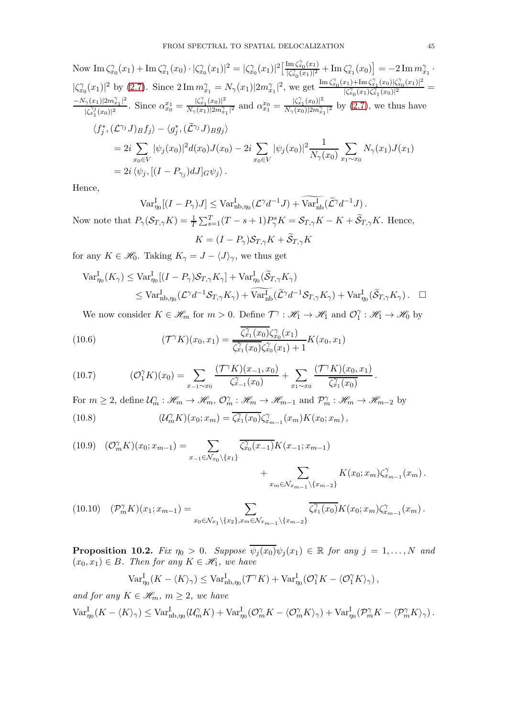Now 
$$
\text{Im }\zeta_{x_0}^{\gamma}(x_1) + \text{Im }\zeta_{x_1}^{\gamma}(x_0) \cdot |\zeta_{x_0}^{\gamma}(x_1)|^2 = |\zeta_{x_0}^{\gamma}(x_1)|^2 \left[\frac{\text{Im }\zeta_{x_0}^{\gamma}(x_1)}{|\zeta_{x_0}^{\gamma}(x_1)|^2} + \text{Im }\zeta_{x_1}^{\gamma}(x_0)\right] = -2 \text{Im } m_{x_1}^{\gamma} \cdot
$$
  
\n $|\zeta_{x_0}^{\gamma}(x_1)|^2$  by (2.7). Since  $2 \text{Im } m_{x_1}^{\gamma} = N_{\gamma}(x_1)|2m_{x_1}^{\gamma}|^2$ , we get  $\frac{\text{Im }\zeta_{x_0}^{\gamma}(x_1) + \text{Im }\zeta_{x_1}^{\gamma}(x_0)|\zeta_{x_0}^{\gamma}(x_1)|^2}{|\zeta_{x_0}^{\gamma}(x_1)|^2} = \frac{-N_{\gamma}(x_1)|2m_{x_1}^{\gamma}|^2}{|\zeta_{x_1}^{\gamma}(x_0)|^2}$ . Since  $\alpha_{x_0}^x = \frac{|\zeta_{x_1}^{\gamma}(x_0)|^2}{N_{\gamma}(x_1)|2m_{x_1}^{\gamma}|^2}$  and  $\alpha_{x_1}^x = \frac{|\zeta_{x_1}^{\gamma}(x_0)|^2}{N_{\gamma}(x_0)|2m_{x_1}^{\gamma}|^2}$  by (2.7), we thus have  
\n $\langle f_j^*, (\mathcal{L}^{\gamma_j} J) B f_j \rangle - \langle g_j^*, (\widetilde{\mathcal{L}}^{\gamma_j} J) B g_j \rangle$   
\n $= 2i \sum_{x_0 \in V} |\psi_j(x_0)|^2 d(x_0) J(x_0) - 2i \sum_{x_0 \in V} |\psi_j(x_0)|^2 \frac{1}{N_{\gamma}(x_0)} \sum_{x_1 \sim x_0} N_{\gamma}(x_1) J(x_1)$   
\n $= 2i \langle \psi_j, [(I - P_{\gamma_j}) dJ]_G \psi_j \rangle$ .

Hence,

$$
\operatorname{Var}_{\eta_0}^{\mathcal{I}}[(I - P_{\gamma})J] \le \operatorname{Var}_{\text{nb}, \eta_0}^{\mathcal{I}}(\mathcal{L}^{\gamma}d^{-1}J) + \operatorname{Var}_{\text{nb}}^{\mathcal{I}}(\widetilde{\mathcal{L}}^{\gamma}d^{-1}J).
$$

Now note that  $P_{\gamma}(\mathcal{S}_{T,\gamma}K) = \frac{1}{T} \sum_{s=1}^{T} (T - s + 1) P_{\gamma}^{s} K = \mathcal{S}_{T,\gamma}K - K + \widetilde{\mathcal{S}}_{T,\gamma}K$ . Hence,  $K = (I-P_\gamma)\mathcal{S}_{T,\gamma}K + \mathcal{S}_{T,\gamma}K$ 

for any  $K \in \mathcal{H}_0$ . Taking  $K_\gamma = J - \langle J \rangle_\gamma$ , we thus get

$$
\operatorname{Var}_{\eta_0}^{\mathcal{I}}(K_{\gamma}) \leq \operatorname{Var}_{\eta_0}^{\mathcal{I}}[(I - P_{\gamma})\mathcal{S}_{T,\gamma}K_{\gamma}] + \operatorname{Var}_{\eta_0}^{\mathcal{I}}(\widetilde{\mathcal{S}}_{T,\gamma}K_{\gamma})
$$
  
\$\leq \operatorname{Var}\_{\text{nb},\eta\_0}^{\mathcal{I}}(\mathcal{L}^{\gamma}d^{-1}\mathcal{S}\_{T,\gamma}K\_{\gamma}) + \widehat{\operatorname{Var}\_{\text{nb}}^{\mathcal{I}}}(\widetilde{\mathcal{L}}^{\gamma}d^{-1}\mathcal{S}\_{T,\gamma}K\_{\gamma}) + \operatorname{Var}\_{\eta\_0}^{\mathcal{I}}(\widetilde{\mathcal{S}}\_{T,\gamma}K\_{\gamma}). \quad \Box

<span id="page-44-0"></span>We now consider  $K \in \mathcal{H}_m$  for  $m > 0$ . Define  $\mathcal{T}^\gamma : \mathcal{H}_1 \to \mathcal{H}_1$  and  $\mathcal{O}_1^\gamma$  $j_1^{\gamma}: \mathcal{H}_1 \to \mathcal{H}_0$  by

(10.6) 
$$
(\mathcal{T}^{\gamma} K)(x_0, x_1) = \frac{\overline{\zeta_{x_1}^{\gamma}(x_0)} \zeta_{x_0}^{\gamma}(x_1)}{\overline{\zeta_{x_1}^{\gamma}(x_0)} \zeta_{x_0}^{\gamma}(x_1) + 1} K(x_0, x_1)
$$

(10.7) 
$$
(\mathcal{O}_1^{\gamma} K)(x_0) = \sum_{x_{-1} \sim x_0} \frac{(\mathcal{T}^{\gamma} K)(x_{-1}, x_0)}{\zeta_{x_{-1}}^{\gamma}(x_0)} + \sum_{x_1 \sim x_0} \frac{(\mathcal{T}^{\gamma} K)(x_0, x_1)}{\zeta_{x_1}^{\gamma}(x_0)}.
$$

<span id="page-44-1"></span>For  $m \geq 2$ , define  $\mathcal{U}_m^{\gamma} : \mathscr{H}_m \to \mathscr{H}_m$ ,  $\mathcal{O}_m^{\gamma} : \mathscr{H}_m \to \mathscr{H}_{m-1}$  and  $\mathcal{P}_m^{\gamma} : \mathscr{H}_m \to \mathscr{H}_{m-2}$  by  $(10.8)$  $\widehat{C}_m(K)(x_0; x_m) = \overline{\zeta_{x_1}^{\gamma}(x_0)} \zeta_{x_{m-1}}^{\gamma}(x_m) K(x_0; x_m),$ 

<span id="page-44-2"></span>
$$
(10.9) \quad (\mathcal{O}_{m}^{\gamma} K)(x_0; x_{m-1}) = \sum_{x_{-1} \in \mathcal{N}_{x_0} \backslash \{x_1\}} \overline{\zeta_{x_0}^{\gamma}(x_{-1})} K(x_{-1}; x_{m-1}) + \sum_{x_m \in \mathcal{N}_{x_{m-1}} \backslash \{x_{m-2}\}} K(x_0; x_m) \zeta_{x_{m-1}}^{\gamma}(x_m).
$$

<span id="page-44-3"></span>
$$
(10.10) \quad (\mathcal{P}_{m}^{\gamma} K)(x_1; x_{m-1}) = \sum_{x_0 \in \mathcal{N}_{x_1} \backslash \{x_2\}, x_m \in \mathcal{N}_{x_{m-1}} \backslash \{x_{m-2}\}} \overline{\zeta_{x_1}^{\gamma}(x_0)} K(x_0; x_m) \zeta_{x_{m-1}}^{\gamma}(x_m).
$$

<span id="page-44-4"></span>**Proposition 10.2.** *Fix*  $\eta_0 > 0$ *. Suppose*  $\overline{\psi_j(x_0)}\psi_j(x_1) \in \mathbb{R}$  *for any*  $j = 1, ..., N$  *and*  $(x_0, x_1) \in B$ *. Then for any*  $K \in \mathcal{H}_1$ *, we have* 

$$
\text{Var}_{\eta_0}^{\text{I}}(K - \langle K \rangle_{\gamma}) \leq \text{Var}_{\text{nb},\eta_0}^{\text{I}}(\mathcal{T}^{\gamma} K) + \text{Var}_{\eta_0}^{\text{I}}(\mathcal{O}_1^{\gamma} K - \langle \mathcal{O}_1^{\gamma} K \rangle_{\gamma}),
$$

*and for any*  $K \in \mathcal{H}_m$ *,*  $m \geq 2$ *, we have*  $\text{Var}_{\eta_0}^{\text{I}}(K - \langle K \rangle_{\gamma}) \leq \text{Var}_{\text{nb},\eta_0}^{\text{I}}(\mathcal{U}_m^{\gamma}K) + \text{Var}_{\eta_0}^{\text{I}}(\mathcal{O}_m^{\gamma}K - \langle \mathcal{O}_m^{\gamma}K \rangle_{\gamma}) + \text{Var}_{\eta_0}^{\text{I}}(\mathcal{P}_m^{\gamma}K - \langle \mathcal{P}_m^{\gamma}K \rangle_{\gamma}).$ 

·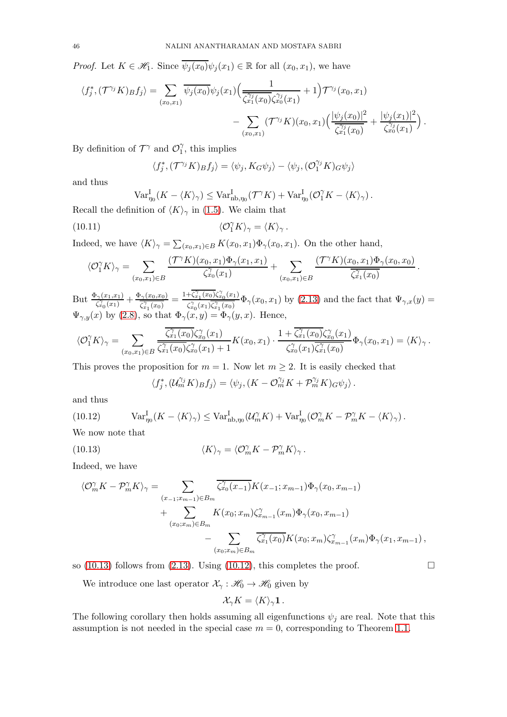*Proof.* Let  $K \in \mathcal{H}_1$ . Since  $\overline{\psi_j(x_0)}\psi_j(x_1) \in \mathbb{R}$  for all  $(x_0, x_1)$ , we have

$$
\langle f_j^*, (\mathcal{T}^{\gamma_j} K)_{B} f_j \rangle = \sum_{(x_0, x_1)} \overline{\psi_j(x_0)} \psi_j(x_1) \Big( \frac{1}{\overline{\zeta_{x_1}^{\gamma_j}(x_0)} \zeta_{x_0}^{\gamma_j}(x_1)} + 1 \Big) \mathcal{T}^{\gamma_j}(x_0, x_1) - \sum_{(x_0, x_1)} (\mathcal{T}^{\gamma_j} K) (x_0, x_1) \Big( \frac{|\psi_j(x_0)|^2}{\overline{\zeta_{x_1}^{\gamma_j}(x_0)}} + \frac{|\psi_j(x_1)|^2}{\overline{\zeta_{x_0}^{\gamma_j}(x_1)}} \Big).
$$

By definition of  $\mathcal{T}^{\gamma}$  and  $\mathcal{O}_1^{\gamma}$  $j_1^{\gamma}$ , this implies

$$
\langle f_j^*, (\mathcal{T}^{\gamma_j} K) B f_j \rangle = \langle \psi_j, K_G \psi_j \rangle - \langle \psi_j, (\mathcal{O}_1^{\gamma_j} K) G \psi_j \rangle
$$

and thus

$$
\operatorname{Var}_{\eta_0}^{\text{I}}(K - \langle K \rangle_{\gamma}) \le \operatorname{Var}_{\text{nb}, \eta_0}^{\text{I}}(\mathcal{T}^{\gamma} K) + \operatorname{Var}_{\eta_0}^{\text{I}}(\mathcal{O}_1^{\gamma} K - \langle K \rangle_{\gamma}).
$$

Recall the definition of  $\langle K \rangle_{\gamma}$  in [\(1.5\)](#page-4-0). We claim that

(10.11) 
$$
\langle \mathcal{O}_1^{\gamma} K \rangle_{\gamma} = \langle K \rangle_{\gamma}.
$$

Indeed, we have  $\langle K \rangle_{\gamma} = \sum_{(x_0, x_1) \in B} K(x_0, x_1) \Phi_{\gamma}(x_0, x_1)$ . On the other hand,

$$
\langle \mathcal{O}_1^\gamma K \rangle_\gamma = \sum_{(x_0, x_1) \in B} \frac{(\mathcal{T}^\gamma K)(x_0, x_1) \Phi_\gamma(x_1, x_1)}{\zeta_{x_0}^\gamma(x_1)} + \sum_{(x_0, x_1) \in B} \frac{(\mathcal{T}^\gamma K)(x_0, x_1) \Phi_\gamma(x_0, x_0)}{\zeta_{x_1}^\gamma(x_0)}
$$

.

 $\text{But } \frac{\Phi_{\gamma}(x_1,x_1)}{\zeta_{x_0}^{\gamma}(x_1)}+\frac{\Phi_{\gamma}(x_0,x_0)}{\zeta_{x_1}^{\gamma}(x_0)}$  $\frac{\partial \gamma(x_0,x_0)}{\partial \hat{x}_1(x_0)}=\frac{1+\overline{\zeta_{x_1}^{\gamma}(x_0)}\zeta_{x_0}^{\gamma}(x_1)}{\zeta_{x_0}^{\gamma}(x_1)\overline{\zeta_{x_1}^{\gamma}(x_0)}}$  $\frac{\xi_{x_1}^{(1)}(x_0)\xi_{x_0}(x_1)}{\xi_{x_0}^{(2)}(x_1)\overline{\xi_{x_1}^{(2)}(x_0)}}\Phi_{\gamma}(x_0,x_1) \text{ by (2.13) and the fact that } \Psi_{\gamma,x}(y)=$  $\frac{\xi_{x_1}^{(1)}(x_0)\xi_{x_0}(x_1)}{\xi_{x_0}^{(2)}(x_1)\overline{\xi_{x_1}^{(2)}(x_0)}}\Phi_{\gamma}(x_0,x_1) \text{ by (2.13) and the fact that } \Psi_{\gamma,x}(y)=$  $\frac{\xi_{x_1}^{(1)}(x_0)\xi_{x_0}(x_1)}{\xi_{x_0}^{(2)}(x_1)\overline{\xi_{x_1}^{(2)}(x_0)}}\Phi_{\gamma}(x_0,x_1) \text{ by (2.13) and the fact that } \Psi_{\gamma,x}(y)=$  $\Psi_{\gamma,y}(x)$  by [\(2.8\)](#page-11-11), so that  $\Phi_{\gamma}(x,y) = \Phi_{\gamma}(y,x)$ . Hence,

$$
\langle \mathcal{O}_1^\gamma K \rangle_\gamma = \sum_{(x_0, x_1) \in B} \frac{\overline{\zeta_{x_1}^\gamma(x_0)} \zeta_{x_0}^\gamma(x_1)}{\overline{\zeta_{x_1}^\gamma(x_0)} \zeta_{x_0}^\gamma(x_1) + 1} K(x_0, x_1) \cdot \frac{1 + \overline{\zeta_{x_1}^\gamma(x_0)} \zeta_{x_0}^\gamma(x_1)}{\zeta_{x_0}^\gamma(x_1) \overline{\zeta_{x_1}^\gamma(x_0)}} \Phi_\gamma(x_0, x_1) = \langle K \rangle_\gamma.
$$

This proves the proposition for  $m = 1$ . Now let  $m \geq 2$ . It is easily checked that

<span id="page-45-1"></span><span id="page-45-0"></span>
$$
\langle f_j^*, (\mathcal{U}_m^{\gamma_j} K)_{B} f_j \rangle = \langle \psi_j, (K - \mathcal{O}_m^{\gamma_j} K + \mathcal{P}_m^{\gamma_j} K)_{G} \psi_j \rangle.
$$

and thus

(10.12) 
$$
\text{Var}_{\eta_0}^{\text{I}}(K - \langle K \rangle_{\gamma}) \leq \text{Var}_{\text{nb}, \eta_0}^{\text{I}}(\mathcal{U}_m^{\gamma} K) + \text{Var}_{\eta_0}^{\text{I}}(\mathcal{O}_m^{\gamma} K - \mathcal{P}_m^{\gamma} K - \langle K \rangle_{\gamma}).
$$

We now note that

(10.13) 
$$
\langle K \rangle_{\gamma} = \langle \mathcal{O}_{m}^{\gamma} K - \mathcal{P}_{m}^{\gamma} K \rangle_{\gamma}.
$$

Indeed, we have

$$
\langle \mathcal{O}_{m}^{\gamma} K - \mathcal{P}_{m}^{\gamma} K \rangle_{\gamma} = \sum_{\substack{(x_{-1}; x_{m-1}) \in B_m \\ (x_0; x_m) \in B_m}} \overline{\zeta_{x_0}^{\gamma}(x_{-1})} K(x_{-1}; x_{m-1}) \Phi_{\gamma}(x_0, x_{m-1})
$$
  
+ 
$$
\sum_{\substack{(x_0; x_m) \in B_m \\ (x_0; x_m) \in B_m}} K(x_0; x_m) \zeta_{x_{m-1}}^{\gamma}(x_m) \Phi_{\gamma}(x_0, x_{m-1})
$$
  
- 
$$
\sum_{\substack{(x_0; x_m) \in B_m}} \overline{\zeta_{x_1}^{\gamma}(x_0)} K(x_0; x_m) \zeta_{x_{m-1}}^{\gamma}(x_m) \Phi_{\gamma}(x_1, x_{m-1}),
$$

so [\(10.13\)](#page-45-0) follows from [\(2.13\)](#page-11-6). Using [\(10.12\)](#page-45-1), this completes the proof.  $\Box$ 

We introduce one last operator  $\mathcal{X}_\gamma:\mathscr{H}_0\to\mathscr{H}_0$  given by

$$
\mathcal{X}_{\gamma}K = \langle K \rangle_{\gamma}\mathbf{1}\,.
$$

The following corollary then holds assuming all eigenfunctions  $\psi_j$  are real. Note that this assumption is not needed in the special case  $m = 0$ , corresponding to Theorem [1.1.](#page-4-3)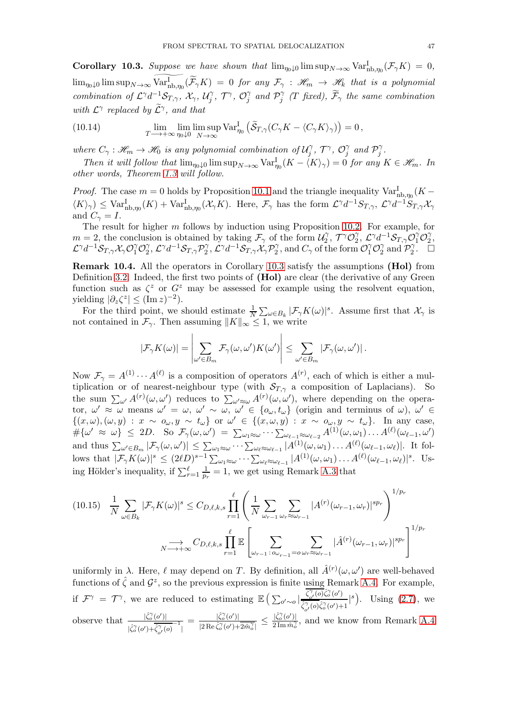<span id="page-46-0"></span>**Corollary 10.3.** Suppose we have shown that  $\lim_{\eta_0 \downarrow 0} \limsup_{N \to \infty} \text{Var}_{\text{nb},\eta_0}^{\text{I}}(\mathcal{F}_\gamma K) = 0$ ,  $\lim_{\eta_0\downarrow 0} \limsup_{N\to\infty} \text{Var}_{\text{nb},\eta_0}^{\text{I}}(\widetilde{\mathcal{F}}_\gamma K) = 0$  *for any*  $\mathcal{F}_\gamma$  :  $\mathscr{H}_m \to \mathscr{H}_k$  *that is a polynomial combination of*  $\mathcal{L}^{\gamma}d^{-1}\mathcal{S}_{T,\gamma}$ ,  $\mathcal{X}_{\gamma}$ ,  $\mathcal{U}_{j}^{\gamma}$  $\int_{j}^{\gamma}$ ,  $\mathcal{T}^{\gamma}$ ,  $\mathcal{O}_{j}^{\gamma}$  $\int\limits_j^{\gamma}$  and  $\mathcal{P}_j^{\gamma}$  $f_j^\gamma$  (*T* fixed),  $\mathcal{F}_\gamma$  the same combination with  $\mathcal{L}^{\gamma}$  replaced by  $\widetilde{\mathcal{L}}^{\gamma}$ , and that

<span id="page-46-3"></span>(10.14) 
$$
\lim_{T \to +\infty} \lim_{\eta_0 \downarrow 0} \limsup_{N \to \infty} \text{Var}_{\eta_0}^{\text{I}} \left( \tilde{\mathcal{S}}_{T,\gamma} (C_{\gamma} K - \langle C_{\gamma} K \rangle_{\gamma}) \right) = 0,
$$

*where*  $C_{\gamma}: \mathcal{H}_m \to \mathcal{H}_0$  *is any polynomial combination of*  $\mathcal{U}_j^{\gamma}$  $\mathcal{C}_j^\gamma, \mathcal{T}^\gamma, \mathcal{O}_j^\gamma$  $\int\limits_j^\gamma$  and  $\mathcal{P}_j^\gamma$ j *.*

*Then it will follow that*  $\lim_{\eta_0 \downarrow 0} \limsup_{N \to \infty} \text{Var}_{\eta_0}^{\text{I}}(K - \langle K \rangle_{\gamma}) = 0$  *for any*  $K \in \mathcal{H}_m$ . In *other words, Theorem [1.3](#page-4-2) will follow.*

*Proof.* The case  $m = 0$  holds by Proposition [10.1](#page-43-1) and the triangle inequality  $Var^I_{h,b,\eta_0}(K \langle K \rangle_{\gamma} \leq \text{Var}_{\text{nb},\eta_0}^{\text{I}}(K) + \text{Var}_{\text{nb},\eta_0}^{\text{I}}(\mathcal{X}_{\gamma}K)$ . Here,  $\mathcal{F}_{\gamma}$  has the form  $\mathcal{L}^{\gamma}d^{-1}S_{T,\gamma}$ ,  $\mathcal{L}^{\gamma}d^{-1}S_{T,\gamma}\mathcal{X}_{\gamma}$ and  $C_{\gamma} = I$ .

The result for higher m follows by induction using Proposition [10.2.](#page-44-4) For example, for  $m = 2$ , the conclusion is obtained by taking  $\mathcal{F}_{\gamma}$  of the form  $\mathcal{U}_{2}^{\gamma}$  $T_2^{\gamma}, \ T^{\gamma}\mathcal{O}_2^{\gamma}$  $\gamma_2^{\gamma},\ \mathcal{L}^{\gamma}d^{-1}\mathcal{S}_{T,\gamma}\mathcal{O}_1^{\gamma}\mathcal{O}_2^{\gamma}$  $\frac{\gamma}{2}$  $\mathcal{L}^{\gamma}d^{-1}\mathcal{S}_{T,\gamma}\mathcal{X}_{\gamma}\mathcal{O}^{\gamma}_{1}\mathcal{O}^{\gamma}_{2}$  $\hat{C}_2^{\gamma}, \mathcal{L}^{\gamma}d^{-1}\mathcal{S}_{T,\gamma}\mathcal{P}_2^{\gamma}$  $\mathcal{L}_2^\gamma, \mathcal{L}^\gamma d^{-1} \mathcal{S}_{T,\gamma} \mathcal{X}_\gamma \mathcal{P}_2^\gamma$  $C_{\gamma}$ , and  $C_{\gamma}$  of the form  $\mathcal{O}_{1}^{\gamma}\mathcal{O}_{2}^{\gamma}$  $\frac{\gamma}{2}$  and  $\mathcal{P}_2^{\gamma}$  $\frac{1}{2}$ .  $\Box$ 

<span id="page-46-1"></span>Remark 10.4. All the operators in Corollary [10.3](#page-46-0) satisfy the assumptions (Hol) from Definition [3.2.](#page-13-3) Indeed, the first two points of (Hol) are clear (the derivative of any Green function such as  $\zeta^z$  or  $G^z$  may be assessed for example using the resolvent equation, yielding  $|\partial_z \zeta^z| \le (\text{Im } z)^{-2}$ ).

For the third point, we should estimate  $\frac{1}{N} \sum_{\omega \in B_k} |\mathcal{F}_{\gamma} K(\omega)|^s$ . Assume first that  $\mathcal{X}_{\gamma}$  is not contained in  $\mathcal{F}_{\gamma}$ . Then assuming  $||K||_{\infty} \leq 1$ , we write

$$
|\mathcal{F}_{\gamma}K(\omega)| = \left|\sum_{\omega' \in B_m} \mathcal{F}_{\gamma}(\omega, \omega')K(\omega')\right| \leq \sum_{\omega' \in B_m} |\mathcal{F}_{\gamma}(\omega, \omega')|.
$$

Now  $\mathcal{F}_{\gamma} = A^{(1)} \cdots A^{(\ell)}$  is a composition of operators  $A^{(r)}$ , each of which is either a multiplication or of nearest-neighbour type (with  $S_{T,\gamma}$  a composition of Laplacians). So the sum  $\sum_{\omega'} A^{(r)}(\omega, \omega')$  reduces to  $\sum_{\omega' \approx \omega} A^{(r)}(\omega, \omega')$ , where depending on the operator,  $\omega' \approx \omega$  means  $\omega' = \omega$ ,  $\omega' \sim \omega$ ,  $\omega' \in {\omega, t_{\omega}}$  (origin and terminus of  $\omega$ ),  $\omega' \in$  $\{(x,\omega),(\omega,y) : x \sim o_{\omega}, y \sim t_{\omega}\}\$  or  $\omega' \in \{(x,\omega,y) : x \sim o_{\omega}, y \sim t_{\omega}\}\$ . In any case,  $\#\{\omega'\ \approx\ \omega\}\ \le\ 2D. \quad\text{So}\ \ \mathcal{F}_\gamma(\omega, \omega')\ =\ \sum_{\omega_1\approx\omega}\cdots\sum_{\omega_{\ell-1}\approx\omega_{\ell-2}}A^{(1)}(\omega, \omega_1)\ldots A^{(\ell)}(\omega_{\ell-1}, \omega')$ and thus  $\sum_{\omega' \in B_m} |\mathcal{F}_{\gamma}(\omega, \omega')| \leq \sum_{\omega_1 \approx \omega} \cdots \sum_{\omega_\ell \approx \omega_{\ell-1}} |A^{(1)}(\omega, \omega_1) \dots A^{(\ell)}(\omega_{\ell-1}, \omega_{\ell})|$ . It follows that  $|\mathcal{F}_{\gamma}K(\omega)|^s \leq (2\ell D)^{s-1} \sum_{\omega_1 \approx \omega} \cdots \sum_{\omega_\ell \approx \omega_{\ell-1}} |A^{(1)}(\omega, \omega_1) \dots A^{(\ell)}(\omega_{\ell-1}, \omega_{\ell})|^s$ . Using Hölder's inequality, if  $\sum_{r=1}^{\ell} \frac{1}{p_r}$  $\frac{1}{p_r} = 1$ , we get using Remark [A.3](#page-52-0) that

<span id="page-46-2"></span>
$$
(10.15) \quad \frac{1}{N} \sum_{\omega \in B_k} |\mathcal{F}_{\gamma} K(\omega)|^s \leq C_{D,\ell,k,s} \prod_{r=1}^{\ell} \left( \frac{1}{N} \sum_{\omega_{r-1}} \sum_{\omega_r \approx \omega_{r-1}} |A^{(r)}(\omega_{r-1}, \omega_r)|^{sp_r} \right)^{1/p_r}
$$
\n
$$
\sum_{N \longrightarrow +\infty} C_{D,\ell,k,s} \prod_{r=1}^{\ell} \mathbb{E} \left[ \sum_{\omega_{r-1} : \omega_{\omega_{r-1}} = \omega_r \approx \omega_{r-1}} |\hat{A}^{(r)}(\omega_{r-1}, \omega_r)|^{sp_r} \right]^{1/p_r}
$$

uniformly in  $\lambda$ . Here,  $\ell$  may depend on T. By definition, all  $\hat{A}^{(r)}(\omega,\omega')$  are well-behaved functions of  $\hat{\zeta}$  and  $\mathcal{G}^z$ , so the previous expression is finite using Remark [A.4.](#page-52-1) For example, if  $\mathcal{F}^{\gamma} = \mathcal{T}^{\gamma}$ , we are reduced to estimating  $\mathbb{E} \left( \sum_{o' \sim o} |$  $\overline{\zeta_{o'}^{\gamma}(o)}\hat{\zeta}_o^{\gamma}(o')$  $\frac{\zeta_{o'}^{\prime}(o)\zeta_o^{\prime}(o')}{\hat{\zeta}_{o'}^{\gamma}(o)\hat{\zeta}_o^{\gamma}(o')+1}|^{s}$ . Using [\(2.7\)](#page-11-9), we observe that  $\frac{|\hat{\zeta}_o^{\gamma}(o')|}{\hat{\zeta}_o^{\gamma}}$  $|\hat{\zeta}_o^{\gamma}(o')+\overline{\hat{\zeta}_{o'}^{\gamma}(o)}^{-1}|$  $=\frac{|\hat{\zeta}_o^{\gamma}(o')|}{\log\frac{2\gamma}{o}(\zeta)}$  $\sqrt{|2 \text{Re} \hat{\zeta}_o^{\gamma}(\mathbf{o}^{\prime}) + 2 \hat{m}_o^{\gamma}|}$  $|\hat{\zeta}_o^{\gamma}(o')|$  $\frac{\sqrt{2} \ln \hat{m}_{o}^{(0)}}{2 \ln \hat{m}_{o}^{(0)}}$ , and we know from Remark [A.4](#page-52-1)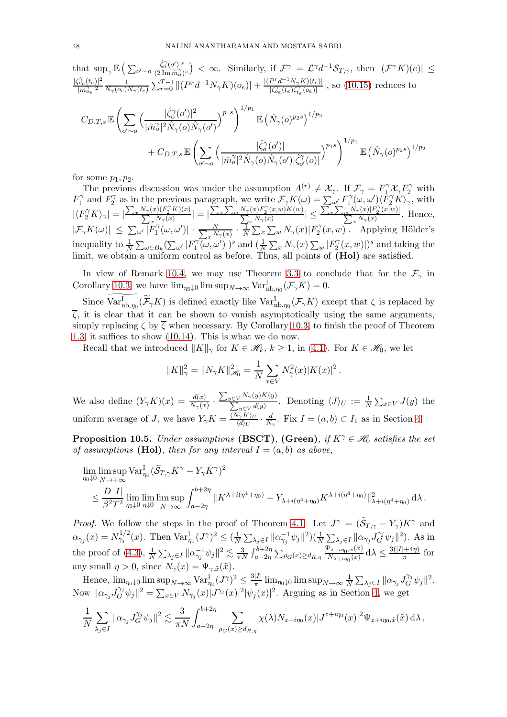that  $\sup_{\gamma} \mathbb{E} \left( \sum_{o' \sim o} \frac{|\hat{\zeta}_{o}^{\gamma}(o')|^{s}}{(2 \operatorname{Im} \hat{m}_{o}^{\gamma})} \right)$  $\frac{|\widehat{\zeta_0}^{\gamma}(\phi')|^s}{(2\operatorname{Im}\hat{m}_o^{\gamma})^s}$   $< \infty$ . Similarly, if  $\mathcal{F}^{\gamma} = \mathcal{L}^{\gamma}d^{-1}\mathcal{S}_{T,\gamma}$ , then  $|(\mathcal{F}^{\gamma}K)(e)| \leq$  $|\zeta_{oe}^{\gamma}(t_e)|^2$  $\frac{|\vec{v}_e(t_e)|^2}{|m_{oe}^{\gamma}|^2} \frac{1}{N_{\gamma}(o_e)}$  $\frac{1}{N_{\gamma}(o_{e})N_{\gamma}(t_{e})}\sum_{r=0}^{T-1}[|(P^rd^{-1}N_{\gamma}K)(o_{e})|+\frac{|(P^rd^{-1}N_{\gamma}K)(t_{e})|}{|\zeta^{\gamma}_{o_{e}}(t_{e})\zeta^{\gamma}_{I_{e}}(o_{e})|}$  $\frac{f''(t)}{|\zeta_{e}(t_e)\zeta_{te}(\theta_e)|}$ , so [\(10.15\)](#page-46-2) reduces to  $C_{D,T,s}\mathbb{E}\bigg(\sum_{k=1}^n\bigg)^{k-1}$ o ′∼o  $\int \frac{|\hat{\zeta}_o^{\gamma}(o')|^2}{|v'|^2}$  $|\hat{m}_o^\gamma|^2 \hat{N}_\gamma(o) \hat{N}_\gamma(o')$  $\setminus^{p_1s}\Big\}^{1/p_1}$  $\mathbb{E}\left( \hat{N}_{\gamma}(o)^{p_{2}s}\right) ^{1/p_{2}}$ +  $C_{D,T,s}\mathbb{E}\bigg(\sum$  $\frac{|\hat{\zeta}_o^{\gamma}(o')|}{\sum_{\sigma}$  $|\hat{m}_o^\gamma|^2 \hat{N}_\gamma(o) \hat{N}_\gamma(o')| \hat{\zeta}_{o'}^\gamma$  $\partial'_{o'}(o)|$  $\langle p_1 s \rangle^{1/p_1}$  $\mathbb{E}\left( \hat{N}_\gamma(o)^{p_2s} \right)^{1/p_2}$ 

o ′∼o

for some  $p_1, p_2$ .

The previous discussion was under the assumption  $A^{(r)} \neq \mathcal{X}_{\gamma}$ . If  $\mathcal{F}_{\gamma} = F_1^{\gamma} \mathcal{X}_{\gamma} F_2^{\gamma}$  with  $F_1^{\gamma}$  $I_1^{\gamma}$  and  $F_2^{\gamma}$  $Z_2^{\gamma}$  as in the previous paragraph, we write  $\mathcal{F}_{\gamma}K(\omega) = \sum_{\omega'} F_1^{\gamma}$  $T_1^{\gamma}(\omega,\omega')\langle \overrightarrow{F_2}^{\gamma} \overrightarrow{K} \rangle_{\gamma}$ , with  $\left|\langle F_{2}^{\gamma} K\rangle_{\gamma}\right| = \left|\frac{\sum_{x} N_{\gamma}(x)(F_{2}^{\gamma} K)(x)}{\sum_{x} N_{\gamma}(x)}\right| = \left|\frac{\sum_{x} \sum_{w} N_{\gamma}(x)F_{2}^{\gamma}(x,w)K(w)}{\sum_{x} N_{\gamma}(x)}\right|$  $\frac{1}{x} N_{\gamma}(x)$  |  $\leq$  $\frac{\sum_x \sum_w N_{\gamma}(x) |F_2^{\gamma}(x,w)|}{\sum_x N_{\gamma}(x)}$  $\frac{\sqrt{\gamma(x)}|x_2(x, w)|}{x_1(x_2(x, w))}$ . Hence,  $|\mathcal{F}_{\gamma}K(\omega)| \leq \sum_{\omega'} |\widetilde{F}_{1}^{\gamma}$  $\frac{N}{1}(\omega,\omega')|\,\cdot\, \frac{N}{\sum_x N}$  $\frac{N}{x N_{\gamma}(x)} \cdot \frac{1}{N}$  $\frac{1}{N} \sum_x \sum_w N_{\gamma}(x) |F_2^{\gamma}$  $2^7(x, w)$ . Applying Hölder's inequality to  $\frac{1}{N} \sum_{\omega \in B_k} (\sum_{\omega'} |F_1^{\gamma})$  $\int_1^{\gamma} (\omega, \omega')$  |  $)^s$  and  $(\frac{1}{N} \sum_x N_{\gamma}(x) \sum_w |F_2^{\gamma}(x)|$  $\sum_{i=1}^{N} (x, w)$ )<sup>s</sup> and taking the limit, we obtain a uniform control as before. Thus, all points of  $(Hol)$  are satisfied.

In view of Remark [10.4,](#page-46-1) we may use Theorem [3.3](#page-14-1) to conclude that for the  $\mathcal{F}_{\gamma}$  in Corollary [10.3,](#page-46-0) we have  $\lim_{\eta_0 \downarrow 0} \limsup_{N \to \infty} \text{Var}_{\text{nb}, \eta_0}^{\text{I}}(\mathcal{F}_\gamma K) = 0.$ 

Since  $\text{Var}_{\text{nb},\eta_0}^{\text{I}}(\widetilde{\mathcal{F}}_{\gamma}K)$  is defined exactly like  $\text{Var}_{\text{nb},\eta_0}^{\text{I}}(\mathcal{F}_{\gamma}K)$  except that  $\zeta$  is replaced by  $\overline{\zeta}$ , it is clear that it can be shown to vanish asymptotically using the same arguments, simply replacing  $\zeta$  by  $\overline{\zeta}$  when necessary. By Corollary [10.3,](#page-46-0) to finish the proof of Theorem [1.3,](#page-4-2) it suffices to show [\(10.14\)](#page-46-3). This is what we do now.

Recall that we introduced  $||K||_{\gamma}$  for  $K \in \mathcal{H}_k, k \geq 1$ , in [\(4.1\)](#page-14-4). For  $K \in \mathcal{H}_0$ , we let

$$
||K||_{\gamma}^{2} = ||N_{\gamma}K||_{\mathcal{H}_{0}}^{2} = \frac{1}{N} \sum_{x \in V} N_{\gamma}^{2}(x) |K(x)|^{2}.
$$

We also define  $(Y_\gamma K)(x) = \frac{d(x)}{N_\gamma(x)}$ .  $\sum_{y\in V} N_{\gamma}(y)K(y)$  $\sum_{y \in V}^{I(\sqrt{N}\gamma(y)\Lambda(y))}$ . Denoting  $\langle J \rangle_U := \frac{1}{N} \sum_{x \in V} J(y)$  the uniform average of J, we have  $Y_{\gamma}K = \frac{\langle N_{\gamma}K \rangle_{U}}{\langle d \rangle_{U}}$  $\frac{\sqrt[N]{K}U}{\langle d \rangle_U} \cdot \frac{d}{N}$  $\frac{d}{N_{\gamma}}$ . Fix  $I = (a, b) \subset I_1$  as in Section [4.](#page-14-0)

**Proposition 10.5.** *Under assumptions* (BSCT), (Green), if  $K^{\gamma} \in \mathcal{H}_0$  *satisfies the set of assumptions* (Hol), then for any interval  $I = (a, b)$  as above,

$$
\begin{aligned} & \lim_{\eta_0\downarrow 0} \limsup_{N\to +\infty} \text{Var}^{\text{I}}_{\eta_0} (\widetilde{\mathcal{S}}_{T,\gamma} K^\gamma - Y_\gamma K^\gamma)^2 \\ & \leq \frac{D\,|I|}{\beta^2 T^2} \lim_{\eta_0\downarrow 0} \limsup_{\eta\downarrow 0} \int_{N\to\infty}^{b+2\eta} \| K^{\lambda + i(\eta^4+\eta_0)} - Y_{\lambda + i(\eta^4+\eta_0)} K^{\lambda + i(\eta^4+\eta_0)} \|^2_{\lambda + i(\eta^4+\eta_0)} \, \mathrm{d} \lambda \,. \end{aligned}
$$

*Proof.* We follow the steps in the proof of Theorem [4.1.](#page-14-2) Let  $J^{\gamma} = (\tilde{S}_{T,\gamma} - Y_{\gamma})K^{\gamma}$  and  $\alpha_{\gamma_j}(x) = N_{\gamma_j}^{1/2}(x)$ . Then  $\text{Var}_{\eta_0}^{\text{I}}(J^{\gamma})^2 \leq (\frac{1}{N})$  $\frac{1}{N}\sum_{\lambda_j\in I} \|\alpha_{\gamma_j}^{-1}\psi_j\|^2 (\frac{1}{N}\sum_{\lambda_j\in I} \|\alpha_{\gamma_j}J_G^{\gamma_j}\psi_j\|^2)$ . As in the proof of [\(4.3\)](#page-15-1),  $\frac{1}{N} \sum_{\lambda_j \in I} ||\alpha_{\gamma_j}^{-1} \psi_j||^2 \lesssim \frac{3}{\pi I}$  $\frac{3}{\pi N}\int_{a-2\eta}^{b+2\eta}\sum_{\rho\in\mathcal{C}}(x)\geq d_{R,\eta}\frac{\Psi_{z+i\eta_0,\tilde{x}}(\tilde{x})}{N_{\lambda+i\eta_0}(x)}$  $\frac{\Psi_{z+i\eta_0,\tilde{x}}(\tilde{x})}{N_{\lambda+i\eta_0}(x)} d\lambda \leq \frac{3(|I|+4\eta)}{\pi}$  $rac{(+4\eta)}{\pi}$  for any small  $\eta > 0$ , since  $N_{\gamma}(x) = \Psi_{\gamma, \tilde{x}}(\tilde{x})$ .

Hence,  $\lim_{\eta_0 \downarrow 0} \limsup_{N \to \infty} \text{Var}_{\eta_0}^{\text{I}} (J^{\gamma})^2 \leq \frac{3|I|}{\pi}$  $\frac{|I|}{\pi}\lim_{\eta_0\downarrow 0}\limsup_{N\to\infty}\frac{1}{N}$  $\frac{1}{N} \sum_{\lambda_j \in I} ||\alpha_{\gamma_j} J_G^{\gamma_j} \psi_j||^2.$ Now  $\|\alpha_{\gamma_j}J_G^{\gamma_j}\psi_j\|^2 = \sum_{x\in V} N_{\gamma_j}(x)|J^{\gamma_j}(x)|^2|\psi_j(x)|^2$ . Arguing as in Section [4,](#page-14-0) we get

$$
\frac{1}{N}\sum_{\lambda_j\in I}\|\alpha_{\gamma_j}J_G^{\gamma_j}\psi_j\|^2\lesssim \frac{3}{\pi N}\int_{a-2\eta}^{b+2\eta}\sum_{\rho_G(x)\geq d_{R,\eta}}\chi(\lambda)N_{z+i\eta_0}(x)|J^{z+i\eta_0}(x)|^2\Psi_{z+i\eta_0,\tilde{x}}(\tilde{x})\,\mathrm{d}\lambda\,,
$$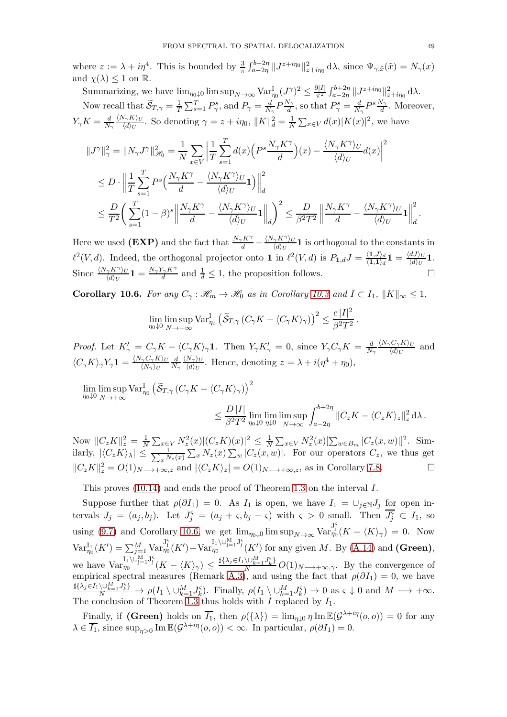where  $z := \lambda + i\eta^4$ . This is bounded by  $\frac{3}{\pi} \int_{a-2\eta}^{b+2\eta} ||J^{z+i\eta_0}||^2_{z+i\eta_0} d\lambda$ , since  $\Psi_{\gamma,\tilde{x}}(\tilde{x}) = N_{\gamma}(x)$ and  $\chi(\lambda) \leq 1$  on  $\mathbb{R}$ .

Summarizing, we have  $\lim_{\eta_0 \downarrow 0} \limsup_{N \to \infty} \text{Var}_{\eta_0}^{\text{I}} (J^{\gamma})^2 \leq \frac{9|I|}{\pi^2}$  $\frac{\partial |I|}{\pi^2} \int_{a-2\eta}^{b+2\eta} \|J^{z+i\eta_0}\|_{z+i\eta_0}^2 \, \mathrm{d}\lambda.$ Now recall that  $\widetilde{\mathcal{S}}_{T,\gamma} = \frac{1}{T}$  $\frac{1}{T} \sum_{s=1}^{T} P_{\gamma}^{s}$ , and  $P_{\gamma} = \frac{d}{N_s}$  $\frac{d}{N_{\gamma}}P\frac{N_{\gamma}}{d}$  $\frac{d^{N}\gamma}{d}$ , so that  $P_{\gamma}^{s} = \frac{d}{N}$  $\frac{d}{N_{\gamma}}P^s\frac{N_{\gamma}}{d}$ . Moreover,  $Y_\gamma K = \frac{d}{N_\gamma}$  $\langle N_\gamma K\rangle_U$  $\frac{\partial \phi(K)}{\partial x}$ . So denoting  $\gamma = z + i\eta_0$ ,  $||K||_d^2 = \frac{1}{N} \sum_{x \in V} d(x) |K(x)|^2$ , we have

$$
\begin{split} &\|J^{\gamma}\|_{\gamma}^{2}=\|N_{\gamma}J^{\gamma}\|_{\mathscr{H}_{0}}^{2}=\frac{1}{N}\sum_{x\in V}\left|\frac{1}{T}\sum_{s=1}^{T}d(x)\Big(P^{s}\frac{N_{\gamma}K^{\gamma}}{d}\Big)(x)-\frac{\langle N_{\gamma}K^{\gamma}\rangle_{U}}{\langle d\rangle_{U}}d(x)\right|^{2}\\ &\le D\cdot\left\|\frac{1}{T}\sum_{s=1}^{T}P^{s}\Big(\frac{N_{\gamma}K^{\gamma}}{d}-\frac{\langle N_{\gamma}K^{\gamma}\rangle_{U}}{\langle d\rangle_{U}}\mathbf{1}\Big)\right\|_{d}^{2}\\ &\le\frac{D}{T^{2}}\bigg(\sum_{s=1}^{T}(1-\beta)^{s}\Big\|\frac{N_{\gamma}K^{\gamma}}{d}-\frac{\langle N_{\gamma}K^{\gamma}\rangle_{U}}{\langle d\rangle_{U}}\mathbf{1}\Big\|_{d}^{2}\bigg)^{2}\le\frac{D}{\beta^{2}T^{2}}\left\|\frac{N_{\gamma}K^{\gamma}}{d}-\frac{\langle N_{\gamma}K^{\gamma}\rangle_{U}}{\langle d\rangle_{U}}\mathbf{1}\right\|_{d}^{2}.\end{split}
$$

Here we used (EXP) and the fact that  $\frac{N_{\gamma}K^{\gamma}}{d} - \frac{\langle N_{\gamma}K^{\gamma}\rangle_{U}}{\langle d \rangle_{U}}$  $\frac{\gamma \mathbf{A}^{\prime \prime}/U}{\langle d \rangle_U}$ **1** is orthogonal to the constants in  $\ell^2(V, d)$ . Indeed, the orthogonal projector onto 1 in  $\ell^2(V, d)$  is  $P_{1, d}J = \frac{\langle 1, J \rangle_d}{\langle 1, 1 \rangle_d}$  $\frac{\langle\mathbf{1},J\rangle_d}{\langle\mathbf{1},\mathbf{1}\rangle_d}\mathbf{1}=\frac{\langle dJ\rangle_U}{\langle d\rangle_U}$  $\frac{dJ/U}{\langle d \rangle_U}$ 1. Since  $\frac{\langle N_{\gamma} K^{\gamma} \rangle_{U}}{\langle d \rangle_{U}} \mathbf{1} = \frac{N_{\gamma} Y_{\gamma} K^{\gamma}}{d}$  $\frac{d}{d} \leq 1$ , the proposition follows.

<span id="page-48-0"></span>**Corollary 10.6.** For any  $C_\gamma$ :  $\mathscr{H}_m \to \mathscr{H}_0$  *as in Corollary [10.3](#page-46-0) and*  $\overline{I} \subset I_1$ ,  $||K||_{\infty} \leq 1$ ,

$$
\lim_{\eta_0 \downarrow 0} \limsup_{N \to +\infty} \text{Var}_{\eta_0}^{\text{I}} \left( \widetilde{\mathcal{S}}_{T,\gamma} \left( C_{\gamma} K - \langle C_{\gamma} K \rangle_{\gamma} \right) \right)^2 \leq \frac{c |I|^2}{\beta^2 T^2}.
$$

*Proof.* Let  $K'_{\gamma} = C_{\gamma} K - \langle C_{\gamma} K \rangle_{\gamma}$ 1. Then  $Y_{\gamma} K'_{\gamma} = 0$ , since  $Y_{\gamma} C_{\gamma} K = \frac{d}{N}$  $N_{\gamma}$  $\langle N_\gamma C_\gamma K\rangle_U$  $\frac{\partial^{\alpha} \langle d \rangle_{U}}{\partial^{\alpha} U}$  and  $\langle C_{\gamma}K\rangle_{\gamma}Y_{\gamma}{\bf 1}=\frac{\langle N_{\gamma}C_{\gamma}K\rangle_{U}}{\langle N_{\gamma}\rangle_{U}}$  $\langle N_{\gamma} \rangle_U$ d  $N_{\gamma}$  $\langle N_{\gamma} \rangle_U$  $\frac{N_{\gamma}\rangle_{U}}{\langle d\rangle_{U}}$ . Hence, denoting  $z = \lambda + i(\eta^{4} + \eta_{0}),$ 

 $\lim_{\eta_0\downarrow 0} \lim_{N\to+\infty}$  $N\rightarrow+\infty$  $\text{Var}^{\text{I}}_{\eta_{0}}\left(\widetilde{\mathcal{S}}_{T,\gamma}\left(C_{\gamma}K-\langle C_{\gamma}K\rangle_{\gamma}\right)\right)^{2}$ 

$$
\leq \frac{D\,|I|}{\beta^2T^2}\lim_{\eta_0\downarrow 0}\lim_{\eta\downarrow 0}\limsup_{N\to\infty}\int_{a-2\eta}^{b+2\eta}\|C_zK-\langle C_zK\rangle_z\|_z^2\,\mathrm{d}\lambda\,.
$$

Now  $||C_zK||_z^2 = \frac{1}{N}$  $\frac{1}{N} \sum_{x \in V} N_z^2(x) |(C_z K)(x)|^2 \leq \frac{1}{N}$  $\frac{1}{N} \sum_{x \in V} N_z^2(x) [\sum_{w \in B_m} |C_z(x, w)|]^2$ . Similarly,  $|\langle C_z K \rangle_{\lambda}| \leq \frac{1}{\sum_{x} N}$  $\frac{1}{x^{N_z(x)}}\sum_x N_z(x)\sum_w |C_z(x,w)|$ . For our operators  $C_z$ , we thus get  $||C_zK||_z^2 = O(1)_{N\longrightarrow+\infty,z}$  and  $|\langle C_zK\rangle_z| = O(1)_{N\longrightarrow+\infty,z}$ , as in Corollary [7.8.](#page-28-2)

This proves [\(10.14\)](#page-46-3) and ends the proof of Theorem [1.3](#page-4-2) on the interval I.

Suppose further that  $\rho(\partial I_1) = 0$ . As  $I_1$  is open, we have  $I_1 = \cup_{j \in \mathbb{N}} J_j$  for open intervals  $J_j = (a_j, b_j)$ . Let  $J_j^{\varsigma} = (a_j + \varsigma, b_j - \varsigma)$  with  $\varsigma > 0$  small. Then  $\overline{J_j^{\varsigma}} \subset I_1$ , so using [\(9.7\)](#page-40-4) and Corollary [10.6,](#page-48-0) we get  $\lim_{\eta_0 \downarrow 0} \limsup_{N \to \infty} \text{Var}_{\eta_0}^{\text{J}_j^c}(K - \langle K \rangle_{\gamma}) = 0$ . Now  $\text{Var}_{\eta_0}^{\text{I}_1}(K') = \sum_{j=1}^M \text{Var}_{\eta_0}^{\text{J}_1^{\varsigma}}(K') + \text{Var}_{\eta_0}^{\text{I}_1\setminus\cup_{j=1}^M \text{J}_j^{\varsigma}}(K')$  for any given M. By [\(A.14\)](#page-54-6) and (Green), we have  $\text{Var}_{\eta_0}^{\text{I}_1\setminus\cup_{j=1}^M \text{J}_j^{\varsigma}}(K - \langle K \rangle_{\gamma}) \leq \frac{\sharp{\{\lambda_j \in I_1 \setminus \cup_{k=1}^M J_k^{\varsigma}\}}}{N} O(1)_{N \longrightarrow +\infty,\gamma}$ . By the convergence of empirical spectral measures (Remark [A.3\)](#page-52-0), and using the fact that  $\rho(\partial I_1) = 0$ , we have  $\frac{\sharp{\{\lambda_j\in I_1}\setminus\cup_{k=1}^M J_k^{\varsigma}\}}{N} \to \rho(I_1 \setminus \cup_{k=1}^M J_k^{\varsigma})$ . Finally,  $\rho(I_1 \setminus \cup_{k=1}^M J_k^{\varsigma}) \to 0$  as  $\varsigma \downarrow 0$  and  $M \longrightarrow +\infty$ . The conclusion of Theorem [1.3](#page-4-2) thus holds with  $I$  replaced by  $I_1$ .

Finally, if (Green) holds on  $\overline{I_1}$ , then  $\rho({\{\lambda\}}) = \lim_{\eta \downarrow 0} \eta \operatorname{Im} \mathbb{E}(\mathcal{G}^{\lambda+i\eta}(o,o)) = 0$  for any  $\lambda \in \overline{I_1}$ , since  $\sup_{\eta>0} \text{Im } \mathbb{E}(\mathcal{G}^{\lambda+i\eta}(o,o)) < \infty$ . In particular,  $\rho(\partial I_1) = 0$ .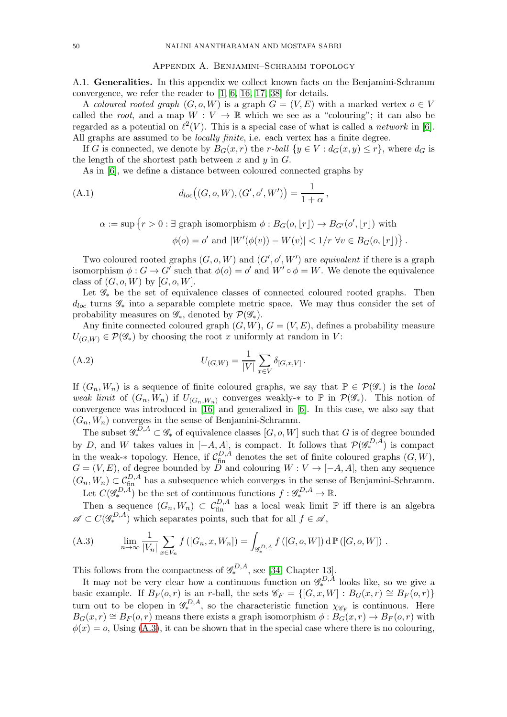#### Appendix A. Benjamini–Schramm topology

<span id="page-49-0"></span>A.1. Generalities. In this appendix we collect known facts on the Benjamini-Schramm convergence, we refer the reader to [\[1,](#page-54-13) [6,](#page-54-14) [16,](#page-55-29) [17,](#page-55-30) [38\]](#page-55-31) for details.

A *coloured rooted graph*  $(G, o, W)$  is a graph  $G = (V, E)$  with a marked vertex  $o \in V$ called the *root*, and a map  $W: V \to \mathbb{R}$  which we see as a "colouring"; it can also be regarded as a potential on  $\ell^2(V)$ . This is a special case of what is called a *network* in [\[6\]](#page-54-14). All graphs are assumed to be *locally finite*, i.e. each vertex has a finite degree.

If G is connected, we denote by  $B_G(x,r)$  the r-ball  $\{y \in V : d_G(x,y) \leq r\}$ , where  $d_G$  is the length of the shortest path between  $x$  and  $y$  in  $G$ .

As in [\[6\]](#page-54-14), we define a distance between coloured connected graphs by

(A.1) 
$$
d_{loc}((G, o, W), (G', o', W')) = \frac{1}{1 + \alpha},
$$

<span id="page-49-3"></span>
$$
\alpha := \sup \{ r > 0 : \exists \text{ graph isomorphism } \phi : B_G(o, \lfloor r \rfloor) \to B_{G'}(o', \lfloor r \rfloor) \text{ with }
$$

$$
\phi(o) = o' \text{ and } |W'(\phi(v)) - W(v)| < 1/r \ \forall v \in B_G(o, \lfloor r \rfloor) \}
$$

.

Two coloured rooted graphs  $(G, o, W)$  and  $(G', o', W')$  are *equivalent* if there is a graph isomorphism  $\phi: G \to G'$  such that  $\phi(o) = o'$  and  $W' \circ \phi = W$ . We denote the equivalence class of  $(G, o, W)$  by  $[G, o, W]$ .

Let  $\mathscr{G}_{*}$  be the set of equivalence classes of connected coloured rooted graphs. Then  $d_{loc}$  turns  $\mathscr{G}_{*}$  into a separable complete metric space. We may thus consider the set of probability measures on  $\mathscr{G}_*$ , denoted by  $\mathcal{P}(\mathscr{G}_*)$ .

Any finite connected coloured graph  $(G, W)$ ,  $G = (V, E)$ , defines a probability measure  $U_{(G,W)} \in \mathcal{P}(\mathscr{G}_*)$  by choosing the root x uniformly at random in V:

<span id="page-49-2"></span>(A.2) 
$$
U_{(G,W)} = \frac{1}{|V|} \sum_{x \in V} \delta_{[G,x,V]}.
$$

If  $(G_n, W_n)$  is a sequence of finite coloured graphs, we say that  $\mathbb{P} \in \mathcal{P}(\mathscr{G}_*)$  is the *local weak limit* of  $(G_n, W_n)$  if  $U_{(G_n, W_n)}$  converges weakly- $*$  to  $\mathbb P$  in  $\mathcal P(\mathscr G_*)$ . This notion of convergence was introduced in [\[16\]](#page-55-29) and generalized in [\[6\]](#page-54-14). In this case, we also say that  $(G_n, W_n)$  converges in the sense of Benjamini-Schramm.

The subset  $\mathscr{G}_{*}^{D,A} \subset \mathscr{G}_{*}$  of equivalence classes  $[G, o, W]$  such that G is of degree bounded by D, and W takes values in  $[-A, A]$ , is compact. It follows that  $\mathcal{P}(\mathscr{G}^{D,A}_*)$  is compact in the weak-∗ topology. Hence, if  $\mathcal{C}_{\text{fin}}^{D,A}$  denotes the set of finite coloured graphs  $(G, W)$ ,  $G = (V, E)$ , of degree bounded by D and colouring  $W : V \to [-A, A]$ , then any sequence  $(G_n, W_n) \subset \mathcal{C}_{\text{fin}}^{D,A}$  has a subsequence which converges in the sense of Benjamini-Schramm. Let  $C(\mathscr{G}_*^{D,A})$  be the set of continuous functions  $f: \mathscr{G}_*^{D,A} \to \mathbb{R}$ .

Then a sequence  $(G_n, W_n) \subset C_{fin}^{D, A}$  has a local weak limit  $\mathbb P$  iff there is an algebra  $\mathscr{A} \subset C(\mathscr{G}_{*}^{D,A})$  which separates points, such that for all  $f \in \mathscr{A}$ ,

<span id="page-49-1"></span>(A.3) 
$$
\lim_{n \to \infty} \frac{1}{|V_n|} \sum_{x \in V_n} f([G_n, x, W_n]) = \int_{\mathscr{G}_*^{D, A}} f([G, o, W]) d\mathbb{P}([G, o, W]) .
$$

This follows from the compactness of  $\mathcal{G}_{*}^{D,A}$ , see [\[34,](#page-55-32) Chapter 13].

It may not be very clear how a continuous function on  $\mathscr{G}_{*}^{D,A}$  looks like, so we give a basic example. If  $B_F(o,r)$  is an r-ball, the sets  $\mathscr{C}_F = \{[G, x, W] : B_G(x,r) \cong B_F(o,r)\}$ turn out to be clopen in  $\mathscr{G}_{*}^{D,A}$ , so the characteristic function  $\chi_{\mathscr{C}_{F}}$  is continuous. Here  $B_G(x,r) \cong B_F(o,r)$  means there exists a graph isomorphism  $\phi : B_G(x,r) \to B_F(o,r)$  with  $\phi(x) = o$ , Using [\(A.3\)](#page-49-1), it can be shown that in the special case where there is no colouring,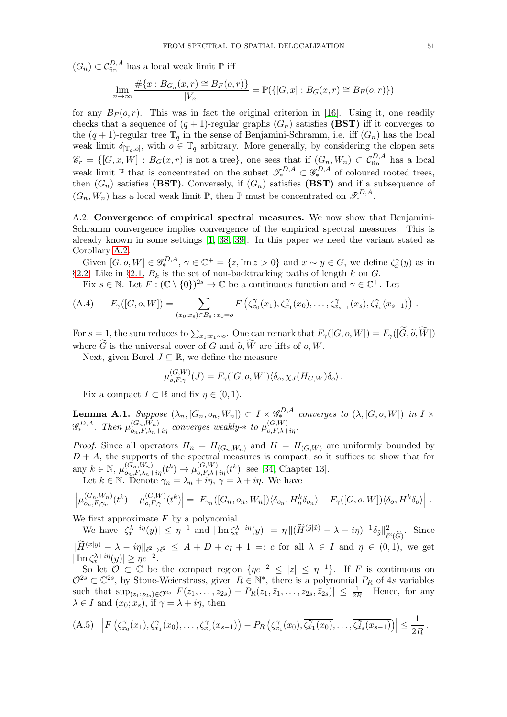$(G_n) \subset C_{\text{fin}}^{D,A}$  has a local weak limit  $\mathbb P$  iff

$$
\lim_{n \to \infty} \frac{\#\{x : B_{G_n}(x, r) \cong B_F(o, r)\}}{|V_n|} = \mathbb{P}(\{[G, x] : B_G(x, r) \cong B_F(o, r)\})
$$

for any  $B_F(o, r)$ . This was in fact the original criterion in [\[16\]](#page-55-29). Using it, one readily checks that a sequence of  $(q + 1)$ -regular graphs  $(G_n)$  satisfies (BST) iff it converges to the  $(q + 1)$ -regular tree  $\mathbb{T}_q$  in the sense of Benjamini-Schramm, i.e. iff  $(G_n)$  has the local weak limit  $\delta_{[\mathbb{T}_q, o]},$  with  $o \in \mathbb{T}_q$  arbitrary. More generally, by considering the clopen sets  $\mathscr{C}_r = \{ [G, x, W] : B_G(x,r) \text{ is not a tree} \}, \text{ one sees that if } (G_n, W_n) \subset C_{\text{fin}}^{D,A} \text{ has a local }$ weak limit  $\mathbb{P}$  that is concentrated on the subset  $\mathscr{T}_{*}^{D,A} \subset \mathscr{G}_{*}^{D,A}$  of coloured rooted trees, then  $(G_n)$  satisfies (BST). Conversely, if  $(G_n)$  satisfies (BST) and if a subsequence of  $(G_n, W_n)$  has a local weak limit  $\mathbb{P}$ , then  $\mathbb{P}$  must be concentrated on  $\mathcal{I}_{*}^{D,A}$ .

A.2. Convergence of empirical spectral measures. We now show that Benjamini-Schramm convergence implies convergence of the empirical spectral measures. This is already known in some settings [\[1,](#page-54-13) [38,](#page-55-31) [39\]](#page-55-33). In this paper we need the variant stated as Corollary [A.2.](#page-51-0)

Given  $[G, o, W] \in \mathscr{G}_*^{D,A}, \gamma \in \mathbb{C}^+ = \{z, \text{Im } z > 0\}$  and  $x \sim y \in G$ , we define  $\zeta_x^{\gamma}(y)$  as in §[2.2.](#page-10-0) Like in §[2.1,](#page-9-1)  $B_k$  is the set of non-backtracking paths of length k on  $G$ .

Fix  $s \in \mathbb{N}$ . Let  $F: (\mathbb{C} \setminus \{0\})^{2s} \to \mathbb{C}$  be a continuous function and  $\gamma \in \mathbb{C}^+$ . Let

(A.4) 
$$
F_{\gamma}([G, o, W]) = \sum_{(x_0; x_s) \in B_s : x_0 = o} F(\zeta_{x_0}^{\gamma}(x_1), \zeta_{x_1}^{\gamma}(x_0), \ldots, \zeta_{x_{s-1}}^{\gamma}(x_s), \zeta_{x_s}^{\gamma}(x_{s-1}))
$$

For  $s = 1$ , the sum reduces to  $\sum_{x_1:x_1\sim o}$ . One can remark that  $F_\gamma([G, o, W]) = F_\gamma([G, \widetilde{o}, W])$ where G is the universal cover of G and  $\tilde{o}$ , W are lifts of  $o$ , W.

Next, given Borel  $J \subseteq \mathbb{R}$ , we define the measure

$$
\mu_{o,F,\gamma}^{(G,W)}(J) = F_{\gamma}([G,o,W]) \langle \delta_o, \chi_J(H_{G,W}) \delta_o \rangle.
$$

Fix a compact  $I \subset \mathbb{R}$  and fix  $\eta \in (0,1)$ .

<span id="page-50-0"></span>**Lemma A.1.** Suppose  $(\lambda_n, [G_n, o_n, W_n]) \subset I \times \mathcal{G}_*^{D,A}$  converges to  $(\lambda, [G, o, W])$  in  $I \times$  $\mathscr{G}_{*}^{D,A}$ . Then  $\mu_{o_n,F,\lambda_n+i\eta}^{(G_n,W_n)}$  converges weakly- $*$  to  $\mu_{o,F,\lambda+i\eta}^{(G,W)}$ .

*Proof.* Since all operators  $H_n = H_{(G_n, W_n)}$  and  $H = H_{(G, W)}$  are uniformly bounded by  $D + A$ , the supports of the spectral measures is compact, so it suffices to show that for any  $k \in \mathbb{N}$ ,  $\mu_{o_n, F, \lambda_n + i\eta}^{(G_n, W_n)}(t^k) \to \mu_{o, F, \lambda + i\eta}^{(G, W)}(t^k)$ ; see [\[34,](#page-55-32) Chapter 13]. Let  $k \in \mathbb{N}$ . Denote  $\gamma_n = \lambda_n + i\eta$ ,  $\gamma = \lambda + i\eta$ . We have

$$
\left|\mu_{o_n,F,\gamma_n}^{(G_n,W_n)}(t^k)-\mu_{o,F,\gamma}^{(G,W)}(t^k)\right|=\left|F_{\gamma_n}([G_n,o_n,W_n])\langle\delta_{o_n},H_n^k\delta_{o_n}\rangle-F_{\gamma}([G,o,W])\langle\delta_{o},H^k\delta_{o}\rangle\right|.
$$

We first approximate  $F$  by a polynomial.

We have  $|\zeta_x^{\lambda+i\eta}(y)| \leq \eta^{-1}$  and  $|\operatorname{Im} \zeta_x^{\lambda+i\eta}(y)| = \eta ||(\widetilde{H}^{(\widetilde{y}|\widetilde{x})} - \lambda - i\eta)^{-1} \delta_{\widetilde{y}}||_{\ell^2}^2$  $\frac{2}{\ell^2(\widetilde{G})}$ . Since  $^{2}(G)$  $\|\tilde{H}^{(x|y)} - \lambda - i\eta\|_{\ell^2 \to \ell^2} \leq A + D + c_I + 1 =: c \text{ for all } \lambda \in I \text{ and } \eta \in (0,1), \text{ we get}$  $|\operatorname{Im} \zeta_x^{\lambda+i\eta}(y)| \ge \eta c^{-2}.$ 

So let  $\mathcal{O} \subset \mathbb{C}$  be the compact region  $\{nc^{-2} \leq |z| \leq \eta^{-1}\}$ . If F is continuous on  $\mathcal{O}^{2s} \subset \mathbb{C}^{2s}$ , by Stone-Weierstrass, given  $R \in \mathbb{N}^*$ , there is a polynomial  $P_R$  of 4s variables such that  $\sup_{(z_1,z_2,s)\in\mathcal{O}^{2s}}|F(z_1,\ldots,z_{2s})-P_R(z_1,\bar{z}_1,\ldots,z_{2s},\bar{z}_{2s})|\leq \frac{1}{2R}$ . Hence, for any  $\lambda \in I$  and  $(x_0; x_s)$ , if  $\gamma = \lambda + i\eta$ , then

<span id="page-50-1"></span>
$$
(A.5) \left| F\left(\zeta_{x_0}^{\gamma}(x_1),\zeta_{x_1}^{\gamma}(x_0),\ldots,\zeta_{x_s}^{\gamma}(x_{s-1})\right) - P_R\left(\zeta_{x_1}^{\gamma}(x_0),\overline{\zeta_{x_1}^{\gamma}(x_0)},\ldots,\overline{\zeta_{x_s}^{\gamma}(x_{s-1})}\right) \right| \leq \frac{1}{2R}.
$$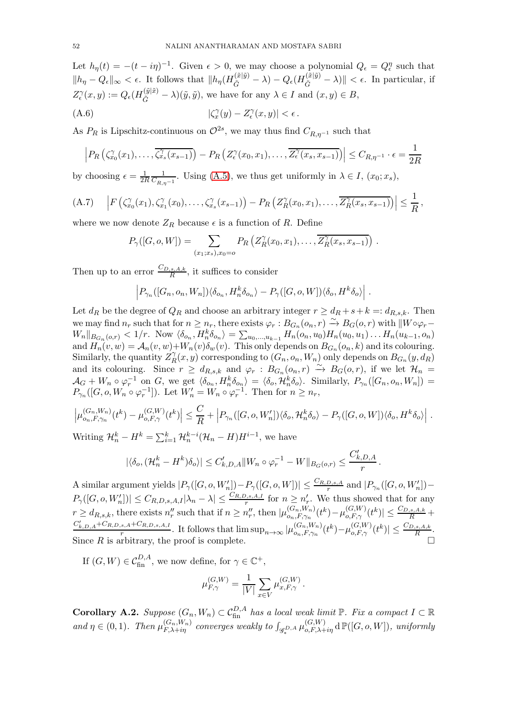Let  $h_{\eta}(t) = -(t - i\eta)^{-1}$ . Given  $\epsilon > 0$ , we may choose a polynomial  $Q_{\epsilon} = Q_{\epsilon}^{\eta}$  such that  $||h_{\eta} - Q_{\epsilon}||_{\infty} < \epsilon$ . It follows that  $||h_{\eta}(H_{\tilde{G}}^{(\tilde{x}|\tilde{y})} - \lambda) - Q_{\epsilon}(H_{\tilde{G}}^{(\tilde{x}|\tilde{y})} - \lambda)|| < \epsilon$ . In particular, if  $Z_{\epsilon}^{\gamma}(x,y) := Q_{\epsilon}(H_{\tilde{G}}^{(\tilde{y}|\tilde{x})} - \lambda)(\tilde{y},\tilde{y}),$  we have for any  $\lambda \in I$  and  $(x,y) \in B$ ,

(A.6) 
$$
|\zeta_x^{\gamma}(y) - Z_{\epsilon}^{\gamma}(x, y)| < \epsilon.
$$

As  $P_R$  is Lipschitz-continuous on  $\mathcal{O}^{2s}$ , we may thus find  $C_{R,\eta^{-1}}$  such that

$$
\left| P_R\left(\zeta_{x_0}^{\gamma}(x_1),\ldots,\overline{\zeta_{x_s}^{\gamma}(x_{s-1})}\right) - P_R\left(Z_{\epsilon}^{\gamma}(x_0,x_1),\ldots,\overline{Z_{\epsilon}^{\gamma}(x_s,x_{s-1})}\right) \right| \leq C_{R,\eta^{-1}} \cdot \epsilon = \frac{1}{2R}
$$

by choosing  $\epsilon = \frac{1}{2l}$ 2R 1  $\frac{1}{C_{R,\eta^{-1}}}$ . Using [\(A.5\)](#page-50-1), we thus get uniformly in  $\lambda \in I$ ,  $(x_0; x_s)$ ,

$$
(A.7) \quad \left| F\left(\zeta^{\gamma}_{x_0}(x_1),\zeta^{\gamma}_{x_1}(x_0),\ldots,\zeta^{\gamma}_{x_s}(x_{s-1})\right) - P_R\left(Z^{\gamma}_{R}(x_0,x_1),\ldots,\overline{Z^{\gamma}_{R}(x_s,x_{s-1})}\right) \right| \leq \frac{1}{R},
$$

where we now denote  $Z_R$  because  $\epsilon$  is a function of R. Define

$$
P_{\gamma}([G, o, W]) = \sum_{(x_1; x_s), x_0 = o} P_R\left(Z_R^{\gamma}(x_0, x_1), \ldots, \overline{Z_R^{\gamma}(x_s, x_{s-1})}\right).
$$

Then up to an error  $\frac{C_{D,s,A,k}}{R}$ , it suffices to consider

$$
\left|P_{\gamma_n}([G_n, o_n, W_n])\langle \delta_{o_n}, H_n^k \delta_{o_n} \rangle - P_{\gamma}([G, o, W])\langle \delta_{o}, H^k \delta_{o} \rangle\right|.
$$

Let  $d_R$  be the degree of  $Q_R$  and choose an arbitrary integer  $r \geq d_R + s + k =: d_{R,s,k}$ . Then we may find  $n_r$  such that for  $n \geq n_r$ , there exists  $\varphi_r : B_{G_n}(o_n, r) \to B_G(o, r)$  with  $||W \circ \varphi_r W_n||_{B_{G_n}(o,r)} < 1/r$ . Now  $\langle \delta_{o_n}, H_n^k \delta_{o_n} \rangle = \sum_{u_0,...,u_{k-1}} H_n(o_n, u_0) H_n(u_0, u_1) \dots H_n(u_{k-1}, o_n)$ and  $H_n(v, w) = A_n(v, w) + W_n(v) \delta_w(v)$ . This only depends on  $B_{G_n}(o_n, k)$  and its colouring. Similarly, the quantity  $Z_R^{\gamma}$  $R(R(x, y)$  corresponding to  $(G_n, o_n, W_n)$  only depends on  $B_{G_n}(y, d_R)$ and its colouring. Since  $r \geq d_{R,s,k}$  and  $\varphi_r : B_{G_n}(o_n, r) \stackrel{\sim}{\to} B_G(o,r)$ , if we let  $\mathcal{H}_n =$  $\mathcal{A}_G + W_n \circ \varphi_r^{-1}$  on G, we get  $\langle \delta_{o_n}, H_n^k \delta_{o_n} \rangle = \langle \delta_o, \mathcal{H}_n^k \delta_{o} \rangle$ . Similarly,  $P_{\gamma_n}([G_n, o_n, W_n]) =$  $P_{\gamma_n}([G, o, W_n \circ \varphi_r^{-1}])$ . Let  $W'_n = W_n \circ \varphi_r^{-1}$ . Then for  $n \ge n_r$ ,

$$
\left|\mu_{o_n,F,\gamma_n}^{(G_n,W_n)}(t^k)-\mu_{o,F,\gamma}^{(G,W)}(t^k)\right|\leq \frac{C}{R}+\left|P_{\gamma_n}([G,o,W_n'])\langle \delta_o,\mathcal{H}_n^k\delta_o\rangle-P_{\gamma}([G,o,W])\langle \delta_o,H^k\delta_o\rangle\right|.
$$

Writing  $\mathcal{H}_n^k - H^k = \sum_{i=1}^k \mathcal{H}_n^{k-i} (\mathcal{H}_n - H) H^{i-1}$ , we have

$$
|\langle \delta_o, (\mathcal{H}_n^k - H^k)\delta_o \rangle| \leq C'_{k,D,A} ||W_n \circ \varphi_r^{-1} - W||_{B_G(o,r)} \leq \frac{C'_{k,D,A}}{r}.
$$

A similar argument yields  $|P_\gamma([G, o, W'_n]) - P_\gamma([G, o, W])| \leq \frac{C_{R,D,s,A}}{r}$  and  $|P_{\gamma_n}([G, o, W'_n]) \lim_{r\to r}$   $\left|\frac{r}{r}\right| \left|\frac{r}{r}\right| \leq \frac{1}{r}$  and  $\lim_{r\to r}$   $\left|\frac{r}{r}\right| \left|\frac{r}{r}\right| \leq r$  $P_{\gamma}([G, o, W'_{n}]) \leq C_{R,D,s,A,I} |\lambda_{n} - \lambda| \leq \frac{C_{R,D,s,A,I}}{r}$  for  $n \geq n'_{r}$ . We thus showed that for any  $r \geq d_{R,s,k}$ , there exists  $n_r''$  such that if  $n \geq n_r''$ , then  $|\mu_{o_n,F,\gamma_n}^{(G_n,W_n)}|$  $\frac{(G_n, W_n)}{O_n, F, \gamma_n}(t^k) - \mu_{o, F, \gamma}^{(G, W)}(t^k)| \leq \frac{C_{D, s, A, k}}{R} +$  $C'_{k,D,A} + C_{R,D,s,A} + C_{R,D,s,A,I}$  $\frac{1}{r} \sum_{r=1}^{r} P_{n} P_{n} S_{n} A, I}$ . It follows that  $\limsup_{n \to \infty} |\mu_{o_n, F, \gamma_n}^{(G_n, W_n)}|$  $(C_{n,}^{(G_{n}, W_{n})}(t^{k}) - \mu_{o, F, \gamma}^{(G, W)}(t^{k}) \leq \frac{C_{D, s, A, k}}{R}.$ Since  $R$  is arbitrary, the proof is complete.

If  $(G, W) \in C_{\text{fin}}^{D,A}$ , we now define, for  $\gamma \in \mathbb{C}^+$ ,

$$
\mu_{F,\gamma}^{(G,W)} = \frac{1}{|V|} \sum_{x \in V} \mu_{x,F,\gamma}^{(G,W)}.
$$

<span id="page-51-0"></span>**Corollary A.2.** Suppose  $(G_n, W_n) \subset C_{fin}^{D, A}$  has a local weak limit  $\mathbb{P}$ . Fix a compact  $I \subset \mathbb{R}$ and  $\eta \in (0,1)$ . Then  $\mu_{F,\lambda+i\eta}^{(G_n,W_n)}$  converges weakly to  $\int_{\mathscr{G}_*^{D,A}} \mu_{o,F,\lambda+i\eta}^{(G,W)} d\mathbb{P}([G,o,W])$ , uniformly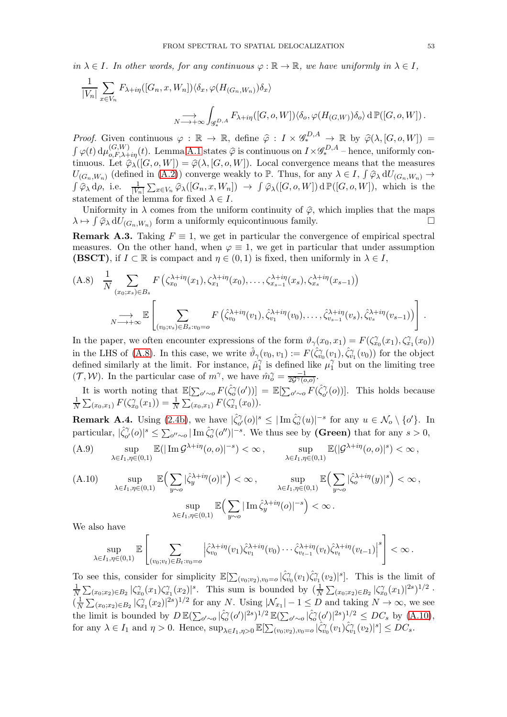*in*  $\lambda \in I$ *. In other words, for any continuous*  $\varphi : \mathbb{R} \to \mathbb{R}$ *, we have uniformly in*  $\lambda \in I$ *,* 

$$
\frac{1}{|V_n|} \sum_{x \in V_n} F_{\lambda + i\eta}([G_n, x, W_n]) \langle \delta_x, \varphi(H_{(G_n, W_n)}) \delta_x \rangle
$$
  

$$
\longrightarrow_{N \longrightarrow +\infty} \int_{\mathscr{G}_*^{D, A}} F_{\lambda + i\eta}([G, o, W]) \langle \delta_o, \varphi(H_{(G, W)}) \delta_o \rangle d\mathbb{P}([G, o, W]).
$$

*Proof.* Given continuous  $\varphi : \mathbb{R} \to \mathbb{R}$ , define  $\hat{\varphi} : I \times \mathscr{G}_{*}^{D,A} \to \mathbb{R}$  by  $\hat{\varphi}(\lambda, [G, o, W]) =$  $\int \varphi(t) d\mu_{o,F,\lambda+i\eta}^{(G,W)}(t)$ . Lemma [A.1](#page-50-0) states  $\hat{\varphi}$  is continuous on  $I \times \mathscr{G}_{*}^{D,A}$  – hence, uniformly continuous. Let  $\widehat{\varphi}_{\lambda}([G, o, W]) = \widehat{\varphi}(\lambda, [G, o, W])$ . Local convergence means that the measures  $U_{(G_n,W_n)}$  (defined in  $(A.2)$ ) converge weakly to P. Thus, for any  $\lambda \in I$ ,  $\int \widehat{\varphi}_{\lambda} dU_{(G_n,W_n)} \to$  $\int \widehat{\varphi}_{\lambda} d\rho$ , i.e.  $\frac{1}{|V_n|} \sum_{x \in V_n} \widehat{\varphi}_{\lambda}([G_n, x, W_n]) \rightarrow \int \widehat{\varphi}_{\lambda}([G, o, W]) d \mathbb{P}([G, o, W])$ , which is the statement of the lemma for fixed  $\lambda \in I$ .

Uniformity in  $\lambda$  comes from the uniform continuity of  $\hat{\varphi}$ , which implies that the maps  $\rightarrow$   $\hat{I} \hat{\varphi}_{\lambda} dU_{C \lambda}$  w. form a uniformly equicontinuous family  $\lambda \mapsto \int \widehat{\varphi}_{\lambda} dU_{(G_n, W_n)}$  form a uniformly equicontinuous family.

<span id="page-52-0"></span>**Remark A.3.** Taking  $F \equiv 1$ , we get in particular the convergence of empirical spectral measures. On the other hand, when  $\varphi \equiv 1$ , we get in particular that under assumption **(BSCT)**, if  $I \subset \mathbb{R}$  is compact and  $\eta \in (0,1)$  is fixed, then uniformly in  $\lambda \in I$ ,

<span id="page-52-4"></span>
$$
(A.8) \quad \frac{1}{N} \sum_{(x_0,x_s) \in B_s} F\left(\zeta_{x_0}^{\lambda+i\eta}(x_1),\zeta_{x_1}^{\lambda+i\eta}(x_0),\ldots,\zeta_{x_{s-1}}^{\lambda+i\eta}(x_s),\zeta_{x_s}^{\lambda+i\eta}(x_{s-1})\right)
$$
\n
$$
\longrightarrow \sum_{N \longrightarrow +\infty} \mathbb{E}\left[\sum_{(v_0,v_s) \in B_s: v_0 = o} F\left(\hat{\zeta}_{v_0}^{\lambda+i\eta}(v_1),\hat{\zeta}_{v_1}^{\lambda+i\eta}(v_0),\ldots,\hat{\zeta}_{v_{s-1}}^{\lambda+i\eta}(v_s),\hat{\zeta}_{v_s}^{\lambda+i\eta}(v_{s-1})\right)\right].
$$

In the paper, we often encounter expressions of the form  $\vartheta_{\gamma}(x_0, x_1) = F(\zeta_{x_0}^{\gamma}(x_1), \zeta_{x_1}^{\gamma}(x_0))$ in the LHS of [\(A.8\)](#page-52-4). In this case, we write  $\hat{\vartheta}_{\gamma}(v_0, v_1) := F(\hat{\zeta}_{v_0}^{\gamma}(v_1), \hat{\zeta}_{v_1}^{\gamma}(v_0))$  for the object defined similarly at the limit. For instance,  $\hat{\mu}_1^{\gamma}$  $\hat{v}_1$  is defined like  $\mu_1^{\gamma}$  but on the limiting tree  $(\mathcal{T}, \mathcal{W})$ . In the particular case of  $m^{\gamma}$ , we have  $\hat{m}_o^{\gamma} = \frac{-1}{2\mathcal{G}^{\gamma}(o,o)}$ .

It is worth noting that  $\mathbb{E}[\sum_{o'\sim o} F(\hat{\zeta}_o^{\gamma}(o'))] = \mathbb{E}[\sum_{o'\sim o} F(\hat{\zeta}_{o'}^{\gamma})]$  $^{\gamma}_{o'}(o)$ ]. This holds because 1  $\frac{1}{N} \sum_{(x_0, x_1)} F(\zeta_{x_0}^{\gamma}(x_1)) = \frac{1}{N} \sum_{(x_0, x_1)} F(\zeta_{x_1}^{\gamma}(x_0)).$ 

<span id="page-52-1"></span>**Remark A.4.** Using [\(2.4b\)](#page-11-0), we have  $|\hat{\zeta}_{o'}^{\gamma}|$  $|\tilde{\zeta}_o''(o)|^s \leq |\text{Im}\,\hat{\zeta}_o''(u)|^{-s}$  for any  $u \in \mathcal{N}_o \setminus \{o'\}.$  In particular,  $|\hat{\zeta}_{o'}^{\gamma}\rangle$  $\int_{\sigma'}^{\gamma} (o)|^s \leq \sum_{o'' \sim o} |\operatorname{Im} \hat{\zeta}_o''(o'')|^{-s}$ . We thus see by (Green) that for any  $s > 0$ ,

<span id="page-52-2"></span>(A.9) 
$$
\sup_{\lambda \in I_1, \eta \in (0,1)} \mathbb{E}(|\operatorname{Im} \mathcal{G}^{\lambda+i\eta}(o, o)|^{-s}) < \infty, \qquad \sup_{\lambda \in I_1, \eta \in (0,1)} \mathbb{E}(|\mathcal{G}^{\lambda+i\eta}(o, o)|^s) < \infty,
$$

<span id="page-52-3"></span>(A.10) 
$$
\sup_{\lambda \in I_1, \eta \in (0,1)} \mathbb{E} \Big( \sum_{y \sim o} |\hat{\zeta}_y^{\lambda + i\eta}(o)|^s \Big) < \infty, \qquad \sup_{\lambda \in I_1, \eta \in (0,1)} \mathbb{E} \Big( \sum_{y \sim o} |\hat{\zeta}_o^{\lambda + i\eta}(y)|^s \Big) < \infty, \sup_{\lambda \in I_1, \eta \in (0,1)} \mathbb{E} \Big( \sum_{y \sim o} |\operatorname{Im} \hat{\zeta}_y^{\lambda + i\eta}(o)|^{-s} \Big) < \infty.
$$

We also have

$$
\sup_{\lambda\in I_1,\eta\in (0,1)}\mathbb{E}\left[\sum_{(v_0; v_t)\in B_t: v_0=o}\left|\hat{\zeta}_{v_0}^{\lambda+i\eta}(v_1)\hat{\zeta}_{v_1}^{\lambda+i\eta}(v_0)\cdots \hat{\zeta}_{v_{t-1}}^{\lambda+i\eta}(v_t)\hat{\zeta}_{v_t}^{\lambda+i\eta}(v_{t-1})\right|^s\right]<\infty\,.
$$

To see this, consider for simplicity  $\mathbb{E}[\sum_{(v_0; v_2), v_0=0} |\hat{\zeta}_{v_0}^{\gamma}(v_1)\hat{\zeta}_{v_1}^{\gamma}(v_2)|^s]$ . This is the limit of 1  $\frac{1}{N}\sum_{(x_0,x_2)\in B_2} |\zeta_{x_0}^{\gamma}(x_1)\zeta_{x_1}^{\gamma}(x_2)|^s$ . This sum is bounded by  $(\frac{1}{N}\sum_{(x_0,x_2)\in B_2} |\zeta_{x_0}^{\gamma}(x_1)|^{2s})^{1/2}$ .  $\left(\frac{1}{N}\right)$  $\frac{1}{N}\sum_{(x_0,x_2)\in B_2} |\zeta_{x_1}^{\gamma}(x_2)|^{2s}$  1/2 for any N. Using  $|\mathcal{N}_{x_1}|-1 \leq D$  and taking  $N \to \infty$ , we see the limit is bounded by  $D \mathbb{E}(\sum_{o' \sim o} |\hat{\zeta}_o^{\gamma}(o')|^{2s})^{1/2} \mathbb{E}(\sum_{o' \sim o} |\hat{\zeta}_o^{\gamma}(o')|^{2s})^{1/2} \le DC_s$  by  $(A.10)$ , for any  $\lambda \in I_1$  and  $\eta > 0$ . Hence,  $\sup_{\lambda \in I_1, \eta > 0} \mathbb{E}[\sum_{(v_0, v_2), v_0 = o} |\hat{\zeta}_{v_0}^{\gamma}(v_1)\hat{\zeta}_{v_1}^{\gamma}(v_2)|^s] \leq DC_s$ .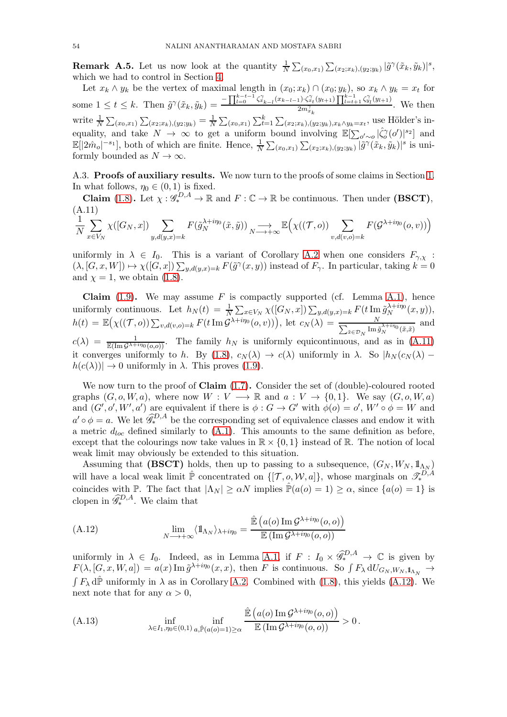<span id="page-53-1"></span>**Remark A.5.** Let us now look at the quantity  $\frac{1}{N} \sum_{(x_0, x_1)} \sum_{(x_2, x_k), (y_2; y_k)} |\tilde{g}^{\gamma}(\tilde{x}_k, \tilde{y}_k)|^s$ , which we had to control in Section [4.](#page-14-0)

Let  $x_k \wedge y_k$  be the vertex of maximal length in  $(x_0; x_k) \cap (x_0; y_k)$ , so  $x_k \wedge y_k = x_t$  for some  $1 \le t \le k$ . Then  $\tilde{g}^{\gamma}(\tilde{x}_k, \tilde{y}_k) = \frac{-\prod_{l=0}^{k-t-1} \zeta_{x_{k-l}}^{\gamma}(x_{k-l-1}) \cdot \zeta_{x_t}^{\gamma}(y_{t+1}) \prod_{l=t+1}^{k-1} \zeta_{y_l}^{\gamma}(y_{l+1})}{2m_{x_{k-l}}^{\gamma}}$  $\frac{2m_{x_k}^2}{2m_{x_k}^2}$ . We then write  $\frac{1}{N} \sum_{(x_0, x_1)} \sum_{(x_2; x_k), (y_2; y_k)} = \frac{1}{N}$  $\frac{1}{N} \sum_{(x_0, x_1)} \sum_{t=1}^k \sum_{(x_2; x_k), (y_2; y_k), x_k \wedge y_k = x_t}$ , use Hölder's inequality, and take  $N \to \infty$  to get a uniform bound involving  $\mathbb{E}[\sum_{o'\sim o}|\hat{\zeta}_o''(o')|^{s_2}]$  and  $\mathbb{E}[|2\hat{m}_o|^{-s_1}],$  both of which are finite. Hence,  $\frac{1}{N}\sum_{(x_0,x_1)}\sum_{(x_2;x_k),(y_2;y_k)}|\tilde{g}^{\gamma}(\tilde{x}_k,\tilde{y}_k)|^s$  is uniformly bounded as  $N \to \infty$ .

<span id="page-53-0"></span>A.3. Proofs of auxiliary results. We now turn to the proofs of some claims in Section [1.](#page-0-0) In what follows,  $\eta_0 \in (0,1)$  is fixed.

**Claim** [\(1.8\)](#page-6-1). Let  $\chi: \mathscr{G}_{*}^{D,A} \to \mathbb{R}$  and  $F: \mathbb{C} \to \mathbb{R}$  be continuous. Then under (**BSCT**), (A.11)

<span id="page-53-2"></span>
$$
\frac{1}{N} \sum_{x \in V_N} \chi([G_N, x]) \sum_{y, d(y, x) = k} F(\tilde{g}_N^{\lambda + i\eta_0}(\tilde{x}, \tilde{y})) \underset{N \to +\infty}{\longrightarrow} \mathbb{E}\Big(\chi((\mathcal{T}, o)) \sum_{v, d(v, o) = k} F(\mathcal{G}^{\lambda + i\eta_0}(o, v))\Big)
$$

uniformly in  $\lambda \in I_0$ . This is a variant of Corollary [A.2](#page-51-0) when one considers  $F_{\gamma,\chi}$ :  $(\lambda, [G, x, W]) \mapsto \chi([G, x]) \sum_{y, d(y, x)=k} F(\tilde{g}^{\gamma}(x, y))$  instead of  $F_{\gamma}$ . In particular, taking  $k = 0$ and  $\chi = 1$ , we obtain [\(1.8\)](#page-6-1).

**Claim** [\(1.9\)](#page-6-2). We may assume F is compactly supported (cf. Lemma [A.1\)](#page-50-0), hence uniformly continuous. Let  $h_N(t) = \frac{1}{N} \sum_{x \in V_N} \chi([G_N, x]) \sum_{y,d(y,x)=k} F(t \operatorname{Im} \tilde{g}_N^{\lambda+i\eta_0})$  $N^{+i\eta_{0}}(x, y)),$  $h(t) = \mathbb{E}(\chi((\mathcal{T}, o)) \sum_{v,d(v,o)=k} F(t \operatorname{Im} \hat{\mathcal{G}}^{\lambda+ip_0}(o, v))),$  let  $c_N(\lambda) = \frac{N}{\sum_{v \in \mathcal{D}_N} \operatorname{Im} \hat{\mathcal{G}}^{\lambda+ip_0}(o, v)}$  $\tilde{x} \in \mathcal{D}_N$  Im  $\tilde{g}_N^{\lambda+i\eta_0}(\tilde{x}, \tilde{x})$ and  $c(\lambda) = \frac{1}{\mathbb{E}(\text{Im}\,\mathcal{G}^{\lambda+i\eta_0}(o,o))}$ . The family  $h_N$  is uniformly equicontinuous, and as in  $(A.11)$ it converges uniformly to h. By [\(1.8\)](#page-6-1),  $c_N(\lambda) \to c(\lambda)$  uniformly in  $\lambda$ . So  $|h_N(c_N(\lambda)$  $h(c(\lambda)) \rightarrow 0$  uniformly in  $\lambda$ . This proves [\(1.9\)](#page-6-2).

We now turn to the proof of **Claim**  $(1.7)$ . Consider the set of  $(double)$ -coloured rooted graphs  $(G, o, W, a)$ , where now  $W : V \longrightarrow \mathbb{R}$  and  $a : V \longrightarrow \{0, 1\}$ . We say  $(G, o, W, a)$ and  $(G', o', W', a')$  are equivalent if there is  $\phi : G \to G'$  with  $\phi(o) = o', W' \circ \phi = W$  and  $a' \circ \phi = a$ . We let  $\widehat{\mathscr{G}}_*^{D,A}$  be the corresponding set of equivalence classes and endow it with a metric  $d_{loc}$  defined similarly to  $(A.1)$ . This amounts to the same definition as before, except that the colourings now take values in  $\mathbb{R} \times \{0, 1\}$  instead of  $\mathbb{R}$ . The notion of local weak limit may obviously be extended to this situation.

Assuming that (BSCT) holds, then up to passing to a subsequence,  $(G_N, W_N, 1\!\!1_{\Lambda_N})$ will have a local weak limit  $\hat{\mathbb{P}}$  concentrated on  $\{[\mathcal{T}, \varphi, \mathcal{W}, a]\}$ , whose marginals on  $\mathscr{T}_{*}^{D,A}$ coincides with P. The fact that  $|\Lambda_N| \ge \alpha N$  implies  $\mathbb{P}(a(o) = 1) \ge \alpha$ , since  $\{a(o) = 1\}$  is clopen in  $\widehat{\mathscr{G}}_*^{D,A}$ . We claim that

<span id="page-53-3"></span>(A.12) 
$$
\lim_{N \to +\infty} \langle 1\!\!1_{\Lambda_N} \rangle_{\lambda + i\eta_0} = \frac{\hat{\mathbb{E}}\left(a(o) \operatorname{Im} \mathcal{G}^{\lambda + i\eta_0}(o, o)\right)}{\mathbb{E}\left(\operatorname{Im} \mathcal{G}^{\lambda + i\eta_0}(o, o)\right)}
$$

uniformly in  $\lambda \in I_0$ . Indeed, as in Lemma [A.1,](#page-50-0) if  $F: I_0 \times \widehat{\mathscr{G}}_*^{D,A} \to \mathbb{C}$  is given by  $F(\lambda, [G, x, W, a]) = a(x) \operatorname{Im} \tilde{g}^{\lambda + i\eta_0}(x, x)$ , then F is continuous. So  $\int F_{\lambda} dU_{G_N, W_N, 1_{\Lambda_N}} \to$  $\int F_{\lambda} d\hat{\mathbb{P}}$  uniformly in  $\lambda$  as in Corollary [A.2.](#page-51-0) Combined with [\(1.8\)](#page-6-1), this yields [\(A.12\)](#page-53-3). We next note that for any  $\alpha > 0$ .

<span id="page-53-4"></span>(A.13) 
$$
\inf_{\lambda \in I_1, \eta_0 \in (0,1)} \inf_{a, \hat{\mathbb{P}}(a(o)=1) \geq \alpha} \frac{\hat{\mathbb{E}}\left(a(o) \operatorname{Im} \mathcal{G}^{\lambda+i\eta_0}(o, o)\right)}{\mathbb{E}\left(\operatorname{Im} \mathcal{G}^{\lambda+i\eta_0}(o, o)\right)} > 0.
$$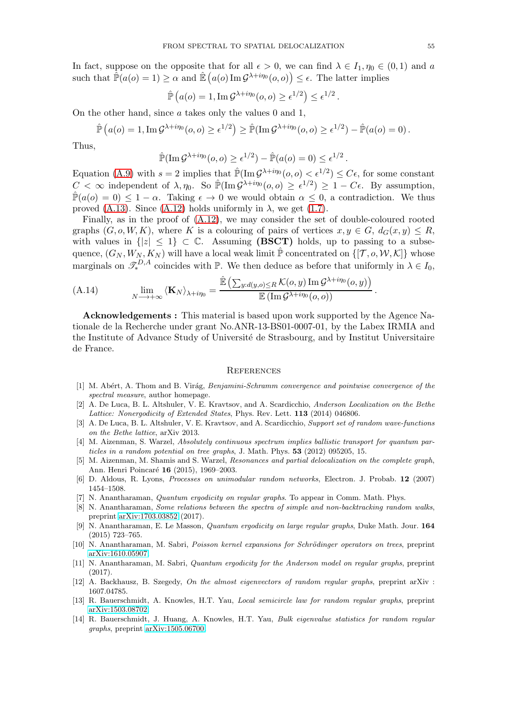In fact, suppose on the opposite that for all  $\epsilon > 0$ , we can find  $\lambda \in I_1, \eta_0 \in (0,1)$  and a such that  $\mathbb{\hat{P}}(a(o) = 1) \ge \alpha$  and  $\mathbb{\hat{E}}(a(o) \operatorname{Im} \mathcal{G}^{\lambda + i\eta_0}(o, o)) \le \epsilon$ . The latter implies

$$
\hat{\mathbb{P}}\left(a(o)=1, \operatorname{Im} \mathcal{G}^{\lambda+i\eta_0}(o,o)\geq \epsilon^{1/2}\right)\leq \epsilon^{1/2}\,.
$$

On the other hand, since a takes only the values 0 and 1,

$$
\hat{\mathbb{P}}\left(a(o) = 1, \operatorname{Im} \mathcal{G}^{\lambda + i\eta_0}(o, o) \ge \epsilon^{1/2}\right) \ge \hat{\mathbb{P}}(\operatorname{Im} \mathcal{G}^{\lambda + i\eta_0}(o, o) \ge \epsilon^{1/2}) - \hat{\mathbb{P}}(a(o) = 0).
$$

Thus,

$$
\hat{\mathbb{P}}(\operatorname{Im} \mathcal{G}^{\lambda+i\eta_0}(o, o) \geq \epsilon^{1/2}) - \hat{\mathbb{P}}(a(o) = 0) \leq \epsilon^{1/2}.
$$

Equation [\(A.9\)](#page-52-2) with  $s = 2$  implies that  $\mathbb{P}(\text{Im }\mathcal{G}^{\lambda+i\eta_0}(o, o) < \epsilon^{1/2}) \leq C\epsilon$ , for some constant  $C < \infty$  independent of  $\lambda, \eta_0$ . So  $\mathbb{P}(\text{Im}\,\mathcal{G}^{\lambda+i\eta_0}(o,o) \geq \epsilon^{1/2}) \geq 1 - C\epsilon$ . By assumption,  $\hat{\mathbb{P}}(a(o) = 0) \leq 1 - \alpha$ . Taking  $\epsilon \to 0$  we would obtain  $\alpha \leq 0$ , a contradiction. We thus proved [\(A.13\)](#page-53-4). Since [\(A.12\)](#page-53-3) holds uniformly in  $\lambda$ , we get [\(1.7\)](#page-5-2).

Finally, as in the proof of [\(A.12\)](#page-53-3), we may consider the set of double-coloured rooted graphs  $(G, o, W, K)$ , where K is a colouring of pairs of vertices  $x, y \in G$ ,  $d_G(x, y) \leq R$ , with values in  $\{|z| \leq 1\} \subset \mathbb{C}$ . Assuming (BSCT) holds, up to passing to a subsequence,  $(G_N, W_N, K_N)$  will have a local weak limit  $\hat{\mathbb{P}}$  concentrated on  $\{[\mathcal{T}, o, \mathcal{W}, \mathcal{K}]\}$  whose marginals on  $\mathcal{I}_{*}^{D,A}$  coincides with  $\mathbb{P}$ . We then deduce as before that uniformly in  $\lambda \in I_0$ ,

<span id="page-54-6"></span>(A.14) 
$$
\lim_{N \to +\infty} \langle \mathbf{K}_N \rangle_{\lambda + i\eta_0} = \frac{\mathbb{E} \left( \sum_{y:d(y,o) \leq R} \mathcal{K}(o, y) \operatorname{Im} \mathcal{G}^{\lambda + i\eta_0}(o, y) \right)}{\mathbb{E} \left( \operatorname{Im} \mathcal{G}^{\lambda + i\eta_0}(o, o) \right)}.
$$

Acknowledgements : This material is based upon work supported by the Agence Nationale de la Recherche under grant No.ANR-13-BS01-0007-01, by the Labex IRMIA and the Institute of Advance Study of Université de Strasbourg, and by Institut Universitaire de France.

#### **REFERENCES**

- <span id="page-54-13"></span>[1] M. Ab´ert, A. Thom and B. Vir´ag, *Benjamini-Schramm convergence and pointwise convergence of the spectral measure*, author homepage.
- <span id="page-54-0"></span>[2] A. De Luca, B. L. Altshuler, V. E. Kravtsov, and A. Scardicchio, *Anderson Localization on the Bethe Lattice: Nonergodicity of Extended States*, Phys. Rev. Lett. 113 (2014) 046806.
- <span id="page-54-9"></span>[3] A. De Luca, B. L. Altshuler, V. E. Kravtsov, and A. Scardicchio, *Support set of random wave-functions on the Bethe lattice*, arXiv 2013.
- <span id="page-54-8"></span>[4] M. Aizenman, S. Warzel, *Absolutely continuous spectrum implies ballistic transport for quantum particles in a random potential on tree graphs*, J. Math. Phys. 53 (2012) 095205, 15.
- <span id="page-54-1"></span>[5] M. Aizenman, M. Shamis and S. Warzel, *Resonances and partial delocalization on the complete graph*, Ann. Henri Poincaré 16 (2015), 1969–2003.
- <span id="page-54-14"></span><span id="page-54-3"></span>[6] D. Aldous, R. Lyons, *Processes on unimodular random networks*, Electron. J. Probab. 12 (2007) 1454–1508.
- <span id="page-54-12"></span>[7] N. Anantharaman, *Quantum ergodicity on regular graphs*. To appear in Comm. Math. Phys.
- [8] N. Anantharaman, *Some relations between the spectra of simple and non-backtracking random walks*, preprint [arXiv:1703.03852](http://arxiv.org/abs/1703.03852) (2017).
- <span id="page-54-2"></span>[9] N. Anantharaman, E. Le Masson, *Quantum ergodicity on large regular graphs*, Duke Math. Jour. 164 (2015) 723–765.
- <span id="page-54-11"></span><span id="page-54-7"></span>[10] N. Anantharaman, M. Sabri, *Poisson kernel expansions for Schrödinger operators on trees*, preprint [arXiv:1610.05907.](http://arxiv.org/abs/1610.05907)
- [11] N. Anantharaman, M. Sabri, *Quantum ergodicity for the Anderson model on regular graphs*, preprint (2017).
- <span id="page-54-10"></span>[12] A. Backhausz, B. Szegedy, *On the almost eigenvectors of random regular graphs*, preprint arXiv : 1607.04785.
- <span id="page-54-4"></span>[13] R. Bauerschmidt, A. Knowles, H.T. Yau, *Local semicircle law for random regular graphs*, preprint [arXiv:1503.08702.](http://arxiv.org/abs/1503.08702)
- <span id="page-54-5"></span>[14] R. Bauerschmidt, J. Huang, A. Knowles, H.T. Yau, *Bulk eigenvalue statistics for random regular graphs*, preprint [arXiv:1505.06700.](http://arxiv.org/abs/1505.06700)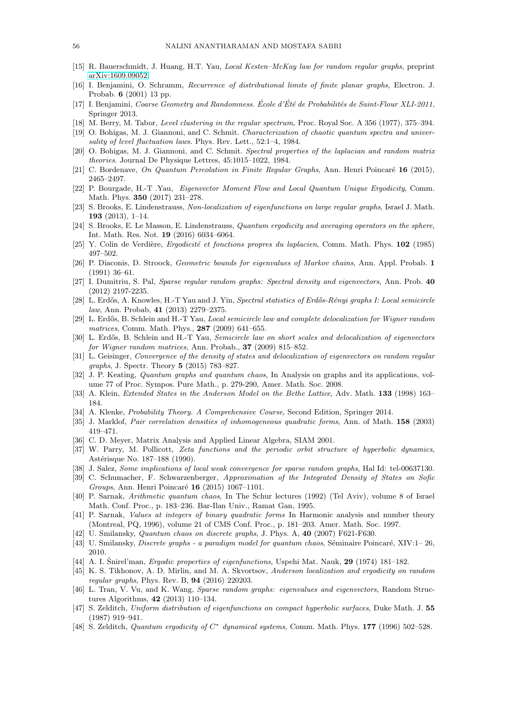- <span id="page-55-29"></span><span id="page-55-13"></span>[15] R. Bauerschmidt, J. Huang, H.T. Yau, *Local Kesten–McKay law for random regular graphs*, preprint [arXiv:1609.09052.](http://arxiv.org/abs/1609.09052)
- <span id="page-55-30"></span>[16] I. Benjamini, O. Schramm, *Recurrence of distributional limits of finite planar graphs*, Electron. J. Probab. 6 (2001) 13 pp.
- [17] I. Benjamini, *Coarse Geometry and Randomness. Ecole d' ´ Et´e de Probabilit´es de Saint-Flour XLI-2011 ´* , Springer 2013.
- <span id="page-55-1"></span><span id="page-55-0"></span>[18] M. Berry, M. Tabor, *Level clustering in the regular spectrum,* Proc. Royal Soc. A 356 (1977), 375–394.
- <span id="page-55-2"></span>[19] O. Bohigas, M. J. Giannoni, and C. Schmit. *Characterization of chaotic quantum spectra and universality of level fluctuation laws.* Phys. Rev. Lett., 52:1–4, 1984.
- [20] O. Bohigas, M. J. Giannoni, and C. Schmit. *Spectral properties of the laplacian and random matrix theories*. Journal De Physique Lettres, 45:1015–1022, 1984.
- <span id="page-55-22"></span><span id="page-55-11"></span>[21] C. Bordenave, *On Quantum Percolation in Finite Regular Graphs*, Ann. Henri Poincar´e 16 (2015), 2465–2497.
- [22] P. Bourgade, H.-T .Yau, *Eigenvector Moment Flow and Local Quantum Unique Ergodicity*, Comm. Math. Phys. 350 (2017) 231–278.
- <span id="page-55-15"></span><span id="page-55-14"></span>[23] S. Brooks, E. Lindenstrauss, *Non-localization of eigenfunctions on large regular graphs*, Israel J. Math. 193  $(2013)$ , 1–14.
- <span id="page-55-25"></span>[24] S. Brooks, E. Le Masson, E. Lindenstrauss, *Quantum ergodicity and averaging operators on the sphere*, Int. Math. Res. Not. 19 (2016) 6034–6064.
- <span id="page-55-16"></span>[25] Y. Colin de Verdière, *Ergodicité et fonctions propres du laplacien*, Comm. Math. Phys. **102** (1985) 497–502.
- [26] P. Diaconis, D. Stroock, *Geometric bounds for eigenvalues of Markov chains*, Ann. Appl. Probab. 1 (1991) 36–61.
- <span id="page-55-20"></span>[27] I. Dumitriu, S. Pal, *Sparse regular random graphs: Spectral density and eigenvectors*, Ann. Prob. 40 (2012) 2197-2235.
- <span id="page-55-12"></span>[28] L. Erd˝os, A. Knowles, H.-T Yau and J. Yin, *Spectral statistics of Erd˝os-R´enyi graphs I: Local semicircle law*, Ann. Probab, 41 (2013) 2279–2375.
- <span id="page-55-9"></span>[29] L. Erd˝os, B. Schlein and H.-T Yau, *Local semicircle law and complete delocalization for Wigner random matrices*, Comm. Math. Phys., 287 (2009) 641–655.
- <span id="page-55-10"></span>[30] L. Erd˝os, B. Schlein and H.-T Yau, *Semicircle law on short scales and delocalization of eigenvectors for Wigner random matrices*, Ann. Probab., 37 (2009) 815–852.
- <span id="page-55-18"></span>[31] L. Geisinger, *Convergence of the density of states and delocalization of eigenvectors on random regular graphs*, J. Spectr. Theory 5 (2015) 783–827.
- <span id="page-55-6"></span>[32] J. P. Keating, *Quantum graphs and quantum chaos*, In Analysis on graphs and its applications, volume 77 of Proc. Sympos. Pure Math., p. 279-290, Amer. Math. Soc. 2008.
- <span id="page-55-32"></span><span id="page-55-17"></span>[33] A. Klein, *Extended States in the Anderson Model on the Bethe Lattice*, Adv. Math. 133 (1998) 163– 184.
- <span id="page-55-5"></span>[34] A. Klenke, *Probability Theory. A Comprehensive Course*, Second Edition, Springer 2014.
- <span id="page-55-27"></span>[35] J. Marklof, *Pair correlation densities of inhomogeneous quadratic forms*, Ann. of Math. 158 (2003) 419–471.
- <span id="page-55-28"></span>[36] C. D. Meyer, Matrix Analysis and Applied Linear Algebra, SIAM 2001.
- [37] W. Parry, M. Pollicott, *Zeta functions and the periodic orbit structure of hyperbolic dynamics*, Astérisque No. 187–188 (1990).
- <span id="page-55-33"></span><span id="page-55-31"></span>[38] J. Salez, *Some implications of local weak convergence for sparse random graphs*, Hal Id: tel-00637130.
- [39] C. Schumacher, F. Schwarzenberger, *Approximation of the Integrated Density of States on Sofic Groups*, Ann. Henri Poincaré 16 (2015) 1067-1101.
- <span id="page-55-3"></span>[40] P. Sarnak, *Arithmetic quantum chaos*, In The Schur lectures (1992) (Tel Aviv), volume 8 of Israel Math. Conf. Proc., p. 183–236. Bar-Ilan Univ., Ramat Gan, 1995.
- <span id="page-55-4"></span>[41] P. Sarnak, *Values at integers of binary quadratic forms* In Harmonic analysis and number theory (Montreal, PQ, 1996), volume 21 of CMS Conf. Proc., p. 181–203. Amer. Math. Soc. 1997.
- <span id="page-55-8"></span><span id="page-55-7"></span>[42] U. Smilansky, *Quantum chaos on discrete graphs*, J. Phys. A, 40 (2007) F621-F630.
- <span id="page-55-23"></span>[43] U. Smilansky, *Discrete graphs - a paradigm model for quantum chaos*, Séminaire Poincaré, XIV:1– 26, 2010.
- <span id="page-55-21"></span>[44] A. I. Snirel'man, *Ergodic properties of eigenfunctions*, Uspehi Mat. Nauk, **29** (1974) 181–182.
- [45] K. S. Tikhonov, A. D. Mirlin, and M. A. Skvortsov, *Anderson localization and ergodicity on random regular graphs*, Phys. Rev. B, 94 (2016) 220203.
- <span id="page-55-19"></span>[46] L. Tran, V. Vu, and K. Wang, *Sparse random graphs: eigenvalues and eigenvectors*, Random Structures Algorithms, 42 (2013) 110–134.
- <span id="page-55-24"></span>[47] S. Zelditch, *Uniform distribution of eigenfunctions on compact hyperbolic surfaces*, Duke Math. J. 55 (1987) 919–941.
- <span id="page-55-26"></span>[48] S. Zelditch, *Quantum ergodicity of*  $C^*$  dynamical systems, Comm. Math. Phys. 177 (1996) 502–528.